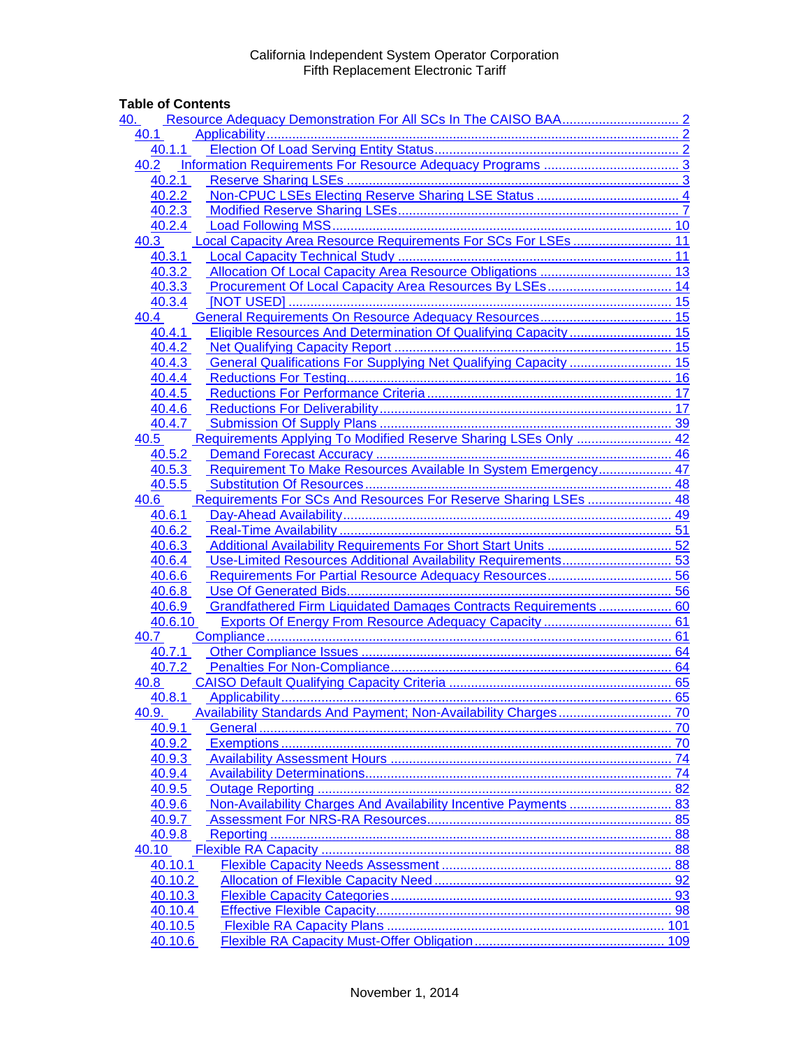## **Table of Contents**

| 40.     |                                                                  |
|---------|------------------------------------------------------------------|
| 40.1    |                                                                  |
| 40.1.1  |                                                                  |
| 40.2    |                                                                  |
| 40.2.1  |                                                                  |
| 40.2.2  |                                                                  |
| 40.2.3  |                                                                  |
| 40.2.4  |                                                                  |
| 40.3    | Local Capacity Area Resource Requirements For SCs For LSEs  11   |
| 40.3.1  |                                                                  |
| 40.3.2  |                                                                  |
| 40.3.3  |                                                                  |
| 40.3.4  |                                                                  |
| 40.4    |                                                                  |
| 40.4.1  | Eligible Resources And Determination Of Qualifying Capacity 15   |
| 40.4.2  |                                                                  |
| 40.4.3  | General Qualifications For Supplying Net Qualifying Capacity  15 |
| 40.4.4  |                                                                  |
| 40.4.5  |                                                                  |
| 40.4.6  |                                                                  |
|         |                                                                  |
| 40.4.7  |                                                                  |
| 40.5    | Requirements Applying To Modified Reserve Sharing LSEs Only  42  |
| 40.5.2  |                                                                  |
| 40.5.3  | Requirement To Make Resources Available In System Emergency 47   |
| 40.5.5  |                                                                  |
| 40.6    | Requirements For SCs And Resources For Reserve Sharing LSEs  48  |
| 40.6.1  |                                                                  |
| 40.6.2  |                                                                  |
| 40.6.3  |                                                                  |
| 40.6.4  | Use-Limited Resources Additional Availability Requirements 53    |
| 40.6.6  |                                                                  |
| 40.6.8  |                                                                  |
| 40.6.9  | Grandfathered Firm Liquidated Damages Contracts Requirements  60 |
| 40.6.10 |                                                                  |
| 40.7    |                                                                  |
| 40.7.1  |                                                                  |
| 40.7.2  |                                                                  |
| 40.8    |                                                                  |
| 40.8.1  |                                                                  |
| 40.9.   | 70                                                               |
| 40.9.1  |                                                                  |
| 40.9.2  |                                                                  |
| 40.9.3  |                                                                  |
| 40.9.4  | 74                                                               |
| 40.9.5  |                                                                  |
| 40.9.6  | 83                                                               |
| 40.9.7  | 85                                                               |
| 40.9.8  |                                                                  |
| 40.10   | 88                                                               |
| 40.10.1 |                                                                  |
| 40.10.2 |                                                                  |
| 40.10.3 |                                                                  |
| 40.10.4 |                                                                  |
| 40.10.5 |                                                                  |
| 40.10.6 |                                                                  |
|         |                                                                  |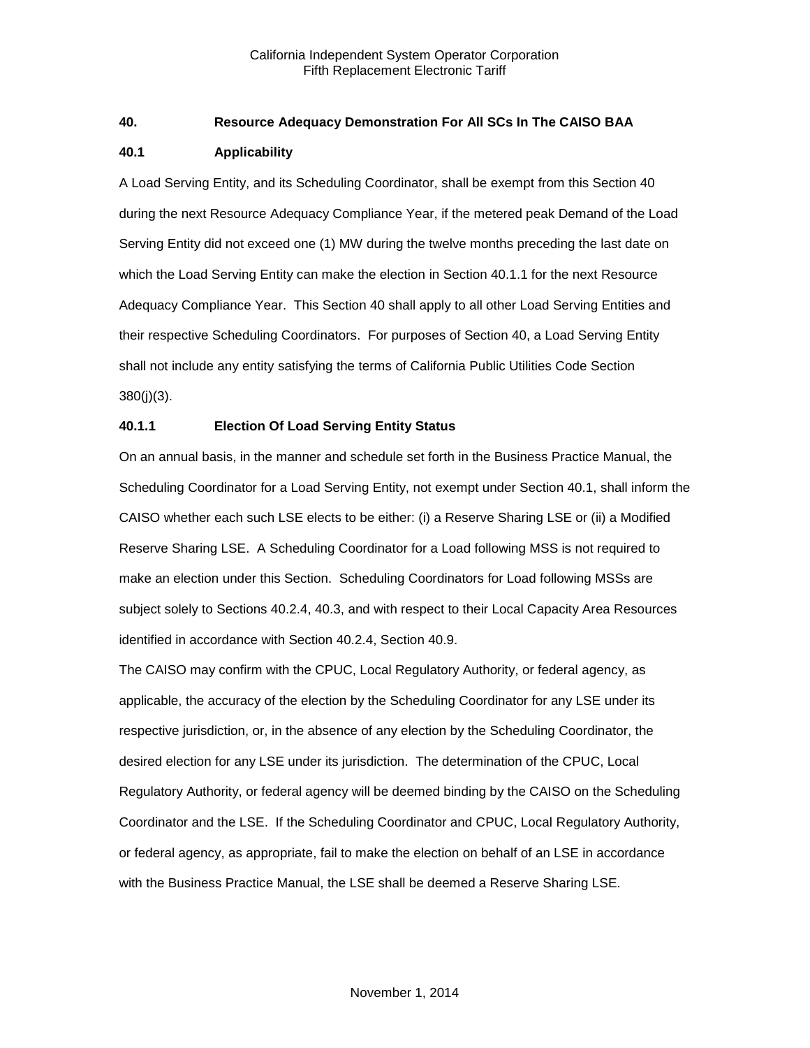## <span id="page-1-0"></span>**40. Resource Adequacy Demonstration For All SCs In The CAISO BAA**

## <span id="page-1-1"></span>**40.1 Applicability**

A Load Serving Entity, and its Scheduling Coordinator, shall be exempt from this Section 40 during the next Resource Adequacy Compliance Year, if the metered peak Demand of the Load Serving Entity did not exceed one (1) MW during the twelve months preceding the last date on which the Load Serving Entity can make the election in Section 40.1.1 for the next Resource Adequacy Compliance Year. This Section 40 shall apply to all other Load Serving Entities and their respective Scheduling Coordinators. For purposes of Section 40, a Load Serving Entity shall not include any entity satisfying the terms of California Public Utilities Code Section 380(j)(3).

## <span id="page-1-2"></span>**40.1.1 Election Of Load Serving Entity Status**

On an annual basis, in the manner and schedule set forth in the Business Practice Manual, the Scheduling Coordinator for a Load Serving Entity, not exempt under Section 40.1, shall inform the CAISO whether each such LSE elects to be either: (i) a Reserve Sharing LSE or (ii) a Modified Reserve Sharing LSE. A Scheduling Coordinator for a Load following MSS is not required to make an election under this Section. Scheduling Coordinators for Load following MSSs are subject solely to Sections 40.2.4, 40.3, and with respect to their Local Capacity Area Resources identified in accordance with Section 40.2.4, Section 40.9.

The CAISO may confirm with the CPUC, Local Regulatory Authority, or federal agency, as applicable, the accuracy of the election by the Scheduling Coordinator for any LSE under its respective jurisdiction, or, in the absence of any election by the Scheduling Coordinator, the desired election for any LSE under its jurisdiction. The determination of the CPUC, Local Regulatory Authority, or federal agency will be deemed binding by the CAISO on the Scheduling Coordinator and the LSE. If the Scheduling Coordinator and CPUC, Local Regulatory Authority, or federal agency, as appropriate, fail to make the election on behalf of an LSE in accordance with the Business Practice Manual, the LSE shall be deemed a Reserve Sharing LSE.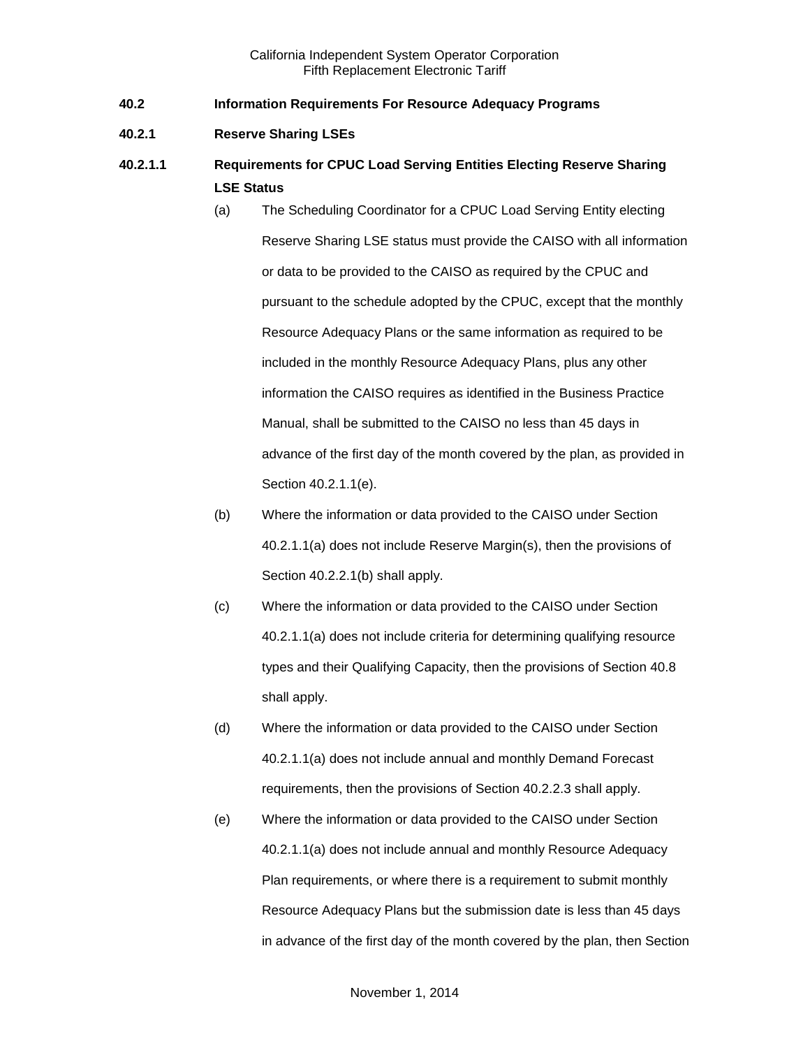- <span id="page-2-0"></span>**40.2 Information Requirements For Resource Adequacy Programs**
- <span id="page-2-1"></span>**40.2.1 Reserve Sharing LSEs**
- **40.2.1.1 Requirements for CPUC Load Serving Entities Electing Reserve Sharing LSE Status**
	- (a) The Scheduling Coordinator for a CPUC Load Serving Entity electing Reserve Sharing LSE status must provide the CAISO with all information or data to be provided to the CAISO as required by the CPUC and pursuant to the schedule adopted by the CPUC, except that the monthly Resource Adequacy Plans or the same information as required to be included in the monthly Resource Adequacy Plans, plus any other information the CAISO requires as identified in the Business Practice Manual, shall be submitted to the CAISO no less than 45 days in advance of the first day of the month covered by the plan, as provided in Section 40.2.1.1(e).
	- (b) Where the information or data provided to the CAISO under Section 40.2.1.1(a) does not include Reserve Margin(s), then the provisions of Section 40.2.2.1(b) shall apply.
	- (c) Where the information or data provided to the CAISO under Section 40.2.1.1(a) does not include criteria for determining qualifying resource types and their Qualifying Capacity, then the provisions of Section 40.8 shall apply.
	- (d) Where the information or data provided to the CAISO under Section 40.2.1.1(a) does not include annual and monthly Demand Forecast requirements, then the provisions of Section 40.2.2.3 shall apply.
	- (e) Where the information or data provided to the CAISO under Section 40.2.1.1(a) does not include annual and monthly Resource Adequacy Plan requirements, or where there is a requirement to submit monthly Resource Adequacy Plans but the submission date is less than 45 days in advance of the first day of the month covered by the plan, then Section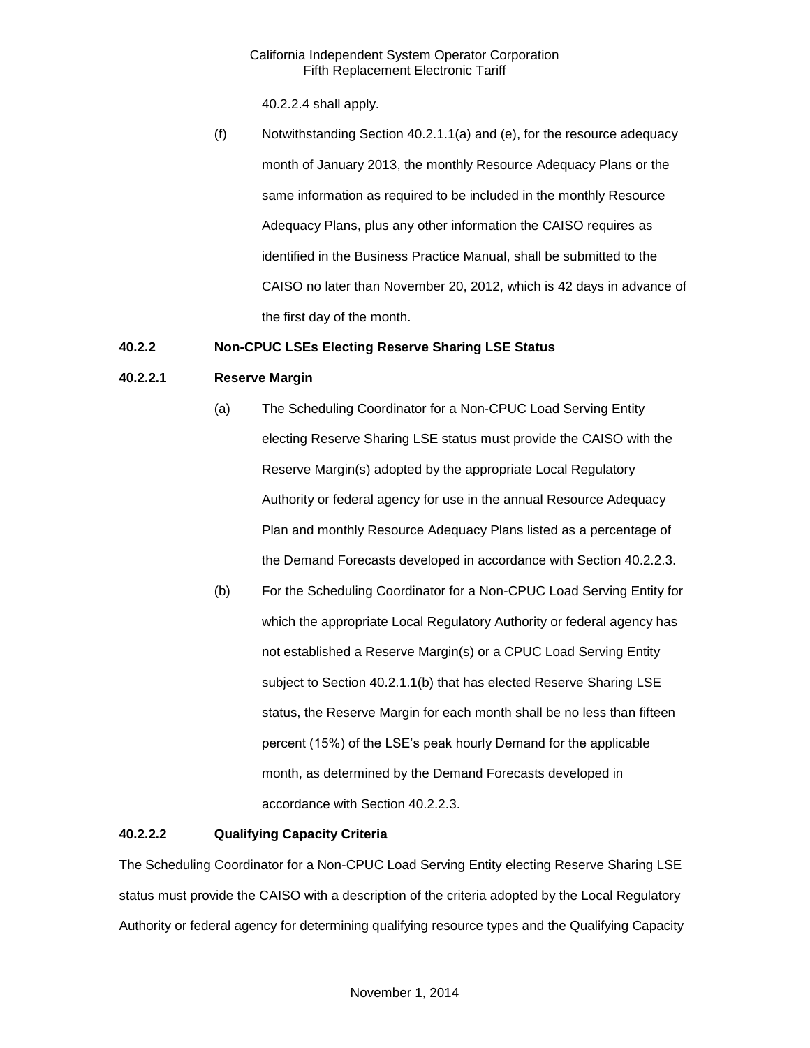40.2.2.4 shall apply.

(f) Notwithstanding Section 40.2.1.1(a) and (e), for the resource adequacy month of January 2013, the monthly Resource Adequacy Plans or the same information as required to be included in the monthly Resource Adequacy Plans, plus any other information the CAISO requires as identified in the Business Practice Manual, shall be submitted to the CAISO no later than November 20, 2012, which is 42 days in advance of the first day of the month.

## <span id="page-3-0"></span>**40.2.2 Non-CPUC LSEs Electing Reserve Sharing LSE Status**

## **40.2.2.1 Reserve Margin**

- (a) The Scheduling Coordinator for a Non-CPUC Load Serving Entity electing Reserve Sharing LSE status must provide the CAISO with the Reserve Margin(s) adopted by the appropriate Local Regulatory Authority or federal agency for use in the annual Resource Adequacy Plan and monthly Resource Adequacy Plans listed as a percentage of the Demand Forecasts developed in accordance with Section 40.2.2.3.
- (b) For the Scheduling Coordinator for a Non-CPUC Load Serving Entity for which the appropriate Local Regulatory Authority or federal agency has not established a Reserve Margin(s) or a CPUC Load Serving Entity subject to Section 40.2.1.1(b) that has elected Reserve Sharing LSE status, the Reserve Margin for each month shall be no less than fifteen percent (15%) of the LSE's peak hourly Demand for the applicable month, as determined by the Demand Forecasts developed in accordance with Section 40.2.2.3.

## **40.2.2.2 Qualifying Capacity Criteria**

The Scheduling Coordinator for a Non-CPUC Load Serving Entity electing Reserve Sharing LSE status must provide the CAISO with a description of the criteria adopted by the Local Regulatory Authority or federal agency for determining qualifying resource types and the Qualifying Capacity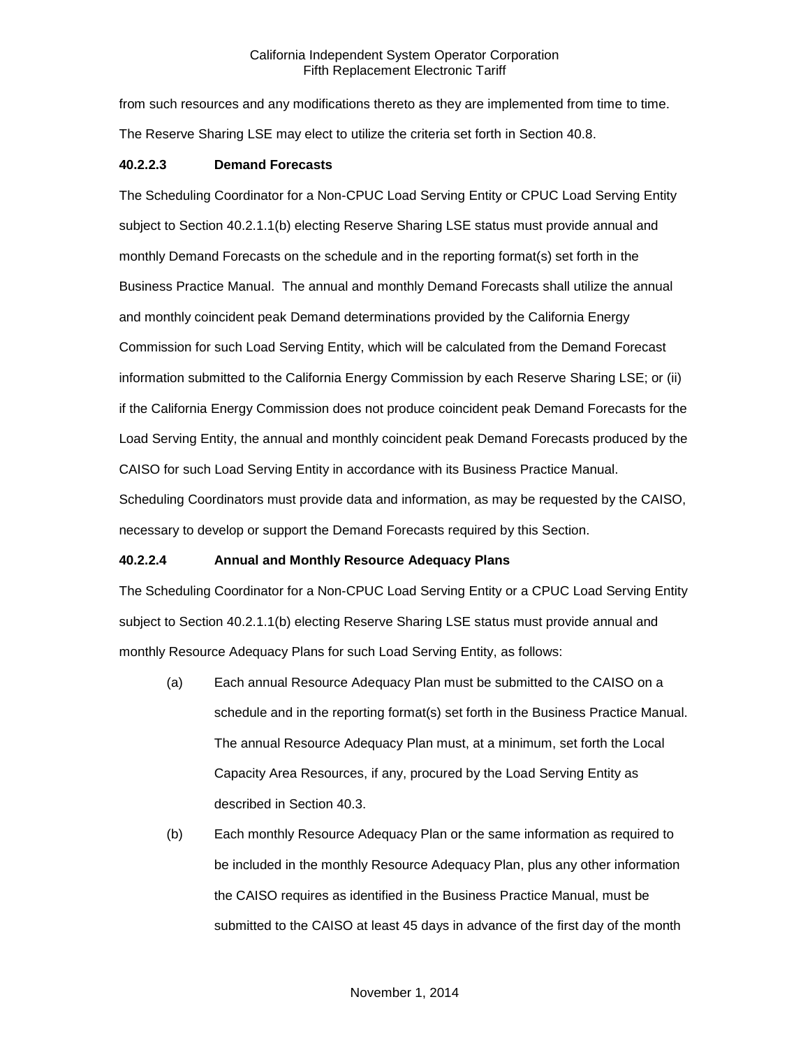from such resources and any modifications thereto as they are implemented from time to time. The Reserve Sharing LSE may elect to utilize the criteria set forth in Section 40.8.

## **40.2.2.3 Demand Forecasts**

The Scheduling Coordinator for a Non-CPUC Load Serving Entity or CPUC Load Serving Entity subject to Section 40.2.1.1(b) electing Reserve Sharing LSE status must provide annual and monthly Demand Forecasts on the schedule and in the reporting format(s) set forth in the Business Practice Manual. The annual and monthly Demand Forecasts shall utilize the annual and monthly coincident peak Demand determinations provided by the California Energy Commission for such Load Serving Entity, which will be calculated from the Demand Forecast information submitted to the California Energy Commission by each Reserve Sharing LSE; or (ii) if the California Energy Commission does not produce coincident peak Demand Forecasts for the Load Serving Entity, the annual and monthly coincident peak Demand Forecasts produced by the CAISO for such Load Serving Entity in accordance with its Business Practice Manual. Scheduling Coordinators must provide data and information, as may be requested by the CAISO, necessary to develop or support the Demand Forecasts required by this Section.

## **40.2.2.4 Annual and Monthly Resource Adequacy Plans**

The Scheduling Coordinator for a Non-CPUC Load Serving Entity or a CPUC Load Serving Entity subject to Section 40.2.1.1(b) electing Reserve Sharing LSE status must provide annual and monthly Resource Adequacy Plans for such Load Serving Entity, as follows:

- (a) Each annual Resource Adequacy Plan must be submitted to the CAISO on a schedule and in the reporting format(s) set forth in the Business Practice Manual. The annual Resource Adequacy Plan must, at a minimum, set forth the Local Capacity Area Resources, if any, procured by the Load Serving Entity as described in Section 40.3.
- (b) Each monthly Resource Adequacy Plan or the same information as required to be included in the monthly Resource Adequacy Plan, plus any other information the CAISO requires as identified in the Business Practice Manual, must be submitted to the CAISO at least 45 days in advance of the first day of the month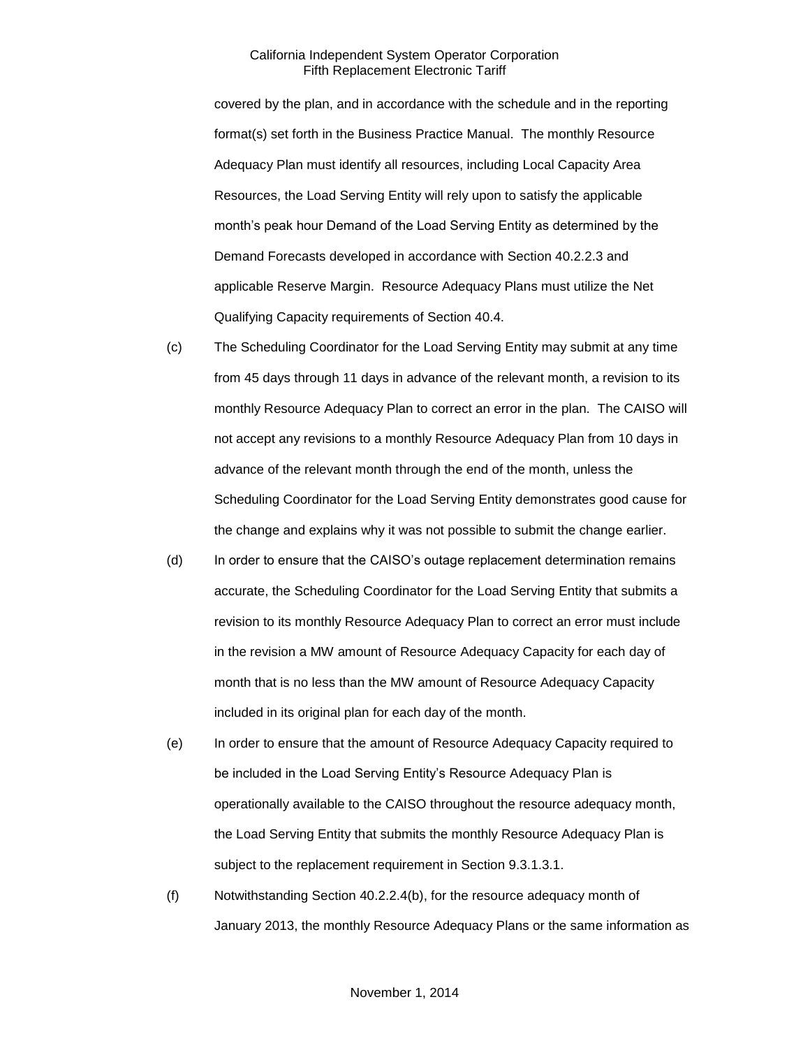covered by the plan, and in accordance with the schedule and in the reporting format(s) set forth in the Business Practice Manual. The monthly Resource Adequacy Plan must identify all resources, including Local Capacity Area Resources, the Load Serving Entity will rely upon to satisfy the applicable month's peak hour Demand of the Load Serving Entity as determined by the Demand Forecasts developed in accordance with Section 40.2.2.3 and applicable Reserve Margin. Resource Adequacy Plans must utilize the Net Qualifying Capacity requirements of Section 40.4.

- (c) The Scheduling Coordinator for the Load Serving Entity may submit at any time from 45 days through 11 days in advance of the relevant month, a revision to its monthly Resource Adequacy Plan to correct an error in the plan. The CAISO will not accept any revisions to a monthly Resource Adequacy Plan from 10 days in advance of the relevant month through the end of the month, unless the Scheduling Coordinator for the Load Serving Entity demonstrates good cause for the change and explains why it was not possible to submit the change earlier.
- (d) In order to ensure that the CAISO's outage replacement determination remains accurate, the Scheduling Coordinator for the Load Serving Entity that submits a revision to its monthly Resource Adequacy Plan to correct an error must include in the revision a MW amount of Resource Adequacy Capacity for each day of month that is no less than the MW amount of Resource Adequacy Capacity included in its original plan for each day of the month.
- (e) In order to ensure that the amount of Resource Adequacy Capacity required to be included in the Load Serving Entity's Resource Adequacy Plan is operationally available to the CAISO throughout the resource adequacy month, the Load Serving Entity that submits the monthly Resource Adequacy Plan is subject to the replacement requirement in Section 9.3.1.3.1.
- (f) Notwithstanding Section 40.2.2.4(b), for the resource adequacy month of January 2013, the monthly Resource Adequacy Plans or the same information as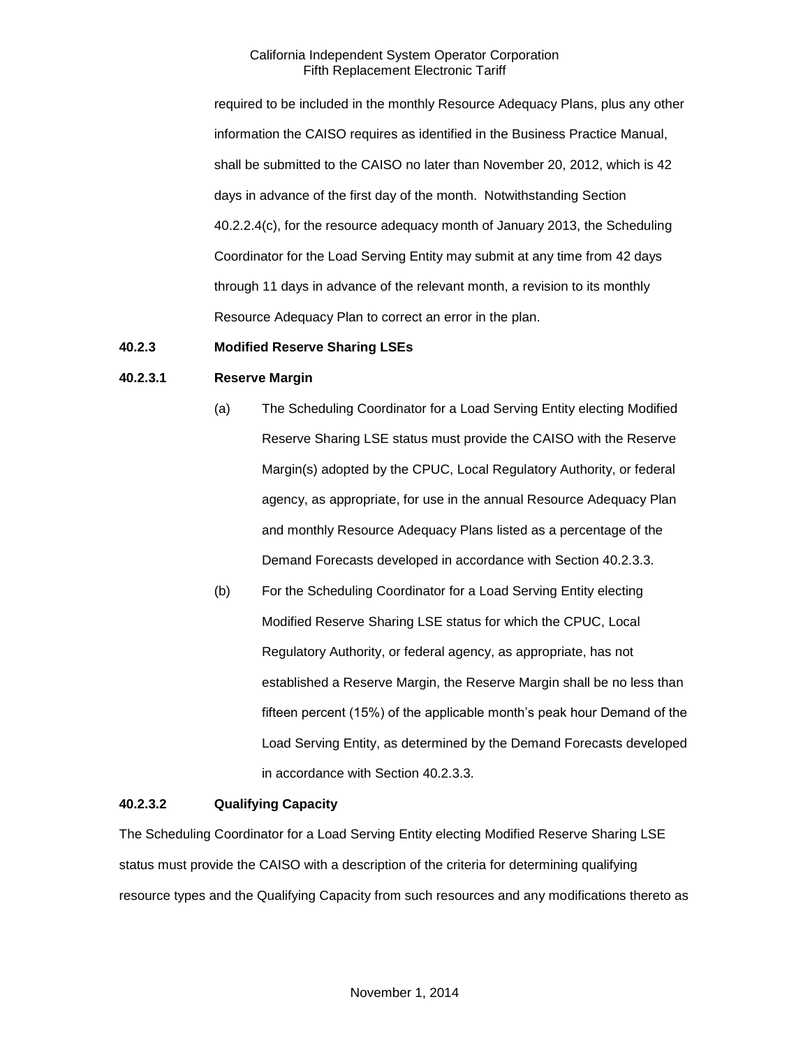required to be included in the monthly Resource Adequacy Plans, plus any other information the CAISO requires as identified in the Business Practice Manual, shall be submitted to the CAISO no later than November 20, 2012, which is 42 days in advance of the first day of the month. Notwithstanding Section 40.2.2.4(c), for the resource adequacy month of January 2013, the Scheduling Coordinator for the Load Serving Entity may submit at any time from 42 days through 11 days in advance of the relevant month, a revision to its monthly Resource Adequacy Plan to correct an error in the plan.

## <span id="page-6-0"></span>**40.2.3 Modified Reserve Sharing LSEs**

## **40.2.3.1 Reserve Margin**

- (a) The Scheduling Coordinator for a Load Serving Entity electing Modified Reserve Sharing LSE status must provide the CAISO with the Reserve Margin(s) adopted by the CPUC, Local Regulatory Authority, or federal agency, as appropriate, for use in the annual Resource Adequacy Plan and monthly Resource Adequacy Plans listed as a percentage of the Demand Forecasts developed in accordance with Section 40.2.3.3.
- (b) For the Scheduling Coordinator for a Load Serving Entity electing Modified Reserve Sharing LSE status for which the CPUC, Local Regulatory Authority, or federal agency, as appropriate, has not established a Reserve Margin, the Reserve Margin shall be no less than fifteen percent (15%) of the applicable month's peak hour Demand of the Load Serving Entity, as determined by the Demand Forecasts developed in accordance with Section 40.2.3.3.

## **40.2.3.2 Qualifying Capacity**

The Scheduling Coordinator for a Load Serving Entity electing Modified Reserve Sharing LSE status must provide the CAISO with a description of the criteria for determining qualifying resource types and the Qualifying Capacity from such resources and any modifications thereto as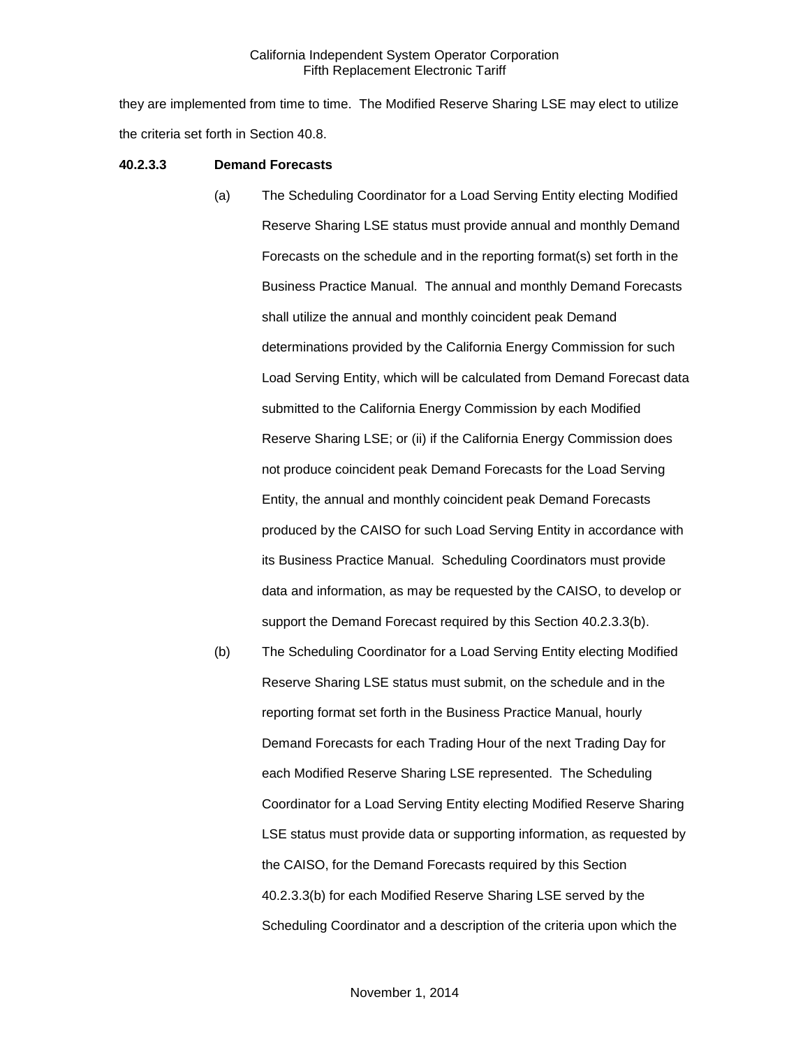they are implemented from time to time. The Modified Reserve Sharing LSE may elect to utilize the criteria set forth in Section 40.8.

#### **40.2.3.3 Demand Forecasts**

- (a) The Scheduling Coordinator for a Load Serving Entity electing Modified Reserve Sharing LSE status must provide annual and monthly Demand Forecasts on the schedule and in the reporting format(s) set forth in the Business Practice Manual. The annual and monthly Demand Forecasts shall utilize the annual and monthly coincident peak Demand determinations provided by the California Energy Commission for such Load Serving Entity, which will be calculated from Demand Forecast data submitted to the California Energy Commission by each Modified Reserve Sharing LSE; or (ii) if the California Energy Commission does not produce coincident peak Demand Forecasts for the Load Serving Entity, the annual and monthly coincident peak Demand Forecasts produced by the CAISO for such Load Serving Entity in accordance with its Business Practice Manual. Scheduling Coordinators must provide data and information, as may be requested by the CAISO, to develop or support the Demand Forecast required by this Section 40.2.3.3(b).
- (b) The Scheduling Coordinator for a Load Serving Entity electing Modified Reserve Sharing LSE status must submit, on the schedule and in the reporting format set forth in the Business Practice Manual, hourly Demand Forecasts for each Trading Hour of the next Trading Day for each Modified Reserve Sharing LSE represented. The Scheduling Coordinator for a Load Serving Entity electing Modified Reserve Sharing LSE status must provide data or supporting information, as requested by the CAISO, for the Demand Forecasts required by this Section 40.2.3.3(b) for each Modified Reserve Sharing LSE served by the Scheduling Coordinator and a description of the criteria upon which the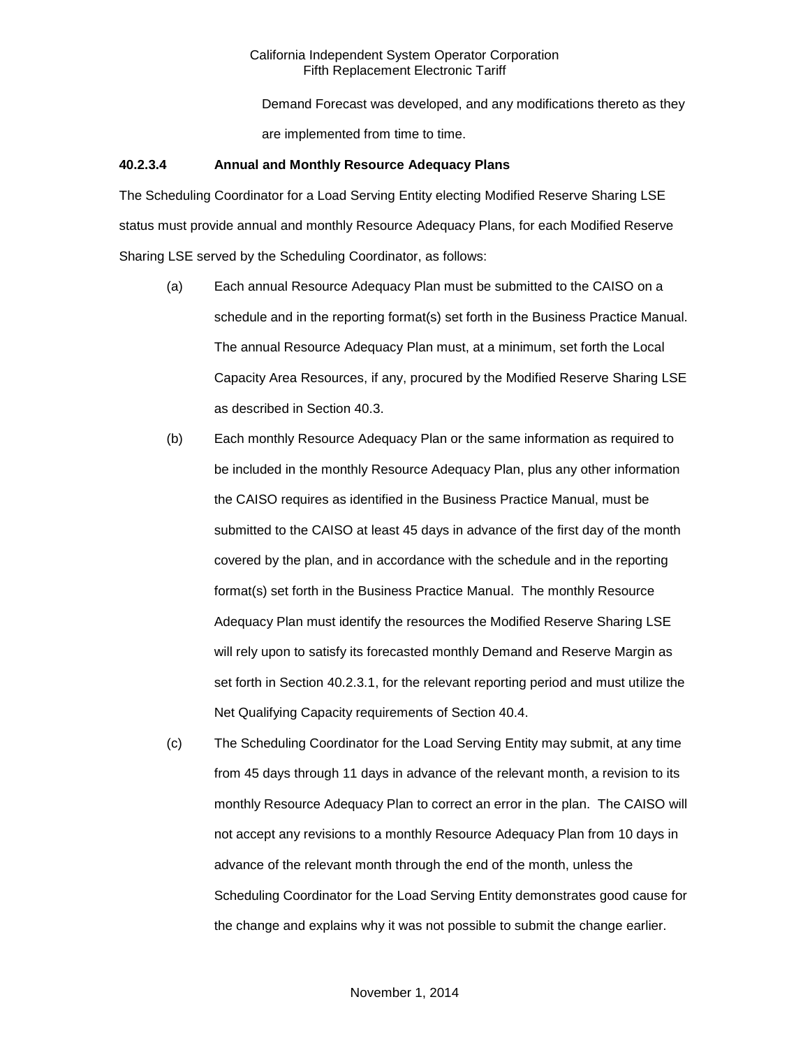Demand Forecast was developed, and any modifications thereto as they are implemented from time to time.

## **40.2.3.4 Annual and Monthly Resource Adequacy Plans**

The Scheduling Coordinator for a Load Serving Entity electing Modified Reserve Sharing LSE status must provide annual and monthly Resource Adequacy Plans, for each Modified Reserve Sharing LSE served by the Scheduling Coordinator, as follows:

- (a) Each annual Resource Adequacy Plan must be submitted to the CAISO on a schedule and in the reporting format(s) set forth in the Business Practice Manual. The annual Resource Adequacy Plan must, at a minimum, set forth the Local Capacity Area Resources, if any, procured by the Modified Reserve Sharing LSE as described in Section 40.3.
- (b) Each monthly Resource Adequacy Plan or the same information as required to be included in the monthly Resource Adequacy Plan, plus any other information the CAISO requires as identified in the Business Practice Manual, must be submitted to the CAISO at least 45 days in advance of the first day of the month covered by the plan, and in accordance with the schedule and in the reporting format(s) set forth in the Business Practice Manual. The monthly Resource Adequacy Plan must identify the resources the Modified Reserve Sharing LSE will rely upon to satisfy its forecasted monthly Demand and Reserve Margin as set forth in Section 40.2.3.1, for the relevant reporting period and must utilize the Net Qualifying Capacity requirements of Section 40.4.
- (c) The Scheduling Coordinator for the Load Serving Entity may submit, at any time from 45 days through 11 days in advance of the relevant month, a revision to its monthly Resource Adequacy Plan to correct an error in the plan. The CAISO will not accept any revisions to a monthly Resource Adequacy Plan from 10 days in advance of the relevant month through the end of the month, unless the Scheduling Coordinator for the Load Serving Entity demonstrates good cause for the change and explains why it was not possible to submit the change earlier.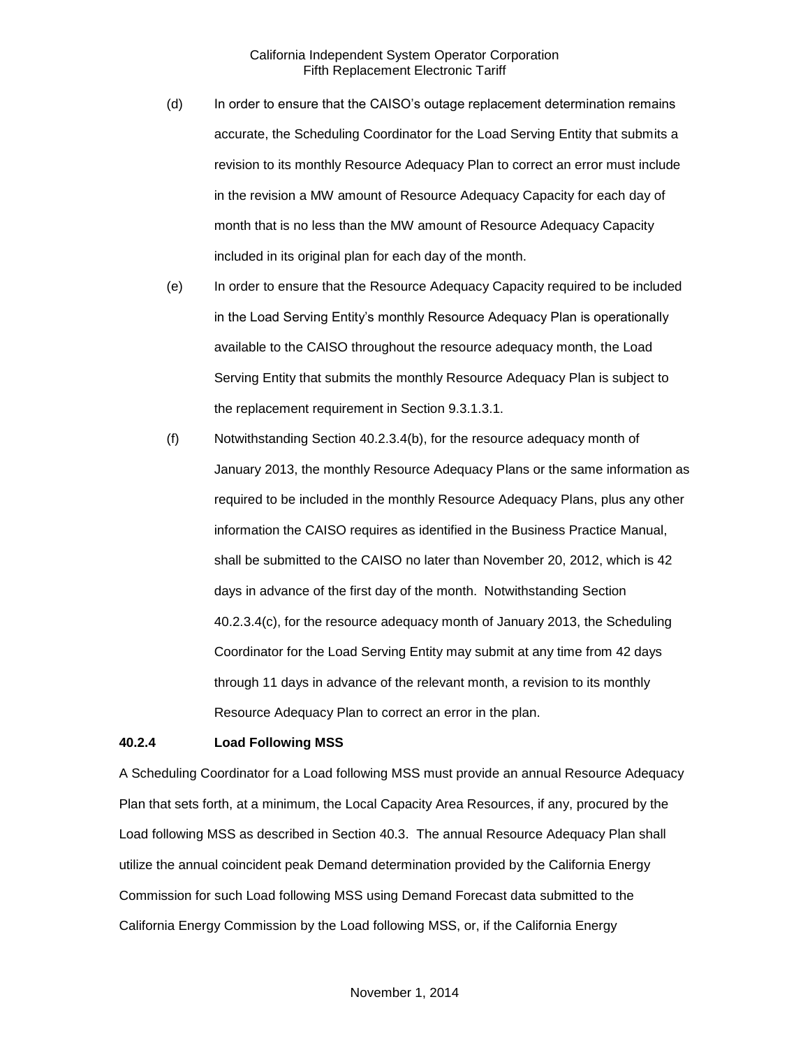- (d) In order to ensure that the CAISO's outage replacement determination remains accurate, the Scheduling Coordinator for the Load Serving Entity that submits a revision to its monthly Resource Adequacy Plan to correct an error must include in the revision a MW amount of Resource Adequacy Capacity for each day of month that is no less than the MW amount of Resource Adequacy Capacity included in its original plan for each day of the month.
- (e) In order to ensure that the Resource Adequacy Capacity required to be included in the Load Serving Entity's monthly Resource Adequacy Plan is operationally available to the CAISO throughout the resource adequacy month, the Load Serving Entity that submits the monthly Resource Adequacy Plan is subject to the replacement requirement in Section 9.3.1.3.1.
- (f) Notwithstanding Section 40.2.3.4(b), for the resource adequacy month of January 2013, the monthly Resource Adequacy Plans or the same information as required to be included in the monthly Resource Adequacy Plans, plus any other information the CAISO requires as identified in the Business Practice Manual, shall be submitted to the CAISO no later than November 20, 2012, which is 42 days in advance of the first day of the month. Notwithstanding Section 40.2.3.4(c), for the resource adequacy month of January 2013, the Scheduling Coordinator for the Load Serving Entity may submit at any time from 42 days through 11 days in advance of the relevant month, a revision to its monthly Resource Adequacy Plan to correct an error in the plan.

#### <span id="page-9-0"></span>**40.2.4 Load Following MSS**

A Scheduling Coordinator for a Load following MSS must provide an annual Resource Adequacy Plan that sets forth, at a minimum, the Local Capacity Area Resources, if any, procured by the Load following MSS as described in Section 40.3. The annual Resource Adequacy Plan shall utilize the annual coincident peak Demand determination provided by the California Energy Commission for such Load following MSS using Demand Forecast data submitted to the California Energy Commission by the Load following MSS, or, if the California Energy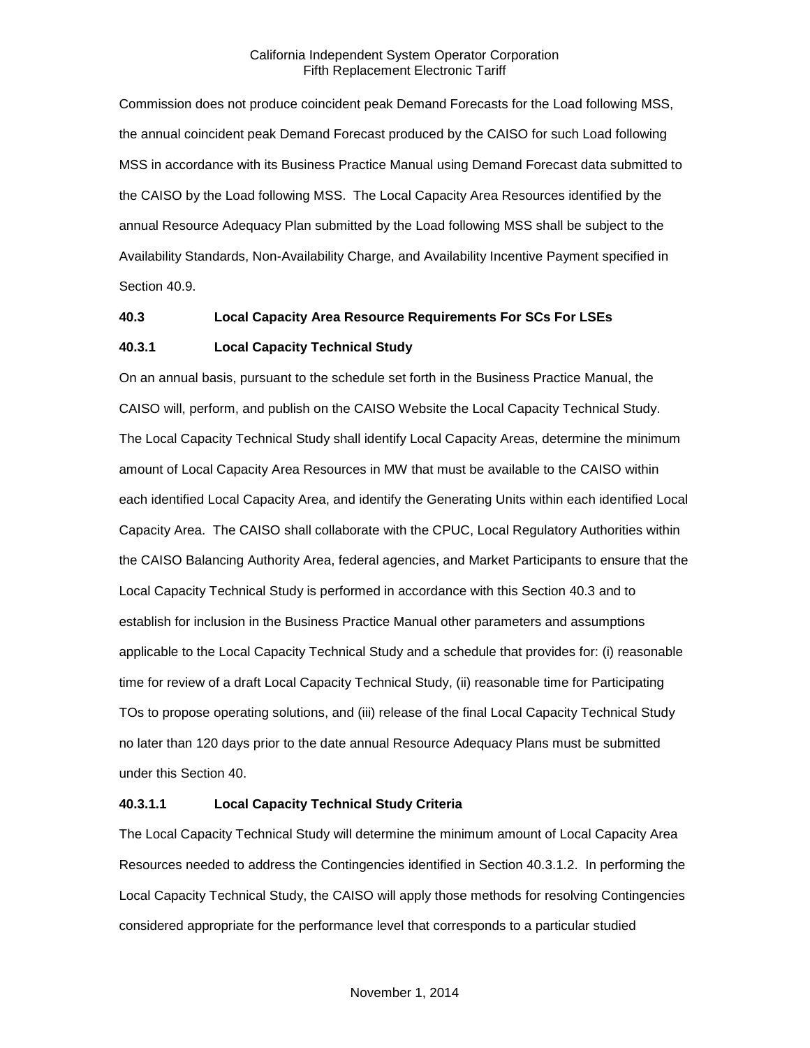Commission does not produce coincident peak Demand Forecasts for the Load following MSS, the annual coincident peak Demand Forecast produced by the CAISO for such Load following MSS in accordance with its Business Practice Manual using Demand Forecast data submitted to the CAISO by the Load following MSS. The Local Capacity Area Resources identified by the annual Resource Adequacy Plan submitted by the Load following MSS shall be subject to the Availability Standards, Non-Availability Charge, and Availability Incentive Payment specified in Section 40.9.

## <span id="page-10-0"></span>**40.3 Local Capacity Area Resource Requirements For SCs For LSEs**

## <span id="page-10-1"></span>**40.3.1 Local Capacity Technical Study**

On an annual basis, pursuant to the schedule set forth in the Business Practice Manual, the CAISO will, perform, and publish on the CAISO Website the Local Capacity Technical Study. The Local Capacity Technical Study shall identify Local Capacity Areas, determine the minimum amount of Local Capacity Area Resources in MW that must be available to the CAISO within each identified Local Capacity Area, and identify the Generating Units within each identified Local Capacity Area. The CAISO shall collaborate with the CPUC, Local Regulatory Authorities within the CAISO Balancing Authority Area, federal agencies, and Market Participants to ensure that the Local Capacity Technical Study is performed in accordance with this Section 40.3 and to establish for inclusion in the Business Practice Manual other parameters and assumptions applicable to the Local Capacity Technical Study and a schedule that provides for: (i) reasonable time for review of a draft Local Capacity Technical Study, (ii) reasonable time for Participating TOs to propose operating solutions, and (iii) release of the final Local Capacity Technical Study no later than 120 days prior to the date annual Resource Adequacy Plans must be submitted under this Section 40.

## **40.3.1.1 Local Capacity Technical Study Criteria**

The Local Capacity Technical Study will determine the minimum amount of Local Capacity Area Resources needed to address the Contingencies identified in Section 40.3.1.2. In performing the Local Capacity Technical Study, the CAISO will apply those methods for resolving Contingencies considered appropriate for the performance level that corresponds to a particular studied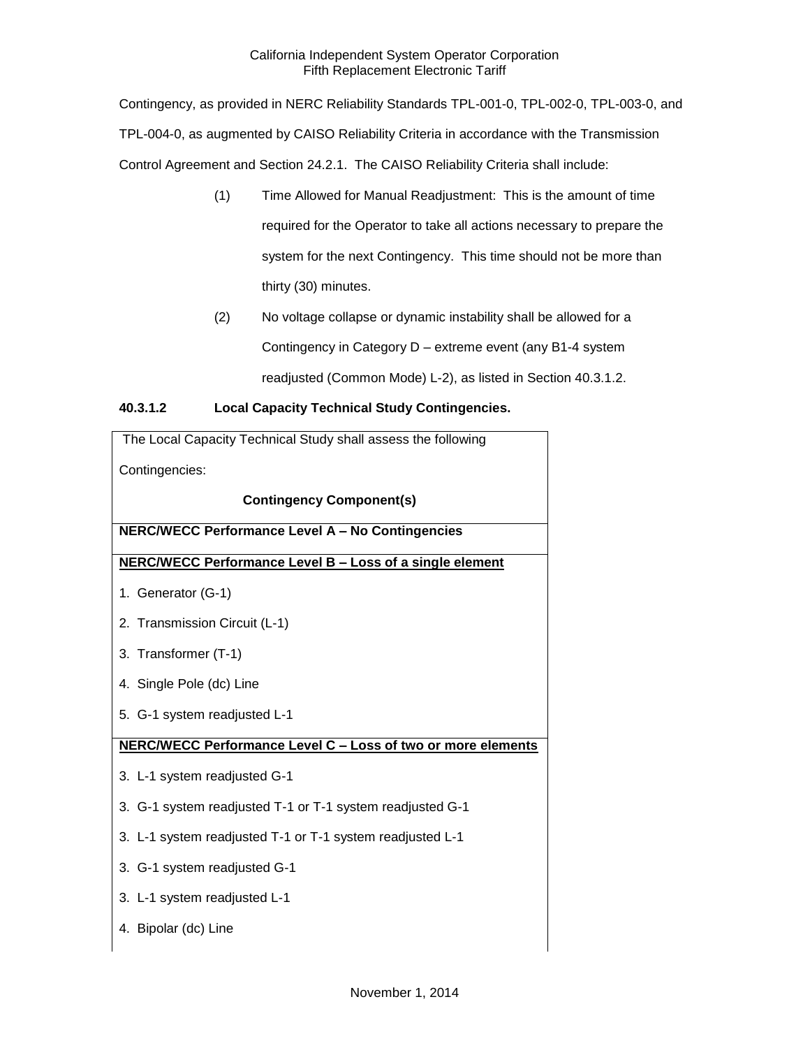Contingency, as provided in NERC Reliability Standards TPL-001-0, TPL-002-0, TPL-003-0, and TPL-004-0, as augmented by CAISO Reliability Criteria in accordance with the Transmission Control Agreement and Section 24.2.1. The CAISO Reliability Criteria shall include:

- (1) Time Allowed for Manual Readjustment: This is the amount of time required for the Operator to take all actions necessary to prepare the system for the next Contingency. This time should not be more than thirty (30) minutes.
- (2) No voltage collapse or dynamic instability shall be allowed for a Contingency in Category D – extreme event (any B1-4 system readjusted (Common Mode) L-2), as listed in Section 40.3.1.2.

## **40.3.1.2 Local Capacity Technical Study Contingencies.**

| The Local Capacity Technical Study shall assess the following |  |
|---------------------------------------------------------------|--|
| Contingencies:                                                |  |
| <b>Contingency Component(s)</b>                               |  |
| <b>NERC/WECC Performance Level A - No Contingencies</b>       |  |
| NERC/WECC Performance Level B - Loss of a single element      |  |
| 1. Generator (G-1)                                            |  |
| 2. Transmission Circuit (L-1)                                 |  |
| 3. Transformer (T-1)                                          |  |
| 4. Single Pole (dc) Line                                      |  |
| 5. G-1 system readjusted L-1                                  |  |
| NERC/WECC Performance Level C - Loss of two or more elements  |  |
| 3. L-1 system readjusted G-1                                  |  |
| 3. G-1 system readjusted T-1 or T-1 system readjusted G-1     |  |
| 3. L-1 system readjusted T-1 or T-1 system readjusted L-1     |  |
| 3. G-1 system readjusted G-1                                  |  |
| 3. L-1 system readjusted L-1                                  |  |
| 4. Bipolar (dc) Line                                          |  |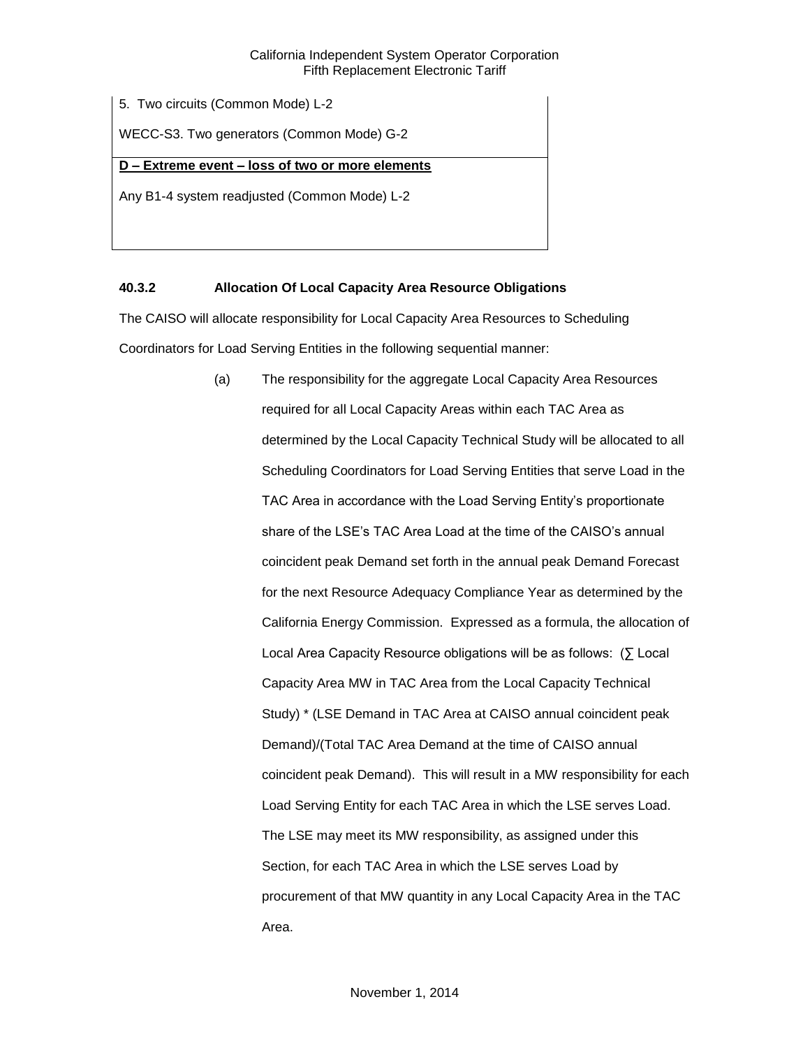5. Two circuits (Common Mode) L-2

WECC-S3. Two generators (Common Mode) G-2

## **D – Extreme event – loss of two or more elements**

Any B1-4 system readjusted (Common Mode) L-2

## <span id="page-12-0"></span>**40.3.2 Allocation Of Local Capacity Area Resource Obligations**

The CAISO will allocate responsibility for Local Capacity Area Resources to Scheduling Coordinators for Load Serving Entities in the following sequential manner:

> (a) The responsibility for the aggregate Local Capacity Area Resources required for all Local Capacity Areas within each TAC Area as determined by the Local Capacity Technical Study will be allocated to all Scheduling Coordinators for Load Serving Entities that serve Load in the TAC Area in accordance with the Load Serving Entity's proportionate share of the LSE's TAC Area Load at the time of the CAISO's annual coincident peak Demand set forth in the annual peak Demand Forecast for the next Resource Adequacy Compliance Year as determined by the California Energy Commission. Expressed as a formula, the allocation of Local Area Capacity Resource obligations will be as follows: (∑ Local Capacity Area MW in TAC Area from the Local Capacity Technical Study) \* (LSE Demand in TAC Area at CAISO annual coincident peak Demand)/(Total TAC Area Demand at the time of CAISO annual coincident peak Demand). This will result in a MW responsibility for each Load Serving Entity for each TAC Area in which the LSE serves Load. The LSE may meet its MW responsibility, as assigned under this Section, for each TAC Area in which the LSE serves Load by procurement of that MW quantity in any Local Capacity Area in the TAC Area.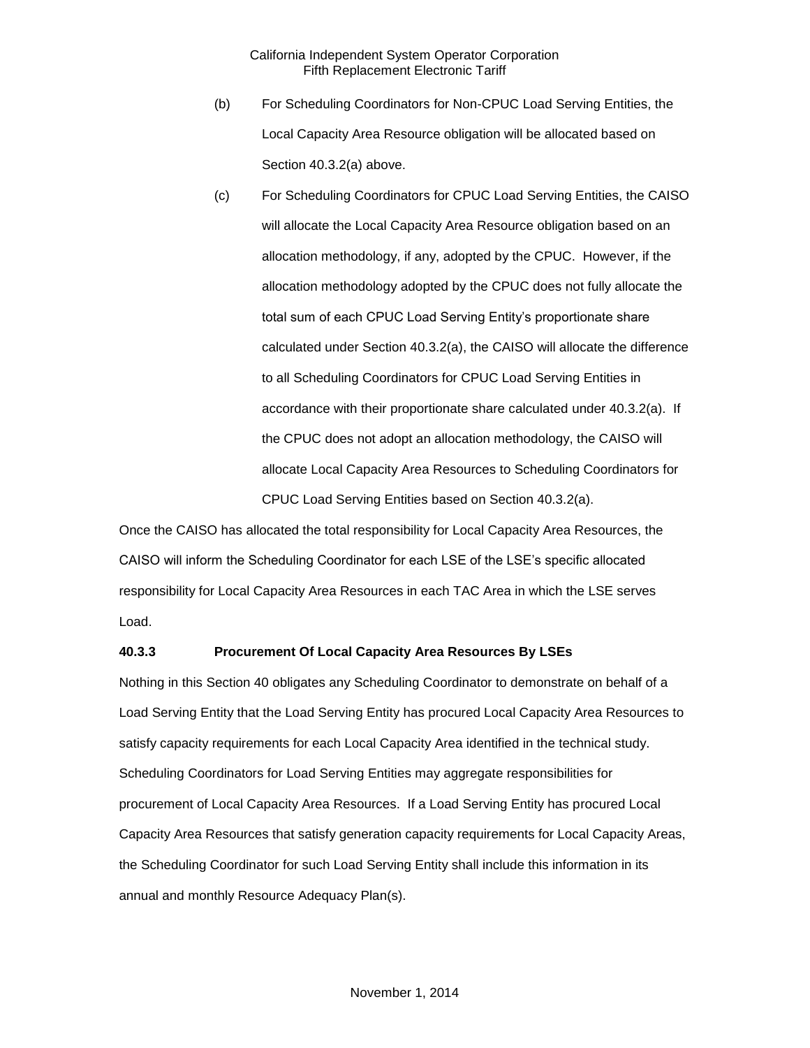- (b) For Scheduling Coordinators for Non-CPUC Load Serving Entities, the Local Capacity Area Resource obligation will be allocated based on Section 40.3.2(a) above.
- (c) For Scheduling Coordinators for CPUC Load Serving Entities, the CAISO will allocate the Local Capacity Area Resource obligation based on an allocation methodology, if any, adopted by the CPUC. However, if the allocation methodology adopted by the CPUC does not fully allocate the total sum of each CPUC Load Serving Entity's proportionate share calculated under Section 40.3.2(a), the CAISO will allocate the difference to all Scheduling Coordinators for CPUC Load Serving Entities in accordance with their proportionate share calculated under 40.3.2(a). If the CPUC does not adopt an allocation methodology, the CAISO will allocate Local Capacity Area Resources to Scheduling Coordinators for CPUC Load Serving Entities based on Section 40.3.2(a).

Once the CAISO has allocated the total responsibility for Local Capacity Area Resources, the CAISO will inform the Scheduling Coordinator for each LSE of the LSE's specific allocated responsibility for Local Capacity Area Resources in each TAC Area in which the LSE serves Load.

## <span id="page-13-0"></span>**40.3.3 Procurement Of Local Capacity Area Resources By LSEs**

Nothing in this Section 40 obligates any Scheduling Coordinator to demonstrate on behalf of a Load Serving Entity that the Load Serving Entity has procured Local Capacity Area Resources to satisfy capacity requirements for each Local Capacity Area identified in the technical study. Scheduling Coordinators for Load Serving Entities may aggregate responsibilities for procurement of Local Capacity Area Resources. If a Load Serving Entity has procured Local Capacity Area Resources that satisfy generation capacity requirements for Local Capacity Areas, the Scheduling Coordinator for such Load Serving Entity shall include this information in its annual and monthly Resource Adequacy Plan(s).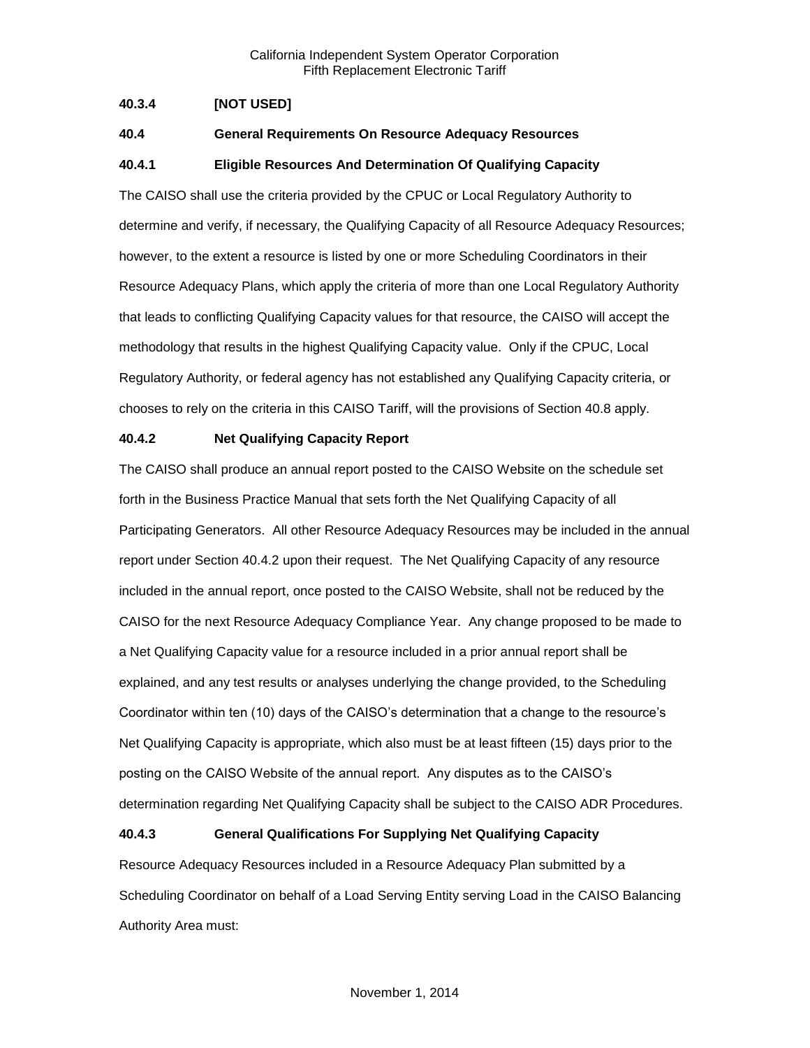## <span id="page-14-0"></span>**40.3.4 [NOT USED]**

## <span id="page-14-1"></span>**40.4 General Requirements On Resource Adequacy Resources**

## <span id="page-14-2"></span>**40.4.1 Eligible Resources And Determination Of Qualifying Capacity**

The CAISO shall use the criteria provided by the CPUC or Local Regulatory Authority to determine and verify, if necessary, the Qualifying Capacity of all Resource Adequacy Resources; however, to the extent a resource is listed by one or more Scheduling Coordinators in their Resource Adequacy Plans, which apply the criteria of more than one Local Regulatory Authority that leads to conflicting Qualifying Capacity values for that resource, the CAISO will accept the methodology that results in the highest Qualifying Capacity value. Only if the CPUC, Local Regulatory Authority, or federal agency has not established any Qualifying Capacity criteria, or chooses to rely on the criteria in this CAISO Tariff, will the provisions of Section 40.8 apply.

## <span id="page-14-3"></span>**40.4.2 Net Qualifying Capacity Report**

The CAISO shall produce an annual report posted to the CAISO Website on the schedule set forth in the Business Practice Manual that sets forth the Net Qualifying Capacity of all Participating Generators. All other Resource Adequacy Resources may be included in the annual report under Section 40.4.2 upon their request. The Net Qualifying Capacity of any resource included in the annual report, once posted to the CAISO Website, shall not be reduced by the CAISO for the next Resource Adequacy Compliance Year. Any change proposed to be made to a Net Qualifying Capacity value for a resource included in a prior annual report shall be explained, and any test results or analyses underlying the change provided, to the Scheduling Coordinator within ten (10) days of the CAISO's determination that a change to the resource's Net Qualifying Capacity is appropriate, which also must be at least fifteen (15) days prior to the posting on the CAISO Website of the annual report. Any disputes as to the CAISO's determination regarding Net Qualifying Capacity shall be subject to the CAISO ADR Procedures.

## <span id="page-14-4"></span>**40.4.3 General Qualifications For Supplying Net Qualifying Capacity**

Resource Adequacy Resources included in a Resource Adequacy Plan submitted by a Scheduling Coordinator on behalf of a Load Serving Entity serving Load in the CAISO Balancing Authority Area must: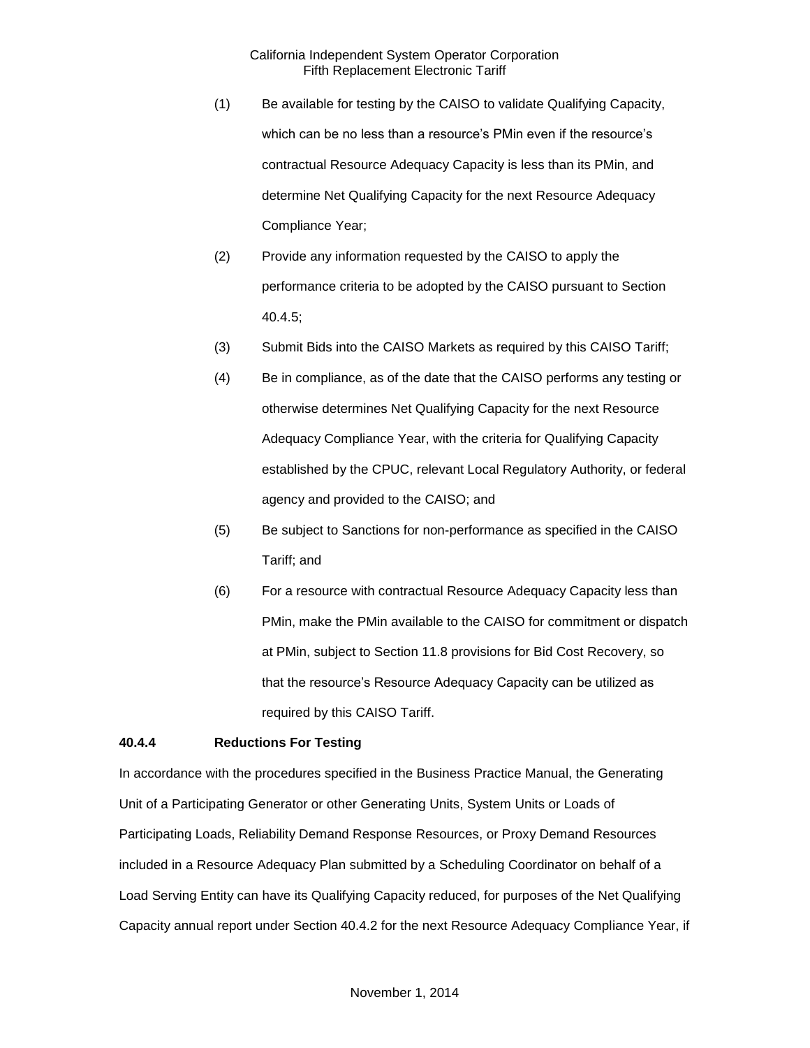- (1) Be available for testing by the CAISO to validate Qualifying Capacity, which can be no less than a resource's PMin even if the resource's contractual Resource Adequacy Capacity is less than its PMin, and determine Net Qualifying Capacity for the next Resource Adequacy Compliance Year;
- (2) Provide any information requested by the CAISO to apply the performance criteria to be adopted by the CAISO pursuant to Section 40.4.5;
- (3) Submit Bids into the CAISO Markets as required by this CAISO Tariff;
- (4) Be in compliance, as of the date that the CAISO performs any testing or otherwise determines Net Qualifying Capacity for the next Resource Adequacy Compliance Year, with the criteria for Qualifying Capacity established by the CPUC, relevant Local Regulatory Authority, or federal agency and provided to the CAISO; and
- (5) Be subject to Sanctions for non-performance as specified in the CAISO Tariff; and
- (6) For a resource with contractual Resource Adequacy Capacity less than PMin, make the PMin available to the CAISO for commitment or dispatch at PMin, subject to Section 11.8 provisions for Bid Cost Recovery, so that the resource's Resource Adequacy Capacity can be utilized as required by this CAISO Tariff.

## <span id="page-15-0"></span>**40.4.4 Reductions For Testing**

In accordance with the procedures specified in the Business Practice Manual, the Generating Unit of a Participating Generator or other Generating Units, System Units or Loads of Participating Loads, Reliability Demand Response Resources, or Proxy Demand Resources included in a Resource Adequacy Plan submitted by a Scheduling Coordinator on behalf of a Load Serving Entity can have its Qualifying Capacity reduced, for purposes of the Net Qualifying Capacity annual report under Section 40.4.2 for the next Resource Adequacy Compliance Year, if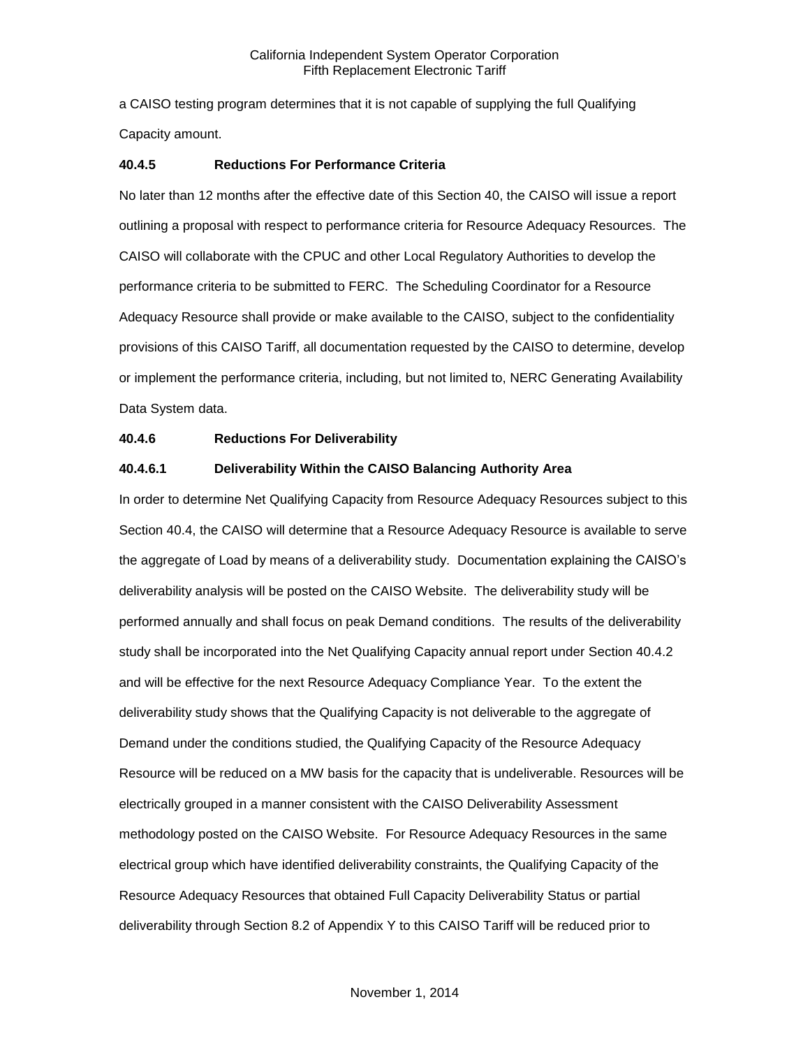a CAISO testing program determines that it is not capable of supplying the full Qualifying Capacity amount.

## <span id="page-16-0"></span>**40.4.5 Reductions For Performance Criteria**

No later than 12 months after the effective date of this Section 40, the CAISO will issue a report outlining a proposal with respect to performance criteria for Resource Adequacy Resources. The CAISO will collaborate with the CPUC and other Local Regulatory Authorities to develop the performance criteria to be submitted to FERC. The Scheduling Coordinator for a Resource Adequacy Resource shall provide or make available to the CAISO, subject to the confidentiality provisions of this CAISO Tariff, all documentation requested by the CAISO to determine, develop or implement the performance criteria, including, but not limited to, NERC Generating Availability Data System data.

## <span id="page-16-1"></span>**40.4.6 Reductions For Deliverability**

## **40.4.6.1 Deliverability Within the CAISO Balancing Authority Area**

In order to determine Net Qualifying Capacity from Resource Adequacy Resources subject to this Section 40.4, the CAISO will determine that a Resource Adequacy Resource is available to serve the aggregate of Load by means of a deliverability study. Documentation explaining the CAISO's deliverability analysis will be posted on the CAISO Website. The deliverability study will be performed annually and shall focus on peak Demand conditions. The results of the deliverability study shall be incorporated into the Net Qualifying Capacity annual report under Section 40.4.2 and will be effective for the next Resource Adequacy Compliance Year. To the extent the deliverability study shows that the Qualifying Capacity is not deliverable to the aggregate of Demand under the conditions studied, the Qualifying Capacity of the Resource Adequacy Resource will be reduced on a MW basis for the capacity that is undeliverable. Resources will be electrically grouped in a manner consistent with the CAISO Deliverability Assessment methodology posted on the CAISO Website. For Resource Adequacy Resources in the same electrical group which have identified deliverability constraints, the Qualifying Capacity of the Resource Adequacy Resources that obtained Full Capacity Deliverability Status or partial deliverability through Section 8.2 of Appendix Y to this CAISO Tariff will be reduced prior to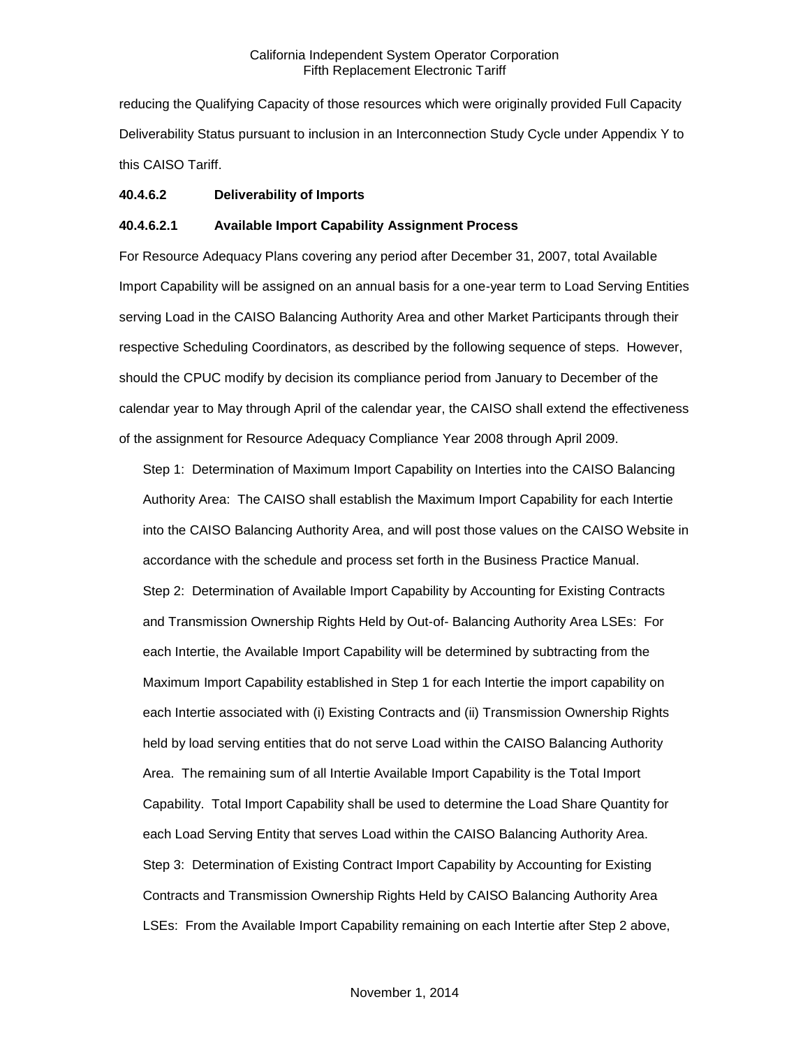reducing the Qualifying Capacity of those resources which were originally provided Full Capacity Deliverability Status pursuant to inclusion in an Interconnection Study Cycle under Appendix Y to this CAISO Tariff.

## **40.4.6.2 Deliverability of Imports**

## **40.4.6.2.1 Available Import Capability Assignment Process**

For Resource Adequacy Plans covering any period after December 31, 2007, total Available Import Capability will be assigned on an annual basis for a one-year term to Load Serving Entities serving Load in the CAISO Balancing Authority Area and other Market Participants through their respective Scheduling Coordinators, as described by the following sequence of steps. However, should the CPUC modify by decision its compliance period from January to December of the calendar year to May through April of the calendar year, the CAISO shall extend the effectiveness of the assignment for Resource Adequacy Compliance Year 2008 through April 2009.

Step 1: Determination of Maximum Import Capability on Interties into the CAISO Balancing Authority Area: The CAISO shall establish the Maximum Import Capability for each Intertie into the CAISO Balancing Authority Area, and will post those values on the CAISO Website in accordance with the schedule and process set forth in the Business Practice Manual. Step 2: Determination of Available Import Capability by Accounting for Existing Contracts and Transmission Ownership Rights Held by Out-of- Balancing Authority Area LSEs: For each Intertie, the Available Import Capability will be determined by subtracting from the Maximum Import Capability established in Step 1 for each Intertie the import capability on each Intertie associated with (i) Existing Contracts and (ii) Transmission Ownership Rights held by load serving entities that do not serve Load within the CAISO Balancing Authority Area. The remaining sum of all Intertie Available Import Capability is the Total Import Capability. Total Import Capability shall be used to determine the Load Share Quantity for each Load Serving Entity that serves Load within the CAISO Balancing Authority Area. Step 3: Determination of Existing Contract Import Capability by Accounting for Existing Contracts and Transmission Ownership Rights Held by CAISO Balancing Authority Area LSEs: From the Available Import Capability remaining on each Intertie after Step 2 above,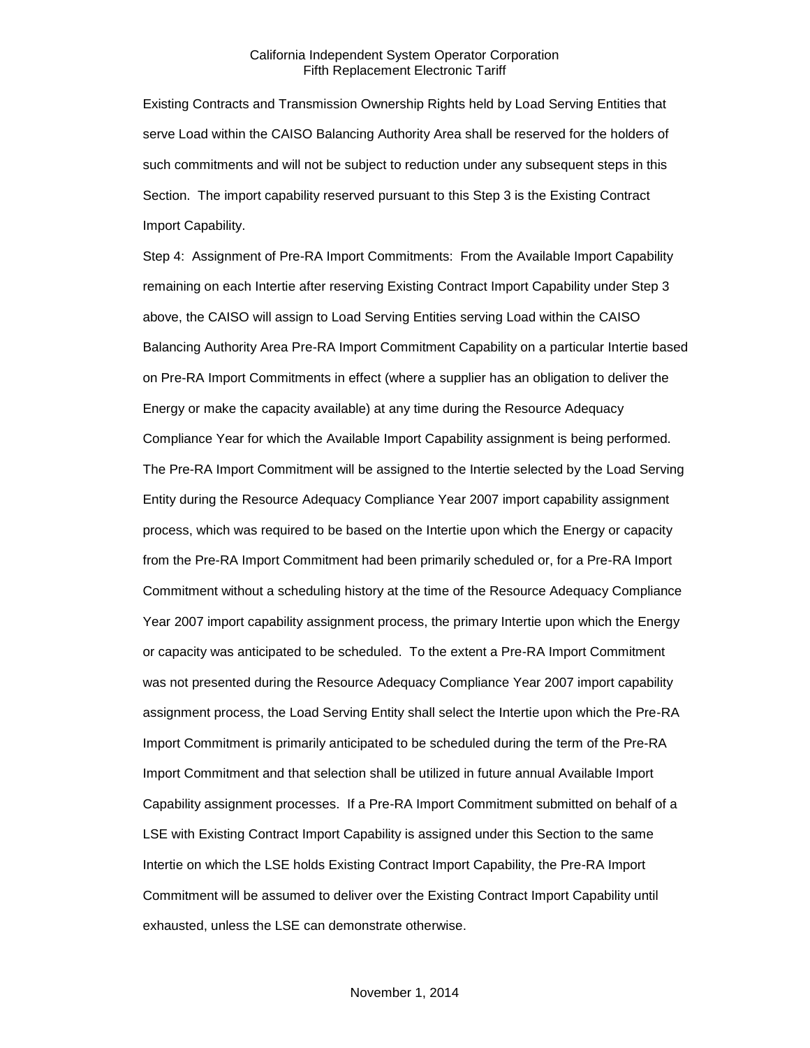Existing Contracts and Transmission Ownership Rights held by Load Serving Entities that serve Load within the CAISO Balancing Authority Area shall be reserved for the holders of such commitments and will not be subject to reduction under any subsequent steps in this Section. The import capability reserved pursuant to this Step 3 is the Existing Contract Import Capability.

Step 4: Assignment of Pre-RA Import Commitments: From the Available Import Capability remaining on each Intertie after reserving Existing Contract Import Capability under Step 3 above, the CAISO will assign to Load Serving Entities serving Load within the CAISO Balancing Authority Area Pre-RA Import Commitment Capability on a particular Intertie based on Pre-RA Import Commitments in effect (where a supplier has an obligation to deliver the Energy or make the capacity available) at any time during the Resource Adequacy Compliance Year for which the Available Import Capability assignment is being performed. The Pre-RA Import Commitment will be assigned to the Intertie selected by the Load Serving Entity during the Resource Adequacy Compliance Year 2007 import capability assignment process, which was required to be based on the Intertie upon which the Energy or capacity from the Pre-RA Import Commitment had been primarily scheduled or, for a Pre-RA Import Commitment without a scheduling history at the time of the Resource Adequacy Compliance Year 2007 import capability assignment process, the primary Intertie upon which the Energy or capacity was anticipated to be scheduled. To the extent a Pre-RA Import Commitment was not presented during the Resource Adequacy Compliance Year 2007 import capability assignment process, the Load Serving Entity shall select the Intertie upon which the Pre-RA Import Commitment is primarily anticipated to be scheduled during the term of the Pre-RA Import Commitment and that selection shall be utilized in future annual Available Import Capability assignment processes. If a Pre-RA Import Commitment submitted on behalf of a LSE with Existing Contract Import Capability is assigned under this Section to the same Intertie on which the LSE holds Existing Contract Import Capability, the Pre-RA Import Commitment will be assumed to deliver over the Existing Contract Import Capability until exhausted, unless the LSE can demonstrate otherwise.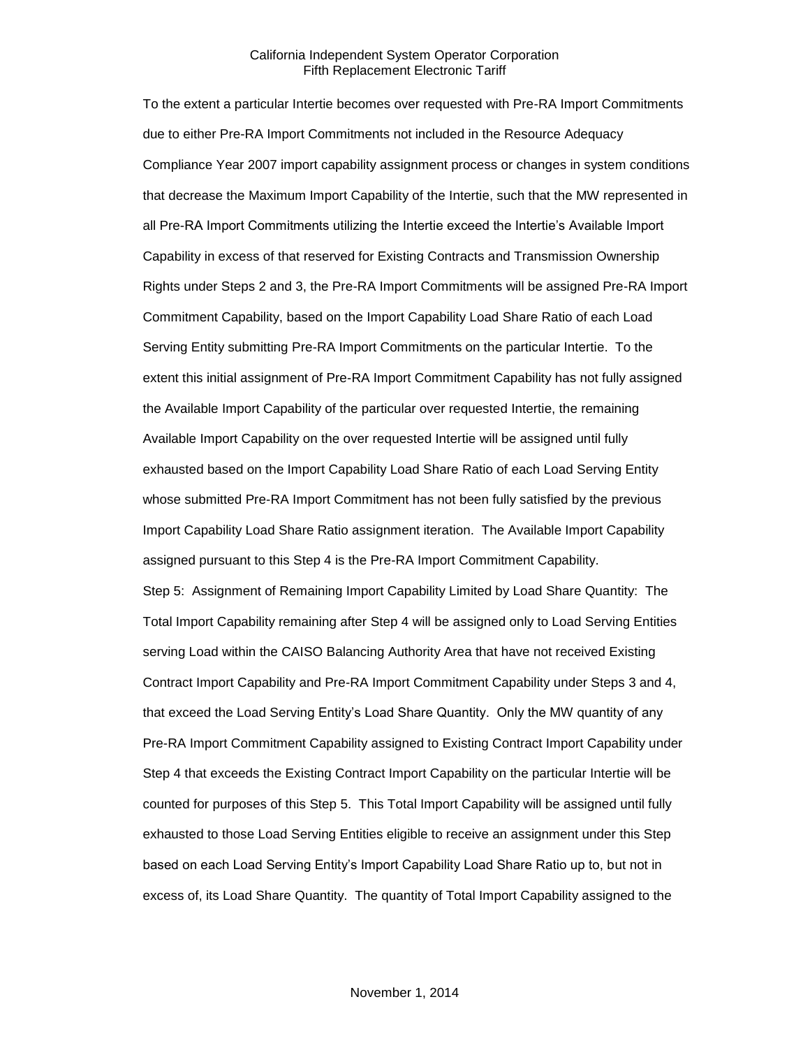To the extent a particular Intertie becomes over requested with Pre-RA Import Commitments due to either Pre-RA Import Commitments not included in the Resource Adequacy Compliance Year 2007 import capability assignment process or changes in system conditions that decrease the Maximum Import Capability of the Intertie, such that the MW represented in all Pre-RA Import Commitments utilizing the Intertie exceed the Intertie's Available Import Capability in excess of that reserved for Existing Contracts and Transmission Ownership Rights under Steps 2 and 3, the Pre-RA Import Commitments will be assigned Pre-RA Import Commitment Capability, based on the Import Capability Load Share Ratio of each Load Serving Entity submitting Pre-RA Import Commitments on the particular Intertie. To the extent this initial assignment of Pre-RA Import Commitment Capability has not fully assigned the Available Import Capability of the particular over requested Intertie, the remaining Available Import Capability on the over requested Intertie will be assigned until fully exhausted based on the Import Capability Load Share Ratio of each Load Serving Entity whose submitted Pre-RA Import Commitment has not been fully satisfied by the previous Import Capability Load Share Ratio assignment iteration. The Available Import Capability assigned pursuant to this Step 4 is the Pre-RA Import Commitment Capability. Step 5: Assignment of Remaining Import Capability Limited by Load Share Quantity: The Total Import Capability remaining after Step 4 will be assigned only to Load Serving Entities serving Load within the CAISO Balancing Authority Area that have not received Existing Contract Import Capability and Pre-RA Import Commitment Capability under Steps 3 and 4, that exceed the Load Serving Entity's Load Share Quantity. Only the MW quantity of any Pre-RA Import Commitment Capability assigned to Existing Contract Import Capability under Step 4 that exceeds the Existing Contract Import Capability on the particular Intertie will be counted for purposes of this Step 5. This Total Import Capability will be assigned until fully exhausted to those Load Serving Entities eligible to receive an assignment under this Step based on each Load Serving Entity's Import Capability Load Share Ratio up to, but not in excess of, its Load Share Quantity. The quantity of Total Import Capability assigned to the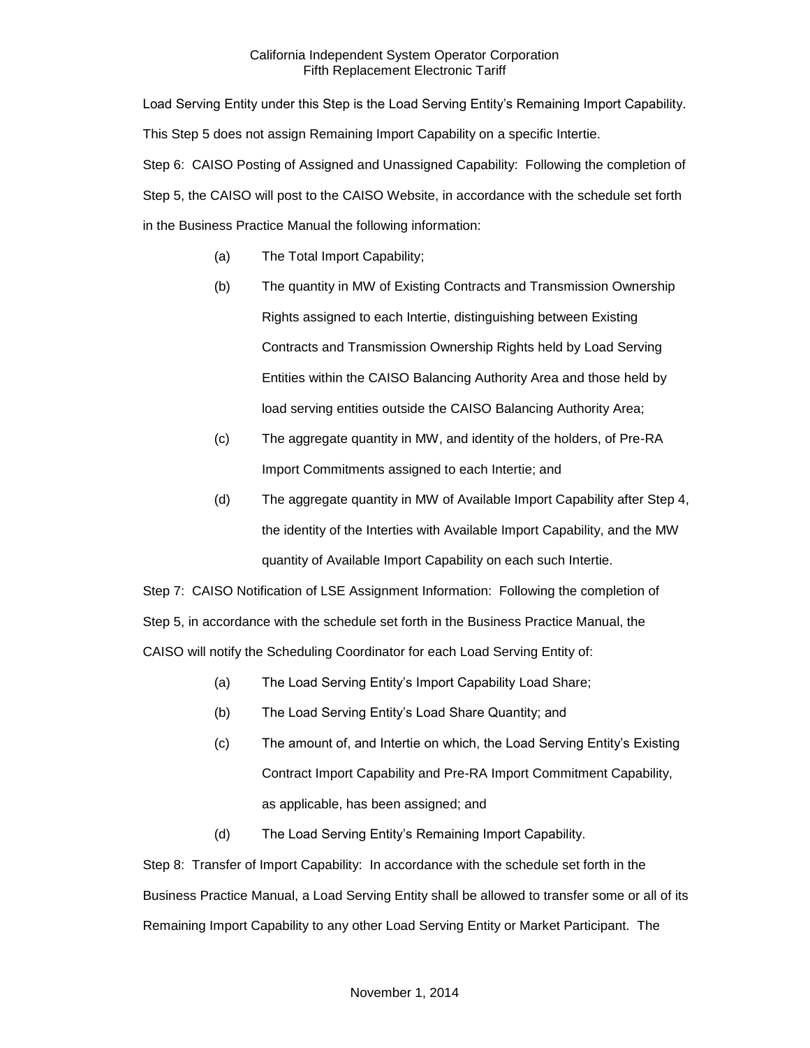Load Serving Entity under this Step is the Load Serving Entity's Remaining Import Capability. This Step 5 does not assign Remaining Import Capability on a specific Intertie. Step 6: CAISO Posting of Assigned and Unassigned Capability: Following the completion of Step 5, the CAISO will post to the CAISO Website, in accordance with the schedule set forth in the Business Practice Manual the following information:

- (a) The Total Import Capability;
- (b) The quantity in MW of Existing Contracts and Transmission Ownership Rights assigned to each Intertie, distinguishing between Existing Contracts and Transmission Ownership Rights held by Load Serving Entities within the CAISO Balancing Authority Area and those held by load serving entities outside the CAISO Balancing Authority Area;
- (c) The aggregate quantity in MW, and identity of the holders, of Pre-RA Import Commitments assigned to each Intertie; and
- (d) The aggregate quantity in MW of Available Import Capability after Step 4, the identity of the Interties with Available Import Capability, and the MW quantity of Available Import Capability on each such Intertie.

Step 7: CAISO Notification of LSE Assignment Information: Following the completion of Step 5, in accordance with the schedule set forth in the Business Practice Manual, the CAISO will notify the Scheduling Coordinator for each Load Serving Entity of:

- (a) The Load Serving Entity's Import Capability Load Share;
- (b) The Load Serving Entity's Load Share Quantity; and
- (c) The amount of, and Intertie on which, the Load Serving Entity's Existing Contract Import Capability and Pre-RA Import Commitment Capability, as applicable, has been assigned; and
- (d) The Load Serving Entity's Remaining Import Capability.

Step 8: Transfer of Import Capability: In accordance with the schedule set forth in the Business Practice Manual, a Load Serving Entity shall be allowed to transfer some or all of its Remaining Import Capability to any other Load Serving Entity or Market Participant. The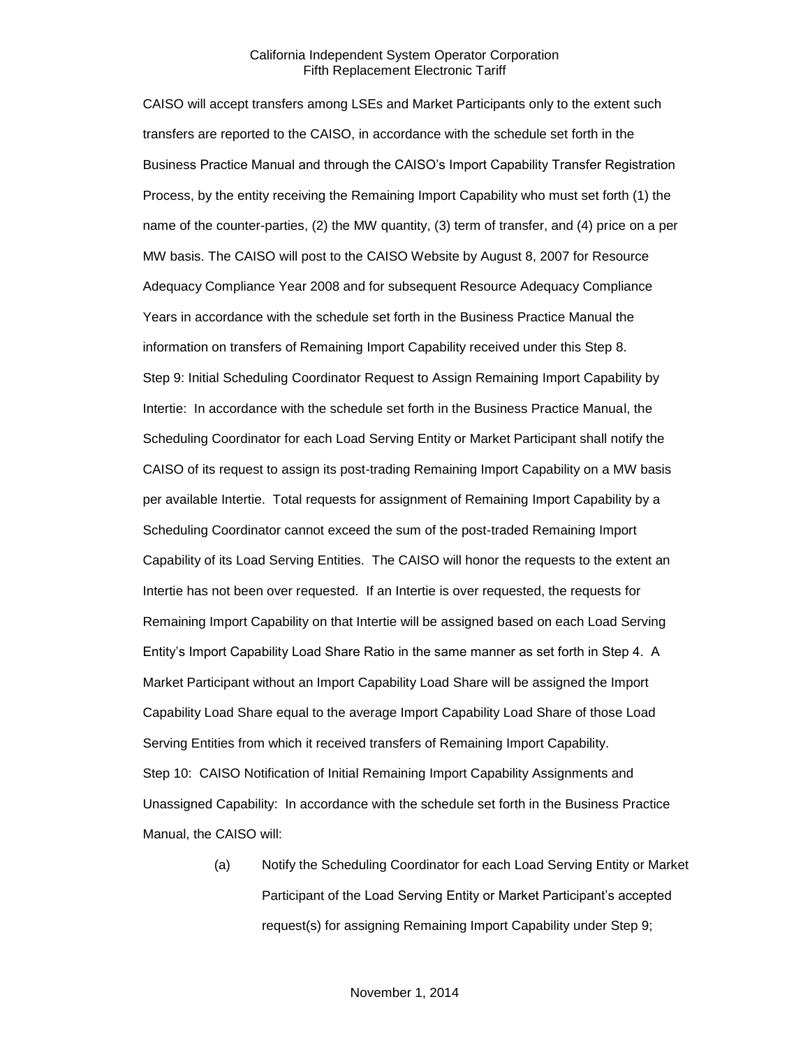CAISO will accept transfers among LSEs and Market Participants only to the extent such transfers are reported to the CAISO, in accordance with the schedule set forth in the Business Practice Manual and through the CAISO's Import Capability Transfer Registration Process, by the entity receiving the Remaining Import Capability who must set forth (1) the name of the counter-parties, (2) the MW quantity, (3) term of transfer, and (4) price on a per MW basis. The CAISO will post to the CAISO Website by August 8, 2007 for Resource Adequacy Compliance Year 2008 and for subsequent Resource Adequacy Compliance Years in accordance with the schedule set forth in the Business Practice Manual the information on transfers of Remaining Import Capability received under this Step 8. Step 9: Initial Scheduling Coordinator Request to Assign Remaining Import Capability by Intertie: In accordance with the schedule set forth in the Business Practice Manual, the Scheduling Coordinator for each Load Serving Entity or Market Participant shall notify the CAISO of its request to assign its post-trading Remaining Import Capability on a MW basis per available Intertie. Total requests for assignment of Remaining Import Capability by a Scheduling Coordinator cannot exceed the sum of the post-traded Remaining Import Capability of its Load Serving Entities. The CAISO will honor the requests to the extent an Intertie has not been over requested. If an Intertie is over requested, the requests for Remaining Import Capability on that Intertie will be assigned based on each Load Serving Entity's Import Capability Load Share Ratio in the same manner as set forth in Step 4. A Market Participant without an Import Capability Load Share will be assigned the Import Capability Load Share equal to the average Import Capability Load Share of those Load Serving Entities from which it received transfers of Remaining Import Capability. Step 10: CAISO Notification of Initial Remaining Import Capability Assignments and Unassigned Capability: In accordance with the schedule set forth in the Business Practice Manual, the CAISO will:

> (a) Notify the Scheduling Coordinator for each Load Serving Entity or Market Participant of the Load Serving Entity or Market Participant's accepted request(s) for assigning Remaining Import Capability under Step 9;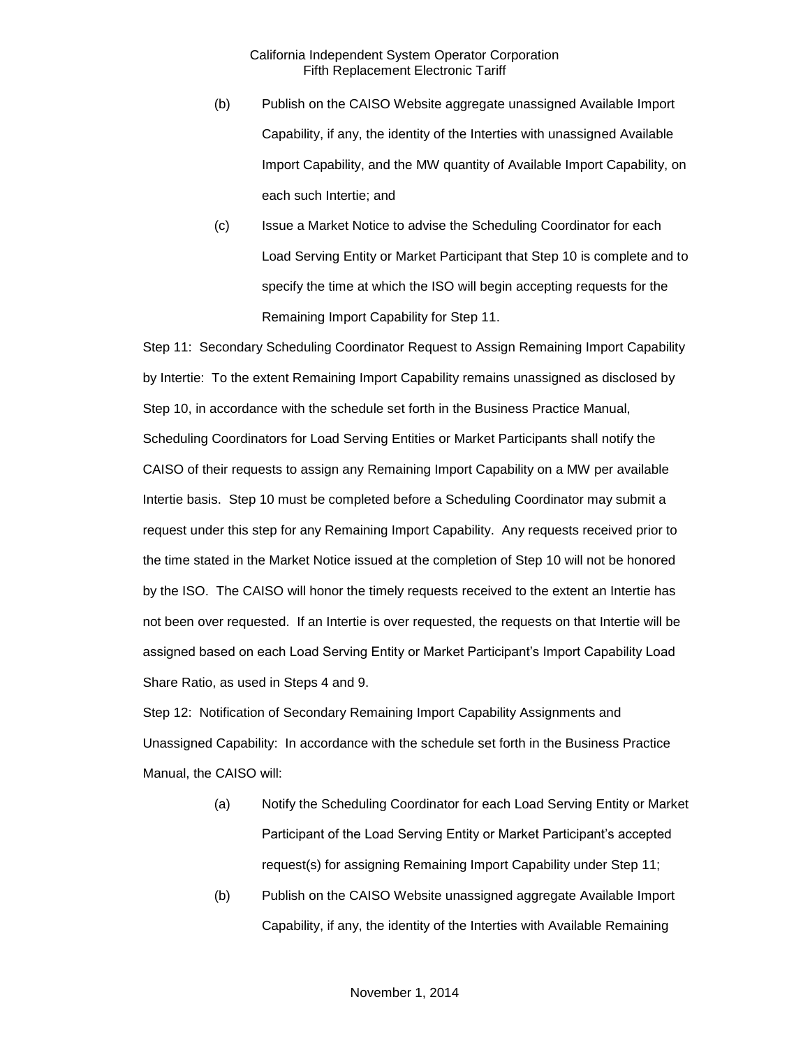- (b) Publish on the CAISO Website aggregate unassigned Available Import Capability, if any, the identity of the Interties with unassigned Available Import Capability, and the MW quantity of Available Import Capability, on each such Intertie; and
- (c) Issue a Market Notice to advise the Scheduling Coordinator for each Load Serving Entity or Market Participant that Step 10 is complete and to specify the time at which the ISO will begin accepting requests for the Remaining Import Capability for Step 11.

Step 11: Secondary Scheduling Coordinator Request to Assign Remaining Import Capability by Intertie: To the extent Remaining Import Capability remains unassigned as disclosed by Step 10, in accordance with the schedule set forth in the Business Practice Manual, Scheduling Coordinators for Load Serving Entities or Market Participants shall notify the CAISO of their requests to assign any Remaining Import Capability on a MW per available Intertie basis. Step 10 must be completed before a Scheduling Coordinator may submit a request under this step for any Remaining Import Capability. Any requests received prior to the time stated in the Market Notice issued at the completion of Step 10 will not be honored by the ISO. The CAISO will honor the timely requests received to the extent an Intertie has not been over requested. If an Intertie is over requested, the requests on that Intertie will be assigned based on each Load Serving Entity or Market Participant's Import Capability Load Share Ratio, as used in Steps 4 and 9.

Step 12: Notification of Secondary Remaining Import Capability Assignments and Unassigned Capability: In accordance with the schedule set forth in the Business Practice Manual, the CAISO will:

- (a) Notify the Scheduling Coordinator for each Load Serving Entity or Market Participant of the Load Serving Entity or Market Participant's accepted request(s) for assigning Remaining Import Capability under Step 11;
- (b) Publish on the CAISO Website unassigned aggregate Available Import Capability, if any, the identity of the Interties with Available Remaining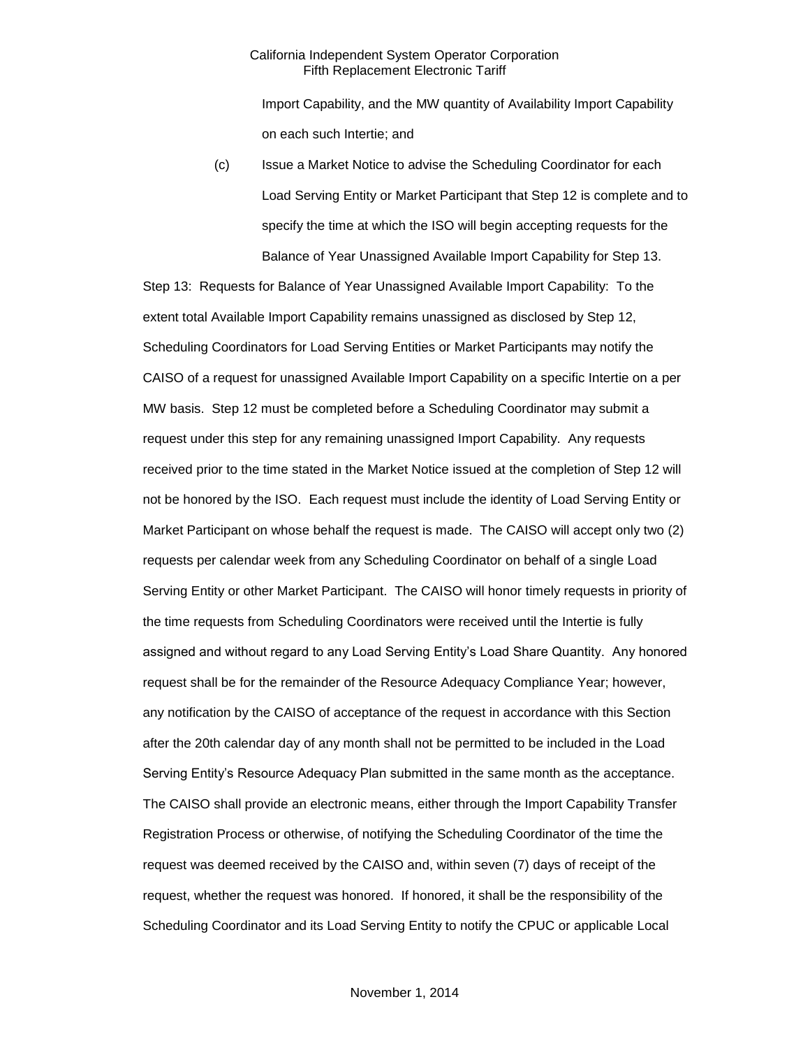Import Capability, and the MW quantity of Availability Import Capability on each such Intertie; and

(c) Issue a Market Notice to advise the Scheduling Coordinator for each Load Serving Entity or Market Participant that Step 12 is complete and to specify the time at which the ISO will begin accepting requests for the Balance of Year Unassigned Available Import Capability for Step 13.

Step 13: Requests for Balance of Year Unassigned Available Import Capability: To the extent total Available Import Capability remains unassigned as disclosed by Step 12, Scheduling Coordinators for Load Serving Entities or Market Participants may notify the CAISO of a request for unassigned Available Import Capability on a specific Intertie on a per MW basis. Step 12 must be completed before a Scheduling Coordinator may submit a request under this step for any remaining unassigned Import Capability. Any requests received prior to the time stated in the Market Notice issued at the completion of Step 12 will not be honored by the ISO. Each request must include the identity of Load Serving Entity or Market Participant on whose behalf the request is made. The CAISO will accept only two (2) requests per calendar week from any Scheduling Coordinator on behalf of a single Load Serving Entity or other Market Participant. The CAISO will honor timely requests in priority of the time requests from Scheduling Coordinators were received until the Intertie is fully assigned and without regard to any Load Serving Entity's Load Share Quantity. Any honored request shall be for the remainder of the Resource Adequacy Compliance Year; however, any notification by the CAISO of acceptance of the request in accordance with this Section after the 20th calendar day of any month shall not be permitted to be included in the Load Serving Entity's Resource Adequacy Plan submitted in the same month as the acceptance. The CAISO shall provide an electronic means, either through the Import Capability Transfer Registration Process or otherwise, of notifying the Scheduling Coordinator of the time the request was deemed received by the CAISO and, within seven (7) days of receipt of the request, whether the request was honored. If honored, it shall be the responsibility of the Scheduling Coordinator and its Load Serving Entity to notify the CPUC or applicable Local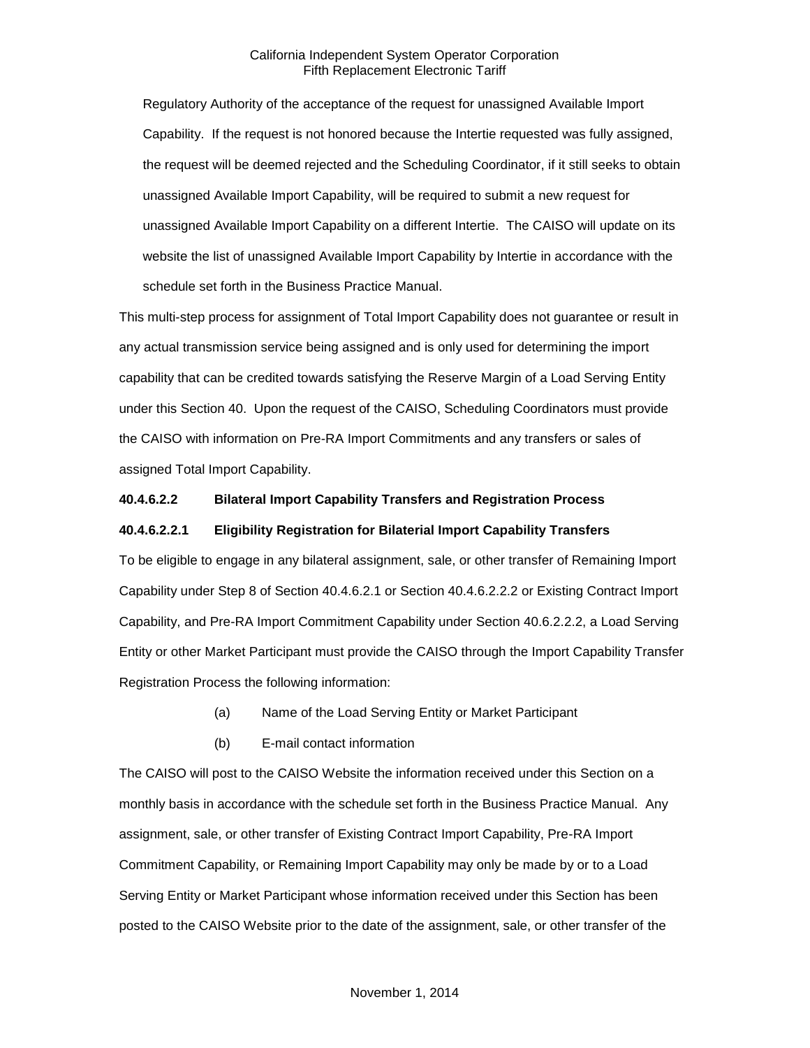Regulatory Authority of the acceptance of the request for unassigned Available Import Capability. If the request is not honored because the Intertie requested was fully assigned, the request will be deemed rejected and the Scheduling Coordinator, if it still seeks to obtain unassigned Available Import Capability, will be required to submit a new request for unassigned Available Import Capability on a different Intertie. The CAISO will update on its website the list of unassigned Available Import Capability by Intertie in accordance with the schedule set forth in the Business Practice Manual.

This multi-step process for assignment of Total Import Capability does not guarantee or result in any actual transmission service being assigned and is only used for determining the import capability that can be credited towards satisfying the Reserve Margin of a Load Serving Entity under this Section 40. Upon the request of the CAISO, Scheduling Coordinators must provide the CAISO with information on Pre-RA Import Commitments and any transfers or sales of assigned Total Import Capability.

## **40.4.6.2.2 Bilateral Import Capability Transfers and Registration Process**

#### **40.4.6.2.2.1 Eligibility Registration for Bilaterial Import Capability Transfers**

To be eligible to engage in any bilateral assignment, sale, or other transfer of Remaining Import Capability under Step 8 of Section 40.4.6.2.1 or Section 40.4.6.2.2.2 or Existing Contract Import Capability, and Pre-RA Import Commitment Capability under Section 40.6.2.2.2, a Load Serving Entity or other Market Participant must provide the CAISO through the Import Capability Transfer Registration Process the following information:

- (a) Name of the Load Serving Entity or Market Participant
- (b) E-mail contact information

The CAISO will post to the CAISO Website the information received under this Section on a monthly basis in accordance with the schedule set forth in the Business Practice Manual. Any assignment, sale, or other transfer of Existing Contract Import Capability, Pre-RA Import Commitment Capability, or Remaining Import Capability may only be made by or to a Load Serving Entity or Market Participant whose information received under this Section has been posted to the CAISO Website prior to the date of the assignment, sale, or other transfer of the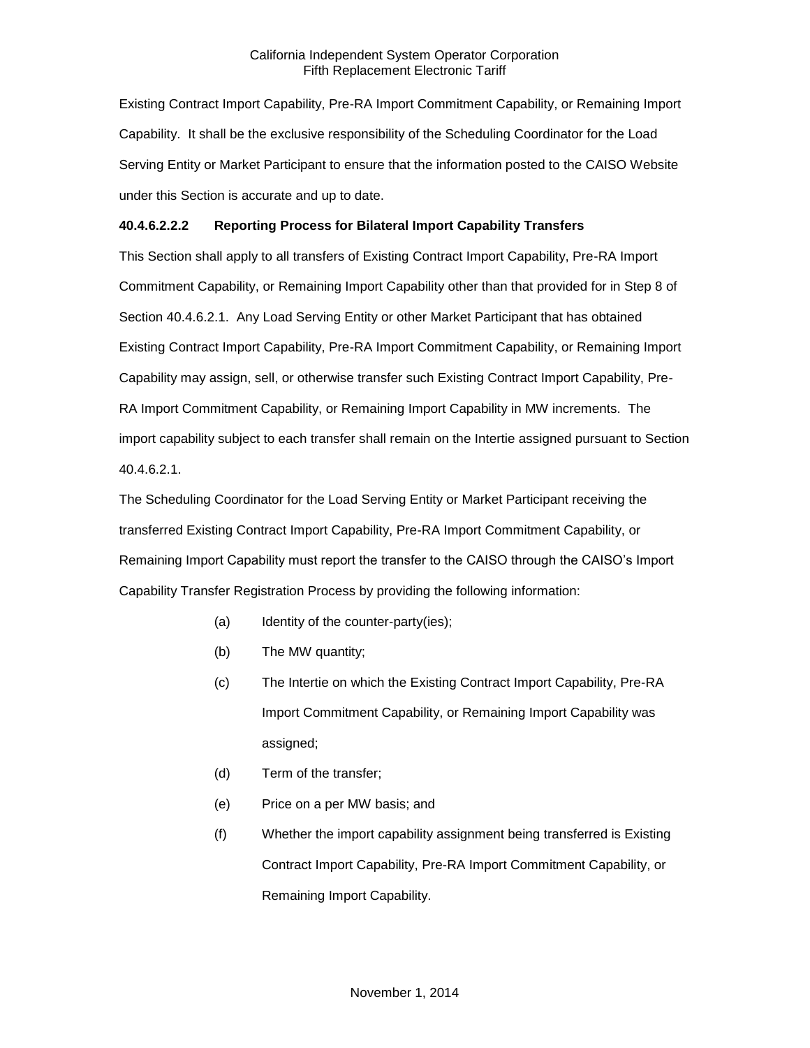Existing Contract Import Capability, Pre-RA Import Commitment Capability, or Remaining Import Capability. It shall be the exclusive responsibility of the Scheduling Coordinator for the Load Serving Entity or Market Participant to ensure that the information posted to the CAISO Website under this Section is accurate and up to date.

## **40.4.6.2.2.2 Reporting Process for Bilateral Import Capability Transfers**

This Section shall apply to all transfers of Existing Contract Import Capability, Pre-RA Import Commitment Capability, or Remaining Import Capability other than that provided for in Step 8 of Section 40.4.6.2.1. Any Load Serving Entity or other Market Participant that has obtained Existing Contract Import Capability, Pre-RA Import Commitment Capability, or Remaining Import Capability may assign, sell, or otherwise transfer such Existing Contract Import Capability, Pre-RA Import Commitment Capability, or Remaining Import Capability in MW increments. The import capability subject to each transfer shall remain on the Intertie assigned pursuant to Section 40.4.6.2.1.

The Scheduling Coordinator for the Load Serving Entity or Market Participant receiving the transferred Existing Contract Import Capability, Pre-RA Import Commitment Capability, or Remaining Import Capability must report the transfer to the CAISO through the CAISO's Import Capability Transfer Registration Process by providing the following information:

- (a) Identity of the counter-party(ies);
- (b) The MW quantity;
- (c) The Intertie on which the Existing Contract Import Capability, Pre-RA Import Commitment Capability, or Remaining Import Capability was assigned;
- (d) Term of the transfer;
- (e) Price on a per MW basis; and
- (f) Whether the import capability assignment being transferred is Existing Contract Import Capability, Pre-RA Import Commitment Capability, or Remaining Import Capability.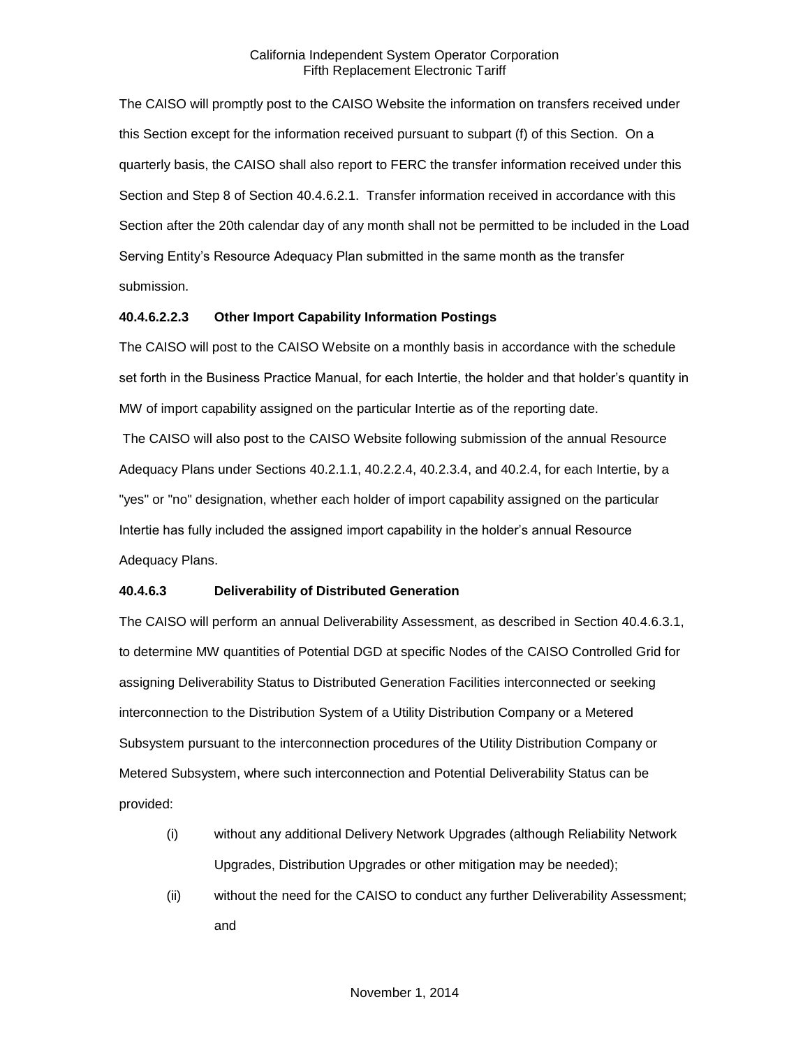The CAISO will promptly post to the CAISO Website the information on transfers received under this Section except for the information received pursuant to subpart (f) of this Section. On a quarterly basis, the CAISO shall also report to FERC the transfer information received under this Section and Step 8 of Section 40.4.6.2.1. Transfer information received in accordance with this Section after the 20th calendar day of any month shall not be permitted to be included in the Load Serving Entity's Resource Adequacy Plan submitted in the same month as the transfer submission.

## **40.4.6.2.2.3 Other Import Capability Information Postings**

The CAISO will post to the CAISO Website on a monthly basis in accordance with the schedule set forth in the Business Practice Manual, for each Intertie, the holder and that holder's quantity in MW of import capability assigned on the particular Intertie as of the reporting date.

The CAISO will also post to the CAISO Website following submission of the annual Resource Adequacy Plans under Sections 40.2.1.1, 40.2.2.4, 40.2.3.4, and 40.2.4, for each Intertie, by a "yes" or "no" designation, whether each holder of import capability assigned on the particular Intertie has fully included the assigned import capability in the holder's annual Resource Adequacy Plans.

## **40.4.6.3 Deliverability of Distributed Generation**

The CAISO will perform an annual Deliverability Assessment, as described in Section 40.4.6.3.1, to determine MW quantities of Potential DGD at specific Nodes of the CAISO Controlled Grid for assigning Deliverability Status to Distributed Generation Facilities interconnected or seeking interconnection to the Distribution System of a Utility Distribution Company or a Metered Subsystem pursuant to the interconnection procedures of the Utility Distribution Company or Metered Subsystem, where such interconnection and Potential Deliverability Status can be provided:

- (i) without any additional Delivery Network Upgrades (although Reliability Network Upgrades, Distribution Upgrades or other mitigation may be needed);
- (ii) without the need for the CAISO to conduct any further Deliverability Assessment; and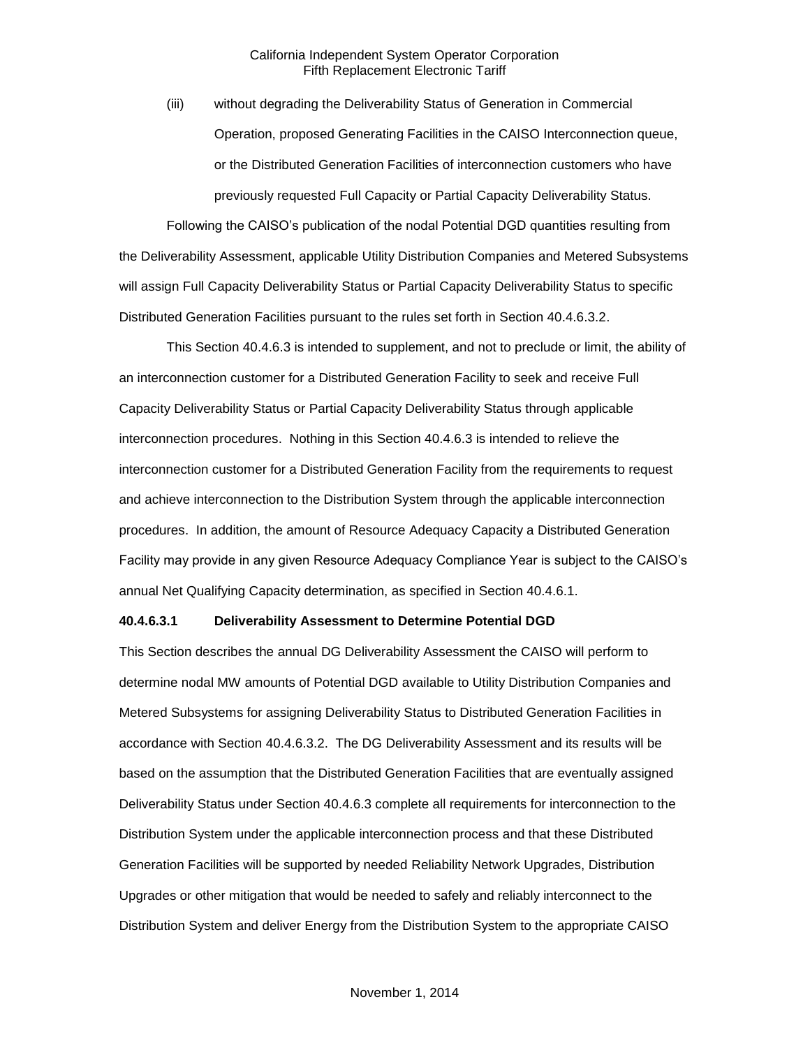(iii) without degrading the Deliverability Status of Generation in Commercial Operation, proposed Generating Facilities in the CAISO Interconnection queue, or the Distributed Generation Facilities of interconnection customers who have previously requested Full Capacity or Partial Capacity Deliverability Status.

Following the CAISO's publication of the nodal Potential DGD quantities resulting from the Deliverability Assessment, applicable Utility Distribution Companies and Metered Subsystems will assign Full Capacity Deliverability Status or Partial Capacity Deliverability Status to specific Distributed Generation Facilities pursuant to the rules set forth in Section 40.4.6.3.2.

This Section 40.4.6.3 is intended to supplement, and not to preclude or limit, the ability of an interconnection customer for a Distributed Generation Facility to seek and receive Full Capacity Deliverability Status or Partial Capacity Deliverability Status through applicable interconnection procedures. Nothing in this Section 40.4.6.3 is intended to relieve the interconnection customer for a Distributed Generation Facility from the requirements to request and achieve interconnection to the Distribution System through the applicable interconnection procedures. In addition, the amount of Resource Adequacy Capacity a Distributed Generation Facility may provide in any given Resource Adequacy Compliance Year is subject to the CAISO's annual Net Qualifying Capacity determination, as specified in Section 40.4.6.1.

#### **40.4.6.3.1 Deliverability Assessment to Determine Potential DGD**

This Section describes the annual DG Deliverability Assessment the CAISO will perform to determine nodal MW amounts of Potential DGD available to Utility Distribution Companies and Metered Subsystems for assigning Deliverability Status to Distributed Generation Facilities in accordance with Section 40.4.6.3.2. The DG Deliverability Assessment and its results will be based on the assumption that the Distributed Generation Facilities that are eventually assigned Deliverability Status under Section 40.4.6.3 complete all requirements for interconnection to the Distribution System under the applicable interconnection process and that these Distributed Generation Facilities will be supported by needed Reliability Network Upgrades, Distribution Upgrades or other mitigation that would be needed to safely and reliably interconnect to the Distribution System and deliver Energy from the Distribution System to the appropriate CAISO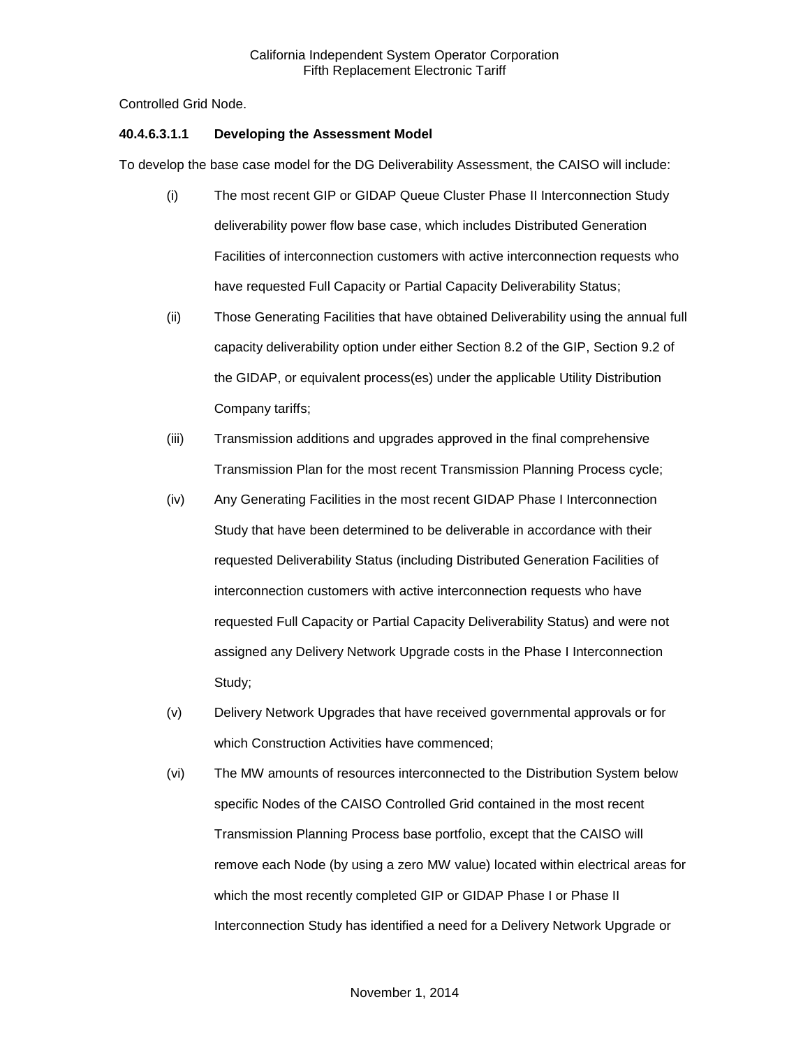Controlled Grid Node.

## **40.4.6.3.1.1 Developing the Assessment Model**

To develop the base case model for the DG Deliverability Assessment, the CAISO will include:

- (i) The most recent GIP or GIDAP Queue Cluster Phase II Interconnection Study deliverability power flow base case, which includes Distributed Generation Facilities of interconnection customers with active interconnection requests who have requested Full Capacity or Partial Capacity Deliverability Status;
- (ii) Those Generating Facilities that have obtained Deliverability using the annual full capacity deliverability option under either Section 8.2 of the GIP, Section 9.2 of the GIDAP, or equivalent process(es) under the applicable Utility Distribution Company tariffs;
- (iii) Transmission additions and upgrades approved in the final comprehensive Transmission Plan for the most recent Transmission Planning Process cycle;
- (iv) Any Generating Facilities in the most recent GIDAP Phase I Interconnection Study that have been determined to be deliverable in accordance with their requested Deliverability Status (including Distributed Generation Facilities of interconnection customers with active interconnection requests who have requested Full Capacity or Partial Capacity Deliverability Status) and were not assigned any Delivery Network Upgrade costs in the Phase I Interconnection Study;
- (v) Delivery Network Upgrades that have received governmental approvals or for which Construction Activities have commenced;
- (vi) The MW amounts of resources interconnected to the Distribution System below specific Nodes of the CAISO Controlled Grid contained in the most recent Transmission Planning Process base portfolio, except that the CAISO will remove each Node (by using a zero MW value) located within electrical areas for which the most recently completed GIP or GIDAP Phase I or Phase II Interconnection Study has identified a need for a Delivery Network Upgrade or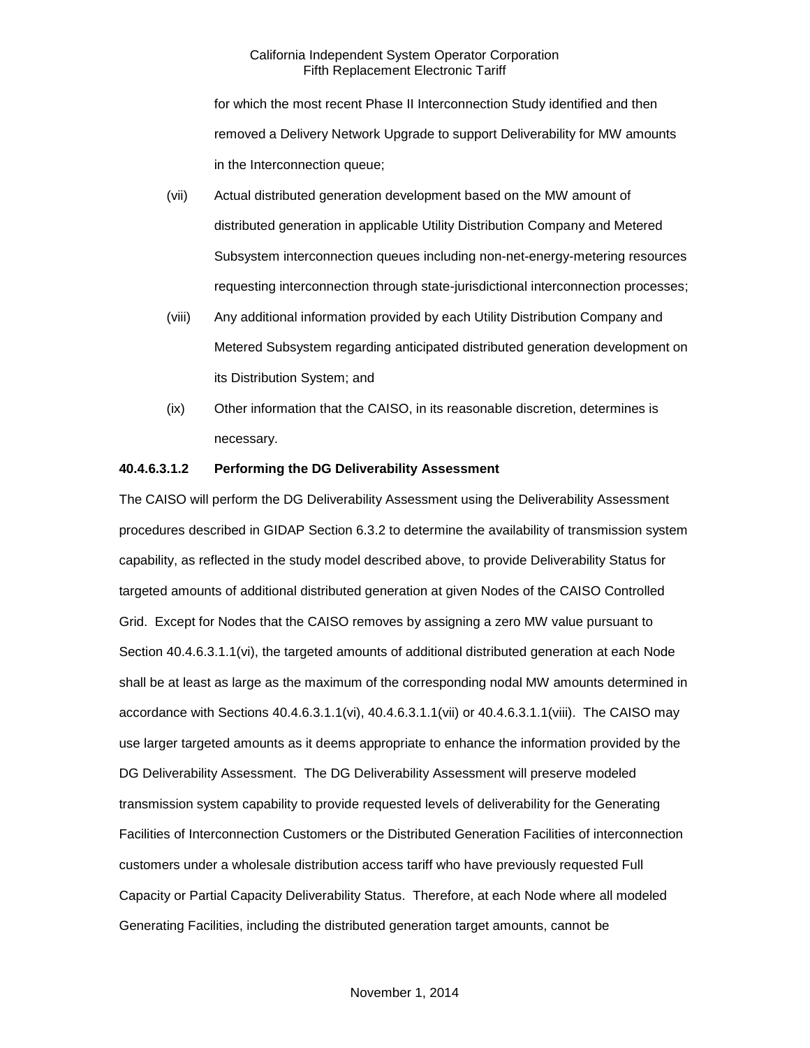for which the most recent Phase II Interconnection Study identified and then removed a Delivery Network Upgrade to support Deliverability for MW amounts in the Interconnection queue;

- (vii) Actual distributed generation development based on the MW amount of distributed generation in applicable Utility Distribution Company and Metered Subsystem interconnection queues including non-net-energy-metering resources requesting interconnection through state-jurisdictional interconnection processes;
- (viii) Any additional information provided by each Utility Distribution Company and Metered Subsystem regarding anticipated distributed generation development on its Distribution System; and
- (ix) Other information that the CAISO, in its reasonable discretion, determines is necessary.

## **40.4.6.3.1.2 Performing the DG Deliverability Assessment**

The CAISO will perform the DG Deliverability Assessment using the Deliverability Assessment procedures described in GIDAP Section 6.3.2 to determine the availability of transmission system capability, as reflected in the study model described above, to provide Deliverability Status for targeted amounts of additional distributed generation at given Nodes of the CAISO Controlled Grid. Except for Nodes that the CAISO removes by assigning a zero MW value pursuant to Section 40.4.6.3.1.1(vi), the targeted amounts of additional distributed generation at each Node shall be at least as large as the maximum of the corresponding nodal MW amounts determined in accordance with Sections 40.4.6.3.1.1(vi), 40.4.6.3.1.1(vii) or 40.4.6.3.1.1(viii). The CAISO may use larger targeted amounts as it deems appropriate to enhance the information provided by the DG Deliverability Assessment. The DG Deliverability Assessment will preserve modeled transmission system capability to provide requested levels of deliverability for the Generating Facilities of Interconnection Customers or the Distributed Generation Facilities of interconnection customers under a wholesale distribution access tariff who have previously requested Full Capacity or Partial Capacity Deliverability Status. Therefore, at each Node where all modeled Generating Facilities, including the distributed generation target amounts, cannot be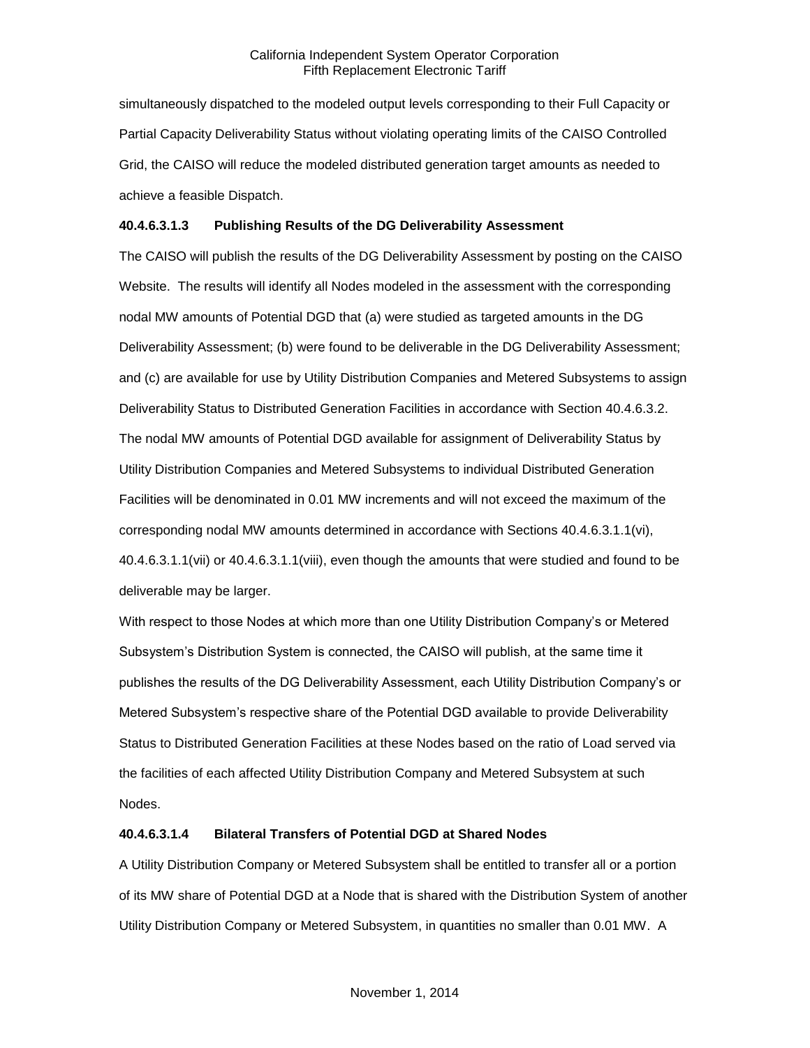simultaneously dispatched to the modeled output levels corresponding to their Full Capacity or Partial Capacity Deliverability Status without violating operating limits of the CAISO Controlled Grid, the CAISO will reduce the modeled distributed generation target amounts as needed to achieve a feasible Dispatch.

## **40.4.6.3.1.3 Publishing Results of the DG Deliverability Assessment**

The CAISO will publish the results of the DG Deliverability Assessment by posting on the CAISO Website. The results will identify all Nodes modeled in the assessment with the corresponding nodal MW amounts of Potential DGD that (a) were studied as targeted amounts in the DG Deliverability Assessment; (b) were found to be deliverable in the DG Deliverability Assessment; and (c) are available for use by Utility Distribution Companies and Metered Subsystems to assign Deliverability Status to Distributed Generation Facilities in accordance with Section 40.4.6.3.2. The nodal MW amounts of Potential DGD available for assignment of Deliverability Status by Utility Distribution Companies and Metered Subsystems to individual Distributed Generation Facilities will be denominated in 0.01 MW increments and will not exceed the maximum of the corresponding nodal MW amounts determined in accordance with Sections 40.4.6.3.1.1(vi), 40.4.6.3.1.1(vii) or 40.4.6.3.1.1(viii), even though the amounts that were studied and found to be deliverable may be larger.

With respect to those Nodes at which more than one Utility Distribution Company's or Metered Subsystem's Distribution System is connected, the CAISO will publish, at the same time it publishes the results of the DG Deliverability Assessment, each Utility Distribution Company's or Metered Subsystem's respective share of the Potential DGD available to provide Deliverability Status to Distributed Generation Facilities at these Nodes based on the ratio of Load served via the facilities of each affected Utility Distribution Company and Metered Subsystem at such Nodes.

## **40.4.6.3.1.4 Bilateral Transfers of Potential DGD at Shared Nodes**

A Utility Distribution Company or Metered Subsystem shall be entitled to transfer all or a portion of its MW share of Potential DGD at a Node that is shared with the Distribution System of another Utility Distribution Company or Metered Subsystem, in quantities no smaller than 0.01 MW. A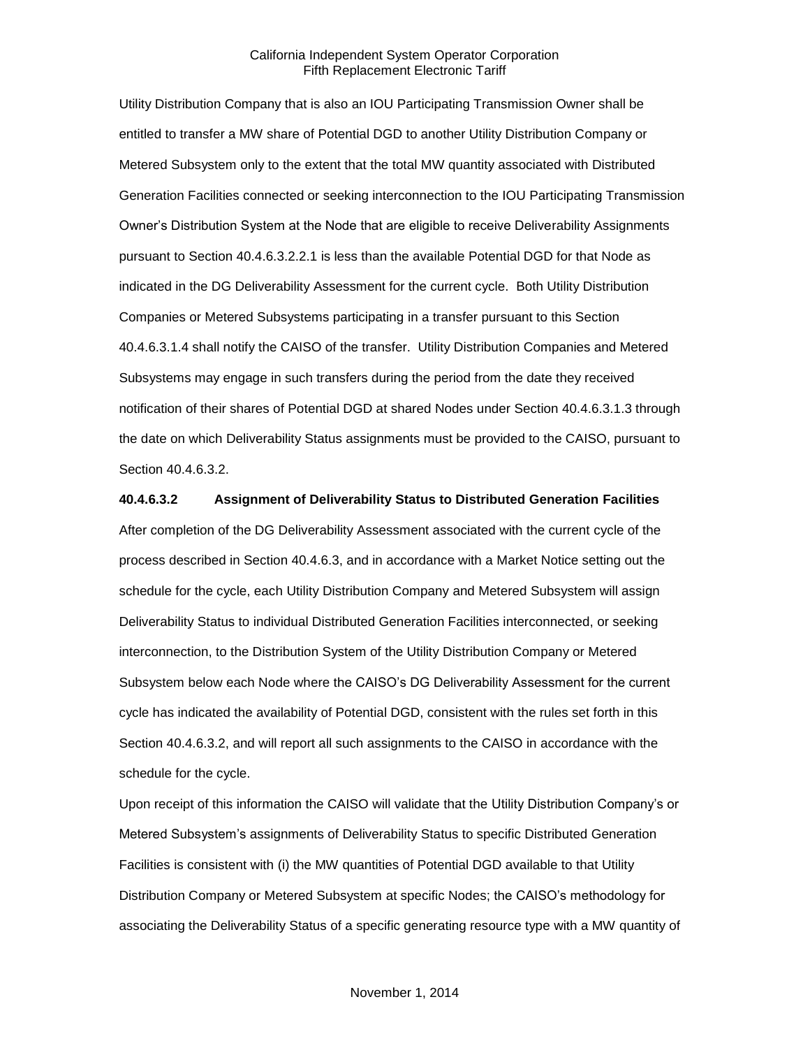Utility Distribution Company that is also an IOU Participating Transmission Owner shall be entitled to transfer a MW share of Potential DGD to another Utility Distribution Company or Metered Subsystem only to the extent that the total MW quantity associated with Distributed Generation Facilities connected or seeking interconnection to the IOU Participating Transmission Owner's Distribution System at the Node that are eligible to receive Deliverability Assignments pursuant to Section 40.4.6.3.2.2.1 is less than the available Potential DGD for that Node as indicated in the DG Deliverability Assessment for the current cycle. Both Utility Distribution Companies or Metered Subsystems participating in a transfer pursuant to this Section 40.4.6.3.1.4 shall notify the CAISO of the transfer. Utility Distribution Companies and Metered Subsystems may engage in such transfers during the period from the date they received notification of their shares of Potential DGD at shared Nodes under Section 40.4.6.3.1.3 through the date on which Deliverability Status assignments must be provided to the CAISO, pursuant to Section 40.4.6.3.2.

#### **40.4.6.3.2 Assignment of Deliverability Status to Distributed Generation Facilities**

After completion of the DG Deliverability Assessment associated with the current cycle of the process described in Section 40.4.6.3, and in accordance with a Market Notice setting out the schedule for the cycle, each Utility Distribution Company and Metered Subsystem will assign Deliverability Status to individual Distributed Generation Facilities interconnected, or seeking interconnection, to the Distribution System of the Utility Distribution Company or Metered Subsystem below each Node where the CAISO's DG Deliverability Assessment for the current cycle has indicated the availability of Potential DGD, consistent with the rules set forth in this Section 40.4.6.3.2, and will report all such assignments to the CAISO in accordance with the schedule for the cycle.

Upon receipt of this information the CAISO will validate that the Utility Distribution Company's or Metered Subsystem's assignments of Deliverability Status to specific Distributed Generation Facilities is consistent with (i) the MW quantities of Potential DGD available to that Utility Distribution Company or Metered Subsystem at specific Nodes; the CAISO's methodology for associating the Deliverability Status of a specific generating resource type with a MW quantity of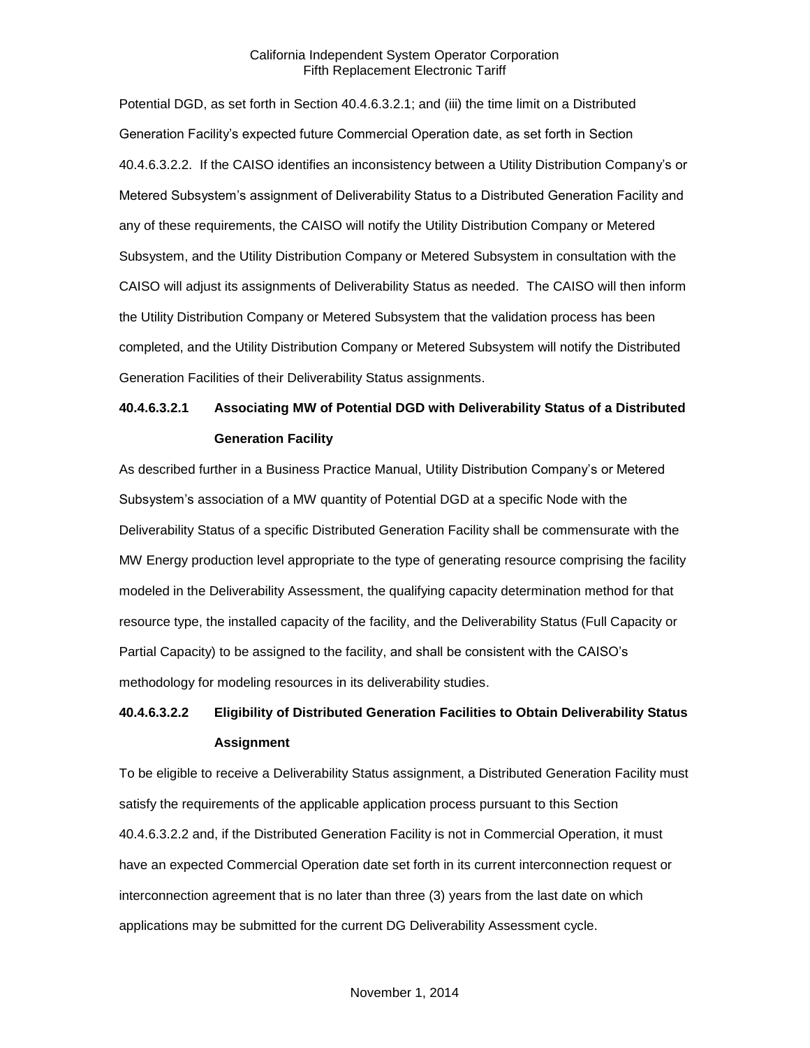Potential DGD, as set forth in Section 40.4.6.3.2.1; and (iii) the time limit on a Distributed Generation Facility's expected future Commercial Operation date, as set forth in Section 40.4.6.3.2.2. If the CAISO identifies an inconsistency between a Utility Distribution Company's or Metered Subsystem's assignment of Deliverability Status to a Distributed Generation Facility and any of these requirements, the CAISO will notify the Utility Distribution Company or Metered Subsystem, and the Utility Distribution Company or Metered Subsystem in consultation with the CAISO will adjust its assignments of Deliverability Status as needed. The CAISO will then inform the Utility Distribution Company or Metered Subsystem that the validation process has been completed, and the Utility Distribution Company or Metered Subsystem will notify the Distributed Generation Facilities of their Deliverability Status assignments.

## **40.4.6.3.2.1 Associating MW of Potential DGD with Deliverability Status of a Distributed Generation Facility**

As described further in a Business Practice Manual, Utility Distribution Company's or Metered Subsystem's association of a MW quantity of Potential DGD at a specific Node with the Deliverability Status of a specific Distributed Generation Facility shall be commensurate with the MW Energy production level appropriate to the type of generating resource comprising the facility modeled in the Deliverability Assessment, the qualifying capacity determination method for that resource type, the installed capacity of the facility, and the Deliverability Status (Full Capacity or Partial Capacity) to be assigned to the facility, and shall be consistent with the CAISO's methodology for modeling resources in its deliverability studies.

## **40.4.6.3.2.2 Eligibility of Distributed Generation Facilities to Obtain Deliverability Status Assignment**

To be eligible to receive a Deliverability Status assignment, a Distributed Generation Facility must satisfy the requirements of the applicable application process pursuant to this Section 40.4.6.3.2.2 and, if the Distributed Generation Facility is not in Commercial Operation, it must have an expected Commercial Operation date set forth in its current interconnection request or interconnection agreement that is no later than three (3) years from the last date on which applications may be submitted for the current DG Deliverability Assessment cycle.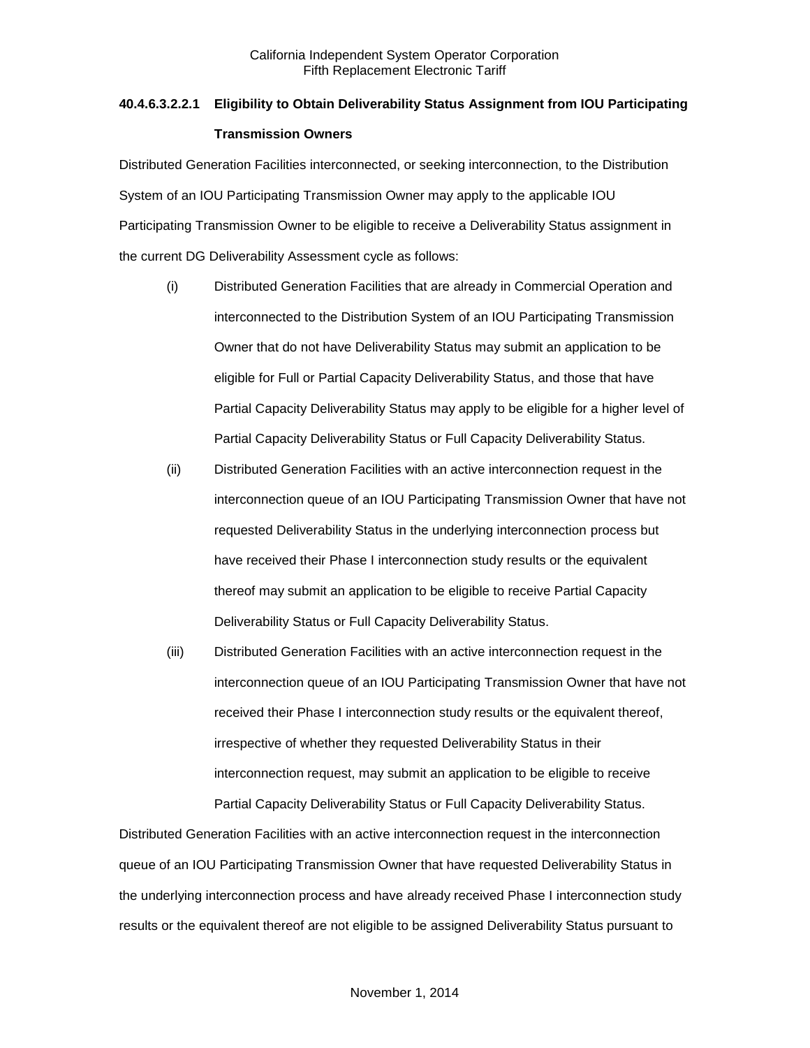# **40.4.6.3.2.2.1 Eligibility to Obtain Deliverability Status Assignment from IOU Participating Transmission Owners**

Distributed Generation Facilities interconnected, or seeking interconnection, to the Distribution System of an IOU Participating Transmission Owner may apply to the applicable IOU Participating Transmission Owner to be eligible to receive a Deliverability Status assignment in the current DG Deliverability Assessment cycle as follows:

- (i) Distributed Generation Facilities that are already in Commercial Operation and interconnected to the Distribution System of an IOU Participating Transmission Owner that do not have Deliverability Status may submit an application to be eligible for Full or Partial Capacity Deliverability Status, and those that have Partial Capacity Deliverability Status may apply to be eligible for a higher level of Partial Capacity Deliverability Status or Full Capacity Deliverability Status.
- (ii) Distributed Generation Facilities with an active interconnection request in the interconnection queue of an IOU Participating Transmission Owner that have not requested Deliverability Status in the underlying interconnection process but have received their Phase I interconnection study results or the equivalent thereof may submit an application to be eligible to receive Partial Capacity Deliverability Status or Full Capacity Deliverability Status.
- (iii) Distributed Generation Facilities with an active interconnection request in the interconnection queue of an IOU Participating Transmission Owner that have not received their Phase I interconnection study results or the equivalent thereof, irrespective of whether they requested Deliverability Status in their interconnection request, may submit an application to be eligible to receive Partial Capacity Deliverability Status or Full Capacity Deliverability Status.

Distributed Generation Facilities with an active interconnection request in the interconnection queue of an IOU Participating Transmission Owner that have requested Deliverability Status in the underlying interconnection process and have already received Phase I interconnection study results or the equivalent thereof are not eligible to be assigned Deliverability Status pursuant to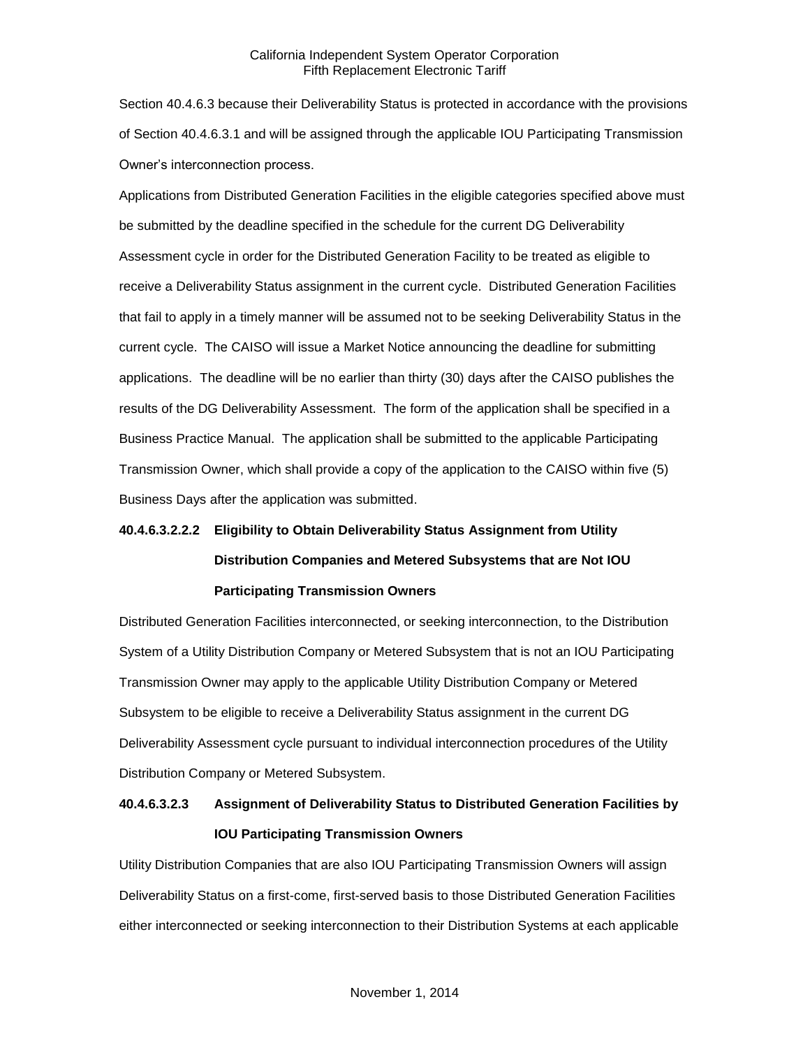Section 40.4.6.3 because their Deliverability Status is protected in accordance with the provisions of Section 40.4.6.3.1 and will be assigned through the applicable IOU Participating Transmission Owner's interconnection process.

Applications from Distributed Generation Facilities in the eligible categories specified above must be submitted by the deadline specified in the schedule for the current DG Deliverability Assessment cycle in order for the Distributed Generation Facility to be treated as eligible to receive a Deliverability Status assignment in the current cycle. Distributed Generation Facilities that fail to apply in a timely manner will be assumed not to be seeking Deliverability Status in the current cycle. The CAISO will issue a Market Notice announcing the deadline for submitting applications. The deadline will be no earlier than thirty (30) days after the CAISO publishes the results of the DG Deliverability Assessment. The form of the application shall be specified in a Business Practice Manual. The application shall be submitted to the applicable Participating Transmission Owner, which shall provide a copy of the application to the CAISO within five (5) Business Days after the application was submitted.

# **40.4.6.3.2.2.2 Eligibility to Obtain Deliverability Status Assignment from Utility Distribution Companies and Metered Subsystems that are Not IOU Participating Transmission Owners**

Distributed Generation Facilities interconnected, or seeking interconnection, to the Distribution System of a Utility Distribution Company or Metered Subsystem that is not an IOU Participating Transmission Owner may apply to the applicable Utility Distribution Company or Metered Subsystem to be eligible to receive a Deliverability Status assignment in the current DG Deliverability Assessment cycle pursuant to individual interconnection procedures of the Utility Distribution Company or Metered Subsystem.

## **40.4.6.3.2.3 Assignment of Deliverability Status to Distributed Generation Facilities by IOU Participating Transmission Owners**

Utility Distribution Companies that are also IOU Participating Transmission Owners will assign Deliverability Status on a first-come, first-served basis to those Distributed Generation Facilities either interconnected or seeking interconnection to their Distribution Systems at each applicable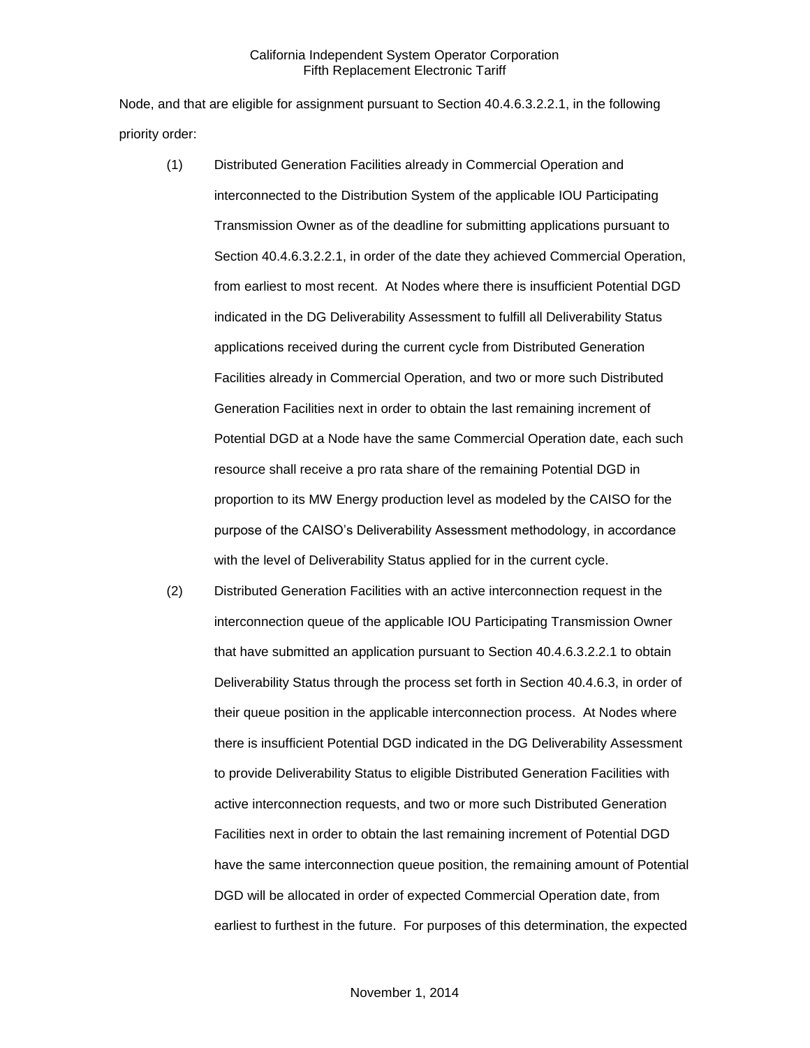Node, and that are eligible for assignment pursuant to Section 40.4.6.3.2.2.1, in the following priority order:

- (1) Distributed Generation Facilities already in Commercial Operation and interconnected to the Distribution System of the applicable IOU Participating Transmission Owner as of the deadline for submitting applications pursuant to Section 40.4.6.3.2.2.1, in order of the date they achieved Commercial Operation, from earliest to most recent. At Nodes where there is insufficient Potential DGD indicated in the DG Deliverability Assessment to fulfill all Deliverability Status applications received during the current cycle from Distributed Generation Facilities already in Commercial Operation, and two or more such Distributed Generation Facilities next in order to obtain the last remaining increment of Potential DGD at a Node have the same Commercial Operation date, each such resource shall receive a pro rata share of the remaining Potential DGD in proportion to its MW Energy production level as modeled by the CAISO for the purpose of the CAISO's Deliverability Assessment methodology, in accordance with the level of Deliverability Status applied for in the current cycle.
- (2) Distributed Generation Facilities with an active interconnection request in the interconnection queue of the applicable IOU Participating Transmission Owner that have submitted an application pursuant to Section 40.4.6.3.2.2.1 to obtain Deliverability Status through the process set forth in Section 40.4.6.3, in order of their queue position in the applicable interconnection process. At Nodes where there is insufficient Potential DGD indicated in the DG Deliverability Assessment to provide Deliverability Status to eligible Distributed Generation Facilities with active interconnection requests, and two or more such Distributed Generation Facilities next in order to obtain the last remaining increment of Potential DGD have the same interconnection queue position, the remaining amount of Potential DGD will be allocated in order of expected Commercial Operation date, from earliest to furthest in the future. For purposes of this determination, the expected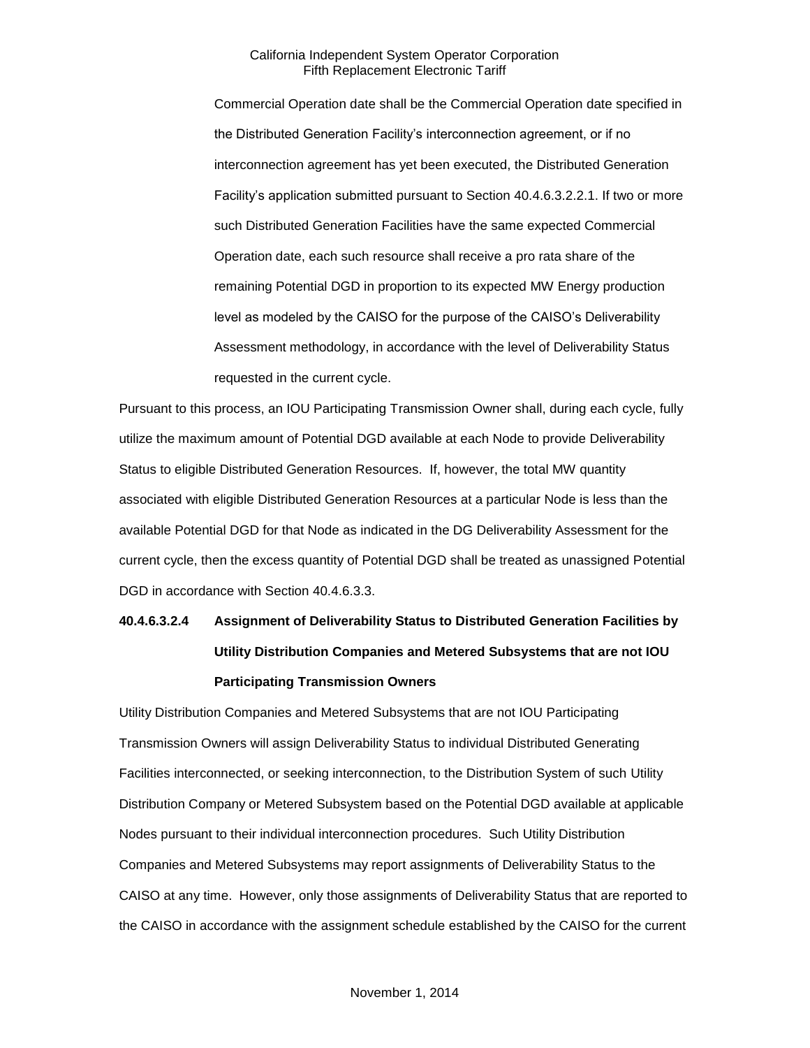Commercial Operation date shall be the Commercial Operation date specified in the Distributed Generation Facility's interconnection agreement, or if no interconnection agreement has yet been executed, the Distributed Generation Facility's application submitted pursuant to Section 40.4.6.3.2.2.1. If two or more such Distributed Generation Facilities have the same expected Commercial Operation date, each such resource shall receive a pro rata share of the remaining Potential DGD in proportion to its expected MW Energy production level as modeled by the CAISO for the purpose of the CAISO's Deliverability Assessment methodology, in accordance with the level of Deliverability Status requested in the current cycle.

Pursuant to this process, an IOU Participating Transmission Owner shall, during each cycle, fully utilize the maximum amount of Potential DGD available at each Node to provide Deliverability Status to eligible Distributed Generation Resources. If, however, the total MW quantity associated with eligible Distributed Generation Resources at a particular Node is less than the available Potential DGD for that Node as indicated in the DG Deliverability Assessment for the current cycle, then the excess quantity of Potential DGD shall be treated as unassigned Potential DGD in accordance with Section 40.4.6.3.3.

# **40.4.6.3.2.4 Assignment of Deliverability Status to Distributed Generation Facilities by Utility Distribution Companies and Metered Subsystems that are not IOU Participating Transmission Owners**

Utility Distribution Companies and Metered Subsystems that are not IOU Participating Transmission Owners will assign Deliverability Status to individual Distributed Generating Facilities interconnected, or seeking interconnection, to the Distribution System of such Utility Distribution Company or Metered Subsystem based on the Potential DGD available at applicable Nodes pursuant to their individual interconnection procedures. Such Utility Distribution Companies and Metered Subsystems may report assignments of Deliverability Status to the CAISO at any time. However, only those assignments of Deliverability Status that are reported to the CAISO in accordance with the assignment schedule established by the CAISO for the current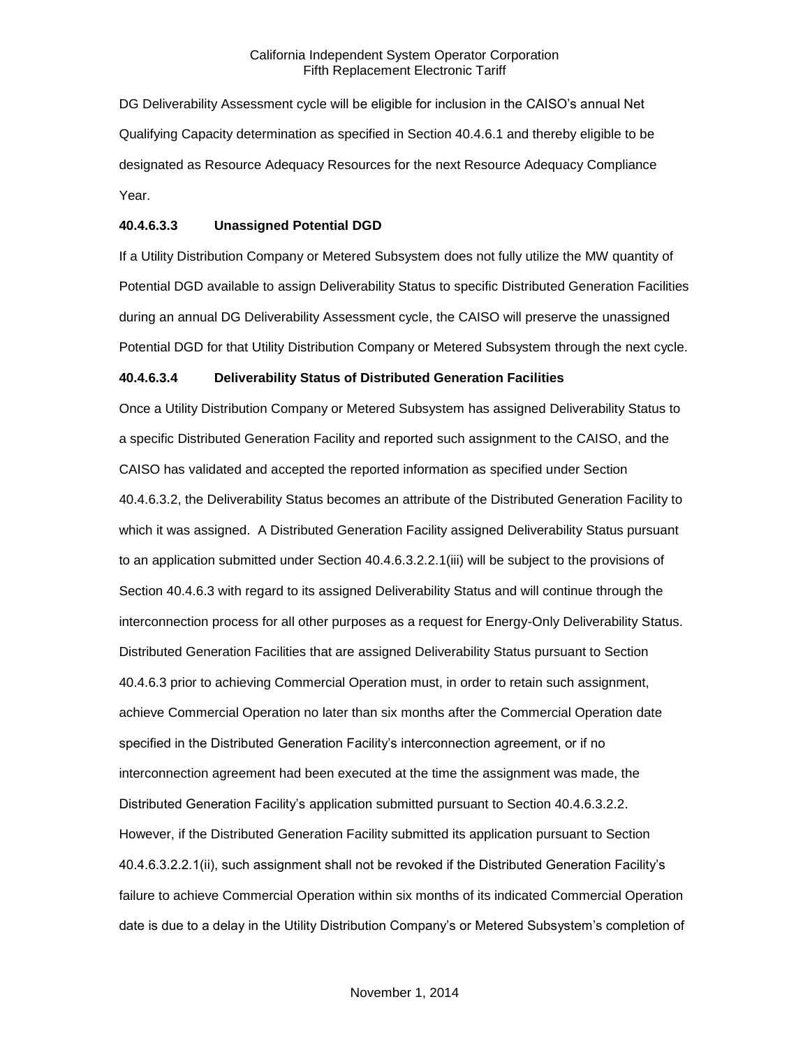DG Deliverability Assessment cycle will be eligible for inclusion in the CAISO's annual Net Qualifying Capacity determination as specified in Section 40.4.6.1 and thereby eligible to be designated as Resource Adequacy Resources for the next Resource Adequacy Compliance Year.

#### **40.4.6.3.3 Unassigned Potential DGD**

If a Utility Distribution Company or Metered Subsystem does not fully utilize the MW quantity of Potential DGD available to assign Deliverability Status to specific Distributed Generation Facilities during an annual DG Deliverability Assessment cycle, the CAISO will preserve the unassigned Potential DGD for that Utility Distribution Company or Metered Subsystem through the next cycle.

#### **40.4.6.3.4 Deliverability Status of Distributed Generation Facilities**

Once a Utility Distribution Company or Metered Subsystem has assigned Deliverability Status to a specific Distributed Generation Facility and reported such assignment to the CAISO, and the CAISO has validated and accepted the reported information as specified under Section 40.4.6.3.2, the Deliverability Status becomes an attribute of the Distributed Generation Facility to which it was assigned. A Distributed Generation Facility assigned Deliverability Status pursuant to an application submitted under Section 40.4.6.3.2.2.1(iii) will be subject to the provisions of Section 40.4.6.3 with regard to its assigned Deliverability Status and will continue through the interconnection process for all other purposes as a request for Energy-Only Deliverability Status. Distributed Generation Facilities that are assigned Deliverability Status pursuant to Section 40.4.6.3 prior to achieving Commercial Operation must, in order to retain such assignment, achieve Commercial Operation no later than six months after the Commercial Operation date specified in the Distributed Generation Facility's interconnection agreement, or if no interconnection agreement had been executed at the time the assignment was made, the Distributed Generation Facility's application submitted pursuant to Section 40.4.6.3.2.2. However, if the Distributed Generation Facility submitted its application pursuant to Section 40.4.6.3.2.2.1(ii), such assignment shall not be revoked if the Distributed Generation Facility's failure to achieve Commercial Operation within six months of its indicated Commercial Operation date is due to a delay in the Utility Distribution Company's or Metered Subsystem's completion of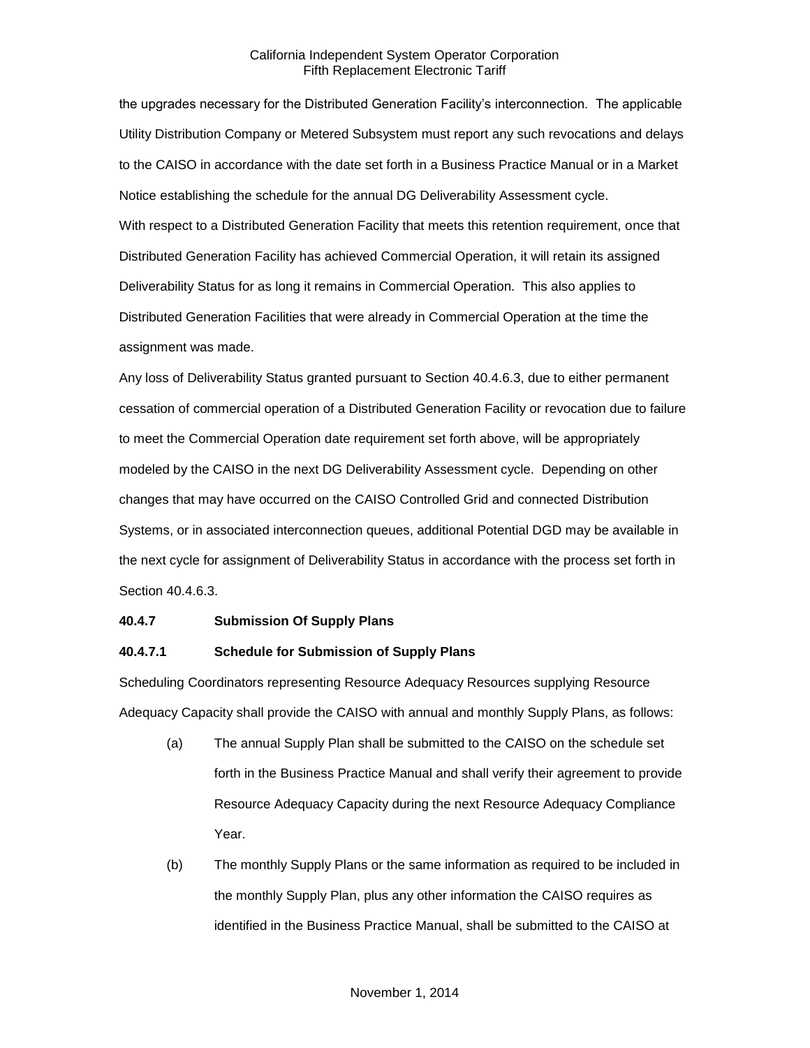the upgrades necessary for the Distributed Generation Facility's interconnection. The applicable Utility Distribution Company or Metered Subsystem must report any such revocations and delays to the CAISO in accordance with the date set forth in a Business Practice Manual or in a Market Notice establishing the schedule for the annual DG Deliverability Assessment cycle. With respect to a Distributed Generation Facility that meets this retention requirement, once that Distributed Generation Facility has achieved Commercial Operation, it will retain its assigned Deliverability Status for as long it remains in Commercial Operation. This also applies to Distributed Generation Facilities that were already in Commercial Operation at the time the assignment was made.

Any loss of Deliverability Status granted pursuant to Section 40.4.6.3, due to either permanent cessation of commercial operation of a Distributed Generation Facility or revocation due to failure to meet the Commercial Operation date requirement set forth above, will be appropriately modeled by the CAISO in the next DG Deliverability Assessment cycle. Depending on other changes that may have occurred on the CAISO Controlled Grid and connected Distribution Systems, or in associated interconnection queues, additional Potential DGD may be available in the next cycle for assignment of Deliverability Status in accordance with the process set forth in Section 40.4.6.3.

#### **40.4.7 Submission Of Supply Plans**

# **40.4.7.1 Schedule for Submission of Supply Plans**

Scheduling Coordinators representing Resource Adequacy Resources supplying Resource Adequacy Capacity shall provide the CAISO with annual and monthly Supply Plans, as follows:

- (a) The annual Supply Plan shall be submitted to the CAISO on the schedule set forth in the Business Practice Manual and shall verify their agreement to provide Resource Adequacy Capacity during the next Resource Adequacy Compliance Year.
- (b) The monthly Supply Plans or the same information as required to be included in the monthly Supply Plan, plus any other information the CAISO requires as identified in the Business Practice Manual, shall be submitted to the CAISO at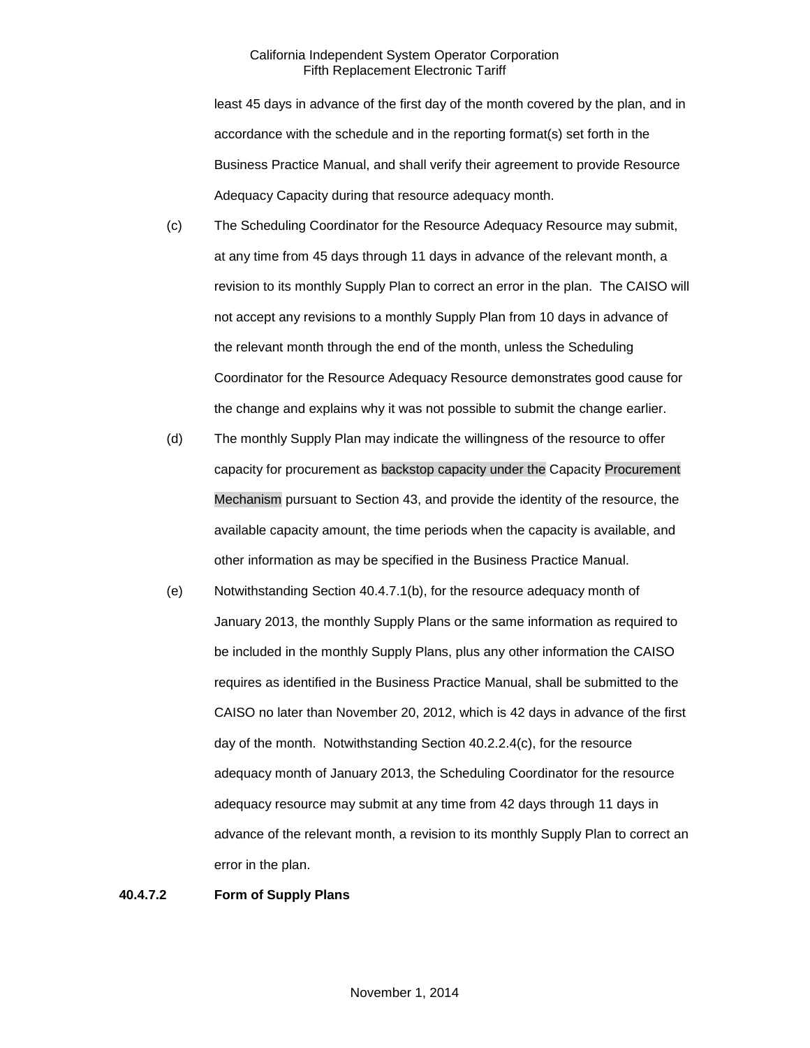least 45 days in advance of the first day of the month covered by the plan, and in accordance with the schedule and in the reporting format(s) set forth in the Business Practice Manual, and shall verify their agreement to provide Resource Adequacy Capacity during that resource adequacy month.

- (c) The Scheduling Coordinator for the Resource Adequacy Resource may submit, at any time from 45 days through 11 days in advance of the relevant month, a revision to its monthly Supply Plan to correct an error in the plan. The CAISO will not accept any revisions to a monthly Supply Plan from 10 days in advance of the relevant month through the end of the month, unless the Scheduling Coordinator for the Resource Adequacy Resource demonstrates good cause for the change and explains why it was not possible to submit the change earlier.
- (d) The monthly Supply Plan may indicate the willingness of the resource to offer capacity for procurement as backstop capacity under the Capacity Procurement Mechanism pursuant to Section 43, and provide the identity of the resource, the available capacity amount, the time periods when the capacity is available, and other information as may be specified in the Business Practice Manual.
- (e) Notwithstanding Section 40.4.7.1(b), for the resource adequacy month of January 2013, the monthly Supply Plans or the same information as required to be included in the monthly Supply Plans, plus any other information the CAISO requires as identified in the Business Practice Manual, shall be submitted to the CAISO no later than November 20, 2012, which is 42 days in advance of the first day of the month. Notwithstanding Section 40.2.2.4(c), for the resource adequacy month of January 2013, the Scheduling Coordinator for the resource adequacy resource may submit at any time from 42 days through 11 days in advance of the relevant month, a revision to its monthly Supply Plan to correct an error in the plan.

#### **40.4.7.2 Form of Supply Plans**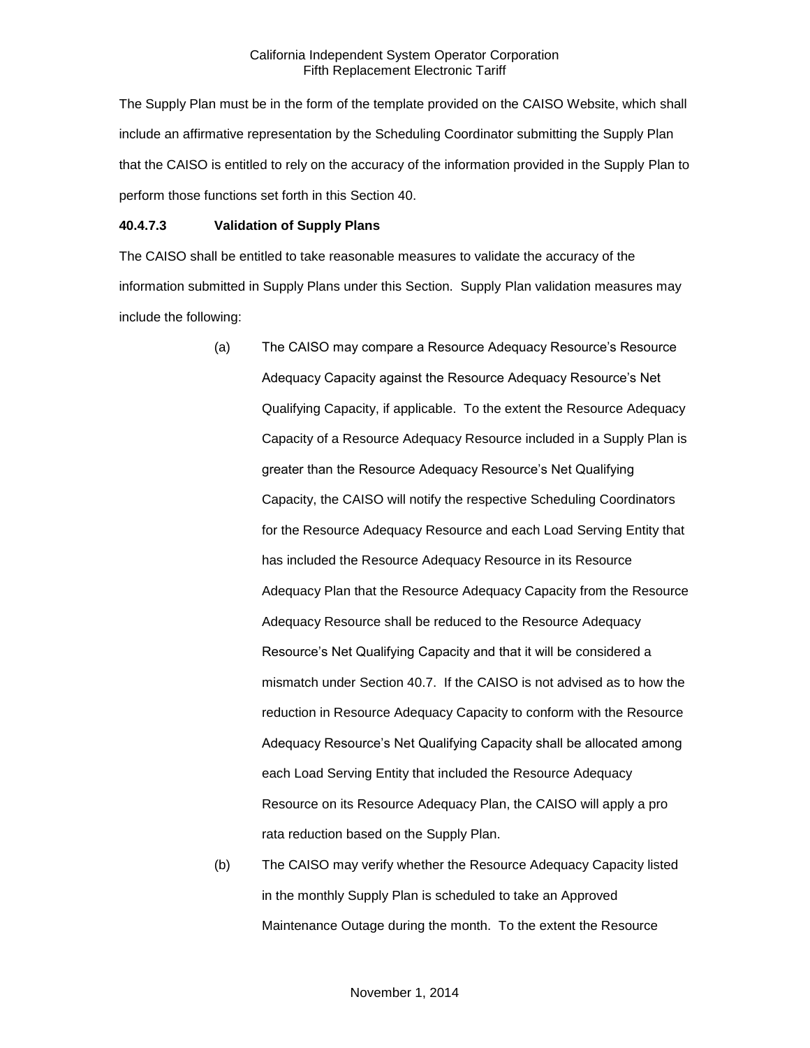The Supply Plan must be in the form of the template provided on the CAISO Website, which shall include an affirmative representation by the Scheduling Coordinator submitting the Supply Plan that the CAISO is entitled to rely on the accuracy of the information provided in the Supply Plan to perform those functions set forth in this Section 40.

#### **40.4.7.3 Validation of Supply Plans**

The CAISO shall be entitled to take reasonable measures to validate the accuracy of the information submitted in Supply Plans under this Section. Supply Plan validation measures may include the following:

- (a) The CAISO may compare a Resource Adequacy Resource's Resource Adequacy Capacity against the Resource Adequacy Resource's Net Qualifying Capacity, if applicable. To the extent the Resource Adequacy Capacity of a Resource Adequacy Resource included in a Supply Plan is greater than the Resource Adequacy Resource's Net Qualifying Capacity, the CAISO will notify the respective Scheduling Coordinators for the Resource Adequacy Resource and each Load Serving Entity that has included the Resource Adequacy Resource in its Resource Adequacy Plan that the Resource Adequacy Capacity from the Resource Adequacy Resource shall be reduced to the Resource Adequacy Resource's Net Qualifying Capacity and that it will be considered a mismatch under Section 40.7. If the CAISO is not advised as to how the reduction in Resource Adequacy Capacity to conform with the Resource Adequacy Resource's Net Qualifying Capacity shall be allocated among each Load Serving Entity that included the Resource Adequacy Resource on its Resource Adequacy Plan, the CAISO will apply a pro rata reduction based on the Supply Plan.
- (b) The CAISO may verify whether the Resource Adequacy Capacity listed in the monthly Supply Plan is scheduled to take an Approved Maintenance Outage during the month. To the extent the Resource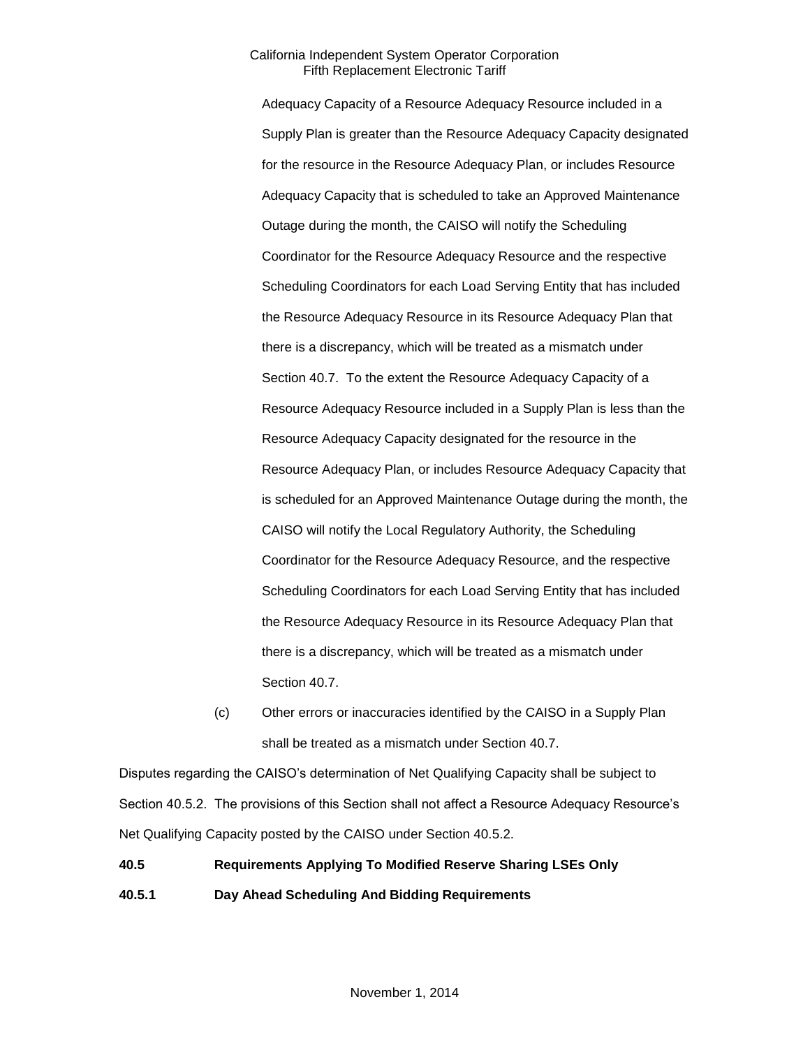Adequacy Capacity of a Resource Adequacy Resource included in a Supply Plan is greater than the Resource Adequacy Capacity designated for the resource in the Resource Adequacy Plan, or includes Resource Adequacy Capacity that is scheduled to take an Approved Maintenance Outage during the month, the CAISO will notify the Scheduling Coordinator for the Resource Adequacy Resource and the respective Scheduling Coordinators for each Load Serving Entity that has included the Resource Adequacy Resource in its Resource Adequacy Plan that there is a discrepancy, which will be treated as a mismatch under Section 40.7. To the extent the Resource Adequacy Capacity of a Resource Adequacy Resource included in a Supply Plan is less than the Resource Adequacy Capacity designated for the resource in the Resource Adequacy Plan, or includes Resource Adequacy Capacity that is scheduled for an Approved Maintenance Outage during the month, the CAISO will notify the Local Regulatory Authority, the Scheduling Coordinator for the Resource Adequacy Resource, and the respective Scheduling Coordinators for each Load Serving Entity that has included the Resource Adequacy Resource in its Resource Adequacy Plan that there is a discrepancy, which will be treated as a mismatch under Section 40.7.

(c) Other errors or inaccuracies identified by the CAISO in a Supply Plan shall be treated as a mismatch under Section 40.7.

Disputes regarding the CAISO's determination of Net Qualifying Capacity shall be subject to Section 40.5.2. The provisions of this Section shall not affect a Resource Adequacy Resource's Net Qualifying Capacity posted by the CAISO under Section 40.5.2.

# **40.5 Requirements Applying To Modified Reserve Sharing LSEs Only 40.5.1 Day Ahead Scheduling And Bidding Requirements**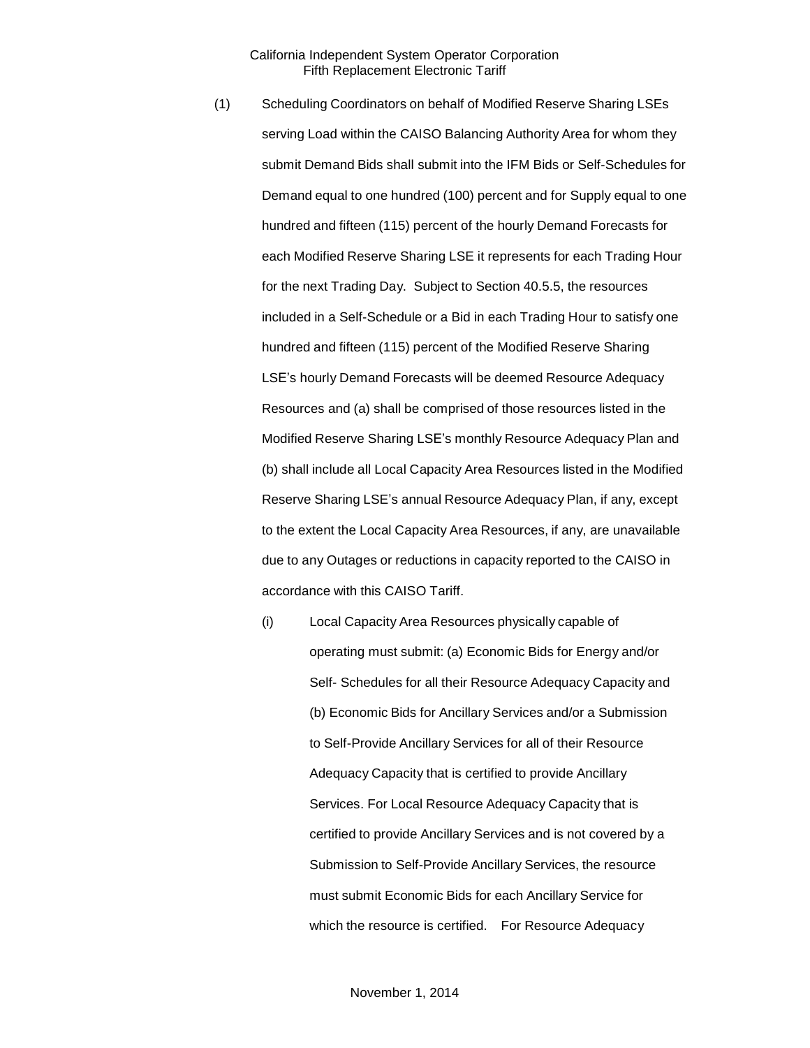- (1) Scheduling Coordinators on behalf of Modified Reserve Sharing LSEs serving Load within the CAISO Balancing Authority Area for whom they submit Demand Bids shall submit into the IFM Bids or Self-Schedules for Demand equal to one hundred (100) percent and for Supply equal to one hundred and fifteen (115) percent of the hourly Demand Forecasts for each Modified Reserve Sharing LSE it represents for each Trading Hour for the next Trading Day. Subject to Section 40.5.5, the resources included in a Self-Schedule or a Bid in each Trading Hour to satisfy one hundred and fifteen (115) percent of the Modified Reserve Sharing LSE's hourly Demand Forecasts will be deemed Resource Adequacy Resources and (a) shall be comprised of those resources listed in the Modified Reserve Sharing LSE's monthly Resource Adequacy Plan and (b) shall include all Local Capacity Area Resources listed in the Modified Reserve Sharing LSE's annual Resource Adequacy Plan, if any, except to the extent the Local Capacity Area Resources, if any, are unavailable due to any Outages or reductions in capacity reported to the CAISO in accordance with this CAISO Tariff.
	- (i) Local Capacity Area Resources physically capable of operating must submit: (a) Economic Bids for Energy and/or Self- Schedules for all their Resource Adequacy Capacity and (b) Economic Bids for Ancillary Services and/or a Submission to Self-Provide Ancillary Services for all of their Resource Adequacy Capacity that is certified to provide Ancillary Services. For Local Resource Adequacy Capacity that is certified to provide Ancillary Services and is not covered by a Submission to Self-Provide Ancillary Services, the resource must submit Economic Bids for each Ancillary Service for which the resource is certified. For Resource Adequacy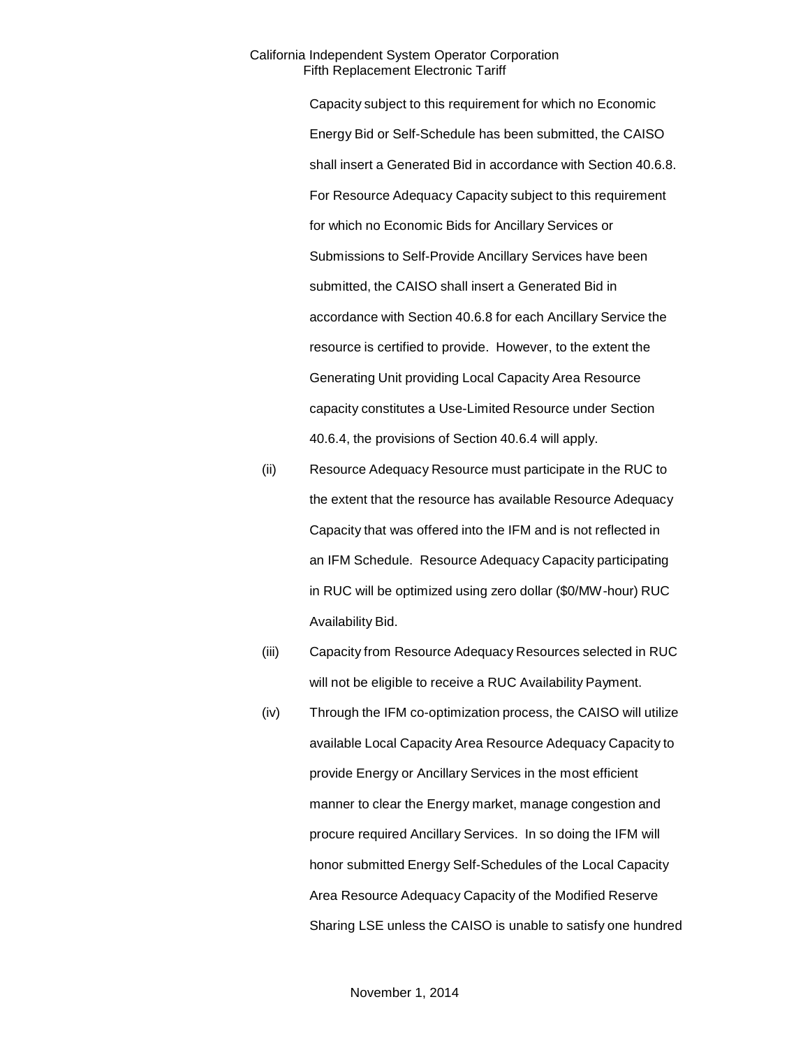Capacity subject to this requirement for which no Economic Energy Bid or Self-Schedule has been submitted, the CAISO shall insert a Generated Bid in accordance with Section 40.6.8. For Resource Adequacy Capacity subject to this requirement for which no Economic Bids for Ancillary Services or Submissions to Self-Provide Ancillary Services have been submitted, the CAISO shall insert a Generated Bid in accordance with Section 40.6.8 for each Ancillary Service the resource is certified to provide. However, to the extent the Generating Unit providing Local Capacity Area Resource capacity constitutes a Use-Limited Resource under Section 40.6.4, the provisions of Section 40.6.4 will apply.

- (ii) Resource Adequacy Resource must participate in the RUC to the extent that the resource has available Resource Adequacy Capacity that was offered into the IFM and is not reflected in an IFM Schedule. Resource Adequacy Capacity participating in RUC will be optimized using zero dollar (\$0/MW-hour) RUC Availability Bid.
- (iii) Capacity from Resource Adequacy Resources selected in RUC will not be eligible to receive a RUC Availability Payment.
- (iv) Through the IFM co-optimization process, the CAISO will utilize available Local Capacity Area Resource Adequacy Capacity to provide Energy or Ancillary Services in the most efficient manner to clear the Energy market, manage congestion and procure required Ancillary Services. In so doing the IFM will honor submitted Energy Self-Schedules of the Local Capacity Area Resource Adequacy Capacity of the Modified Reserve Sharing LSE unless the CAISO is unable to satisfy one hundred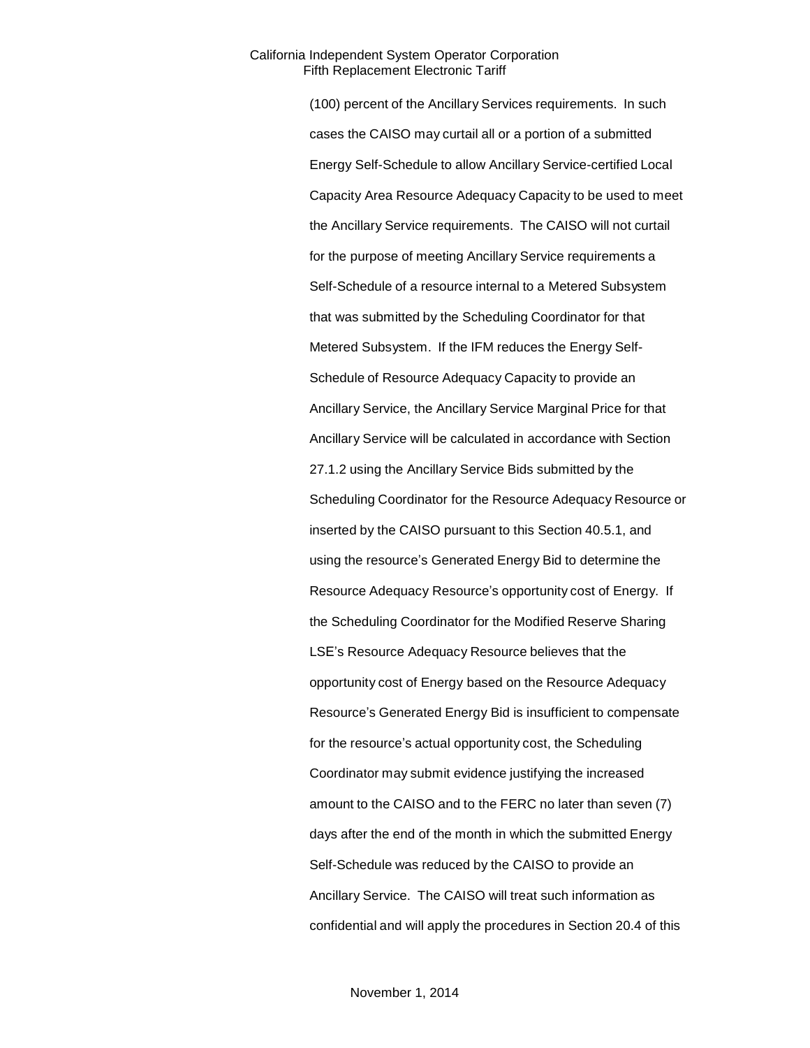(100) percent of the Ancillary Services requirements. In such cases the CAISO may curtail all or a portion of a submitted Energy Self-Schedule to allow Ancillary Service-certified Local Capacity Area Resource Adequacy Capacity to be used to meet the Ancillary Service requirements. The CAISO will not curtail for the purpose of meeting Ancillary Service requirements a Self-Schedule of a resource internal to a Metered Subsystem that was submitted by the Scheduling Coordinator for that Metered Subsystem. If the IFM reduces the Energy Self-Schedule of Resource Adequacy Capacity to provide an Ancillary Service, the Ancillary Service Marginal Price for that Ancillary Service will be calculated in accordance with Section 27.1.2 using the Ancillary Service Bids submitted by the Scheduling Coordinator for the Resource Adequacy Resource or inserted by the CAISO pursuant to this Section 40.5.1, and using the resource's Generated Energy Bid to determine the Resource Adequacy Resource's opportunity cost of Energy. If the Scheduling Coordinator for the Modified Reserve Sharing LSE's Resource Adequacy Resource believes that the opportunity cost of Energy based on the Resource Adequacy Resource's Generated Energy Bid is insufficient to compensate for the resource's actual opportunity cost, the Scheduling Coordinator may submit evidence justifying the increased amount to the CAISO and to the FERC no later than seven (7) days after the end of the month in which the submitted Energy Self-Schedule was reduced by the CAISO to provide an Ancillary Service. The CAISO will treat such information as confidential and will apply the procedures in Section 20.4 of this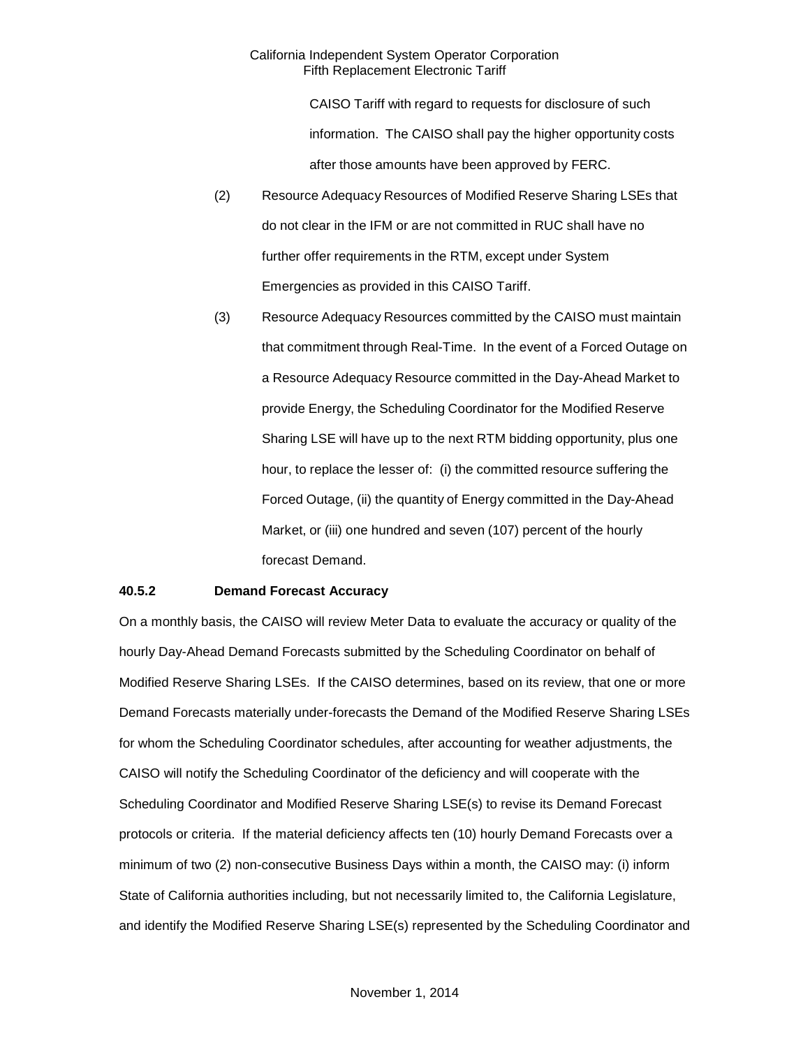CAISO Tariff with regard to requests for disclosure of such information. The CAISO shall pay the higher opportunity costs after those amounts have been approved by FERC.

- (2) Resource Adequacy Resources of Modified Reserve Sharing LSEs that do not clear in the IFM or are not committed in RUC shall have no further offer requirements in the RTM, except under System Emergencies as provided in this CAISO Tariff.
- (3) Resource Adequacy Resources committed by the CAISO must maintain that commitment through Real-Time. In the event of a Forced Outage on a Resource Adequacy Resource committed in the Day-Ahead Market to provide Energy, the Scheduling Coordinator for the Modified Reserve Sharing LSE will have up to the next RTM bidding opportunity, plus one hour, to replace the lesser of: (i) the committed resource suffering the Forced Outage, (ii) the quantity of Energy committed in the Day-Ahead Market, or (iii) one hundred and seven (107) percent of the hourly forecast Demand.

# **40.5.2 Demand Forecast Accuracy**

On a monthly basis, the CAISO will review Meter Data to evaluate the accuracy or quality of the hourly Day-Ahead Demand Forecasts submitted by the Scheduling Coordinator on behalf of Modified Reserve Sharing LSEs. If the CAISO determines, based on its review, that one or more Demand Forecasts materially under-forecasts the Demand of the Modified Reserve Sharing LSEs for whom the Scheduling Coordinator schedules, after accounting for weather adjustments, the CAISO will notify the Scheduling Coordinator of the deficiency and will cooperate with the Scheduling Coordinator and Modified Reserve Sharing LSE(s) to revise its Demand Forecast protocols or criteria. If the material deficiency affects ten (10) hourly Demand Forecasts over a minimum of two (2) non-consecutive Business Days within a month, the CAISO may: (i) inform State of California authorities including, but not necessarily limited to, the California Legislature, and identify the Modified Reserve Sharing LSE(s) represented by the Scheduling Coordinator and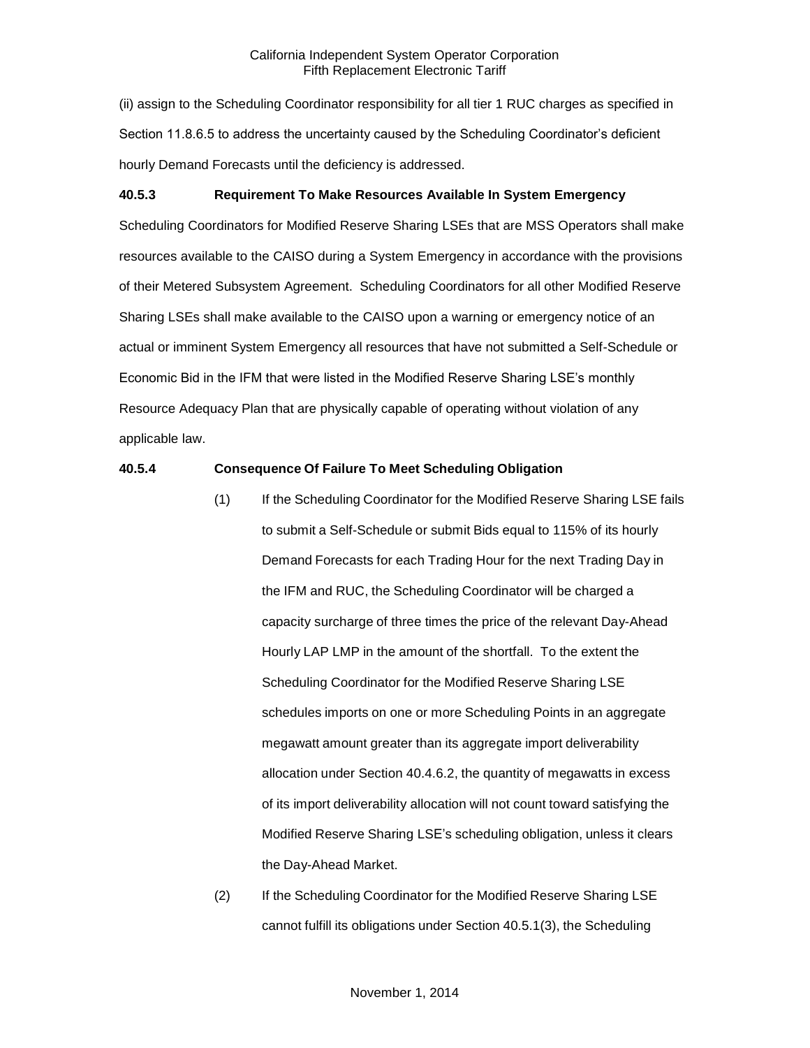(ii) assign to the Scheduling Coordinator responsibility for all tier 1 RUC charges as specified in Section 11.8.6.5 to address the uncertainty caused by the Scheduling Coordinator's deficient hourly Demand Forecasts until the deficiency is addressed.

# **40.5.3 Requirement To Make Resources Available In System Emergency**

Scheduling Coordinators for Modified Reserve Sharing LSEs that are MSS Operators shall make resources available to the CAISO during a System Emergency in accordance with the provisions of their Metered Subsystem Agreement. Scheduling Coordinators for all other Modified Reserve Sharing LSEs shall make available to the CAISO upon a warning or emergency notice of an actual or imminent System Emergency all resources that have not submitted a Self-Schedule or Economic Bid in the IFM that were listed in the Modified Reserve Sharing LSE's monthly Resource Adequacy Plan that are physically capable of operating without violation of any applicable law.

# **40.5.4 Consequence Of Failure To Meet Scheduling Obligation**

- (1) If the Scheduling Coordinator for the Modified Reserve Sharing LSE fails to submit a Self-Schedule or submit Bids equal to 115% of its hourly Demand Forecasts for each Trading Hour for the next Trading Day in the IFM and RUC, the Scheduling Coordinator will be charged a capacity surcharge of three times the price of the relevant Day-Ahead Hourly LAP LMP in the amount of the shortfall. To the extent the Scheduling Coordinator for the Modified Reserve Sharing LSE schedules imports on one or more Scheduling Points in an aggregate megawatt amount greater than its aggregate import deliverability allocation under Section 40.4.6.2, the quantity of megawatts in excess of its import deliverability allocation will not count toward satisfying the Modified Reserve Sharing LSE's scheduling obligation, unless it clears the Day-Ahead Market.
- (2) If the Scheduling Coordinator for the Modified Reserve Sharing LSE cannot fulfill its obligations under Section 40.5.1(3), the Scheduling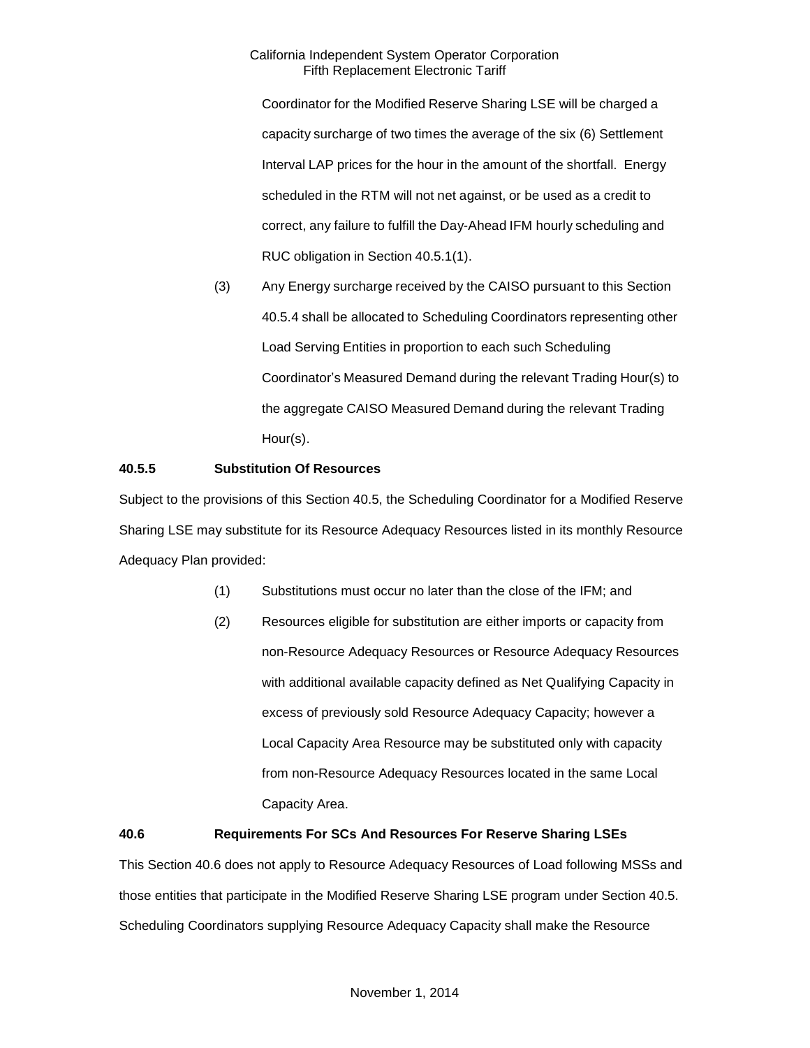Coordinator for the Modified Reserve Sharing LSE will be charged a capacity surcharge of two times the average of the six (6) Settlement Interval LAP prices for the hour in the amount of the shortfall. Energy scheduled in the RTM will not net against, or be used as a credit to correct, any failure to fulfill the Day-Ahead IFM hourly scheduling and RUC obligation in Section 40.5.1(1).

(3) Any Energy surcharge received by the CAISO pursuant to this Section 40.5.4 shall be allocated to Scheduling Coordinators representing other Load Serving Entities in proportion to each such Scheduling Coordinator's Measured Demand during the relevant Trading Hour(s) to the aggregate CAISO Measured Demand during the relevant Trading Hour(s).

# **40.5.5 Substitution Of Resources**

Subject to the provisions of this Section 40.5, the Scheduling Coordinator for a Modified Reserve Sharing LSE may substitute for its Resource Adequacy Resources listed in its monthly Resource Adequacy Plan provided:

- (1) Substitutions must occur no later than the close of the IFM; and
- (2) Resources eligible for substitution are either imports or capacity from non-Resource Adequacy Resources or Resource Adequacy Resources with additional available capacity defined as Net Qualifying Capacity in excess of previously sold Resource Adequacy Capacity; however a Local Capacity Area Resource may be substituted only with capacity from non-Resource Adequacy Resources located in the same Local Capacity Area.

# **40.6 Requirements For SCs And Resources For Reserve Sharing LSEs**

This Section 40.6 does not apply to Resource Adequacy Resources of Load following MSSs and those entities that participate in the Modified Reserve Sharing LSE program under Section 40.5. Scheduling Coordinators supplying Resource Adequacy Capacity shall make the Resource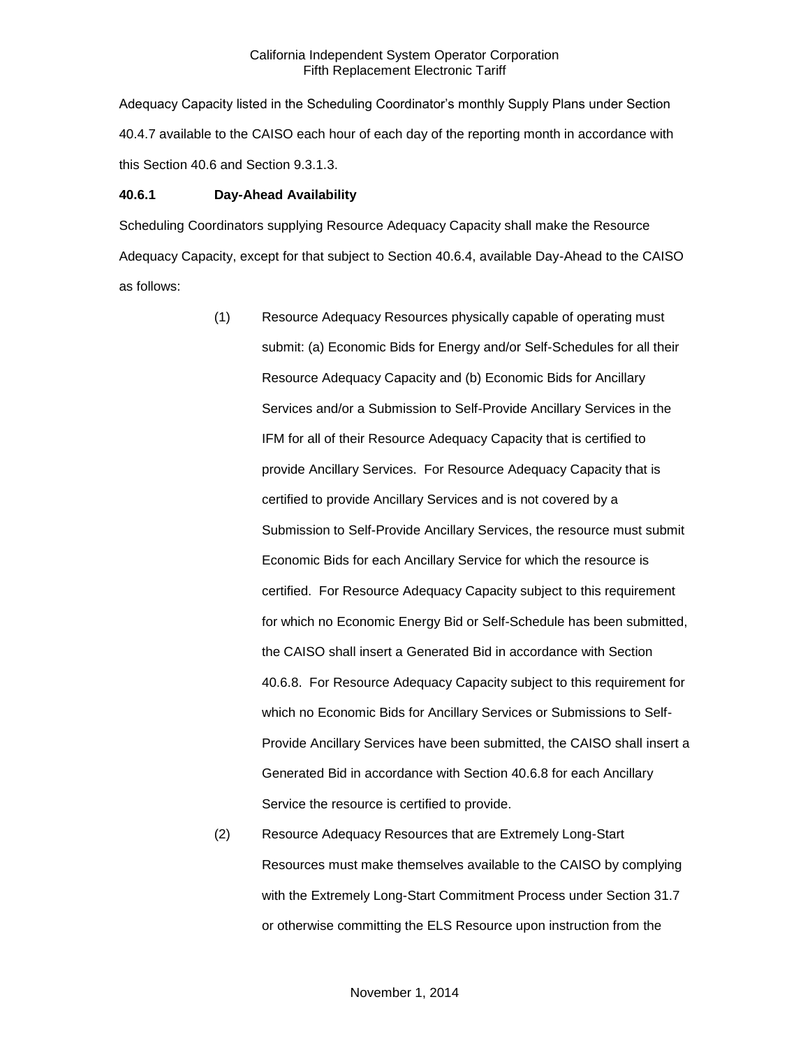Adequacy Capacity listed in the Scheduling Coordinator's monthly Supply Plans under Section 40.4.7 available to the CAISO each hour of each day of the reporting month in accordance with this Section 40.6 and Section 9.3.1.3.

# **40.6.1 Day-Ahead Availability**

Scheduling Coordinators supplying Resource Adequacy Capacity shall make the Resource Adequacy Capacity, except for that subject to Section 40.6.4, available Day-Ahead to the CAISO as follows:

- (1) Resource Adequacy Resources physically capable of operating must submit: (a) Economic Bids for Energy and/or Self-Schedules for all their Resource Adequacy Capacity and (b) Economic Bids for Ancillary Services and/or a Submission to Self-Provide Ancillary Services in the IFM for all of their Resource Adequacy Capacity that is certified to provide Ancillary Services. For Resource Adequacy Capacity that is certified to provide Ancillary Services and is not covered by a Submission to Self-Provide Ancillary Services, the resource must submit Economic Bids for each Ancillary Service for which the resource is certified. For Resource Adequacy Capacity subject to this requirement for which no Economic Energy Bid or Self-Schedule has been submitted, the CAISO shall insert a Generated Bid in accordance with Section 40.6.8. For Resource Adequacy Capacity subject to this requirement for which no Economic Bids for Ancillary Services or Submissions to Self-Provide Ancillary Services have been submitted, the CAISO shall insert a Generated Bid in accordance with Section 40.6.8 for each Ancillary Service the resource is certified to provide.
- (2) Resource Adequacy Resources that are Extremely Long-Start Resources must make themselves available to the CAISO by complying with the Extremely Long-Start Commitment Process under Section 31.7 or otherwise committing the ELS Resource upon instruction from the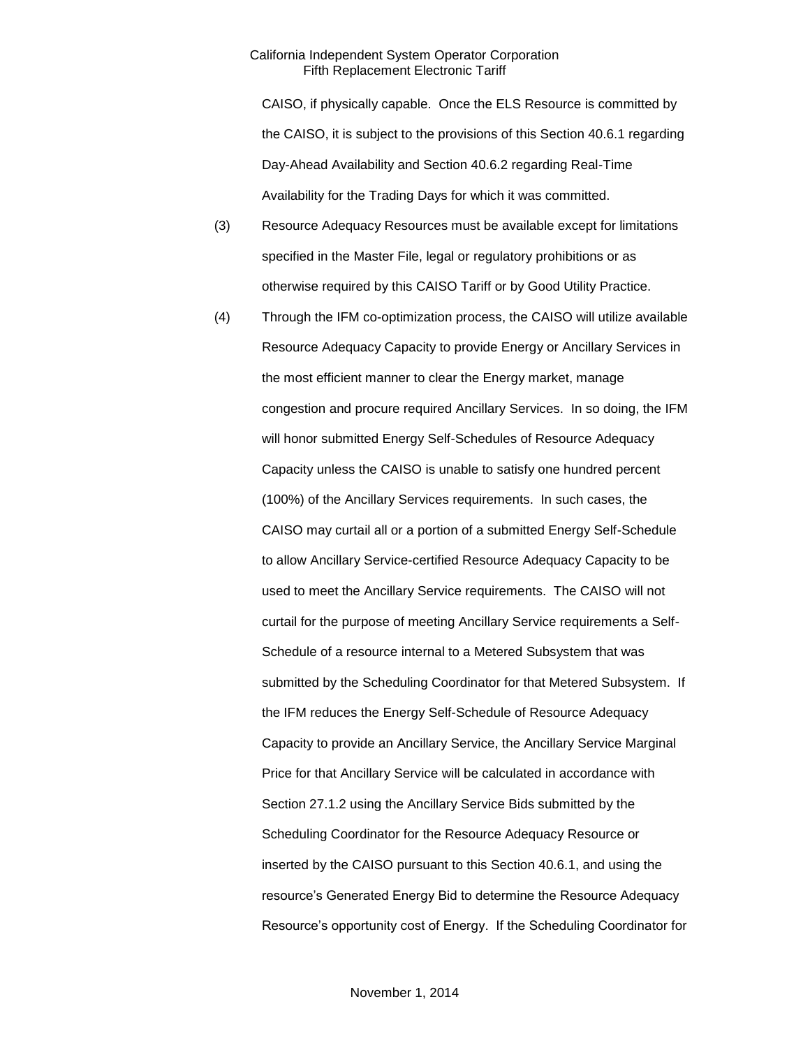CAISO, if physically capable. Once the ELS Resource is committed by the CAISO, it is subject to the provisions of this Section 40.6.1 regarding Day-Ahead Availability and Section 40.6.2 regarding Real-Time Availability for the Trading Days for which it was committed.

- (3) Resource Adequacy Resources must be available except for limitations specified in the Master File, legal or regulatory prohibitions or as otherwise required by this CAISO Tariff or by Good Utility Practice.
- (4) Through the IFM co-optimization process, the CAISO will utilize available Resource Adequacy Capacity to provide Energy or Ancillary Services in the most efficient manner to clear the Energy market, manage congestion and procure required Ancillary Services. In so doing, the IFM will honor submitted Energy Self-Schedules of Resource Adequacy Capacity unless the CAISO is unable to satisfy one hundred percent (100%) of the Ancillary Services requirements. In such cases, the CAISO may curtail all or a portion of a submitted Energy Self-Schedule to allow Ancillary Service-certified Resource Adequacy Capacity to be used to meet the Ancillary Service requirements. The CAISO will not curtail for the purpose of meeting Ancillary Service requirements a Self-Schedule of a resource internal to a Metered Subsystem that was submitted by the Scheduling Coordinator for that Metered Subsystem. If the IFM reduces the Energy Self-Schedule of Resource Adequacy Capacity to provide an Ancillary Service, the Ancillary Service Marginal Price for that Ancillary Service will be calculated in accordance with Section 27.1.2 using the Ancillary Service Bids submitted by the Scheduling Coordinator for the Resource Adequacy Resource or inserted by the CAISO pursuant to this Section 40.6.1, and using the resource's Generated Energy Bid to determine the Resource Adequacy Resource's opportunity cost of Energy. If the Scheduling Coordinator for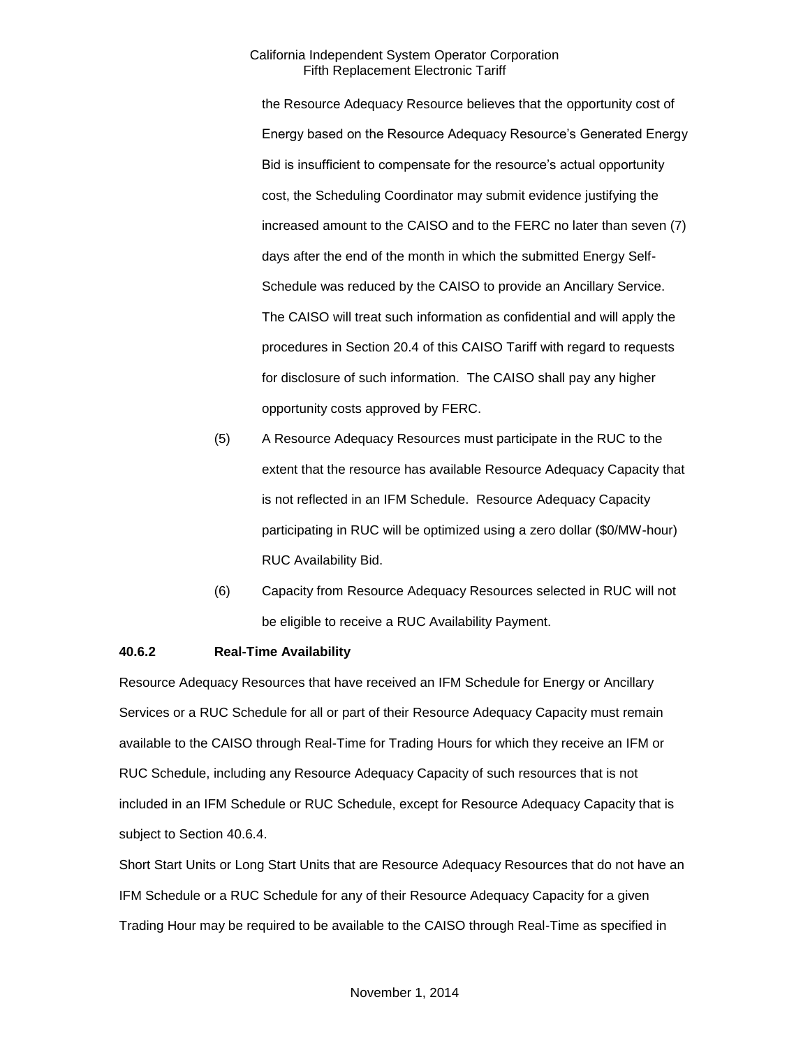the Resource Adequacy Resource believes that the opportunity cost of Energy based on the Resource Adequacy Resource's Generated Energy Bid is insufficient to compensate for the resource's actual opportunity cost, the Scheduling Coordinator may submit evidence justifying the increased amount to the CAISO and to the FERC no later than seven (7) days after the end of the month in which the submitted Energy Self-Schedule was reduced by the CAISO to provide an Ancillary Service. The CAISO will treat such information as confidential and will apply the procedures in Section 20.4 of this CAISO Tariff with regard to requests for disclosure of such information. The CAISO shall pay any higher opportunity costs approved by FERC.

- (5) A Resource Adequacy Resources must participate in the RUC to the extent that the resource has available Resource Adequacy Capacity that is not reflected in an IFM Schedule. Resource Adequacy Capacity participating in RUC will be optimized using a zero dollar (\$0/MW-hour) RUC Availability Bid.
- (6) Capacity from Resource Adequacy Resources selected in RUC will not be eligible to receive a RUC Availability Payment.

# **40.6.2 Real-Time Availability**

Resource Adequacy Resources that have received an IFM Schedule for Energy or Ancillary Services or a RUC Schedule for all or part of their Resource Adequacy Capacity must remain available to the CAISO through Real-Time for Trading Hours for which they receive an IFM or RUC Schedule, including any Resource Adequacy Capacity of such resources that is not included in an IFM Schedule or RUC Schedule, except for Resource Adequacy Capacity that is subject to Section 40.6.4.

Short Start Units or Long Start Units that are Resource Adequacy Resources that do not have an IFM Schedule or a RUC Schedule for any of their Resource Adequacy Capacity for a given Trading Hour may be required to be available to the CAISO through Real-Time as specified in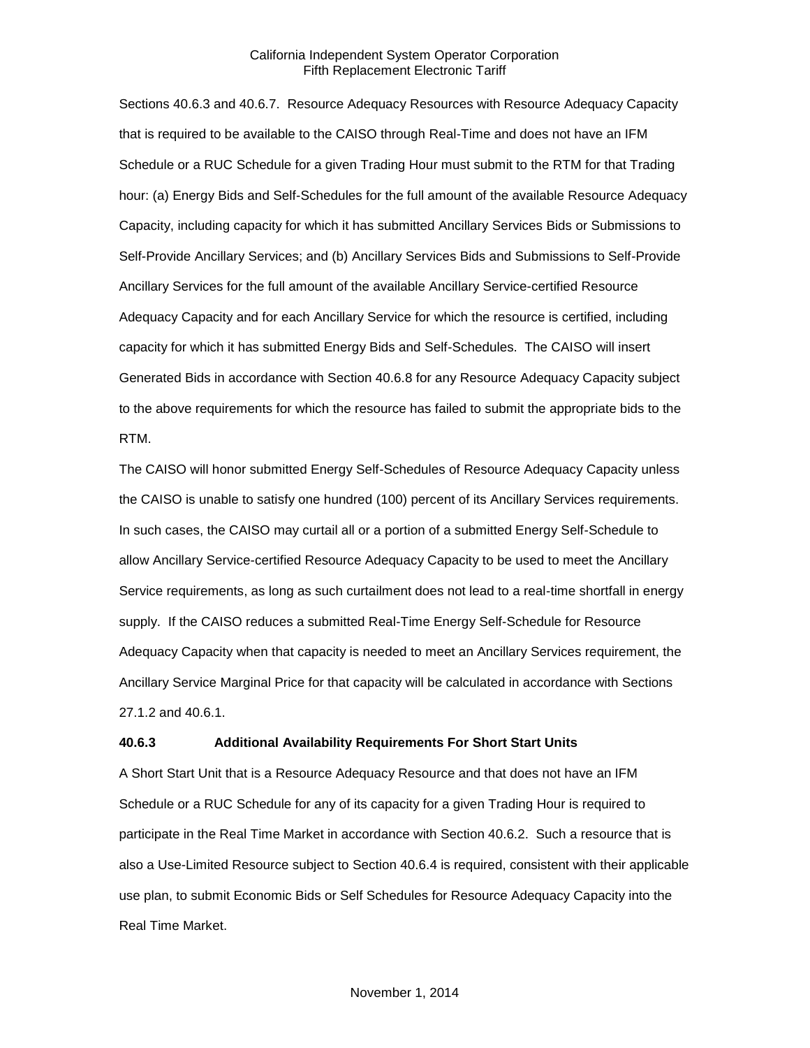Sections 40.6.3 and 40.6.7. Resource Adequacy Resources with Resource Adequacy Capacity that is required to be available to the CAISO through Real-Time and does not have an IFM Schedule or a RUC Schedule for a given Trading Hour must submit to the RTM for that Trading hour: (a) Energy Bids and Self-Schedules for the full amount of the available Resource Adequacy Capacity, including capacity for which it has submitted Ancillary Services Bids or Submissions to Self-Provide Ancillary Services; and (b) Ancillary Services Bids and Submissions to Self-Provide Ancillary Services for the full amount of the available Ancillary Service-certified Resource Adequacy Capacity and for each Ancillary Service for which the resource is certified, including capacity for which it has submitted Energy Bids and Self-Schedules. The CAISO will insert Generated Bids in accordance with Section 40.6.8 for any Resource Adequacy Capacity subject to the above requirements for which the resource has failed to submit the appropriate bids to the RTM.

The CAISO will honor submitted Energy Self-Schedules of Resource Adequacy Capacity unless the CAISO is unable to satisfy one hundred (100) percent of its Ancillary Services requirements. In such cases, the CAISO may curtail all or a portion of a submitted Energy Self-Schedule to allow Ancillary Service-certified Resource Adequacy Capacity to be used to meet the Ancillary Service requirements, as long as such curtailment does not lead to a real-time shortfall in energy supply. If the CAISO reduces a submitted Real-Time Energy Self-Schedule for Resource Adequacy Capacity when that capacity is needed to meet an Ancillary Services requirement, the Ancillary Service Marginal Price for that capacity will be calculated in accordance with Sections 27.1.2 and 40.6.1.

#### **40.6.3 Additional Availability Requirements For Short Start Units**

A Short Start Unit that is a Resource Adequacy Resource and that does not have an IFM Schedule or a RUC Schedule for any of its capacity for a given Trading Hour is required to participate in the Real Time Market in accordance with Section 40.6.2. Such a resource that is also a Use-Limited Resource subject to Section 40.6.4 is required, consistent with their applicable use plan, to submit Economic Bids or Self Schedules for Resource Adequacy Capacity into the Real Time Market.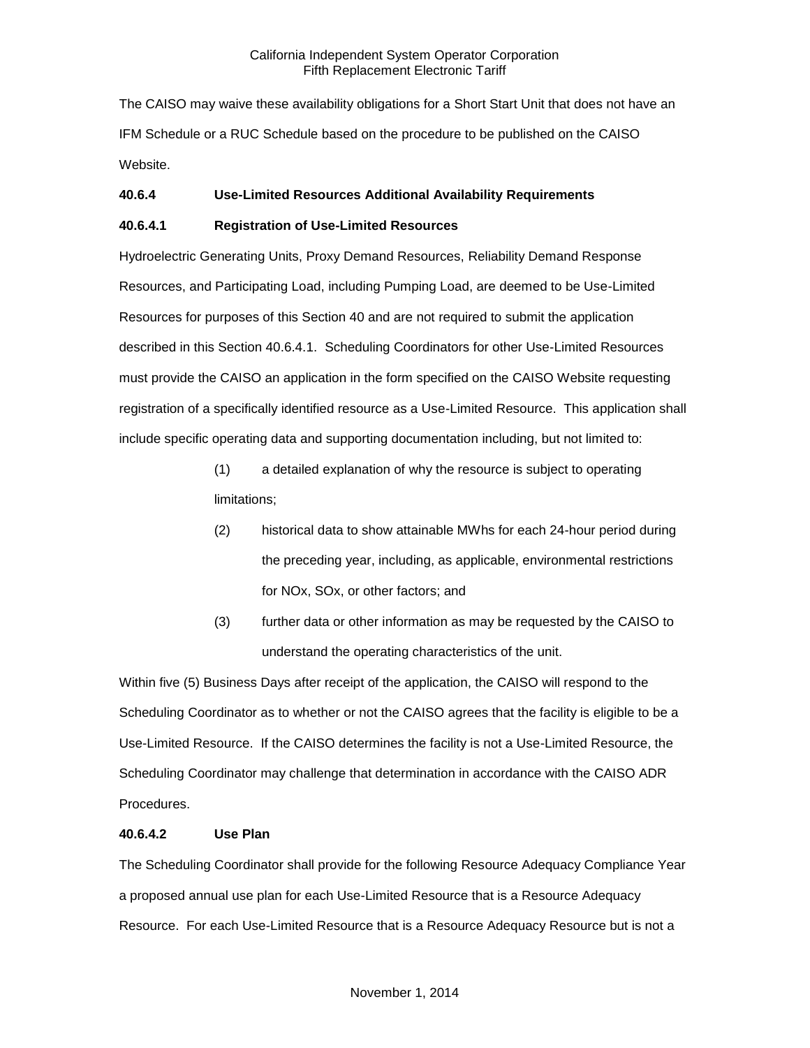The CAISO may waive these availability obligations for a Short Start Unit that does not have an IFM Schedule or a RUC Schedule based on the procedure to be published on the CAISO Website.

# **40.6.4 Use-Limited Resources Additional Availability Requirements**

# **40.6.4.1 Registration of Use-Limited Resources**

Hydroelectric Generating Units, Proxy Demand Resources, Reliability Demand Response Resources, and Participating Load, including Pumping Load, are deemed to be Use-Limited Resources for purposes of this Section 40 and are not required to submit the application described in this Section 40.6.4.1. Scheduling Coordinators for other Use-Limited Resources must provide the CAISO an application in the form specified on the CAISO Website requesting registration of a specifically identified resource as a Use-Limited Resource. This application shall include specific operating data and supporting documentation including, but not limited to:

- (1) a detailed explanation of why the resource is subject to operating limitations;
- (2) historical data to show attainable MWhs for each 24-hour period during the preceding year, including, as applicable, environmental restrictions for NOx, SOx, or other factors; and
- (3) further data or other information as may be requested by the CAISO to understand the operating characteristics of the unit.

Within five (5) Business Days after receipt of the application, the CAISO will respond to the Scheduling Coordinator as to whether or not the CAISO agrees that the facility is eligible to be a Use-Limited Resource. If the CAISO determines the facility is not a Use-Limited Resource, the Scheduling Coordinator may challenge that determination in accordance with the CAISO ADR Procedures.

# **40.6.4.2 Use Plan**

The Scheduling Coordinator shall provide for the following Resource Adequacy Compliance Year a proposed annual use plan for each Use-Limited Resource that is a Resource Adequacy Resource. For each Use-Limited Resource that is a Resource Adequacy Resource but is not a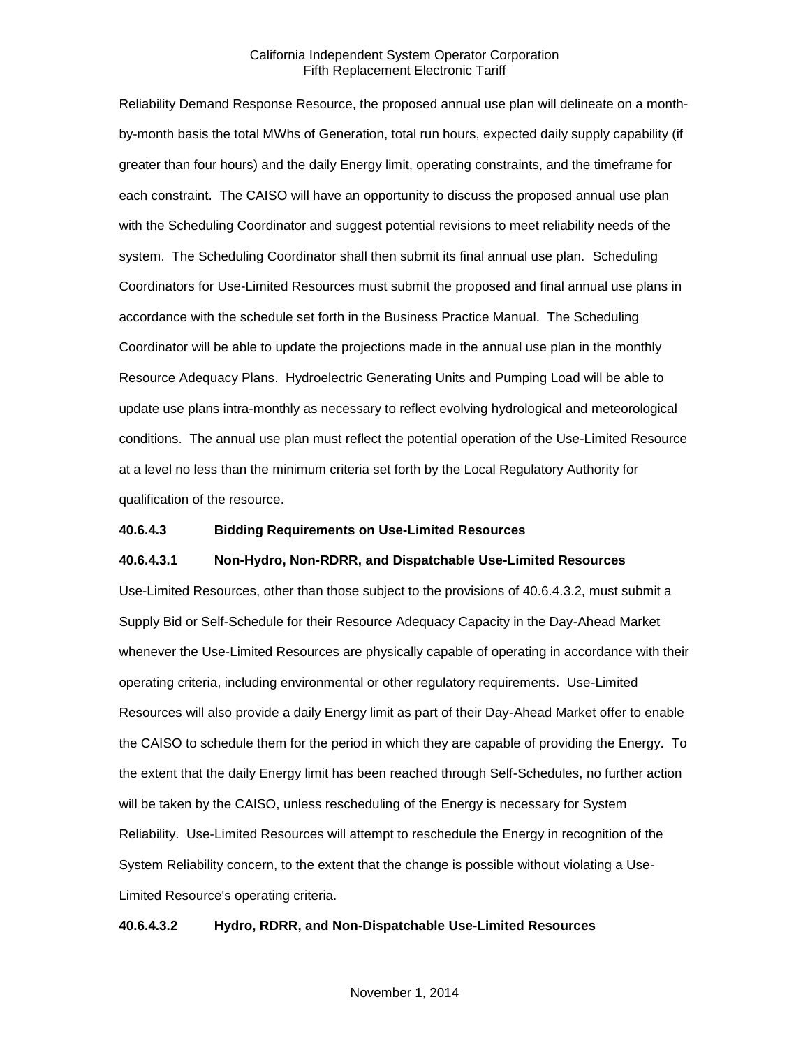Reliability Demand Response Resource, the proposed annual use plan will delineate on a monthby-month basis the total MWhs of Generation, total run hours, expected daily supply capability (if greater than four hours) and the daily Energy limit, operating constraints, and the timeframe for each constraint. The CAISO will have an opportunity to discuss the proposed annual use plan with the Scheduling Coordinator and suggest potential revisions to meet reliability needs of the system. The Scheduling Coordinator shall then submit its final annual use plan. Scheduling Coordinators for Use-Limited Resources must submit the proposed and final annual use plans in accordance with the schedule set forth in the Business Practice Manual. The Scheduling Coordinator will be able to update the projections made in the annual use plan in the monthly Resource Adequacy Plans. Hydroelectric Generating Units and Pumping Load will be able to update use plans intra-monthly as necessary to reflect evolving hydrological and meteorological conditions. The annual use plan must reflect the potential operation of the Use-Limited Resource at a level no less than the minimum criteria set forth by the Local Regulatory Authority for qualification of the resource.

# **40.6.4.3 Bidding Requirements on Use-Limited Resources**

#### **40.6.4.3.1 Non-Hydro, Non-RDRR, and Dispatchable Use-Limited Resources**

Use-Limited Resources, other than those subject to the provisions of 40.6.4.3.2, must submit a Supply Bid or Self-Schedule for their Resource Adequacy Capacity in the Day-Ahead Market whenever the Use-Limited Resources are physically capable of operating in accordance with their operating criteria, including environmental or other regulatory requirements. Use-Limited Resources will also provide a daily Energy limit as part of their Day-Ahead Market offer to enable the CAISO to schedule them for the period in which they are capable of providing the Energy. To the extent that the daily Energy limit has been reached through Self-Schedules, no further action will be taken by the CAISO, unless rescheduling of the Energy is necessary for System Reliability. Use-Limited Resources will attempt to reschedule the Energy in recognition of the System Reliability concern, to the extent that the change is possible without violating a Use-Limited Resource's operating criteria.

#### **40.6.4.3.2 Hydro, RDRR, and Non-Dispatchable Use-Limited Resources**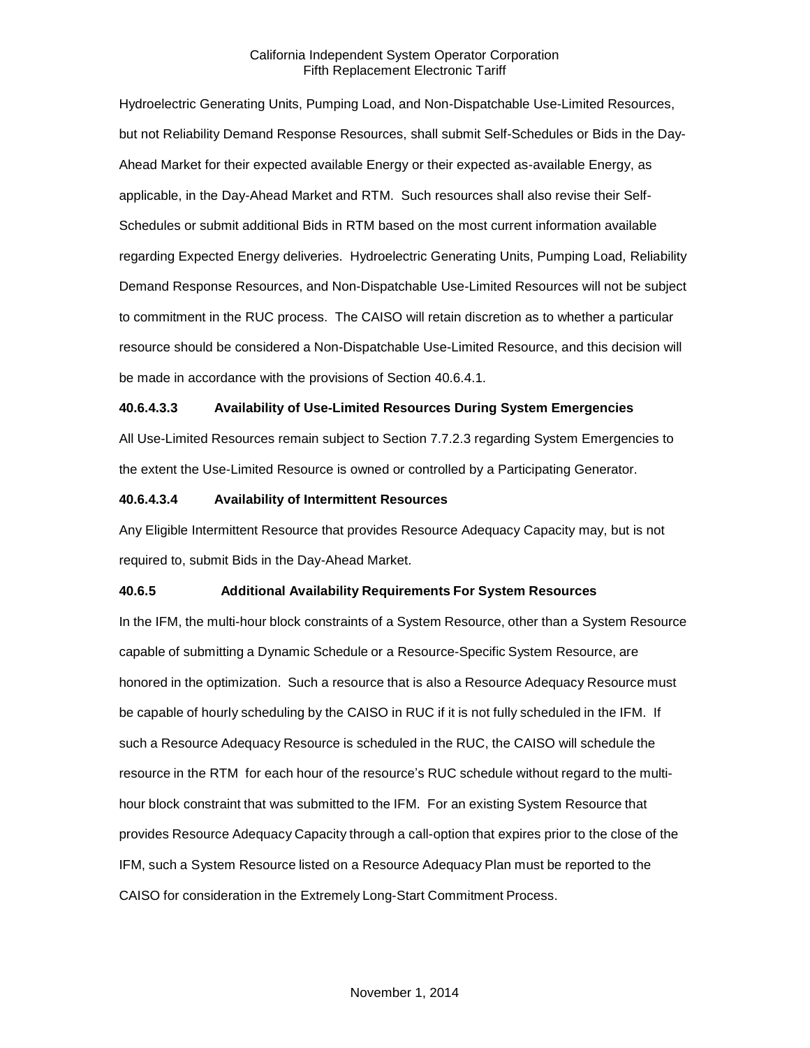Hydroelectric Generating Units, Pumping Load, and Non-Dispatchable Use-Limited Resources, but not Reliability Demand Response Resources, shall submit Self-Schedules or Bids in the Day-Ahead Market for their expected available Energy or their expected as-available Energy, as applicable, in the Day-Ahead Market and RTM. Such resources shall also revise their Self-Schedules or submit additional Bids in RTM based on the most current information available regarding Expected Energy deliveries. Hydroelectric Generating Units, Pumping Load, Reliability Demand Response Resources, and Non-Dispatchable Use-Limited Resources will not be subject to commitment in the RUC process. The CAISO will retain discretion as to whether a particular resource should be considered a Non-Dispatchable Use-Limited Resource, and this decision will be made in accordance with the provisions of Section 40.6.4.1.

#### **40.6.4.3.3 Availability of Use-Limited Resources During System Emergencies**

All Use-Limited Resources remain subject to Section 7.7.2.3 regarding System Emergencies to the extent the Use-Limited Resource is owned or controlled by a Participating Generator.

#### **40.6.4.3.4 Availability of Intermittent Resources**

Any Eligible Intermittent Resource that provides Resource Adequacy Capacity may, but is not required to, submit Bids in the Day-Ahead Market.

#### **40.6.5 Additional Availability Requirements For System Resources**

In the IFM, the multi-hour block constraints of a System Resource, other than a System Resource capable of submitting a Dynamic Schedule or a Resource-Specific System Resource, are honored in the optimization. Such a resource that is also a Resource Adequacy Resource must be capable of hourly scheduling by the CAISO in RUC if it is not fully scheduled in the IFM. If such a Resource Adequacy Resource is scheduled in the RUC, the CAISO will schedule the resource in the RTM for each hour of the resource's RUC schedule without regard to the multihour block constraint that was submitted to the IFM. For an existing System Resource that provides Resource Adequacy Capacity through a call-option that expires prior to the close of the IFM, such a System Resource listed on a Resource Adequacy Plan must be reported to the CAISO for consideration in the Extremely Long-Start Commitment Process.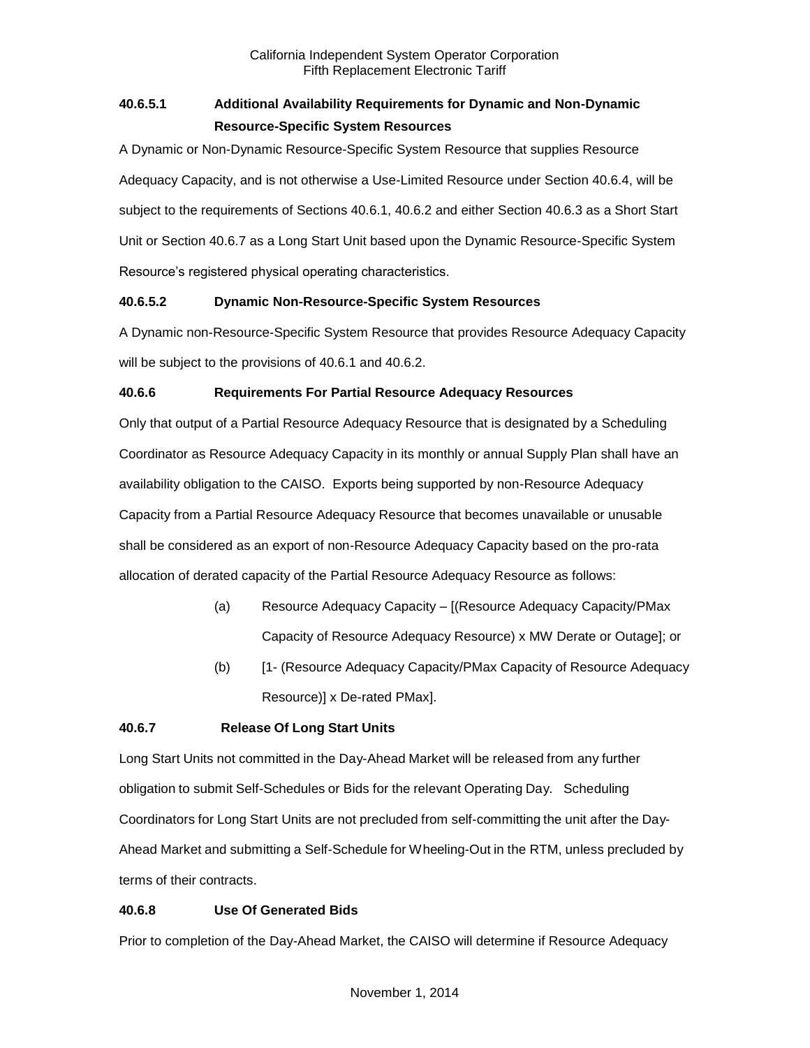# **40.6.5.1 Additional Availability Requirements for Dynamic and Non-Dynamic Resource-Specific System Resources**

A Dynamic or Non-Dynamic Resource-Specific System Resource that supplies Resource Adequacy Capacity, and is not otherwise a Use-Limited Resource under Section 40.6.4, will be subject to the requirements of Sections 40.6.1, 40.6.2 and either Section 40.6.3 as a Short Start Unit or Section 40.6.7 as a Long Start Unit based upon the Dynamic Resource-Specific System Resource's registered physical operating characteristics.

# **40.6.5.2 Dynamic Non-Resource-Specific System Resources**

A Dynamic non-Resource-Specific System Resource that provides Resource Adequacy Capacity will be subject to the provisions of 40.6.1 and 40.6.2.

# **40.6.6 Requirements For Partial Resource Adequacy Resources**

Only that output of a Partial Resource Adequacy Resource that is designated by a Scheduling Coordinator as Resource Adequacy Capacity in its monthly or annual Supply Plan shall have an availability obligation to the CAISO. Exports being supported by non-Resource Adequacy Capacity from a Partial Resource Adequacy Resource that becomes unavailable or unusable shall be considered as an export of non-Resource Adequacy Capacity based on the pro-rata allocation of derated capacity of the Partial Resource Adequacy Resource as follows:

- (a) Resource Adequacy Capacity [(Resource Adequacy Capacity/PMax Capacity of Resource Adequacy Resource) x MW Derate or Outage]; or
- (b) [1- (Resource Adequacy Capacity/PMax Capacity of Resource Adequacy Resource)] x De-rated PMax].

# **40.6.7 Release Of Long Start Units**

Long Start Units not committed in the Day-Ahead Market will be released from any further obligation to submit Self-Schedules or Bids for the relevant Operating Day. Scheduling Coordinators for Long Start Units are not precluded from self-committing the unit after the Day-Ahead Market and submitting a Self-Schedule for Wheeling-Out in the RTM, unless precluded by terms of their contracts.

# **40.6.8 Use Of Generated Bids**

Prior to completion of the Day-Ahead Market, the CAISO will determine if Resource Adequacy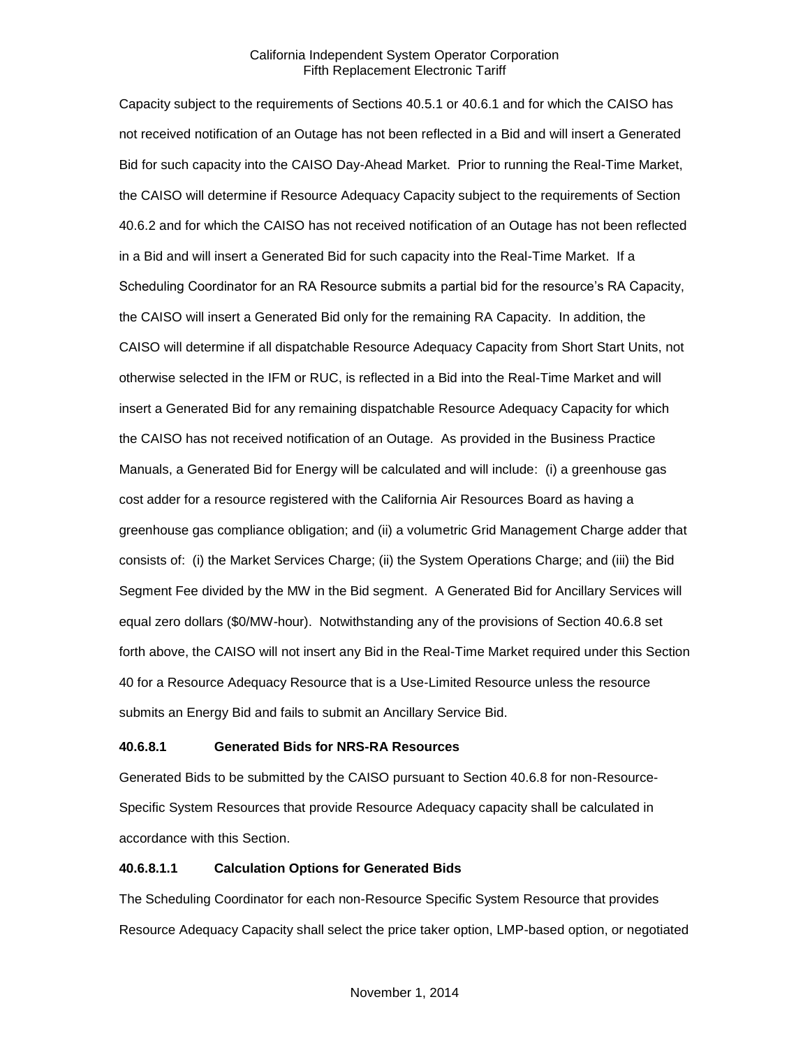Capacity subject to the requirements of Sections 40.5.1 or 40.6.1 and for which the CAISO has not received notification of an Outage has not been reflected in a Bid and will insert a Generated Bid for such capacity into the CAISO Day-Ahead Market. Prior to running the Real-Time Market, the CAISO will determine if Resource Adequacy Capacity subject to the requirements of Section 40.6.2 and for which the CAISO has not received notification of an Outage has not been reflected in a Bid and will insert a Generated Bid for such capacity into the Real-Time Market. If a Scheduling Coordinator for an RA Resource submits a partial bid for the resource's RA Capacity, the CAISO will insert a Generated Bid only for the remaining RA Capacity. In addition, the CAISO will determine if all dispatchable Resource Adequacy Capacity from Short Start Units, not otherwise selected in the IFM or RUC, is reflected in a Bid into the Real-Time Market and will insert a Generated Bid for any remaining dispatchable Resource Adequacy Capacity for which the CAISO has not received notification of an Outage. As provided in the Business Practice Manuals, a Generated Bid for Energy will be calculated and will include: (i) a greenhouse gas cost adder for a resource registered with the California Air Resources Board as having a greenhouse gas compliance obligation; and (ii) a volumetric Grid Management Charge adder that consists of: (i) the Market Services Charge; (ii) the System Operations Charge; and (iii) the Bid Segment Fee divided by the MW in the Bid segment. A Generated Bid for Ancillary Services will equal zero dollars (\$0/MW-hour). Notwithstanding any of the provisions of Section 40.6.8 set forth above, the CAISO will not insert any Bid in the Real-Time Market required under this Section 40 for a Resource Adequacy Resource that is a Use-Limited Resource unless the resource submits an Energy Bid and fails to submit an Ancillary Service Bid.

# **40.6.8.1 Generated Bids for NRS-RA Resources**

Generated Bids to be submitted by the CAISO pursuant to Section 40.6.8 for non-Resource-Specific System Resources that provide Resource Adequacy capacity shall be calculated in accordance with this Section.

# **40.6.8.1.1 Calculation Options for Generated Bids**

The Scheduling Coordinator for each non-Resource Specific System Resource that provides Resource Adequacy Capacity shall select the price taker option, LMP-based option, or negotiated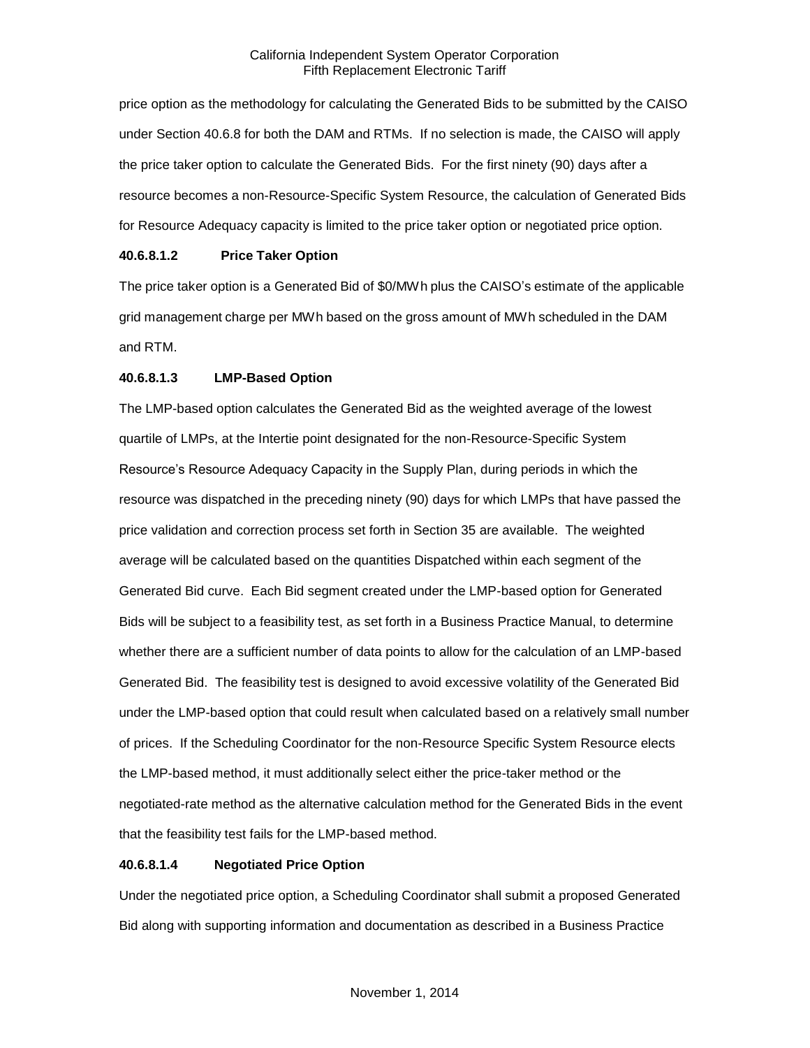price option as the methodology for calculating the Generated Bids to be submitted by the CAISO under Section 40.6.8 for both the DAM and RTMs. If no selection is made, the CAISO will apply the price taker option to calculate the Generated Bids. For the first ninety (90) days after a resource becomes a non-Resource-Specific System Resource, the calculation of Generated Bids for Resource Adequacy capacity is limited to the price taker option or negotiated price option.

# **40.6.8.1.2 Price Taker Option**

The price taker option is a Generated Bid of \$0/MWh plus the CAISO's estimate of the applicable grid management charge per MWh based on the gross amount of MWh scheduled in the DAM and RTM.

# **40.6.8.1.3 LMP-Based Option**

The LMP-based option calculates the Generated Bid as the weighted average of the lowest quartile of LMPs, at the Intertie point designated for the non-Resource-Specific System Resource's Resource Adequacy Capacity in the Supply Plan, during periods in which the resource was dispatched in the preceding ninety (90) days for which LMPs that have passed the price validation and correction process set forth in Section 35 are available. The weighted average will be calculated based on the quantities Dispatched within each segment of the Generated Bid curve. Each Bid segment created under the LMP-based option for Generated Bids will be subject to a feasibility test, as set forth in a Business Practice Manual, to determine whether there are a sufficient number of data points to allow for the calculation of an LMP-based Generated Bid. The feasibility test is designed to avoid excessive volatility of the Generated Bid under the LMP-based option that could result when calculated based on a relatively small number of prices. If the Scheduling Coordinator for the non-Resource Specific System Resource elects the LMP-based method, it must additionally select either the price-taker method or the negotiated-rate method as the alternative calculation method for the Generated Bids in the event that the feasibility test fails for the LMP-based method.

# **40.6.8.1.4 Negotiated Price Option**

Under the negotiated price option, a Scheduling Coordinator shall submit a proposed Generated Bid along with supporting information and documentation as described in a Business Practice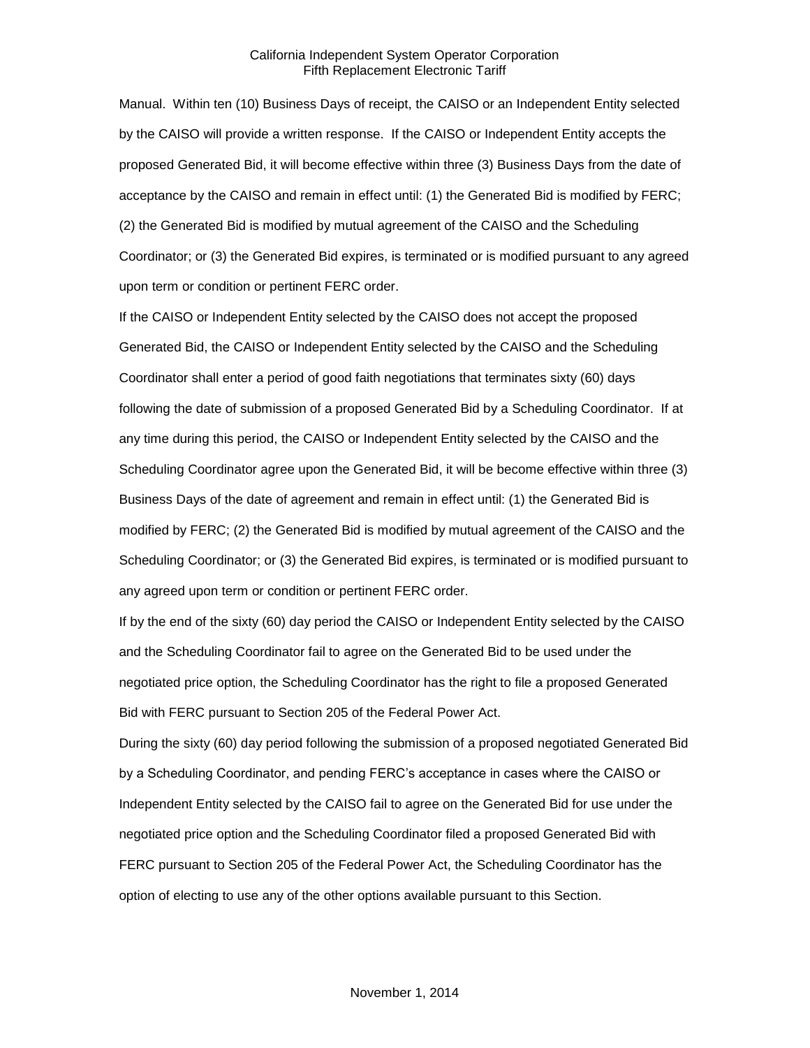Manual. Within ten (10) Business Days of receipt, the CAISO or an Independent Entity selected by the CAISO will provide a written response. If the CAISO or Independent Entity accepts the proposed Generated Bid, it will become effective within three (3) Business Days from the date of acceptance by the CAISO and remain in effect until: (1) the Generated Bid is modified by FERC; (2) the Generated Bid is modified by mutual agreement of the CAISO and the Scheduling Coordinator; or (3) the Generated Bid expires, is terminated or is modified pursuant to any agreed upon term or condition or pertinent FERC order.

If the CAISO or Independent Entity selected by the CAISO does not accept the proposed Generated Bid, the CAISO or Independent Entity selected by the CAISO and the Scheduling Coordinator shall enter a period of good faith negotiations that terminates sixty (60) days following the date of submission of a proposed Generated Bid by a Scheduling Coordinator. If at any time during this period, the CAISO or Independent Entity selected by the CAISO and the Scheduling Coordinator agree upon the Generated Bid, it will be become effective within three (3) Business Days of the date of agreement and remain in effect until: (1) the Generated Bid is modified by FERC; (2) the Generated Bid is modified by mutual agreement of the CAISO and the Scheduling Coordinator; or (3) the Generated Bid expires, is terminated or is modified pursuant to any agreed upon term or condition or pertinent FERC order.

If by the end of the sixty (60) day period the CAISO or Independent Entity selected by the CAISO and the Scheduling Coordinator fail to agree on the Generated Bid to be used under the negotiated price option, the Scheduling Coordinator has the right to file a proposed Generated Bid with FERC pursuant to Section 205 of the Federal Power Act.

During the sixty (60) day period following the submission of a proposed negotiated Generated Bid by a Scheduling Coordinator, and pending FERC's acceptance in cases where the CAISO or Independent Entity selected by the CAISO fail to agree on the Generated Bid for use under the negotiated price option and the Scheduling Coordinator filed a proposed Generated Bid with FERC pursuant to Section 205 of the Federal Power Act, the Scheduling Coordinator has the option of electing to use any of the other options available pursuant to this Section.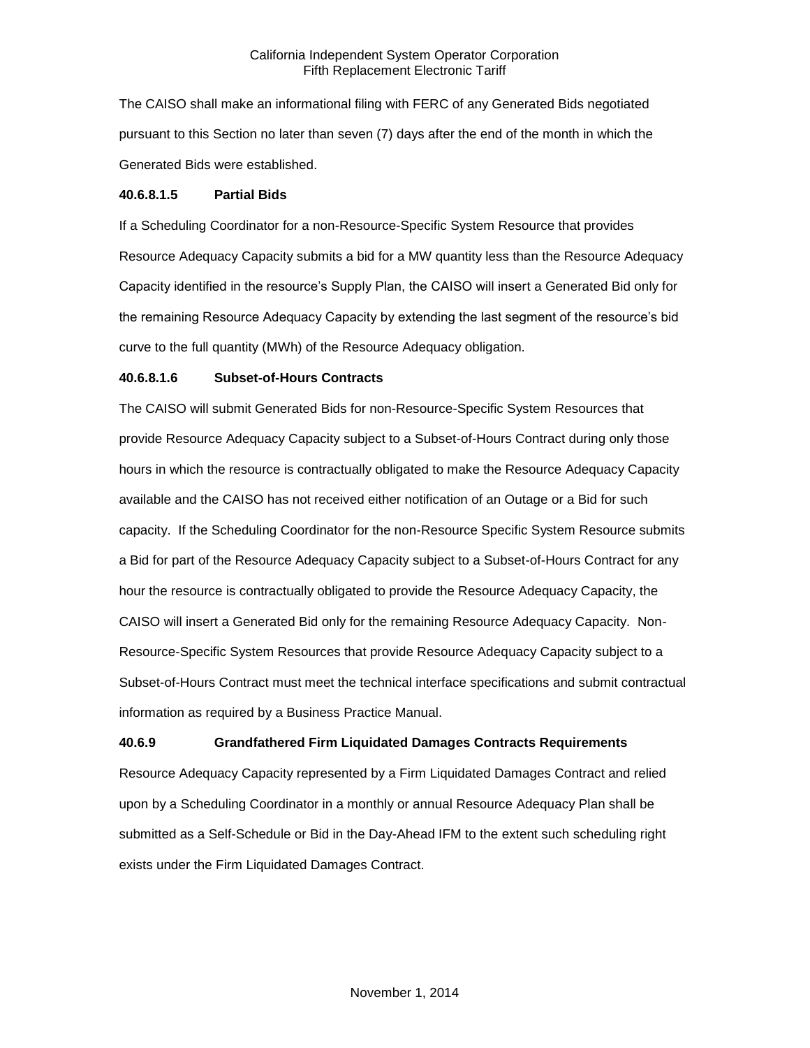The CAISO shall make an informational filing with FERC of any Generated Bids negotiated pursuant to this Section no later than seven (7) days after the end of the month in which the Generated Bids were established.

#### **40.6.8.1.5 Partial Bids**

If a Scheduling Coordinator for a non-Resource-Specific System Resource that provides Resource Adequacy Capacity submits a bid for a MW quantity less than the Resource Adequacy Capacity identified in the resource's Supply Plan, the CAISO will insert a Generated Bid only for the remaining Resource Adequacy Capacity by extending the last segment of the resource's bid curve to the full quantity (MWh) of the Resource Adequacy obligation.

# **40.6.8.1.6 Subset-of-Hours Contracts**

The CAISO will submit Generated Bids for non-Resource-Specific System Resources that provide Resource Adequacy Capacity subject to a Subset-of-Hours Contract during only those hours in which the resource is contractually obligated to make the Resource Adequacy Capacity available and the CAISO has not received either notification of an Outage or a Bid for such capacity. If the Scheduling Coordinator for the non-Resource Specific System Resource submits a Bid for part of the Resource Adequacy Capacity subject to a Subset-of-Hours Contract for any hour the resource is contractually obligated to provide the Resource Adequacy Capacity, the CAISO will insert a Generated Bid only for the remaining Resource Adequacy Capacity. Non-Resource-Specific System Resources that provide Resource Adequacy Capacity subject to a Subset-of-Hours Contract must meet the technical interface specifications and submit contractual information as required by a Business Practice Manual.

# **40.6.9 Grandfathered Firm Liquidated Damages Contracts Requirements**

Resource Adequacy Capacity represented by a Firm Liquidated Damages Contract and relied upon by a Scheduling Coordinator in a monthly or annual Resource Adequacy Plan shall be submitted as a Self-Schedule or Bid in the Day-Ahead IFM to the extent such scheduling right exists under the Firm Liquidated Damages Contract.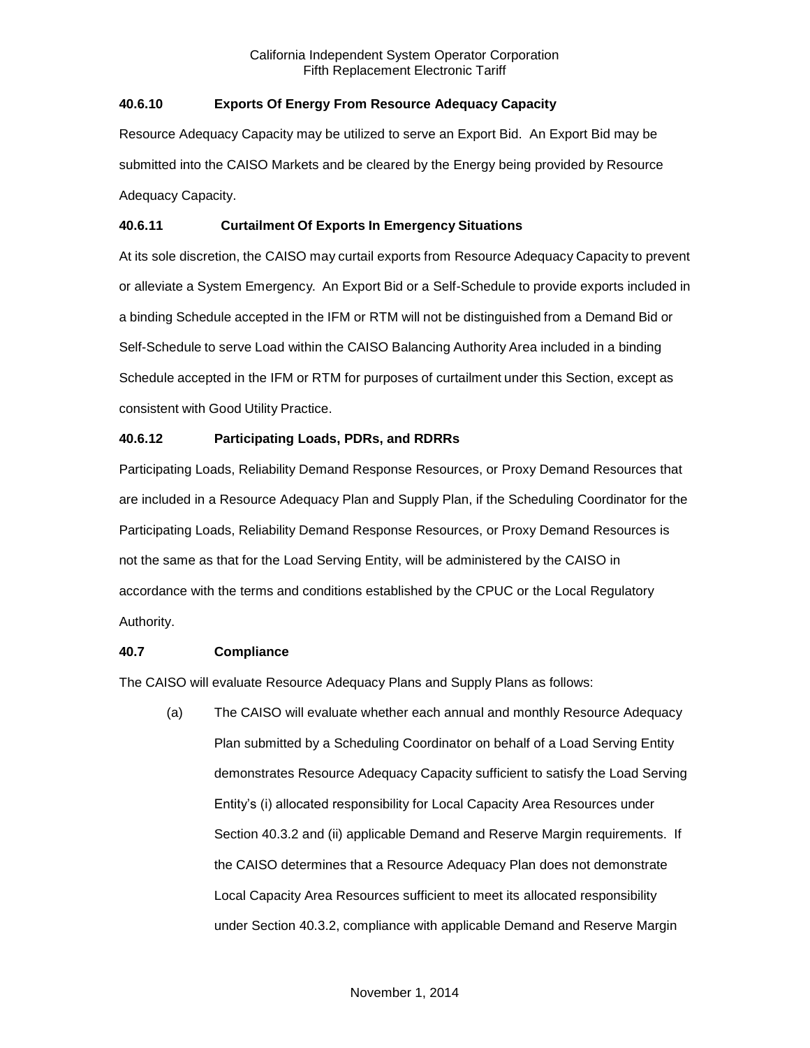# **40.6.10 Exports Of Energy From Resource Adequacy Capacity**

Resource Adequacy Capacity may be utilized to serve an Export Bid. An Export Bid may be submitted into the CAISO Markets and be cleared by the Energy being provided by Resource Adequacy Capacity.

# **40.6.11 Curtailment Of Exports In Emergency Situations**

At its sole discretion, the CAISO may curtail exports from Resource Adequacy Capacity to prevent or alleviate a System Emergency. An Export Bid or a Self-Schedule to provide exports included in a binding Schedule accepted in the IFM or RTM will not be distinguished from a Demand Bid or Self-Schedule to serve Load within the CAISO Balancing Authority Area included in a binding Schedule accepted in the IFM or RTM for purposes of curtailment under this Section, except as consistent with Good Utility Practice.

# **40.6.12 Participating Loads, PDRs, and RDRRs**

Participating Loads, Reliability Demand Response Resources, or Proxy Demand Resources that are included in a Resource Adequacy Plan and Supply Plan, if the Scheduling Coordinator for the Participating Loads, Reliability Demand Response Resources, or Proxy Demand Resources is not the same as that for the Load Serving Entity, will be administered by the CAISO in accordance with the terms and conditions established by the CPUC or the Local Regulatory Authority.

# **40.7 Compliance**

The CAISO will evaluate Resource Adequacy Plans and Supply Plans as follows:

(a) The CAISO will evaluate whether each annual and monthly Resource Adequacy Plan submitted by a Scheduling Coordinator on behalf of a Load Serving Entity demonstrates Resource Adequacy Capacity sufficient to satisfy the Load Serving Entity's (i) allocated responsibility for Local Capacity Area Resources under Section 40.3.2 and (ii) applicable Demand and Reserve Margin requirements. If the CAISO determines that a Resource Adequacy Plan does not demonstrate Local Capacity Area Resources sufficient to meet its allocated responsibility under Section 40.3.2, compliance with applicable Demand and Reserve Margin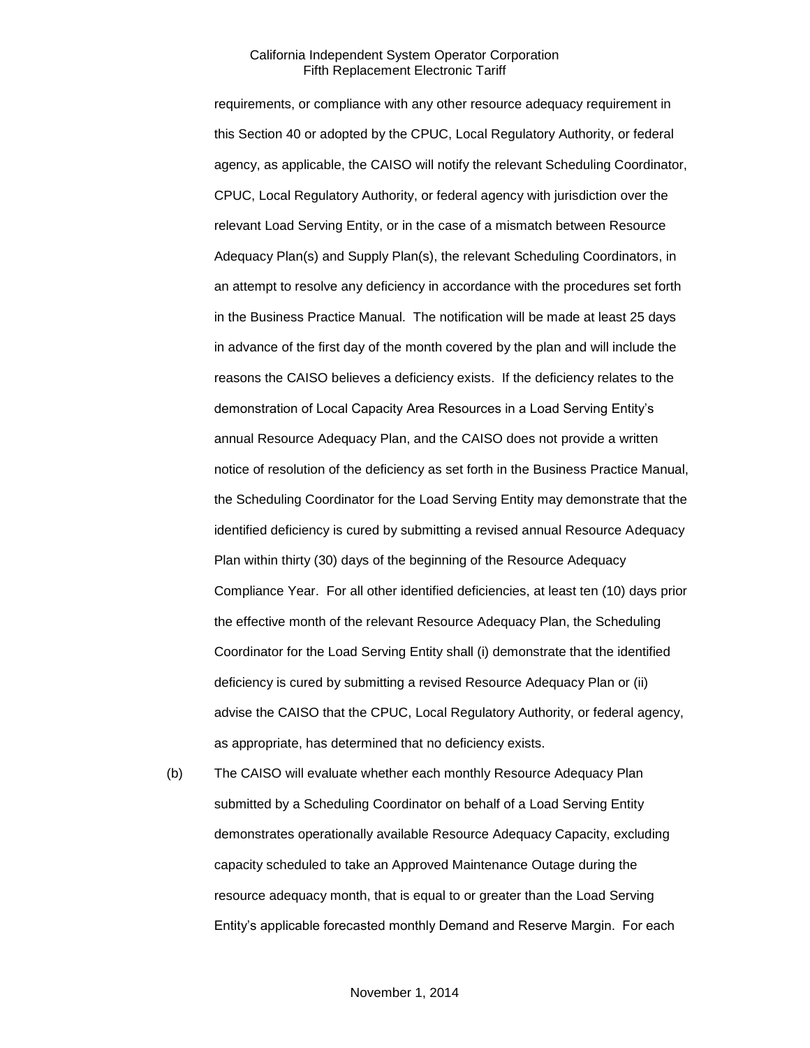requirements, or compliance with any other resource adequacy requirement in this Section 40 or adopted by the CPUC, Local Regulatory Authority, or federal agency, as applicable, the CAISO will notify the relevant Scheduling Coordinator, CPUC, Local Regulatory Authority, or federal agency with jurisdiction over the relevant Load Serving Entity, or in the case of a mismatch between Resource Adequacy Plan(s) and Supply Plan(s), the relevant Scheduling Coordinators, in an attempt to resolve any deficiency in accordance with the procedures set forth in the Business Practice Manual. The notification will be made at least 25 days in advance of the first day of the month covered by the plan and will include the reasons the CAISO believes a deficiency exists. If the deficiency relates to the demonstration of Local Capacity Area Resources in a Load Serving Entity's annual Resource Adequacy Plan, and the CAISO does not provide a written notice of resolution of the deficiency as set forth in the Business Practice Manual, the Scheduling Coordinator for the Load Serving Entity may demonstrate that the identified deficiency is cured by submitting a revised annual Resource Adequacy Plan within thirty (30) days of the beginning of the Resource Adequacy Compliance Year. For all other identified deficiencies, at least ten (10) days prior the effective month of the relevant Resource Adequacy Plan, the Scheduling Coordinator for the Load Serving Entity shall (i) demonstrate that the identified deficiency is cured by submitting a revised Resource Adequacy Plan or (ii) advise the CAISO that the CPUC, Local Regulatory Authority, or federal agency, as appropriate, has determined that no deficiency exists.

(b) The CAISO will evaluate whether each monthly Resource Adequacy Plan submitted by a Scheduling Coordinator on behalf of a Load Serving Entity demonstrates operationally available Resource Adequacy Capacity, excluding capacity scheduled to take an Approved Maintenance Outage during the resource adequacy month, that is equal to or greater than the Load Serving Entity's applicable forecasted monthly Demand and Reserve Margin. For each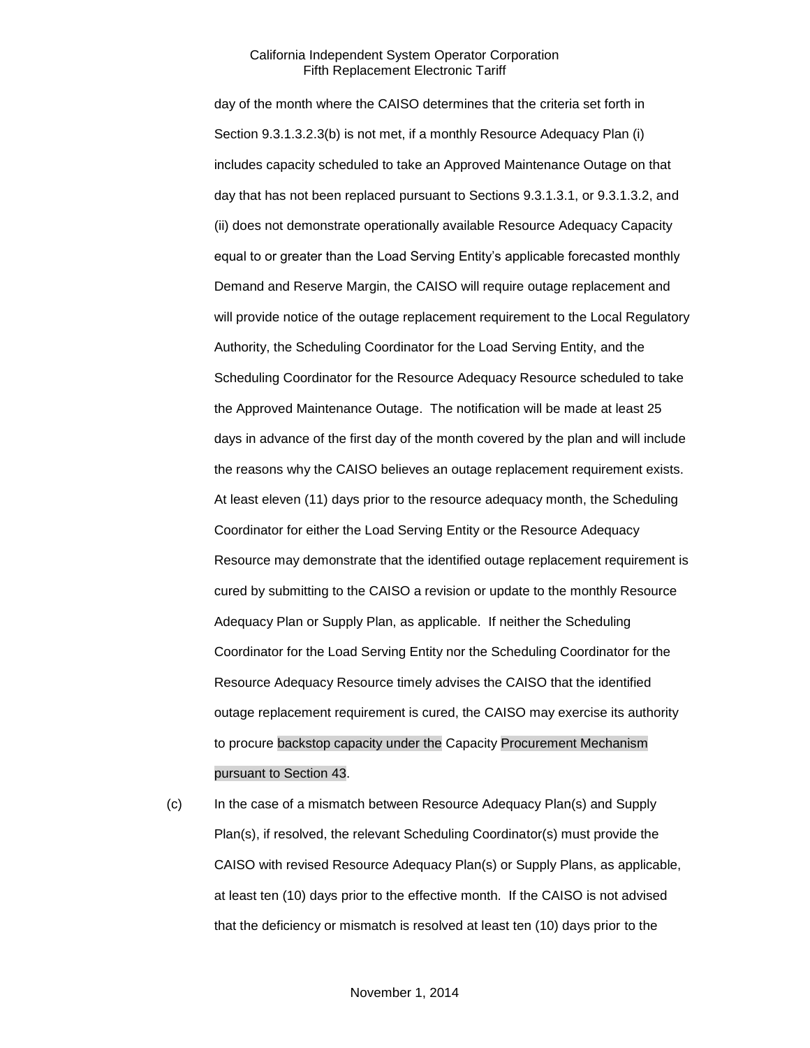day of the month where the CAISO determines that the criteria set forth in Section 9.3.1.3.2.3(b) is not met, if a monthly Resource Adequacy Plan (i) includes capacity scheduled to take an Approved Maintenance Outage on that day that has not been replaced pursuant to Sections 9.3.1.3.1, or 9.3.1.3.2, and (ii) does not demonstrate operationally available Resource Adequacy Capacity equal to or greater than the Load Serving Entity's applicable forecasted monthly Demand and Reserve Margin, the CAISO will require outage replacement and will provide notice of the outage replacement requirement to the Local Regulatory Authority, the Scheduling Coordinator for the Load Serving Entity, and the Scheduling Coordinator for the Resource Adequacy Resource scheduled to take the Approved Maintenance Outage. The notification will be made at least 25 days in advance of the first day of the month covered by the plan and will include the reasons why the CAISO believes an outage replacement requirement exists. At least eleven (11) days prior to the resource adequacy month, the Scheduling Coordinator for either the Load Serving Entity or the Resource Adequacy Resource may demonstrate that the identified outage replacement requirement is cured by submitting to the CAISO a revision or update to the monthly Resource Adequacy Plan or Supply Plan, as applicable. If neither the Scheduling Coordinator for the Load Serving Entity nor the Scheduling Coordinator for the Resource Adequacy Resource timely advises the CAISO that the identified outage replacement requirement is cured, the CAISO may exercise its authority to procure backstop capacity under the Capacity Procurement Mechanism pursuant to Section 43.

(c) In the case of a mismatch between Resource Adequacy Plan(s) and Supply Plan(s), if resolved, the relevant Scheduling Coordinator(s) must provide the CAISO with revised Resource Adequacy Plan(s) or Supply Plans, as applicable, at least ten (10) days prior to the effective month. If the CAISO is not advised that the deficiency or mismatch is resolved at least ten (10) days prior to the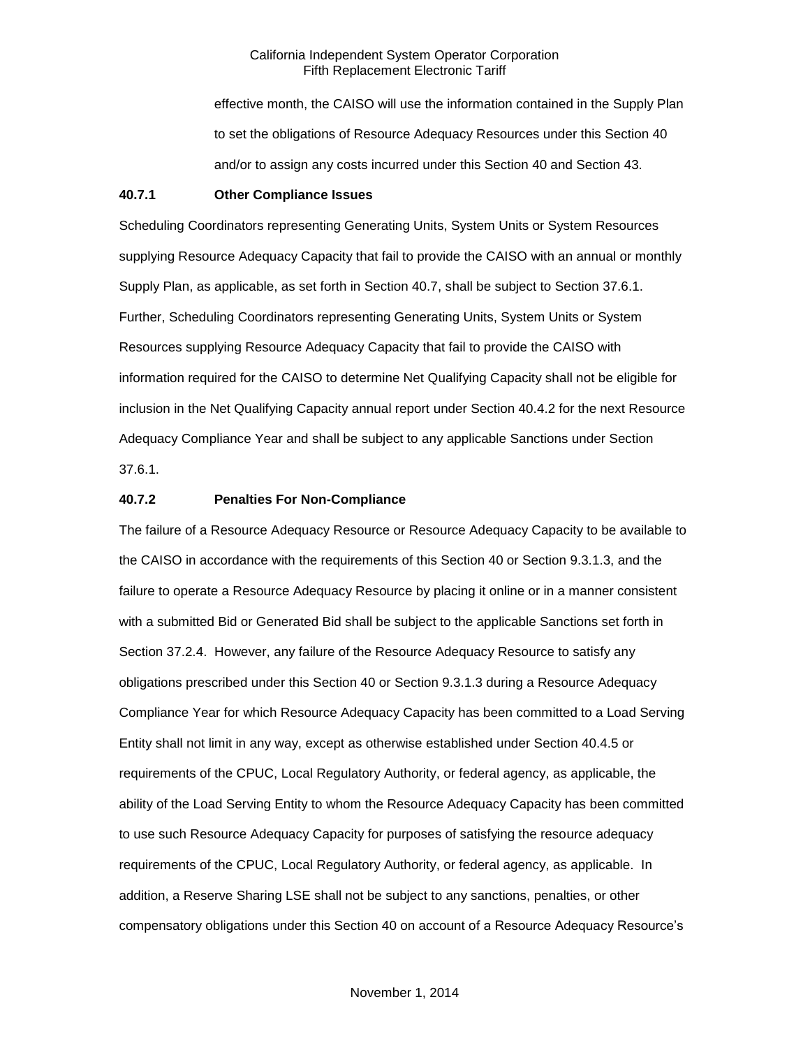effective month, the CAISO will use the information contained in the Supply Plan to set the obligations of Resource Adequacy Resources under this Section 40 and/or to assign any costs incurred under this Section 40 and Section 43.

#### **40.7.1 Other Compliance Issues**

Scheduling Coordinators representing Generating Units, System Units or System Resources supplying Resource Adequacy Capacity that fail to provide the CAISO with an annual or monthly Supply Plan, as applicable, as set forth in Section 40.7, shall be subject to Section 37.6.1. Further, Scheduling Coordinators representing Generating Units, System Units or System Resources supplying Resource Adequacy Capacity that fail to provide the CAISO with information required for the CAISO to determine Net Qualifying Capacity shall not be eligible for inclusion in the Net Qualifying Capacity annual report under Section 40.4.2 for the next Resource Adequacy Compliance Year and shall be subject to any applicable Sanctions under Section 37.6.1.

# **40.7.2 Penalties For Non-Compliance**

The failure of a Resource Adequacy Resource or Resource Adequacy Capacity to be available to the CAISO in accordance with the requirements of this Section 40 or Section 9.3.1.3, and the failure to operate a Resource Adequacy Resource by placing it online or in a manner consistent with a submitted Bid or Generated Bid shall be subject to the applicable Sanctions set forth in Section 37.2.4. However, any failure of the Resource Adequacy Resource to satisfy any obligations prescribed under this Section 40 or Section 9.3.1.3 during a Resource Adequacy Compliance Year for which Resource Adequacy Capacity has been committed to a Load Serving Entity shall not limit in any way, except as otherwise established under Section 40.4.5 or requirements of the CPUC, Local Regulatory Authority, or federal agency, as applicable, the ability of the Load Serving Entity to whom the Resource Adequacy Capacity has been committed to use such Resource Adequacy Capacity for purposes of satisfying the resource adequacy requirements of the CPUC, Local Regulatory Authority, or federal agency, as applicable. In addition, a Reserve Sharing LSE shall not be subject to any sanctions, penalties, or other compensatory obligations under this Section 40 on account of a Resource Adequacy Resource's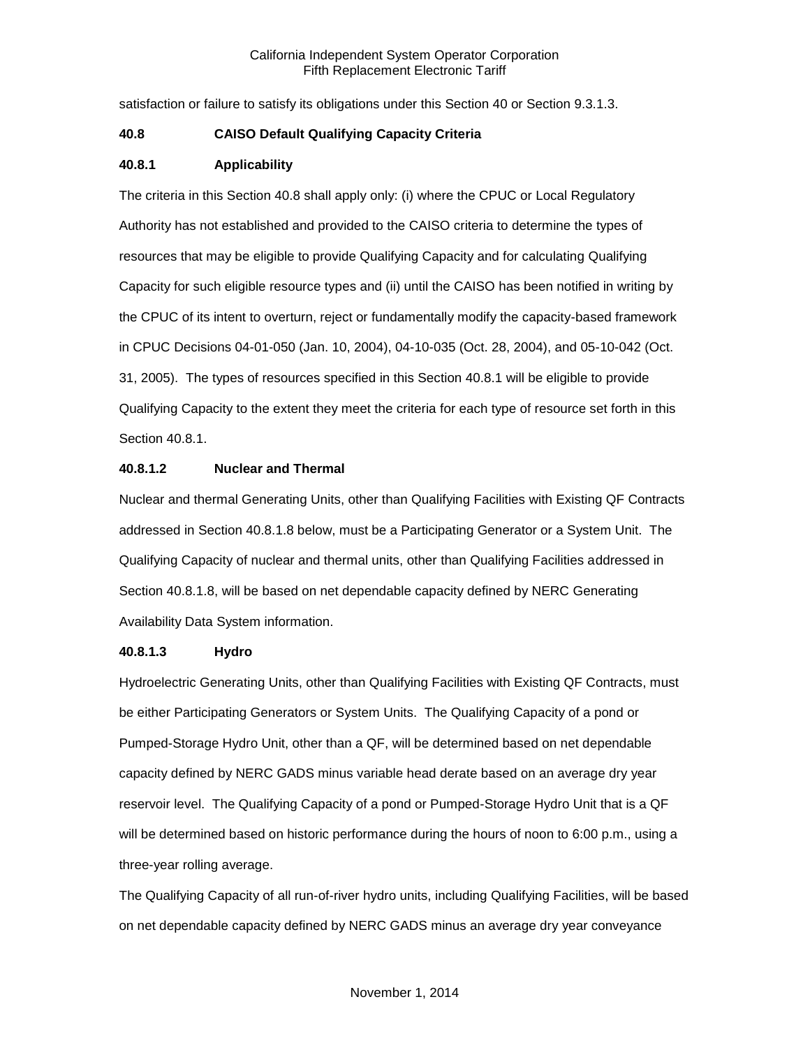satisfaction or failure to satisfy its obligations under this Section 40 or Section 9.3.1.3.

# **40.8 CAISO Default Qualifying Capacity Criteria**

# **40.8.1 Applicability**

The criteria in this Section 40.8 shall apply only: (i) where the CPUC or Local Regulatory Authority has not established and provided to the CAISO criteria to determine the types of resources that may be eligible to provide Qualifying Capacity and for calculating Qualifying Capacity for such eligible resource types and (ii) until the CAISO has been notified in writing by the CPUC of its intent to overturn, reject or fundamentally modify the capacity-based framework in CPUC Decisions 04-01-050 (Jan. 10, 2004), 04-10-035 (Oct. 28, 2004), and 05-10-042 (Oct. 31, 2005). The types of resources specified in this Section 40.8.1 will be eligible to provide Qualifying Capacity to the extent they meet the criteria for each type of resource set forth in this Section 40.8.1.

# **40.8.1.2 Nuclear and Thermal**

Nuclear and thermal Generating Units, other than Qualifying Facilities with Existing QF Contracts addressed in Section 40.8.1.8 below, must be a Participating Generator or a System Unit. The Qualifying Capacity of nuclear and thermal units, other than Qualifying Facilities addressed in Section 40.8.1.8, will be based on net dependable capacity defined by NERC Generating Availability Data System information.

# **40.8.1.3 Hydro**

Hydroelectric Generating Units, other than Qualifying Facilities with Existing QF Contracts, must be either Participating Generators or System Units. The Qualifying Capacity of a pond or Pumped-Storage Hydro Unit, other than a QF, will be determined based on net dependable capacity defined by NERC GADS minus variable head derate based on an average dry year reservoir level. The Qualifying Capacity of a pond or Pumped-Storage Hydro Unit that is a QF will be determined based on historic performance during the hours of noon to 6:00 p.m., using a three-year rolling average.

The Qualifying Capacity of all run-of-river hydro units, including Qualifying Facilities, will be based on net dependable capacity defined by NERC GADS minus an average dry year conveyance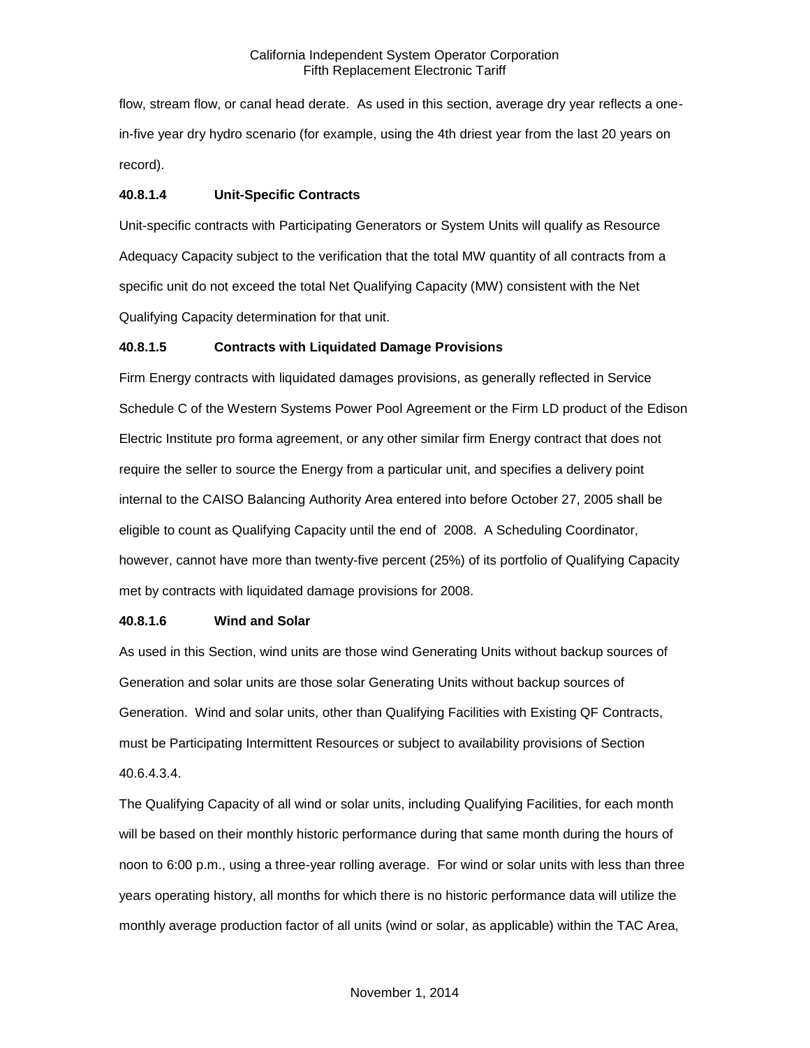flow, stream flow, or canal head derate. As used in this section, average dry year reflects a onein-five year dry hydro scenario (for example, using the 4th driest year from the last 20 years on record).

# **40.8.1.4 Unit-Specific Contracts**

Unit-specific contracts with Participating Generators or System Units will qualify as Resource Adequacy Capacity subject to the verification that the total MW quantity of all contracts from a specific unit do not exceed the total Net Qualifying Capacity (MW) consistent with the Net Qualifying Capacity determination for that unit.

# **40.8.1.5 Contracts with Liquidated Damage Provisions**

Firm Energy contracts with liquidated damages provisions, as generally reflected in Service Schedule C of the Western Systems Power Pool Agreement or the Firm LD product of the Edison Electric Institute pro forma agreement, or any other similar firm Energy contract that does not require the seller to source the Energy from a particular unit, and specifies a delivery point internal to the CAISO Balancing Authority Area entered into before October 27, 2005 shall be eligible to count as Qualifying Capacity until the end of 2008. A Scheduling Coordinator, however, cannot have more than twenty-five percent (25%) of its portfolio of Qualifying Capacity met by contracts with liquidated damage provisions for 2008.

# **40.8.1.6 Wind and Solar**

As used in this Section, wind units are those wind Generating Units without backup sources of Generation and solar units are those solar Generating Units without backup sources of Generation. Wind and solar units, other than Qualifying Facilities with Existing QF Contracts, must be Participating Intermittent Resources or subject to availability provisions of Section 40.6.4.3.4.

The Qualifying Capacity of all wind or solar units, including Qualifying Facilities, for each month will be based on their monthly historic performance during that same month during the hours of noon to 6:00 p.m., using a three-year rolling average. For wind or solar units with less than three years operating history, all months for which there is no historic performance data will utilize the monthly average production factor of all units (wind or solar, as applicable) within the TAC Area,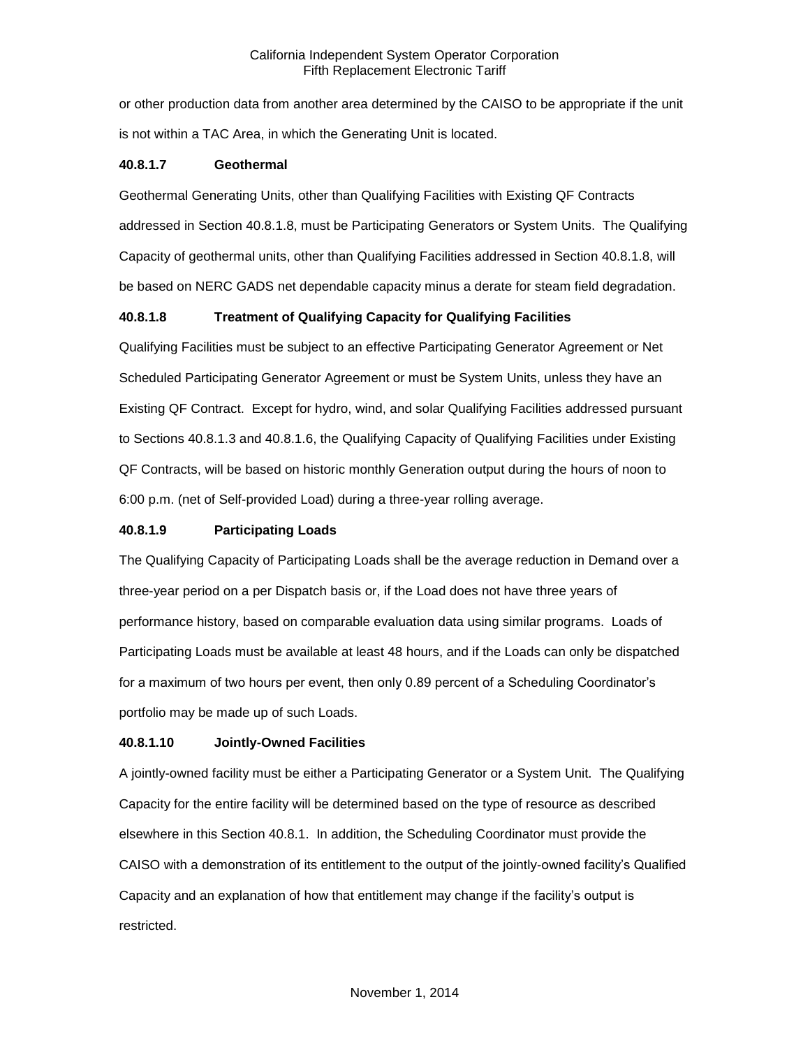or other production data from another area determined by the CAISO to be appropriate if the unit is not within a TAC Area, in which the Generating Unit is located.

#### **40.8.1.7 Geothermal**

Geothermal Generating Units, other than Qualifying Facilities with Existing QF Contracts addressed in Section 40.8.1.8, must be Participating Generators or System Units. The Qualifying Capacity of geothermal units, other than Qualifying Facilities addressed in Section 40.8.1.8, will be based on NERC GADS net dependable capacity minus a derate for steam field degradation.

# **40.8.1.8 Treatment of Qualifying Capacity for Qualifying Facilities**

Qualifying Facilities must be subject to an effective Participating Generator Agreement or Net Scheduled Participating Generator Agreement or must be System Units, unless they have an Existing QF Contract. Except for hydro, wind, and solar Qualifying Facilities addressed pursuant to Sections 40.8.1.3 and 40.8.1.6, the Qualifying Capacity of Qualifying Facilities under Existing QF Contracts, will be based on historic monthly Generation output during the hours of noon to 6:00 p.m. (net of Self-provided Load) during a three-year rolling average.

# **40.8.1.9 Participating Loads**

The Qualifying Capacity of Participating Loads shall be the average reduction in Demand over a three-year period on a per Dispatch basis or, if the Load does not have three years of performance history, based on comparable evaluation data using similar programs. Loads of Participating Loads must be available at least 48 hours, and if the Loads can only be dispatched for a maximum of two hours per event, then only 0.89 percent of a Scheduling Coordinator's portfolio may be made up of such Loads.

# **40.8.1.10 Jointly-Owned Facilities**

A jointly-owned facility must be either a Participating Generator or a System Unit. The Qualifying Capacity for the entire facility will be determined based on the type of resource as described elsewhere in this Section 40.8.1. In addition, the Scheduling Coordinator must provide the CAISO with a demonstration of its entitlement to the output of the jointly-owned facility's Qualified Capacity and an explanation of how that entitlement may change if the facility's output is restricted.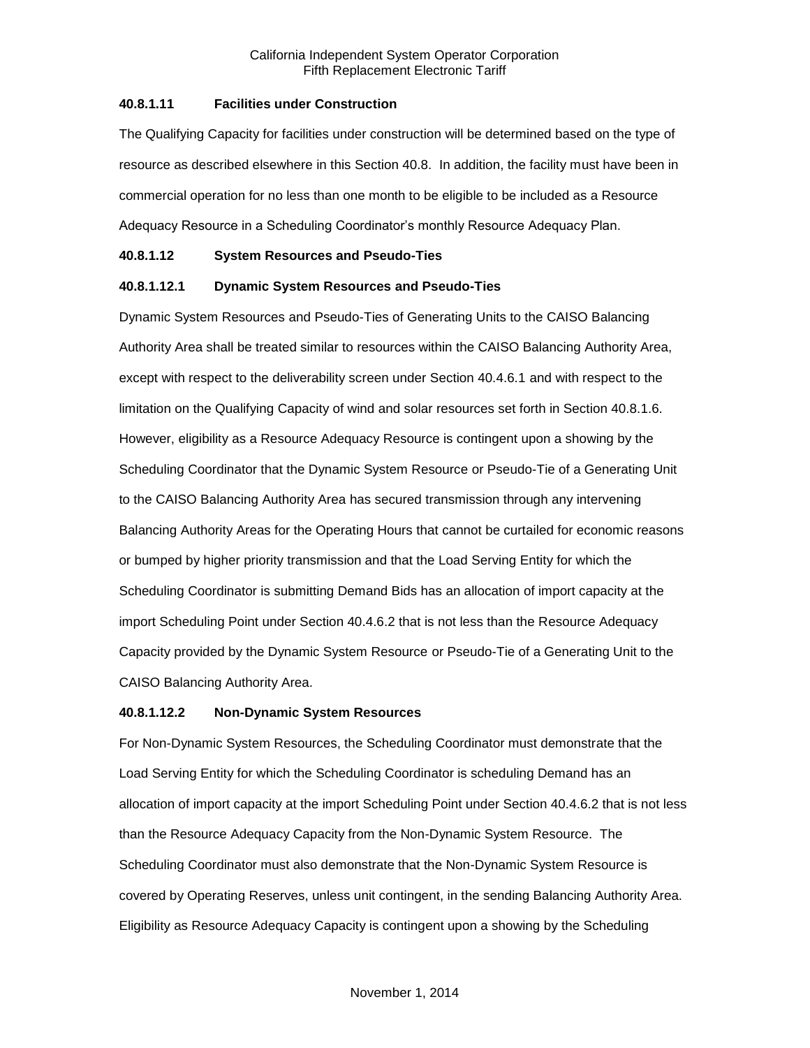# **40.8.1.11 Facilities under Construction**

The Qualifying Capacity for facilities under construction will be determined based on the type of resource as described elsewhere in this Section 40.8. In addition, the facility must have been in commercial operation for no less than one month to be eligible to be included as a Resource Adequacy Resource in a Scheduling Coordinator's monthly Resource Adequacy Plan.

#### **40.8.1.12 System Resources and Pseudo-Ties**

# **40.8.1.12.1 Dynamic System Resources and Pseudo-Ties**

Dynamic System Resources and Pseudo-Ties of Generating Units to the CAISO Balancing Authority Area shall be treated similar to resources within the CAISO Balancing Authority Area, except with respect to the deliverability screen under Section 40.4.6.1 and with respect to the limitation on the Qualifying Capacity of wind and solar resources set forth in Section 40.8.1.6. However, eligibility as a Resource Adequacy Resource is contingent upon a showing by the Scheduling Coordinator that the Dynamic System Resource or Pseudo-Tie of a Generating Unit to the CAISO Balancing Authority Area has secured transmission through any intervening Balancing Authority Areas for the Operating Hours that cannot be curtailed for economic reasons or bumped by higher priority transmission and that the Load Serving Entity for which the Scheduling Coordinator is submitting Demand Bids has an allocation of import capacity at the import Scheduling Point under Section 40.4.6.2 that is not less than the Resource Adequacy Capacity provided by the Dynamic System Resource or Pseudo-Tie of a Generating Unit to the CAISO Balancing Authority Area.

# **40.8.1.12.2 Non-Dynamic System Resources**

For Non-Dynamic System Resources, the Scheduling Coordinator must demonstrate that the Load Serving Entity for which the Scheduling Coordinator is scheduling Demand has an allocation of import capacity at the import Scheduling Point under Section 40.4.6.2 that is not less than the Resource Adequacy Capacity from the Non-Dynamic System Resource. The Scheduling Coordinator must also demonstrate that the Non-Dynamic System Resource is covered by Operating Reserves, unless unit contingent, in the sending Balancing Authority Area. Eligibility as Resource Adequacy Capacity is contingent upon a showing by the Scheduling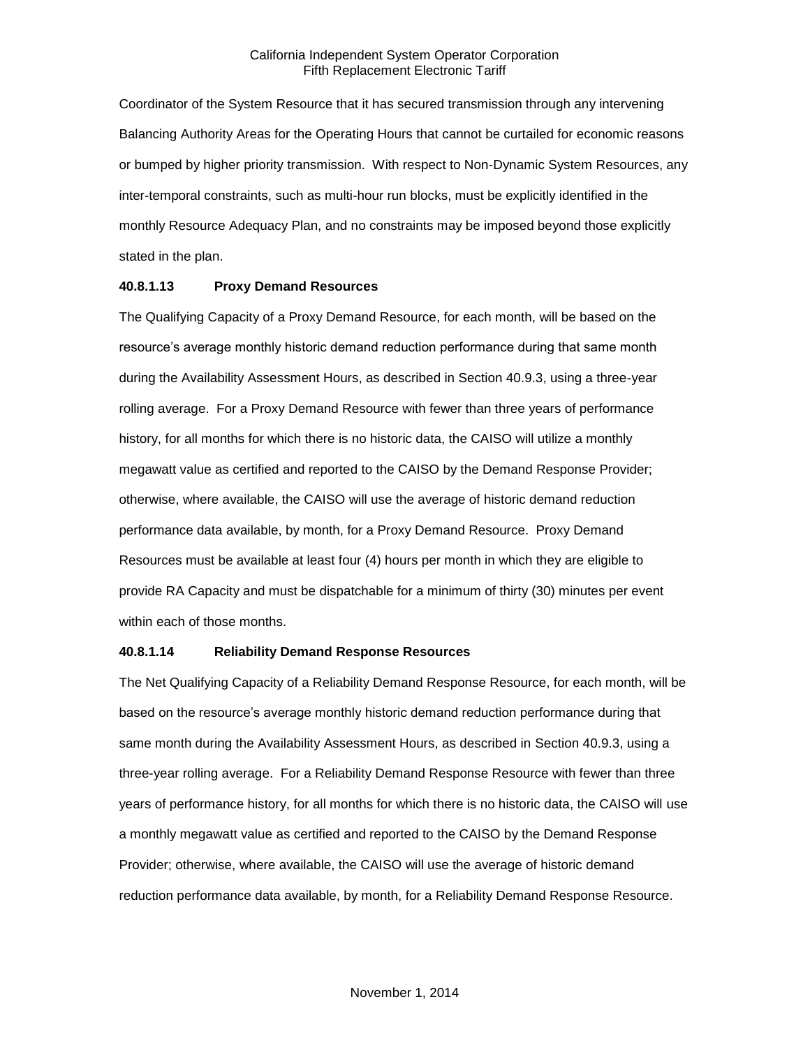Coordinator of the System Resource that it has secured transmission through any intervening Balancing Authority Areas for the Operating Hours that cannot be curtailed for economic reasons or bumped by higher priority transmission. With respect to Non-Dynamic System Resources, any inter-temporal constraints, such as multi-hour run blocks, must be explicitly identified in the monthly Resource Adequacy Plan, and no constraints may be imposed beyond those explicitly stated in the plan.

#### **40.8.1.13 Proxy Demand Resources**

The Qualifying Capacity of a Proxy Demand Resource, for each month, will be based on the resource's average monthly historic demand reduction performance during that same month during the Availability Assessment Hours, as described in Section 40.9.3, using a three-year rolling average. For a Proxy Demand Resource with fewer than three years of performance history, for all months for which there is no historic data, the CAISO will utilize a monthly megawatt value as certified and reported to the CAISO by the Demand Response Provider; otherwise, where available, the CAISO will use the average of historic demand reduction performance data available, by month, for a Proxy Demand Resource. Proxy Demand Resources must be available at least four (4) hours per month in which they are eligible to provide RA Capacity and must be dispatchable for a minimum of thirty (30) minutes per event within each of those months.

# **40.8.1.14 Reliability Demand Response Resources**

The Net Qualifying Capacity of a Reliability Demand Response Resource, for each month, will be based on the resource's average monthly historic demand reduction performance during that same month during the Availability Assessment Hours, as described in Section 40.9.3, using a three-year rolling average. For a Reliability Demand Response Resource with fewer than three years of performance history, for all months for which there is no historic data, the CAISO will use a monthly megawatt value as certified and reported to the CAISO by the Demand Response Provider; otherwise, where available, the CAISO will use the average of historic demand reduction performance data available, by month, for a Reliability Demand Response Resource.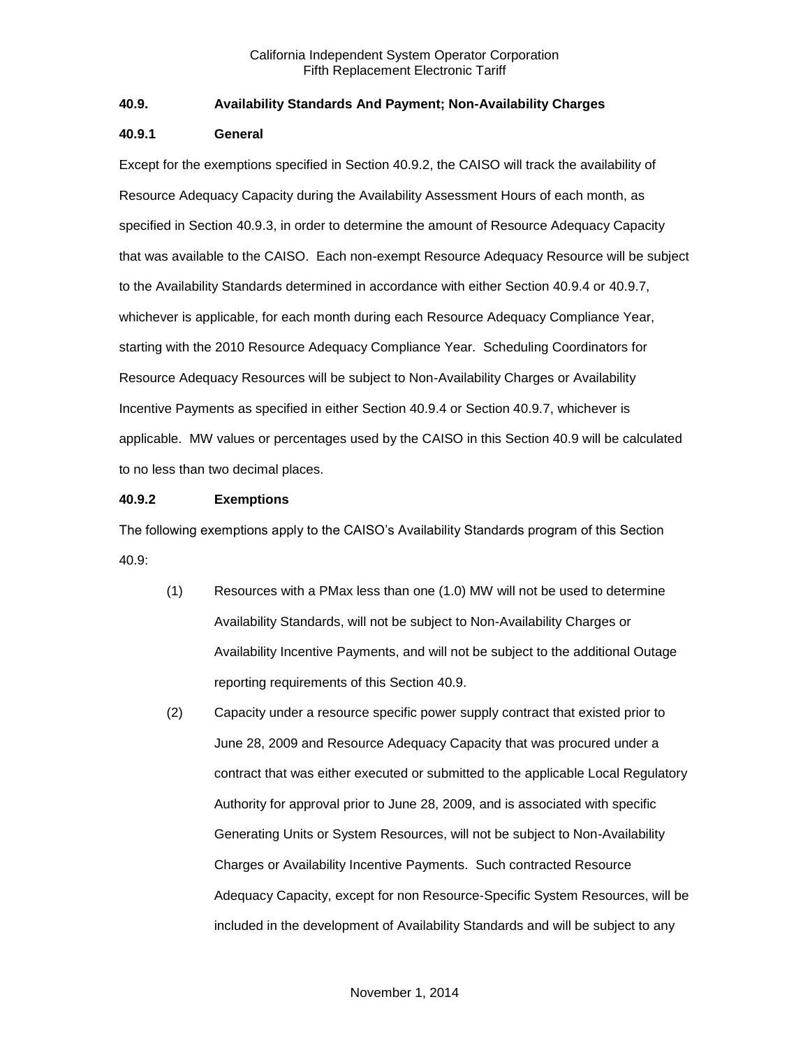# **40.9. Availability Standards And Payment; Non-Availability Charges**

#### **40.9.1 General**

Except for the exemptions specified in Section 40.9.2, the CAISO will track the availability of Resource Adequacy Capacity during the Availability Assessment Hours of each month, as specified in Section 40.9.3, in order to determine the amount of Resource Adequacy Capacity that was available to the CAISO. Each non-exempt Resource Adequacy Resource will be subject to the Availability Standards determined in accordance with either Section 40.9.4 or 40.9.7, whichever is applicable, for each month during each Resource Adequacy Compliance Year, starting with the 2010 Resource Adequacy Compliance Year. Scheduling Coordinators for Resource Adequacy Resources will be subject to Non-Availability Charges or Availability Incentive Payments as specified in either Section 40.9.4 or Section 40.9.7, whichever is applicable. MW values or percentages used by the CAISO in this Section 40.9 will be calculated to no less than two decimal places.

# **40.9.2 Exemptions**

The following exemptions apply to the CAISO's Availability Standards program of this Section 40.9:

- (1) Resources with a PMax less than one (1.0) MW will not be used to determine Availability Standards, will not be subject to Non-Availability Charges or Availability Incentive Payments, and will not be subject to the additional Outage reporting requirements of this Section 40.9.
- (2) Capacity under a resource specific power supply contract that existed prior to June 28, 2009 and Resource Adequacy Capacity that was procured under a contract that was either executed or submitted to the applicable Local Regulatory Authority for approval prior to June 28, 2009, and is associated with specific Generating Units or System Resources, will not be subject to Non-Availability Charges or Availability Incentive Payments. Such contracted Resource Adequacy Capacity, except for non Resource-Specific System Resources, will be included in the development of Availability Standards and will be subject to any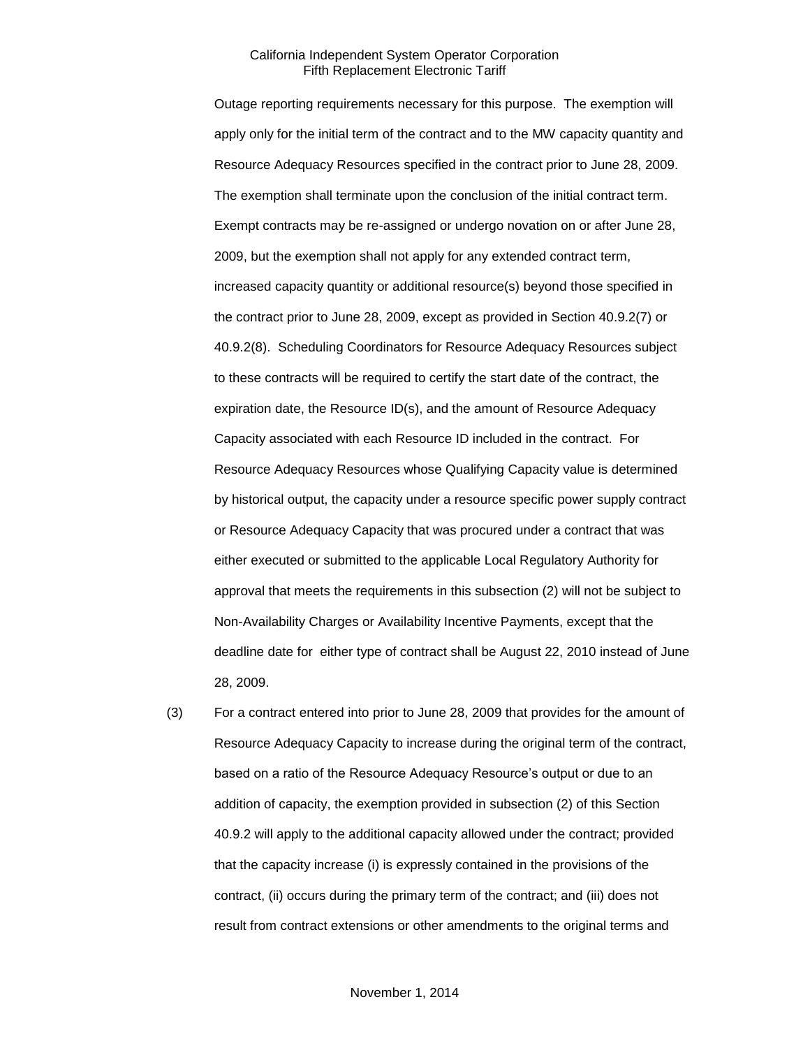Outage reporting requirements necessary for this purpose. The exemption will apply only for the initial term of the contract and to the MW capacity quantity and Resource Adequacy Resources specified in the contract prior to June 28, 2009. The exemption shall terminate upon the conclusion of the initial contract term. Exempt contracts may be re-assigned or undergo novation on or after June 28, 2009, but the exemption shall not apply for any extended contract term, increased capacity quantity or additional resource(s) beyond those specified in the contract prior to June 28, 2009, except as provided in Section 40.9.2(7) or 40.9.2(8). Scheduling Coordinators for Resource Adequacy Resources subject to these contracts will be required to certify the start date of the contract, the expiration date, the Resource ID(s), and the amount of Resource Adequacy Capacity associated with each Resource ID included in the contract. For Resource Adequacy Resources whose Qualifying Capacity value is determined by historical output, the capacity under a resource specific power supply contract or Resource Adequacy Capacity that was procured under a contract that was either executed or submitted to the applicable Local Regulatory Authority for approval that meets the requirements in this subsection (2) will not be subject to Non-Availability Charges or Availability Incentive Payments, except that the deadline date for either type of contract shall be August 22, 2010 instead of June 28, 2009.

(3) For a contract entered into prior to June 28, 2009 that provides for the amount of Resource Adequacy Capacity to increase during the original term of the contract, based on a ratio of the Resource Adequacy Resource's output or due to an addition of capacity, the exemption provided in subsection (2) of this Section 40.9.2 will apply to the additional capacity allowed under the contract; provided that the capacity increase (i) is expressly contained in the provisions of the contract, (ii) occurs during the primary term of the contract; and (iii) does not result from contract extensions or other amendments to the original terms and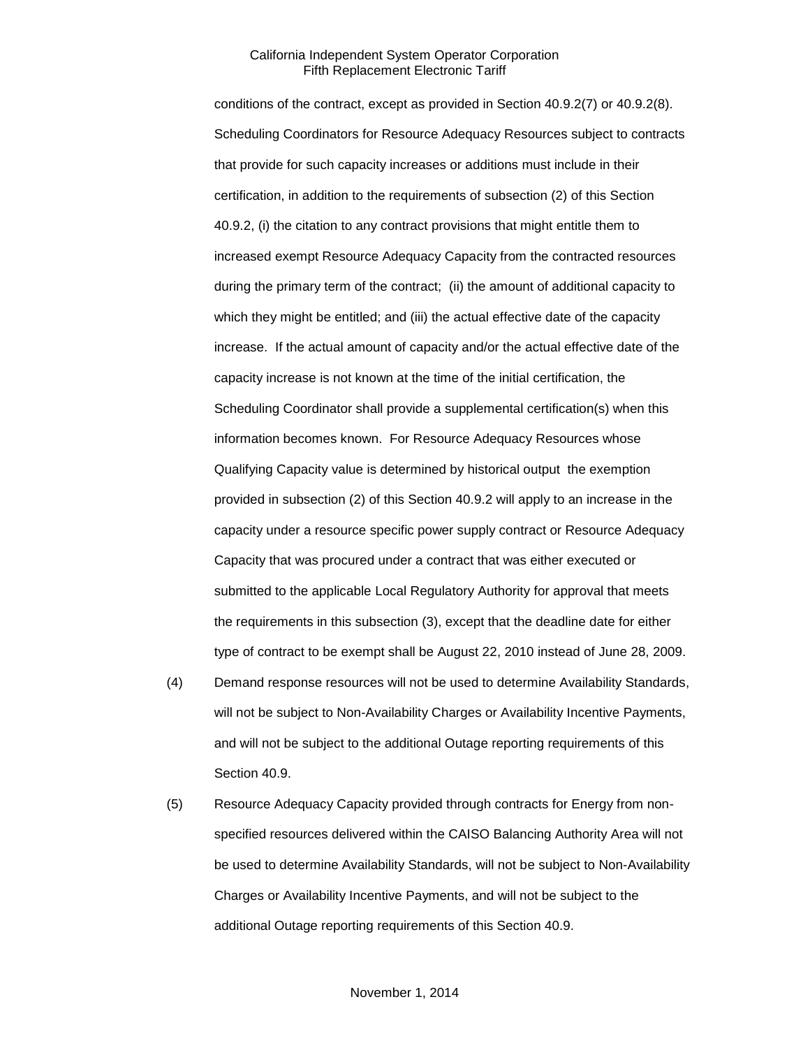conditions of the contract, except as provided in Section 40.9.2(7) or 40.9.2(8). Scheduling Coordinators for Resource Adequacy Resources subject to contracts that provide for such capacity increases or additions must include in their certification, in addition to the requirements of subsection (2) of this Section 40.9.2, (i) the citation to any contract provisions that might entitle them to increased exempt Resource Adequacy Capacity from the contracted resources during the primary term of the contract; (ii) the amount of additional capacity to which they might be entitled; and (iii) the actual effective date of the capacity increase. If the actual amount of capacity and/or the actual effective date of the capacity increase is not known at the time of the initial certification, the Scheduling Coordinator shall provide a supplemental certification(s) when this information becomes known. For Resource Adequacy Resources whose Qualifying Capacity value is determined by historical output the exemption provided in subsection (2) of this Section 40.9.2 will apply to an increase in the capacity under a resource specific power supply contract or Resource Adequacy Capacity that was procured under a contract that was either executed or submitted to the applicable Local Regulatory Authority for approval that meets the requirements in this subsection (3), except that the deadline date for either type of contract to be exempt shall be August 22, 2010 instead of June 28, 2009.

- (4) Demand response resources will not be used to determine Availability Standards, will not be subject to Non-Availability Charges or Availability Incentive Payments, and will not be subject to the additional Outage reporting requirements of this Section 40.9.
- (5) Resource Adequacy Capacity provided through contracts for Energy from nonspecified resources delivered within the CAISO Balancing Authority Area will not be used to determine Availability Standards, will not be subject to Non-Availability Charges or Availability Incentive Payments, and will not be subject to the additional Outage reporting requirements of this Section 40.9.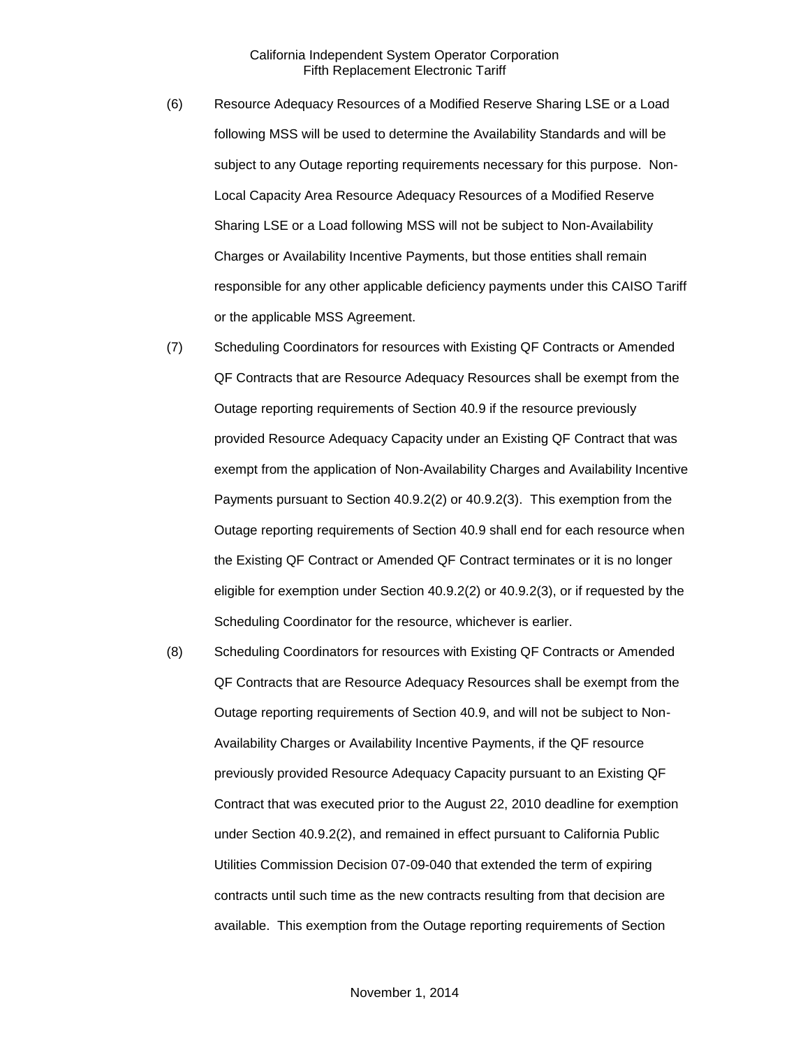- (6) Resource Adequacy Resources of a Modified Reserve Sharing LSE or a Load following MSS will be used to determine the Availability Standards and will be subject to any Outage reporting requirements necessary for this purpose. Non-Local Capacity Area Resource Adequacy Resources of a Modified Reserve Sharing LSE or a Load following MSS will not be subject to Non-Availability Charges or Availability Incentive Payments, but those entities shall remain responsible for any other applicable deficiency payments under this CAISO Tariff or the applicable MSS Agreement.
- (7) Scheduling Coordinators for resources with Existing QF Contracts or Amended QF Contracts that are Resource Adequacy Resources shall be exempt from the Outage reporting requirements of Section 40.9 if the resource previously provided Resource Adequacy Capacity under an Existing QF Contract that was exempt from the application of Non-Availability Charges and Availability Incentive Payments pursuant to Section 40.9.2(2) or 40.9.2(3). This exemption from the Outage reporting requirements of Section 40.9 shall end for each resource when the Existing QF Contract or Amended QF Contract terminates or it is no longer eligible for exemption under Section 40.9.2(2) or 40.9.2(3), or if requested by the Scheduling Coordinator for the resource, whichever is earlier.
- (8) Scheduling Coordinators for resources with Existing QF Contracts or Amended QF Contracts that are Resource Adequacy Resources shall be exempt from the Outage reporting requirements of Section 40.9, and will not be subject to Non-Availability Charges or Availability Incentive Payments, if the QF resource previously provided Resource Adequacy Capacity pursuant to an Existing QF Contract that was executed prior to the August 22, 2010 deadline for exemption under Section 40.9.2(2), and remained in effect pursuant to California Public Utilities Commission Decision 07-09-040 that extended the term of expiring contracts until such time as the new contracts resulting from that decision are available. This exemption from the Outage reporting requirements of Section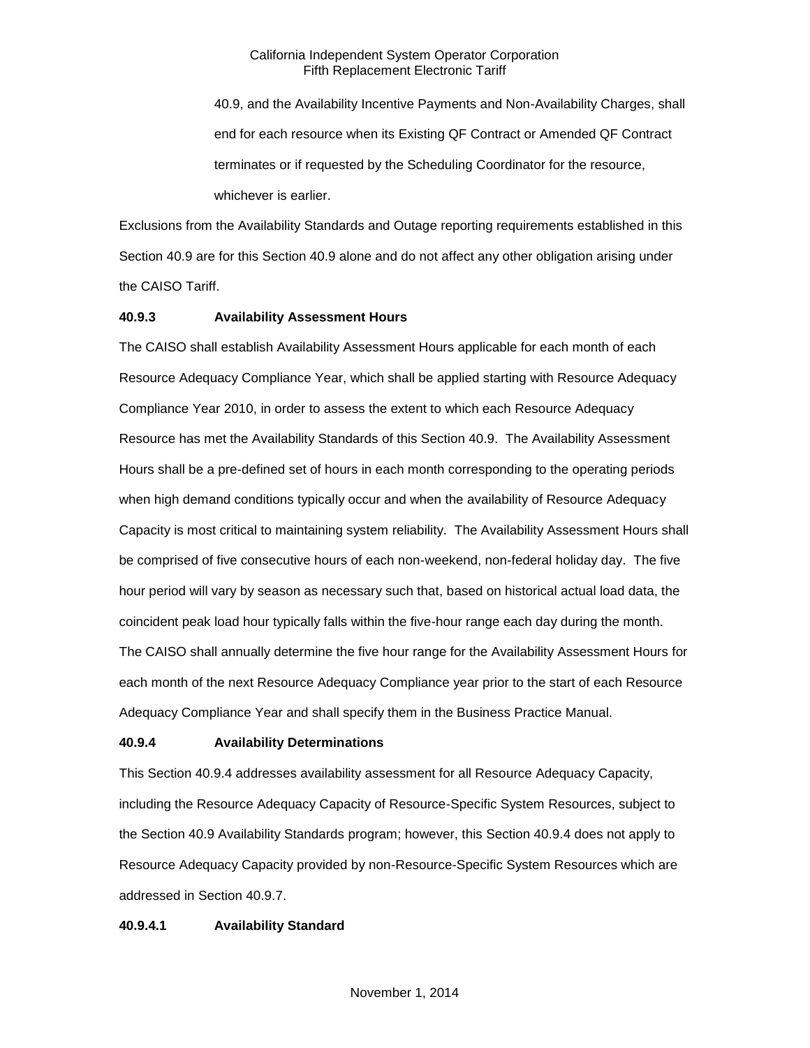40.9, and the Availability Incentive Payments and Non-Availability Charges, shall end for each resource when its Existing QF Contract or Amended QF Contract terminates or if requested by the Scheduling Coordinator for the resource, whichever is earlier.

Exclusions from the Availability Standards and Outage reporting requirements established in this Section 40.9 are for this Section 40.9 alone and do not affect any other obligation arising under the CAISO Tariff.

#### **40.9.3 Availability Assessment Hours**

The CAISO shall establish Availability Assessment Hours applicable for each month of each Resource Adequacy Compliance Year, which shall be applied starting with Resource Adequacy Compliance Year 2010, in order to assess the extent to which each Resource Adequacy Resource has met the Availability Standards of this Section 40.9. The Availability Assessment Hours shall be a pre-defined set of hours in each month corresponding to the operating periods when high demand conditions typically occur and when the availability of Resource Adequacy Capacity is most critical to maintaining system reliability. The Availability Assessment Hours shall be comprised of five consecutive hours of each non-weekend, non-federal holiday day. The five hour period will vary by season as necessary such that, based on historical actual load data, the coincident peak load hour typically falls within the five-hour range each day during the month. The CAISO shall annually determine the five hour range for the Availability Assessment Hours for each month of the next Resource Adequacy Compliance year prior to the start of each Resource Adequacy Compliance Year and shall specify them in the Business Practice Manual.

#### **40.9.4 Availability Determinations**

This Section 40.9.4 addresses availability assessment for all Resource Adequacy Capacity, including the Resource Adequacy Capacity of Resource-Specific System Resources, subject to the Section 40.9 Availability Standards program; however, this Section 40.9.4 does not apply to Resource Adequacy Capacity provided by non-Resource-Specific System Resources which are addressed in Section 40.9.7.

#### **40.9.4.1 Availability Standard**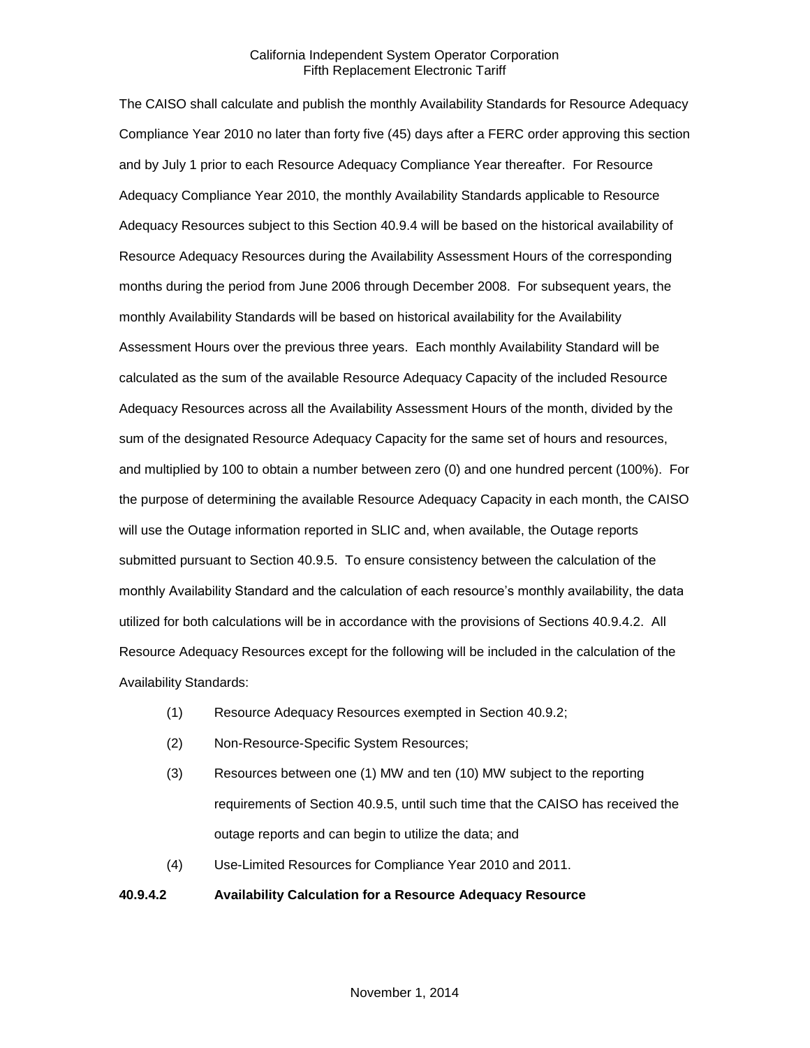The CAISO shall calculate and publish the monthly Availability Standards for Resource Adequacy Compliance Year 2010 no later than forty five (45) days after a FERC order approving this section and by July 1 prior to each Resource Adequacy Compliance Year thereafter. For Resource Adequacy Compliance Year 2010, the monthly Availability Standards applicable to Resource Adequacy Resources subject to this Section 40.9.4 will be based on the historical availability of Resource Adequacy Resources during the Availability Assessment Hours of the corresponding months during the period from June 2006 through December 2008. For subsequent years, the monthly Availability Standards will be based on historical availability for the Availability Assessment Hours over the previous three years. Each monthly Availability Standard will be calculated as the sum of the available Resource Adequacy Capacity of the included Resource Adequacy Resources across all the Availability Assessment Hours of the month, divided by the sum of the designated Resource Adequacy Capacity for the same set of hours and resources, and multiplied by 100 to obtain a number between zero (0) and one hundred percent (100%). For the purpose of determining the available Resource Adequacy Capacity in each month, the CAISO will use the Outage information reported in SLIC and, when available, the Outage reports submitted pursuant to Section 40.9.5. To ensure consistency between the calculation of the monthly Availability Standard and the calculation of each resource's monthly availability, the data utilized for both calculations will be in accordance with the provisions of Sections 40.9.4.2. All Resource Adequacy Resources except for the following will be included in the calculation of the Availability Standards:

- (1) Resource Adequacy Resources exempted in Section 40.9.2;
- (2) Non-Resource-Specific System Resources;
- (3) Resources between one (1) MW and ten (10) MW subject to the reporting requirements of Section 40.9.5, until such time that the CAISO has received the outage reports and can begin to utilize the data; and
- (4) Use-Limited Resources for Compliance Year 2010 and 2011.

## **40.9.4.2 Availability Calculation for a Resource Adequacy Resource**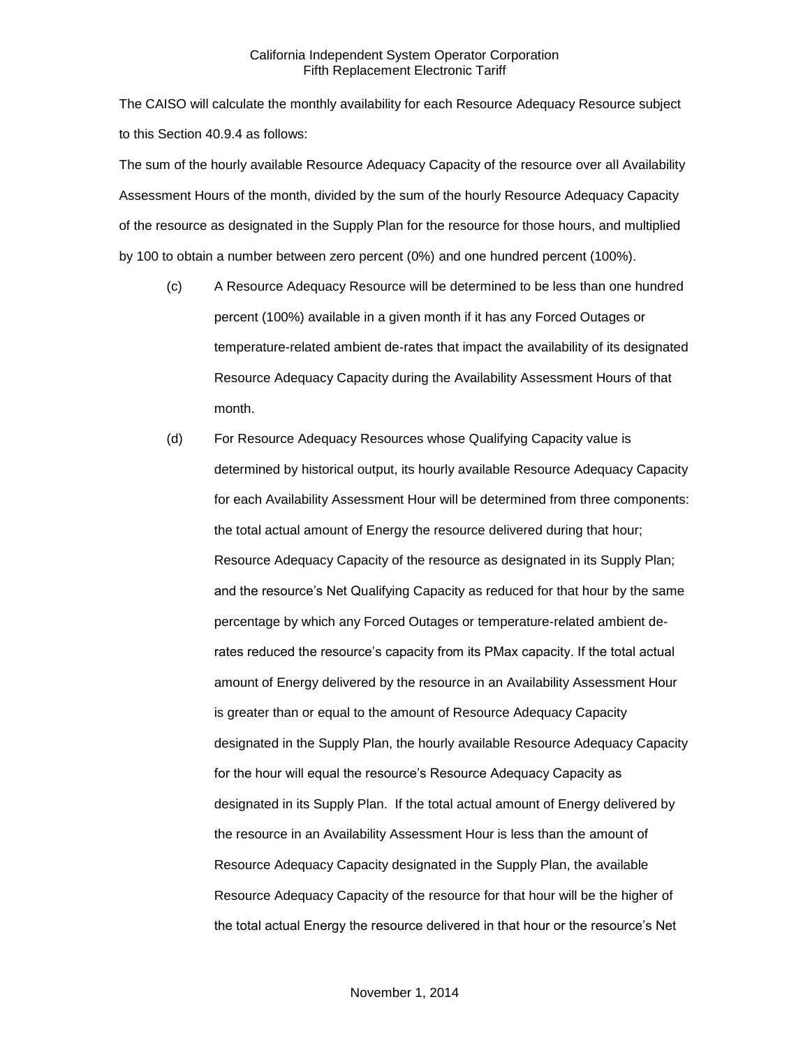The CAISO will calculate the monthly availability for each Resource Adequacy Resource subject to this Section 40.9.4 as follows:

The sum of the hourly available Resource Adequacy Capacity of the resource over all Availability Assessment Hours of the month, divided by the sum of the hourly Resource Adequacy Capacity of the resource as designated in the Supply Plan for the resource for those hours, and multiplied by 100 to obtain a number between zero percent (0%) and one hundred percent (100%).

- (c) A Resource Adequacy Resource will be determined to be less than one hundred percent (100%) available in a given month if it has any Forced Outages or temperature-related ambient de-rates that impact the availability of its designated Resource Adequacy Capacity during the Availability Assessment Hours of that month.
- (d) For Resource Adequacy Resources whose Qualifying Capacity value is determined by historical output, its hourly available Resource Adequacy Capacity for each Availability Assessment Hour will be determined from three components: the total actual amount of Energy the resource delivered during that hour; Resource Adequacy Capacity of the resource as designated in its Supply Plan; and the resource's Net Qualifying Capacity as reduced for that hour by the same percentage by which any Forced Outages or temperature-related ambient derates reduced the resource's capacity from its PMax capacity. If the total actual amount of Energy delivered by the resource in an Availability Assessment Hour is greater than or equal to the amount of Resource Adequacy Capacity designated in the Supply Plan, the hourly available Resource Adequacy Capacity for the hour will equal the resource's Resource Adequacy Capacity as designated in its Supply Plan. If the total actual amount of Energy delivered by the resource in an Availability Assessment Hour is less than the amount of Resource Adequacy Capacity designated in the Supply Plan, the available Resource Adequacy Capacity of the resource for that hour will be the higher of the total actual Energy the resource delivered in that hour or the resource's Net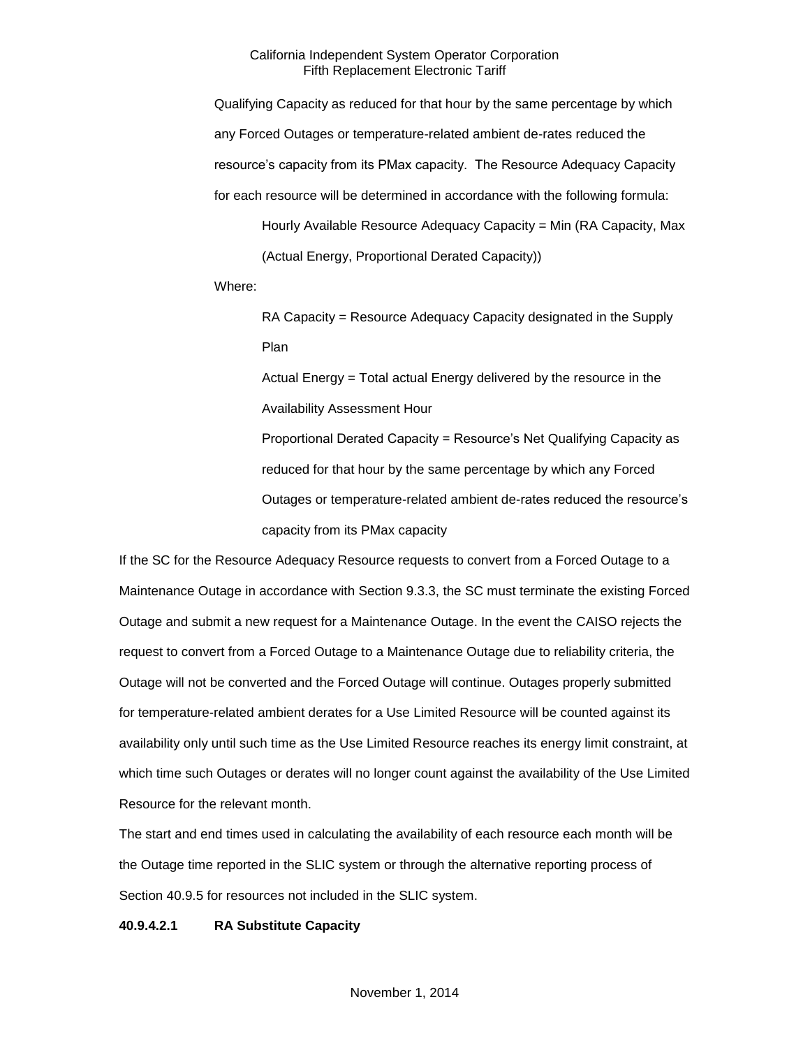Qualifying Capacity as reduced for that hour by the same percentage by which any Forced Outages or temperature-related ambient de-rates reduced the resource's capacity from its PMax capacity. The Resource Adequacy Capacity for each resource will be determined in accordance with the following formula: Hourly Available Resource Adequacy Capacity = Min (RA Capacity, Max

(Actual Energy, Proportional Derated Capacity))

Where:

RA Capacity = Resource Adequacy Capacity designated in the Supply Plan

Actual Energy = Total actual Energy delivered by the resource in the Availability Assessment Hour

Proportional Derated Capacity = Resource's Net Qualifying Capacity as reduced for that hour by the same percentage by which any Forced Outages or temperature-related ambient de-rates reduced the resource's capacity from its PMax capacity

If the SC for the Resource Adequacy Resource requests to convert from a Forced Outage to a Maintenance Outage in accordance with Section 9.3.3, the SC must terminate the existing Forced Outage and submit a new request for a Maintenance Outage. In the event the CAISO rejects the request to convert from a Forced Outage to a Maintenance Outage due to reliability criteria, the Outage will not be converted and the Forced Outage will continue. Outages properly submitted for temperature-related ambient derates for a Use Limited Resource will be counted against its availability only until such time as the Use Limited Resource reaches its energy limit constraint, at which time such Outages or derates will no longer count against the availability of the Use Limited Resource for the relevant month.

The start and end times used in calculating the availability of each resource each month will be the Outage time reported in the SLIC system or through the alternative reporting process of Section 40.9.5 for resources not included in the SLIC system.

#### **40.9.4.2.1 RA Substitute Capacity**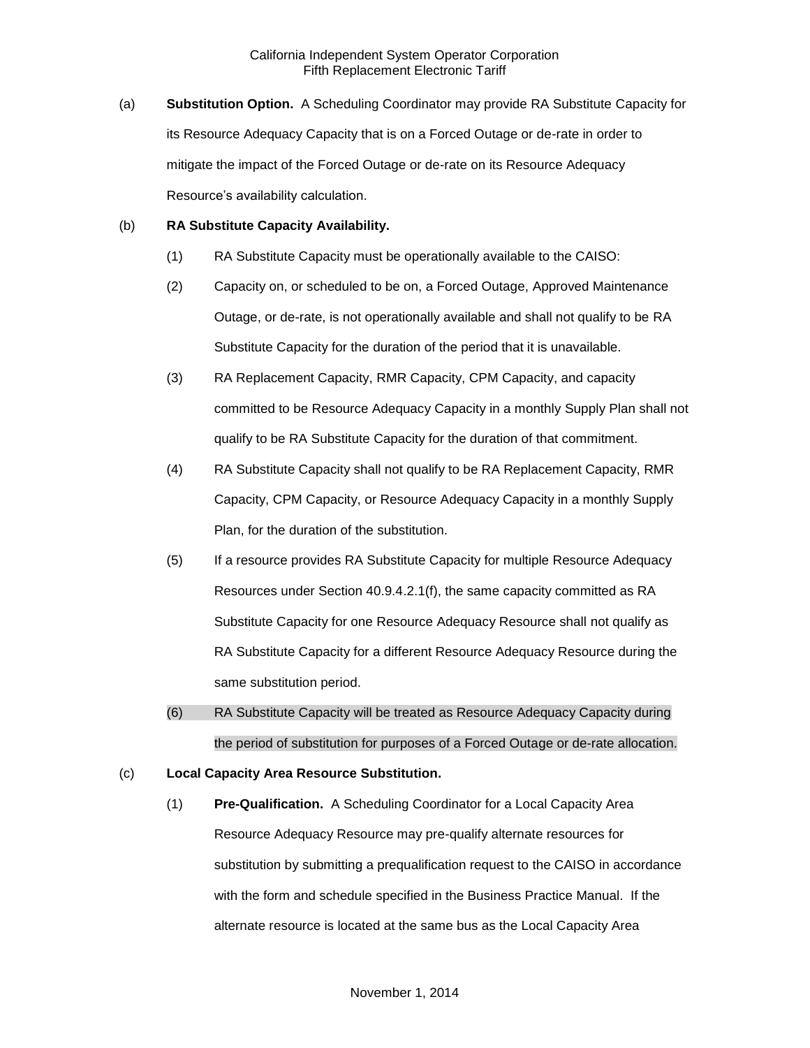(a) **Substitution Option.** A Scheduling Coordinator may provide RA Substitute Capacity for its Resource Adequacy Capacity that is on a Forced Outage or de-rate in order to mitigate the impact of the Forced Outage or de-rate on its Resource Adequacy Resource's availability calculation.

#### (b) **RA Substitute Capacity Availability.**

- (1) RA Substitute Capacity must be operationally available to the CAISO:
- (2) Capacity on, or scheduled to be on, a Forced Outage, Approved Maintenance Outage, or de-rate, is not operationally available and shall not qualify to be RA Substitute Capacity for the duration of the period that it is unavailable.
- (3) RA Replacement Capacity, RMR Capacity, CPM Capacity, and capacity committed to be Resource Adequacy Capacity in a monthly Supply Plan shall not qualify to be RA Substitute Capacity for the duration of that commitment.
- (4) RA Substitute Capacity shall not qualify to be RA Replacement Capacity, RMR Capacity, CPM Capacity, or Resource Adequacy Capacity in a monthly Supply Plan, for the duration of the substitution.
- (5) If a resource provides RA Substitute Capacity for multiple Resource Adequacy Resources under Section 40.9.4.2.1(f), the same capacity committed as RA Substitute Capacity for one Resource Adequacy Resource shall not qualify as RA Substitute Capacity for a different Resource Adequacy Resource during the same substitution period.
- (6) RA Substitute Capacity will be treated as Resource Adequacy Capacity during the period of substitution for purposes of a Forced Outage or de-rate allocation.
- (c) **Local Capacity Area Resource Substitution.**
	- (1) **Pre-Qualification.** A Scheduling Coordinator for a Local Capacity Area Resource Adequacy Resource may pre-qualify alternate resources for substitution by submitting a prequalification request to the CAISO in accordance with the form and schedule specified in the Business Practice Manual. If the alternate resource is located at the same bus as the Local Capacity Area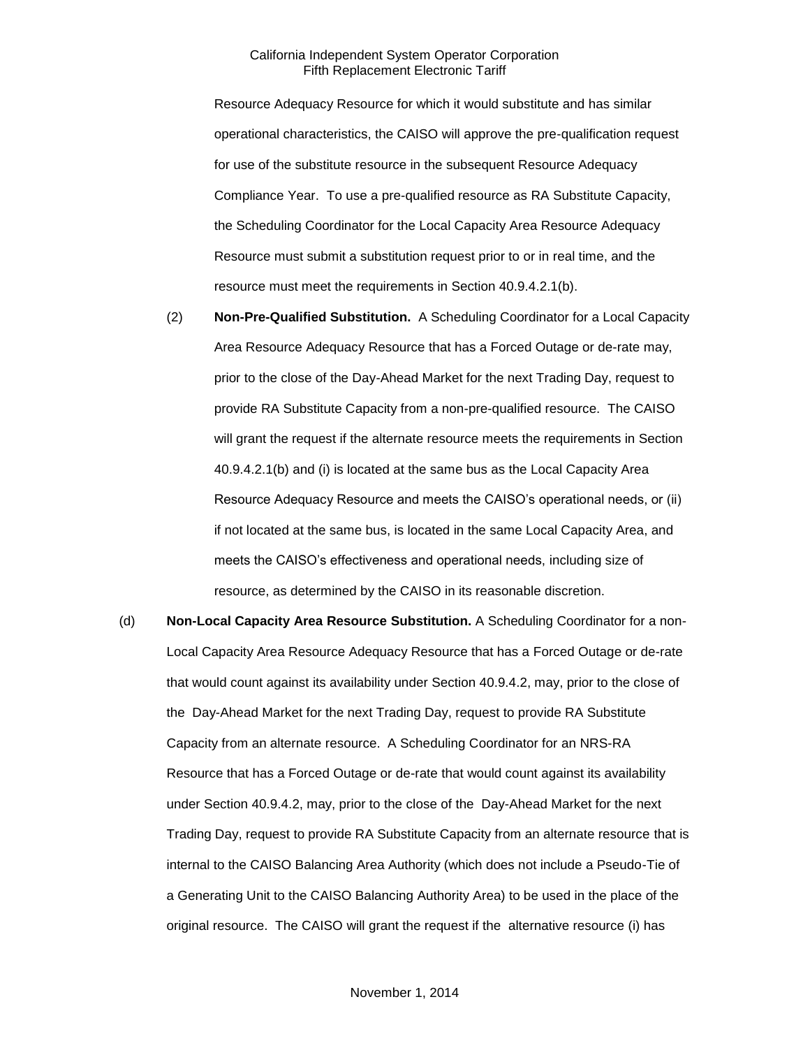Resource Adequacy Resource for which it would substitute and has similar operational characteristics, the CAISO will approve the pre-qualification request for use of the substitute resource in the subsequent Resource Adequacy Compliance Year. To use a pre-qualified resource as RA Substitute Capacity, the Scheduling Coordinator for the Local Capacity Area Resource Adequacy Resource must submit a substitution request prior to or in real time, and the resource must meet the requirements in Section 40.9.4.2.1(b).

- (2) **Non-Pre-Qualified Substitution.** A Scheduling Coordinator for a Local Capacity Area Resource Adequacy Resource that has a Forced Outage or de-rate may, prior to the close of the Day-Ahead Market for the next Trading Day, request to provide RA Substitute Capacity from a non-pre-qualified resource. The CAISO will grant the request if the alternate resource meets the requirements in Section 40.9.4.2.1(b) and (i) is located at the same bus as the Local Capacity Area Resource Adequacy Resource and meets the CAISO's operational needs, or (ii) if not located at the same bus, is located in the same Local Capacity Area, and meets the CAISO's effectiveness and operational needs, including size of resource, as determined by the CAISO in its reasonable discretion.
- (d) **Non-Local Capacity Area Resource Substitution.** A Scheduling Coordinator for a non-Local Capacity Area Resource Adequacy Resource that has a Forced Outage or de-rate that would count against its availability under Section 40.9.4.2, may, prior to the close of the Day-Ahead Market for the next Trading Day, request to provide RA Substitute Capacity from an alternate resource. A Scheduling Coordinator for an NRS-RA Resource that has a Forced Outage or de-rate that would count against its availability under Section 40.9.4.2, may, prior to the close of the Day-Ahead Market for the next Trading Day, request to provide RA Substitute Capacity from an alternate resource that is internal to the CAISO Balancing Area Authority (which does not include a Pseudo-Tie of a Generating Unit to the CAISO Balancing Authority Area) to be used in the place of the original resource. The CAISO will grant the request if the alternative resource (i) has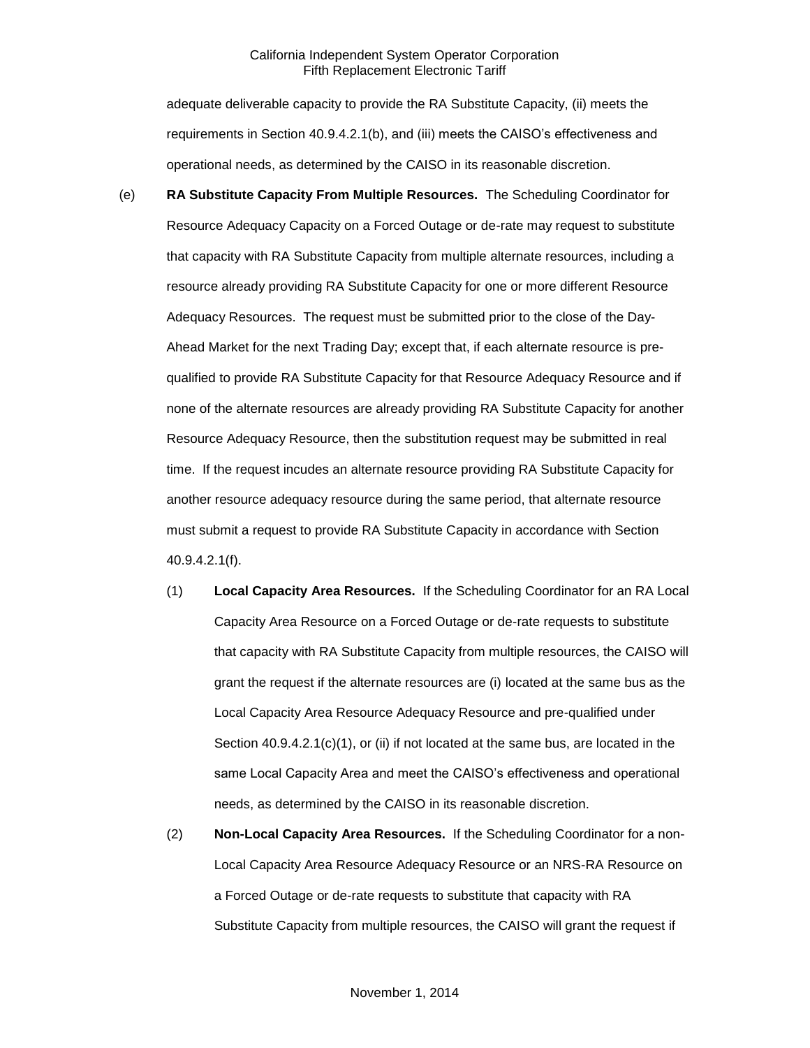adequate deliverable capacity to provide the RA Substitute Capacity, (ii) meets the requirements in Section 40.9.4.2.1(b), and (iii) meets the CAISO's effectiveness and operational needs, as determined by the CAISO in its reasonable discretion.

- (e) **RA Substitute Capacity From Multiple Resources.** The Scheduling Coordinator for Resource Adequacy Capacity on a Forced Outage or de-rate may request to substitute that capacity with RA Substitute Capacity from multiple alternate resources, including a resource already providing RA Substitute Capacity for one or more different Resource Adequacy Resources. The request must be submitted prior to the close of the Day-Ahead Market for the next Trading Day; except that, if each alternate resource is prequalified to provide RA Substitute Capacity for that Resource Adequacy Resource and if none of the alternate resources are already providing RA Substitute Capacity for another Resource Adequacy Resource, then the substitution request may be submitted in real time. If the request incudes an alternate resource providing RA Substitute Capacity for another resource adequacy resource during the same period, that alternate resource must submit a request to provide RA Substitute Capacity in accordance with Section 40.9.4.2.1(f).
	- (1) **Local Capacity Area Resources.** If the Scheduling Coordinator for an RA Local Capacity Area Resource on a Forced Outage or de-rate requests to substitute that capacity with RA Substitute Capacity from multiple resources, the CAISO will grant the request if the alternate resources are (i) located at the same bus as the Local Capacity Area Resource Adequacy Resource and pre-qualified under Section 40.9.4.2.1(c)(1), or (ii) if not located at the same bus, are located in the same Local Capacity Area and meet the CAISO's effectiveness and operational needs, as determined by the CAISO in its reasonable discretion.
	- (2) **Non-Local Capacity Area Resources.** If the Scheduling Coordinator for a non-Local Capacity Area Resource Adequacy Resource or an NRS-RA Resource on a Forced Outage or de-rate requests to substitute that capacity with RA Substitute Capacity from multiple resources, the CAISO will grant the request if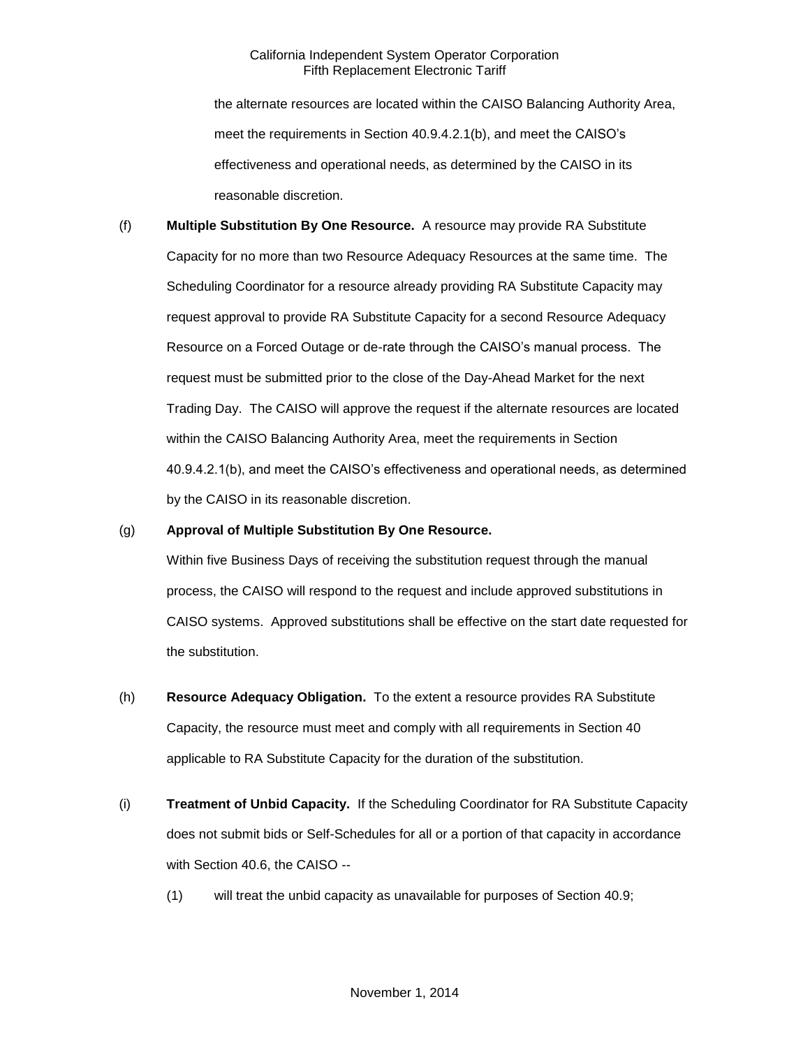the alternate resources are located within the CAISO Balancing Authority Area, meet the requirements in Section 40.9.4.2.1(b), and meet the CAISO's effectiveness and operational needs, as determined by the CAISO in its reasonable discretion.

(f) **Multiple Substitution By One Resource.** A resource may provide RA Substitute Capacity for no more than two Resource Adequacy Resources at the same time. The Scheduling Coordinator for a resource already providing RA Substitute Capacity may request approval to provide RA Substitute Capacity for a second Resource Adequacy Resource on a Forced Outage or de-rate through the CAISO's manual process. The request must be submitted prior to the close of the Day-Ahead Market for the next Trading Day. The CAISO will approve the request if the alternate resources are located within the CAISO Balancing Authority Area, meet the requirements in Section 40.9.4.2.1(b), and meet the CAISO's effectiveness and operational needs, as determined by the CAISO in its reasonable discretion.

#### (g) **Approval of Multiple Substitution By One Resource.**

Within five Business Days of receiving the substitution request through the manual process, the CAISO will respond to the request and include approved substitutions in CAISO systems. Approved substitutions shall be effective on the start date requested for the substitution.

- (h) **Resource Adequacy Obligation.** To the extent a resource provides RA Substitute Capacity, the resource must meet and comply with all requirements in Section 40 applicable to RA Substitute Capacity for the duration of the substitution.
- (i) **Treatment of Unbid Capacity.** If the Scheduling Coordinator for RA Substitute Capacity does not submit bids or Self-Schedules for all or a portion of that capacity in accordance with Section 40.6, the CAISO --
	- (1) will treat the unbid capacity as unavailable for purposes of Section 40.9;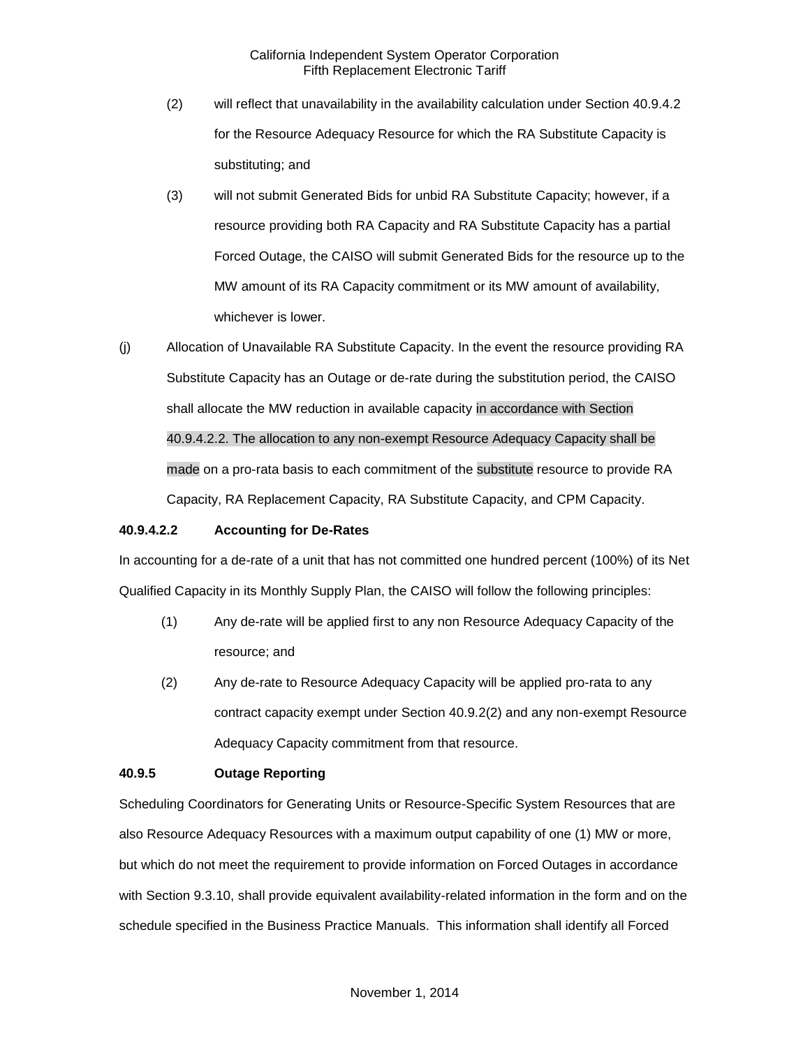- (2) will reflect that unavailability in the availability calculation under Section 40.9.4.2 for the Resource Adequacy Resource for which the RA Substitute Capacity is substituting; and
- (3) will not submit Generated Bids for unbid RA Substitute Capacity; however, if a resource providing both RA Capacity and RA Substitute Capacity has a partial Forced Outage, the CAISO will submit Generated Bids for the resource up to the MW amount of its RA Capacity commitment or its MW amount of availability, whichever is lower.
- (j) Allocation of Unavailable RA Substitute Capacity. In the event the resource providing RA Substitute Capacity has an Outage or de-rate during the substitution period, the CAISO shall allocate the MW reduction in available capacity in accordance with Section 40.9.4.2.2. The allocation to any non-exempt Resource Adequacy Capacity shall be made on a pro-rata basis to each commitment of the substitute resource to provide RA Capacity, RA Replacement Capacity, RA Substitute Capacity, and CPM Capacity.

#### **40.9.4.2.2 Accounting for De-Rates**

In accounting for a de-rate of a unit that has not committed one hundred percent (100%) of its Net Qualified Capacity in its Monthly Supply Plan, the CAISO will follow the following principles:

- (1) Any de-rate will be applied first to any non Resource Adequacy Capacity of the resource; and
- (2) Any de-rate to Resource Adequacy Capacity will be applied pro-rata to any contract capacity exempt under Section 40.9.2(2) and any non-exempt Resource Adequacy Capacity commitment from that resource.

#### **40.9.5 Outage Reporting**

Scheduling Coordinators for Generating Units or Resource-Specific System Resources that are also Resource Adequacy Resources with a maximum output capability of one (1) MW or more, but which do not meet the requirement to provide information on Forced Outages in accordance with Section 9.3.10, shall provide equivalent availability-related information in the form and on the schedule specified in the Business Practice Manuals. This information shall identify all Forced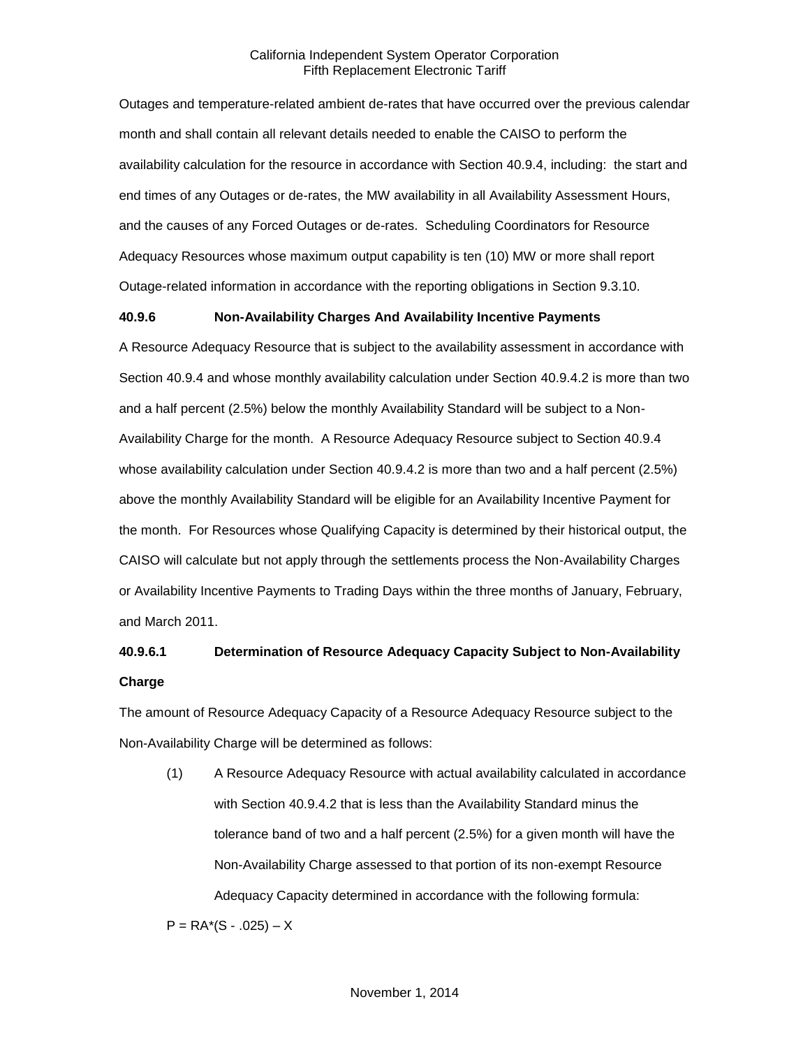Outages and temperature-related ambient de-rates that have occurred over the previous calendar month and shall contain all relevant details needed to enable the CAISO to perform the availability calculation for the resource in accordance with Section 40.9.4, including: the start and end times of any Outages or de-rates, the MW availability in all Availability Assessment Hours, and the causes of any Forced Outages or de-rates. Scheduling Coordinators for Resource Adequacy Resources whose maximum output capability is ten (10) MW or more shall report Outage-related information in accordance with the reporting obligations in Section 9.3.10.

#### **40.9.6 Non-Availability Charges And Availability Incentive Payments**

A Resource Adequacy Resource that is subject to the availability assessment in accordance with Section 40.9.4 and whose monthly availability calculation under Section 40.9.4.2 is more than two and a half percent (2.5%) below the monthly Availability Standard will be subject to a Non-Availability Charge for the month. A Resource Adequacy Resource subject to Section 40.9.4 whose availability calculation under Section 40.9.4.2 is more than two and a half percent (2.5%) above the monthly Availability Standard will be eligible for an Availability Incentive Payment for the month. For Resources whose Qualifying Capacity is determined by their historical output, the CAISO will calculate but not apply through the settlements process the Non-Availability Charges or Availability Incentive Payments to Trading Days within the three months of January, February, and March 2011.

# **40.9.6.1 Determination of Resource Adequacy Capacity Subject to Non-Availability Charge**

The amount of Resource Adequacy Capacity of a Resource Adequacy Resource subject to the Non-Availability Charge will be determined as follows:

(1) A Resource Adequacy Resource with actual availability calculated in accordance with Section 40.9.4.2 that is less than the Availability Standard minus the tolerance band of two and a half percent (2.5%) for a given month will have the Non-Availability Charge assessed to that portion of its non-exempt Resource Adequacy Capacity determined in accordance with the following formula:

 $P = RA*(S - .025) - X$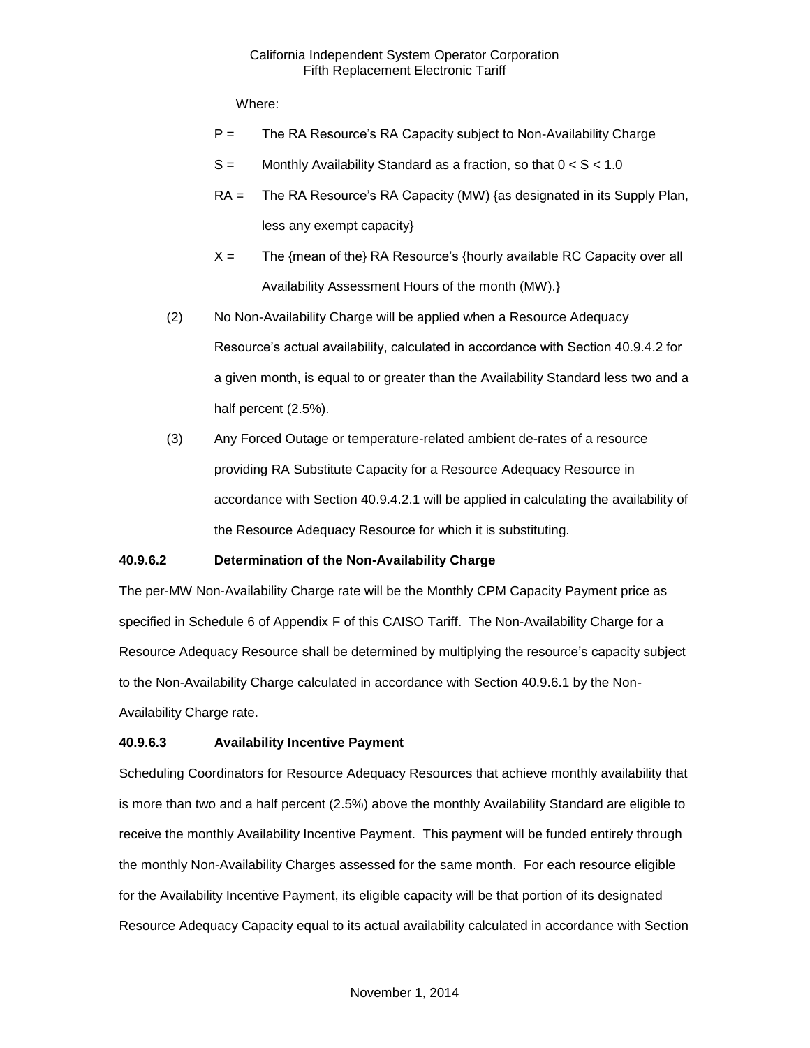Where:

- $P =$  The RA Resource's RA Capacity subject to Non-Availability Charge
- $S =$  Monthly Availability Standard as a fraction, so that  $0 < S < 1.0$
- RA = The RA Resource's RA Capacity (MW) {as designated in its Supply Plan, less any exempt capacity}
- $X =$  The {mean of the} RA Resource's {hourly available RC Capacity over all Availability Assessment Hours of the month (MW).}
- (2) No Non-Availability Charge will be applied when a Resource Adequacy Resource's actual availability, calculated in accordance with Section 40.9.4.2 for a given month, is equal to or greater than the Availability Standard less two and a half percent (2.5%).
- (3) Any Forced Outage or temperature-related ambient de-rates of a resource providing RA Substitute Capacity for a Resource Adequacy Resource in accordance with Section 40.9.4.2.1 will be applied in calculating the availability of the Resource Adequacy Resource for which it is substituting.

#### **40.9.6.2 Determination of the Non-Availability Charge**

The per-MW Non-Availability Charge rate will be the Monthly CPM Capacity Payment price as specified in Schedule 6 of Appendix F of this CAISO Tariff. The Non-Availability Charge for a Resource Adequacy Resource shall be determined by multiplying the resource's capacity subject to the Non-Availability Charge calculated in accordance with Section 40.9.6.1 by the Non-Availability Charge rate.

#### **40.9.6.3 Availability Incentive Payment**

Scheduling Coordinators for Resource Adequacy Resources that achieve monthly availability that is more than two and a half percent (2.5%) above the monthly Availability Standard are eligible to receive the monthly Availability Incentive Payment. This payment will be funded entirely through the monthly Non-Availability Charges assessed for the same month. For each resource eligible for the Availability Incentive Payment, its eligible capacity will be that portion of its designated Resource Adequacy Capacity equal to its actual availability calculated in accordance with Section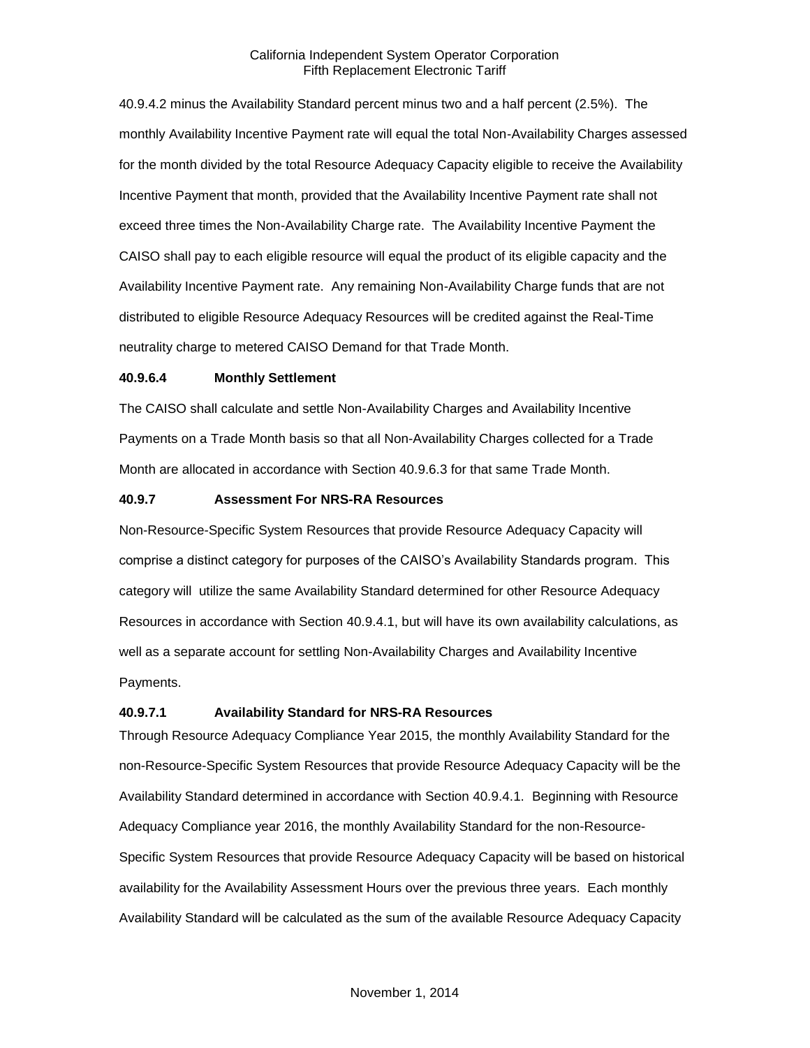40.9.4.2 minus the Availability Standard percent minus two and a half percent (2.5%). The monthly Availability Incentive Payment rate will equal the total Non-Availability Charges assessed for the month divided by the total Resource Adequacy Capacity eligible to receive the Availability Incentive Payment that month, provided that the Availability Incentive Payment rate shall not exceed three times the Non-Availability Charge rate. The Availability Incentive Payment the CAISO shall pay to each eligible resource will equal the product of its eligible capacity and the Availability Incentive Payment rate. Any remaining Non-Availability Charge funds that are not distributed to eligible Resource Adequacy Resources will be credited against the Real-Time neutrality charge to metered CAISO Demand for that Trade Month.

#### **40.9.6.4 Monthly Settlement**

The CAISO shall calculate and settle Non-Availability Charges and Availability Incentive Payments on a Trade Month basis so that all Non-Availability Charges collected for a Trade Month are allocated in accordance with Section 40.9.6.3 for that same Trade Month.

#### **40.9.7 Assessment For NRS-RA Resources**

Non-Resource-Specific System Resources that provide Resource Adequacy Capacity will comprise a distinct category for purposes of the CAISO's Availability Standards program. This category will utilize the same Availability Standard determined for other Resource Adequacy Resources in accordance with Section 40.9.4.1, but will have its own availability calculations, as well as a separate account for settling Non-Availability Charges and Availability Incentive Payments.

#### **40.9.7.1 Availability Standard for NRS-RA Resources**

Through Resource Adequacy Compliance Year 2015, the monthly Availability Standard for the non-Resource-Specific System Resources that provide Resource Adequacy Capacity will be the Availability Standard determined in accordance with Section 40.9.4.1. Beginning with Resource Adequacy Compliance year 2016, the monthly Availability Standard for the non-Resource-Specific System Resources that provide Resource Adequacy Capacity will be based on historical availability for the Availability Assessment Hours over the previous three years. Each monthly Availability Standard will be calculated as the sum of the available Resource Adequacy Capacity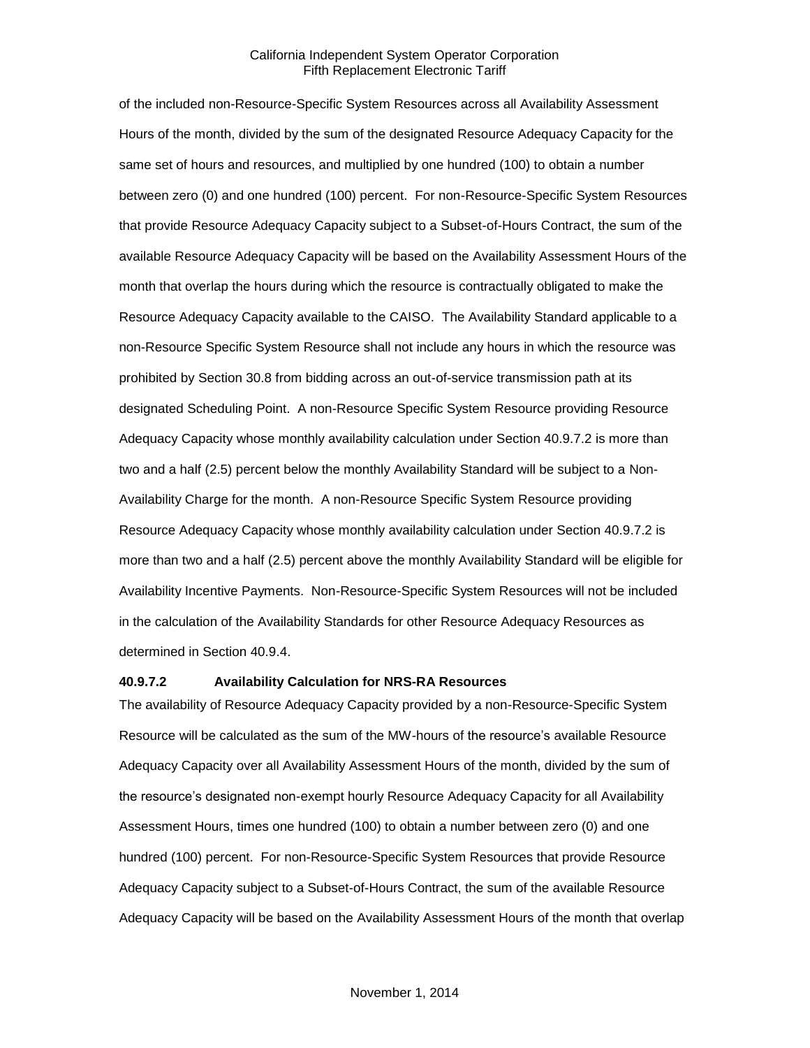of the included non-Resource-Specific System Resources across all Availability Assessment Hours of the month, divided by the sum of the designated Resource Adequacy Capacity for the same set of hours and resources, and multiplied by one hundred (100) to obtain a number between zero (0) and one hundred (100) percent. For non-Resource-Specific System Resources that provide Resource Adequacy Capacity subject to a Subset-of-Hours Contract, the sum of the available Resource Adequacy Capacity will be based on the Availability Assessment Hours of the month that overlap the hours during which the resource is contractually obligated to make the Resource Adequacy Capacity available to the CAISO. The Availability Standard applicable to a non-Resource Specific System Resource shall not include any hours in which the resource was prohibited by Section 30.8 from bidding across an out-of-service transmission path at its designated Scheduling Point. A non-Resource Specific System Resource providing Resource Adequacy Capacity whose monthly availability calculation under Section 40.9.7.2 is more than two and a half (2.5) percent below the monthly Availability Standard will be subject to a Non-Availability Charge for the month. A non-Resource Specific System Resource providing Resource Adequacy Capacity whose monthly availability calculation under Section 40.9.7.2 is more than two and a half (2.5) percent above the monthly Availability Standard will be eligible for Availability Incentive Payments. Non-Resource-Specific System Resources will not be included in the calculation of the Availability Standards for other Resource Adequacy Resources as determined in Section 40.9.4.

#### **40.9.7.2 Availability Calculation for NRS-RA Resources**

The availability of Resource Adequacy Capacity provided by a non-Resource-Specific System Resource will be calculated as the sum of the MW-hours of the resource's available Resource Adequacy Capacity over all Availability Assessment Hours of the month, divided by the sum of the resource's designated non-exempt hourly Resource Adequacy Capacity for all Availability Assessment Hours, times one hundred (100) to obtain a number between zero (0) and one hundred (100) percent. For non-Resource-Specific System Resources that provide Resource Adequacy Capacity subject to a Subset-of-Hours Contract, the sum of the available Resource Adequacy Capacity will be based on the Availability Assessment Hours of the month that overlap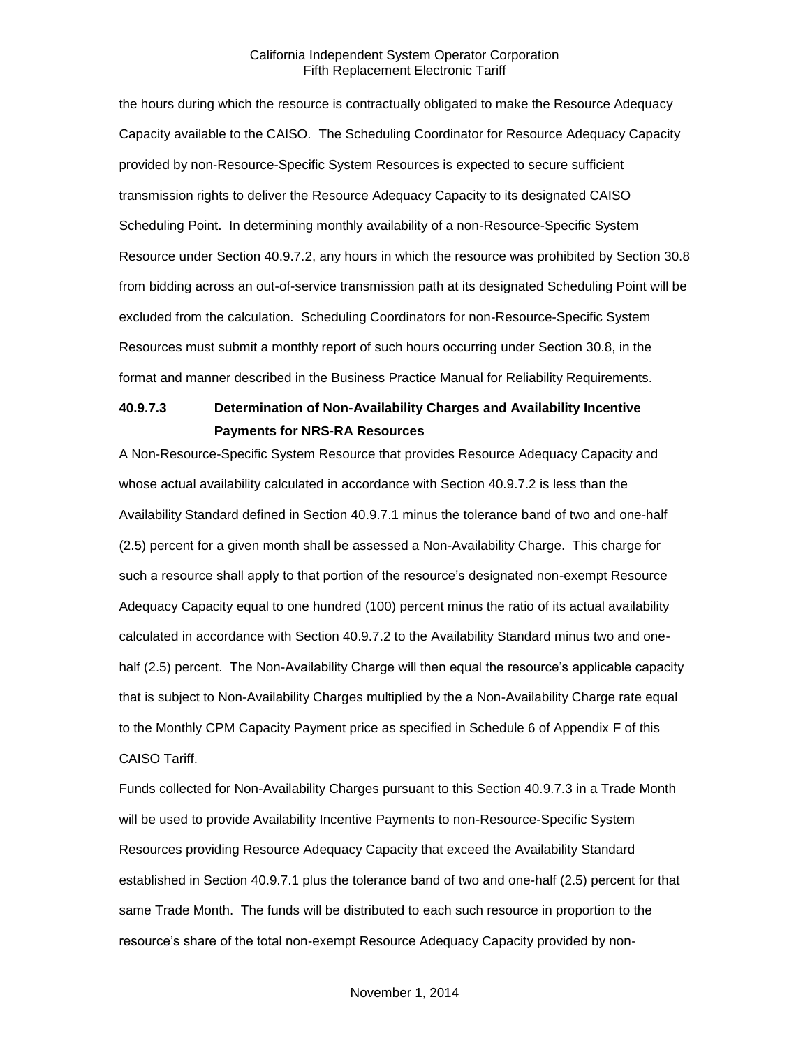the hours during which the resource is contractually obligated to make the Resource Adequacy Capacity available to the CAISO. The Scheduling Coordinator for Resource Adequacy Capacity provided by non-Resource-Specific System Resources is expected to secure sufficient transmission rights to deliver the Resource Adequacy Capacity to its designated CAISO Scheduling Point. In determining monthly availability of a non-Resource-Specific System Resource under Section 40.9.7.2, any hours in which the resource was prohibited by Section 30.8 from bidding across an out-of-service transmission path at its designated Scheduling Point will be excluded from the calculation. Scheduling Coordinators for non-Resource-Specific System Resources must submit a monthly report of such hours occurring under Section 30.8, in the format and manner described in the Business Practice Manual for Reliability Requirements.

## **40.9.7.3 Determination of Non-Availability Charges and Availability Incentive Payments for NRS-RA Resources**

A Non-Resource-Specific System Resource that provides Resource Adequacy Capacity and whose actual availability calculated in accordance with Section 40.9.7.2 is less than the Availability Standard defined in Section 40.9.7.1 minus the tolerance band of two and one-half (2.5) percent for a given month shall be assessed a Non-Availability Charge. This charge for such a resource shall apply to that portion of the resource's designated non-exempt Resource Adequacy Capacity equal to one hundred (100) percent minus the ratio of its actual availability calculated in accordance with Section 40.9.7.2 to the Availability Standard minus two and onehalf (2.5) percent. The Non-Availability Charge will then equal the resource's applicable capacity that is subject to Non-Availability Charges multiplied by the a Non-Availability Charge rate equal to the Monthly CPM Capacity Payment price as specified in Schedule 6 of Appendix F of this CAISO Tariff.

Funds collected for Non-Availability Charges pursuant to this Section 40.9.7.3 in a Trade Month will be used to provide Availability Incentive Payments to non-Resource-Specific System Resources providing Resource Adequacy Capacity that exceed the Availability Standard established in Section 40.9.7.1 plus the tolerance band of two and one-half (2.5) percent for that same Trade Month. The funds will be distributed to each such resource in proportion to the resource's share of the total non-exempt Resource Adequacy Capacity provided by non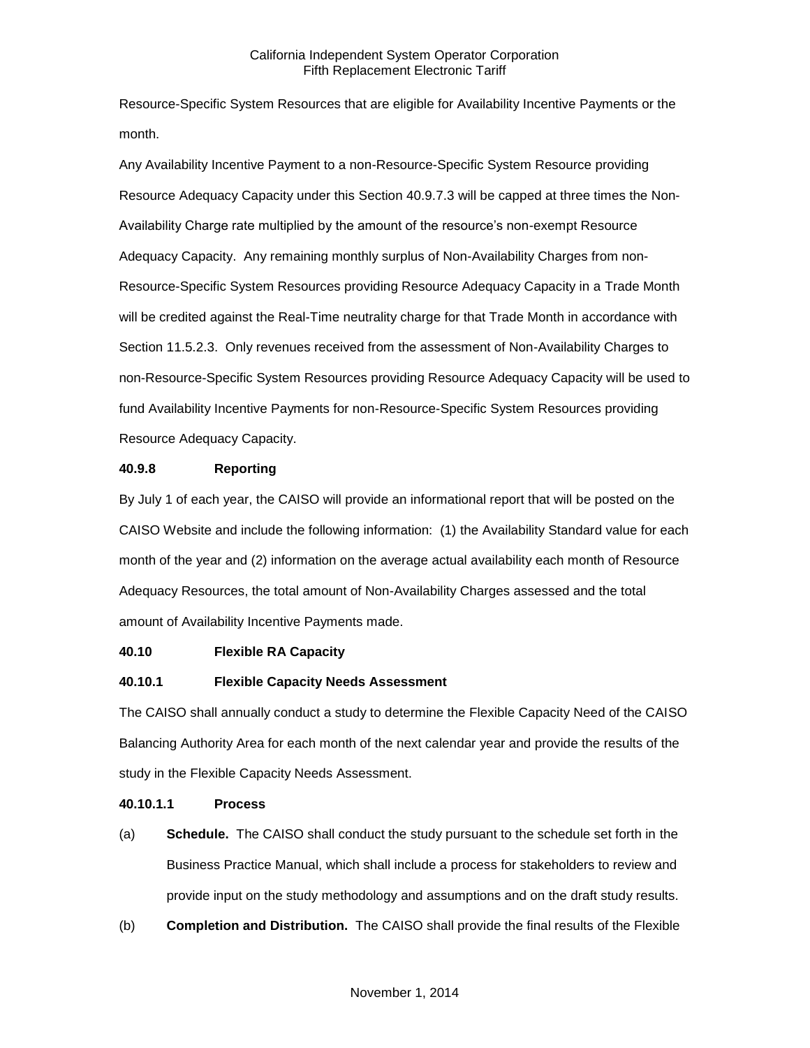Resource-Specific System Resources that are eligible for Availability Incentive Payments or the month.

Any Availability Incentive Payment to a non-Resource-Specific System Resource providing Resource Adequacy Capacity under this Section 40.9.7.3 will be capped at three times the Non-Availability Charge rate multiplied by the amount of the resource's non-exempt Resource Adequacy Capacity. Any remaining monthly surplus of Non-Availability Charges from non-Resource-Specific System Resources providing Resource Adequacy Capacity in a Trade Month will be credited against the Real-Time neutrality charge for that Trade Month in accordance with Section 11.5.2.3. Only revenues received from the assessment of Non-Availability Charges to non-Resource-Specific System Resources providing Resource Adequacy Capacity will be used to fund Availability Incentive Payments for non-Resource-Specific System Resources providing Resource Adequacy Capacity.

#### **40.9.8 Reporting**

By July 1 of each year, the CAISO will provide an informational report that will be posted on the CAISO Website and include the following information: (1) the Availability Standard value for each month of the year and (2) information on the average actual availability each month of Resource Adequacy Resources, the total amount of Non-Availability Charges assessed and the total amount of Availability Incentive Payments made.

## **40.10 Flexible RA Capacity**

## **40.10.1 Flexible Capacity Needs Assessment**

The CAISO shall annually conduct a study to determine the Flexible Capacity Need of the CAISO Balancing Authority Area for each month of the next calendar year and provide the results of the study in the Flexible Capacity Needs Assessment.

#### **40.10.1.1 Process**

- (a) **Schedule.** The CAISO shall conduct the study pursuant to the schedule set forth in the Business Practice Manual, which shall include a process for stakeholders to review and provide input on the study methodology and assumptions and on the draft study results.
- (b) **Completion and Distribution.** The CAISO shall provide the final results of the Flexible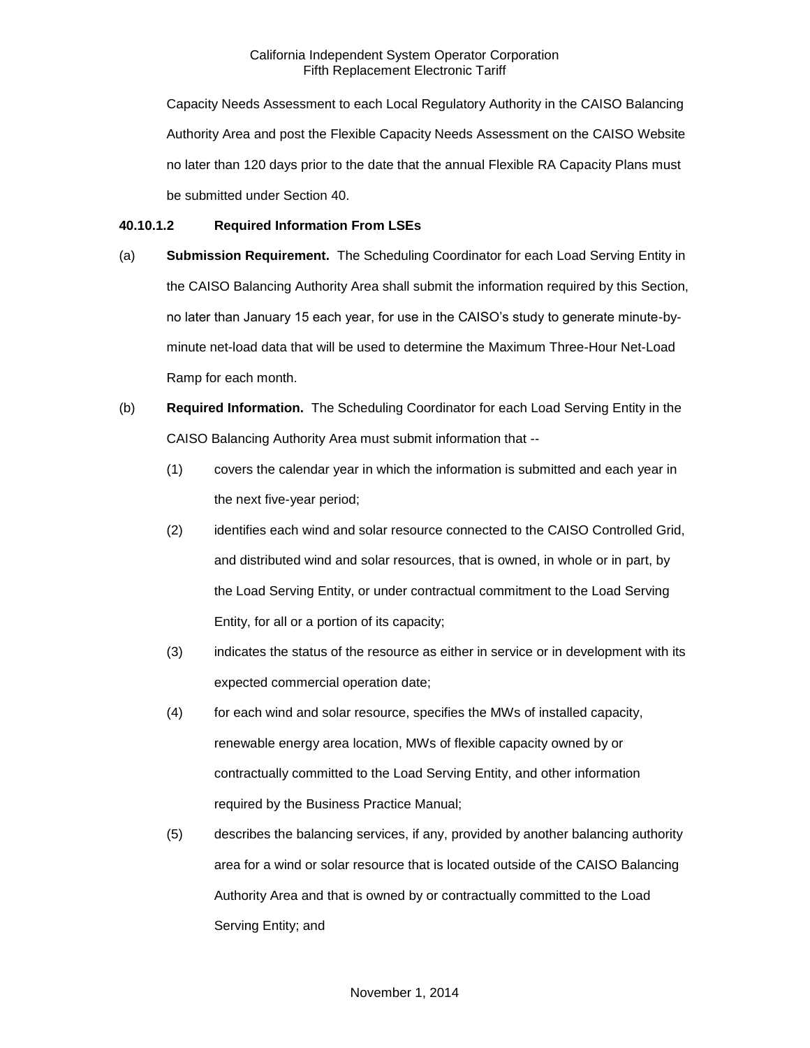Capacity Needs Assessment to each Local Regulatory Authority in the CAISO Balancing Authority Area and post the Flexible Capacity Needs Assessment on the CAISO Website no later than 120 days prior to the date that the annual Flexible RA Capacity Plans must be submitted under Section 40.

## **40.10.1.2 Required Information From LSEs**

- (a) **Submission Requirement.** The Scheduling Coordinator for each Load Serving Entity in the CAISO Balancing Authority Area shall submit the information required by this Section, no later than January 15 each year, for use in the CAISO's study to generate minute-byminute net-load data that will be used to determine the Maximum Three-Hour Net-Load Ramp for each month.
- (b) **Required Information.** The Scheduling Coordinator for each Load Serving Entity in the CAISO Balancing Authority Area must submit information that --
	- (1) covers the calendar year in which the information is submitted and each year in the next five-year period;
	- (2) identifies each wind and solar resource connected to the CAISO Controlled Grid, and distributed wind and solar resources, that is owned, in whole or in part, by the Load Serving Entity, or under contractual commitment to the Load Serving Entity, for all or a portion of its capacity;
	- (3) indicates the status of the resource as either in service or in development with its expected commercial operation date;
	- (4) for each wind and solar resource, specifies the MWs of installed capacity, renewable energy area location, MWs of flexible capacity owned by or contractually committed to the Load Serving Entity, and other information required by the Business Practice Manual;
	- (5) describes the balancing services, if any, provided by another balancing authority area for a wind or solar resource that is located outside of the CAISO Balancing Authority Area and that is owned by or contractually committed to the Load Serving Entity; and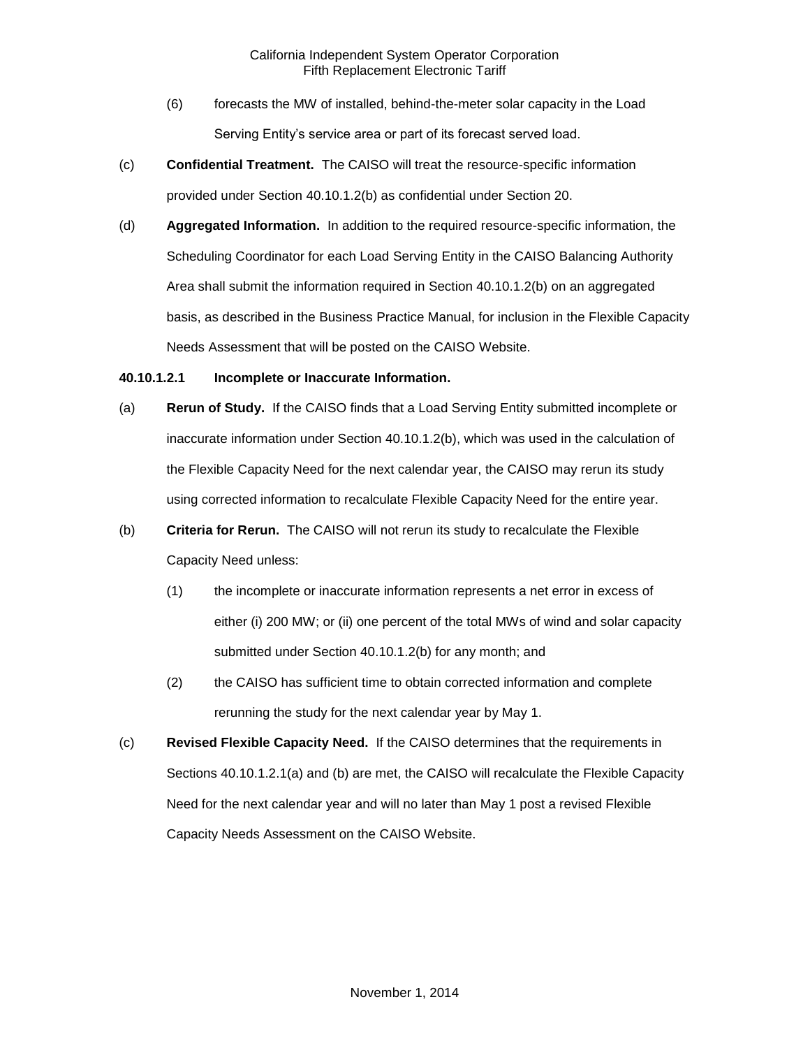- (6) forecasts the MW of installed, behind-the-meter solar capacity in the Load Serving Entity's service area or part of its forecast served load.
- (c) **Confidential Treatment.** The CAISO will treat the resource-specific information provided under Section 40.10.1.2(b) as confidential under Section 20.
- (d) **Aggregated Information.** In addition to the required resource-specific information, the Scheduling Coordinator for each Load Serving Entity in the CAISO Balancing Authority Area shall submit the information required in Section 40.10.1.2(b) on an aggregated basis, as described in the Business Practice Manual, for inclusion in the Flexible Capacity Needs Assessment that will be posted on the CAISO Website.

#### **40.10.1.2.1 Incomplete or Inaccurate Information.**

- (a) **Rerun of Study.** If the CAISO finds that a Load Serving Entity submitted incomplete or inaccurate information under Section 40.10.1.2(b), which was used in the calculation of the Flexible Capacity Need for the next calendar year, the CAISO may rerun its study using corrected information to recalculate Flexible Capacity Need for the entire year.
- (b) **Criteria for Rerun.** The CAISO will not rerun its study to recalculate the Flexible Capacity Need unless:
	- (1) the incomplete or inaccurate information represents a net error in excess of either (i) 200 MW; or (ii) one percent of the total MWs of wind and solar capacity submitted under Section 40.10.1.2(b) for any month; and
	- (2) the CAISO has sufficient time to obtain corrected information and complete rerunning the study for the next calendar year by May 1.
- (c) **Revised Flexible Capacity Need.** If the CAISO determines that the requirements in Sections 40.10.1.2.1(a) and (b) are met, the CAISO will recalculate the Flexible Capacity Need for the next calendar year and will no later than May 1 post a revised Flexible Capacity Needs Assessment on the CAISO Website.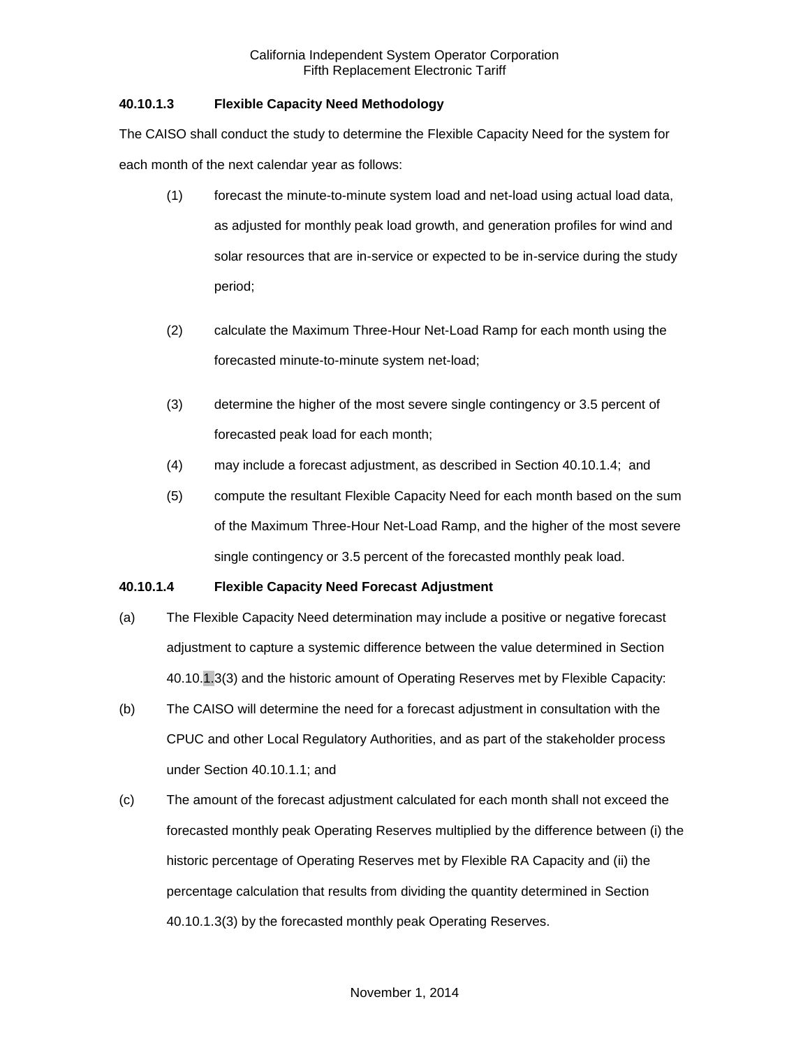## **40.10.1.3 Flexible Capacity Need Methodology**

The CAISO shall conduct the study to determine the Flexible Capacity Need for the system for each month of the next calendar year as follows:

- (1) forecast the minute-to-minute system load and net-load using actual load data, as adjusted for monthly peak load growth, and generation profiles for wind and solar resources that are in-service or expected to be in-service during the study period;
- (2) calculate the Maximum Three-Hour Net-Load Ramp for each month using the forecasted minute-to-minute system net-load;
- (3) determine the higher of the most severe single contingency or 3.5 percent of forecasted peak load for each month;
- (4) may include a forecast adjustment, as described in Section 40.10.1.4; and
- (5) compute the resultant Flexible Capacity Need for each month based on the sum of the Maximum Three-Hour Net-Load Ramp, and the higher of the most severe single contingency or 3.5 percent of the forecasted monthly peak load.

## **40.10.1.4 Flexible Capacity Need Forecast Adjustment**

- (a) The Flexible Capacity Need determination may include a positive or negative forecast adjustment to capture a systemic difference between the value determined in Section 40.10.1.3(3) and the historic amount of Operating Reserves met by Flexible Capacity:
- (b) The CAISO will determine the need for a forecast adjustment in consultation with the CPUC and other Local Regulatory Authorities, and as part of the stakeholder process under Section 40.10.1.1; and
- (c) The amount of the forecast adjustment calculated for each month shall not exceed the forecasted monthly peak Operating Reserves multiplied by the difference between (i) the historic percentage of Operating Reserves met by Flexible RA Capacity and (ii) the percentage calculation that results from dividing the quantity determined in Section 40.10.1.3(3) by the forecasted monthly peak Operating Reserves.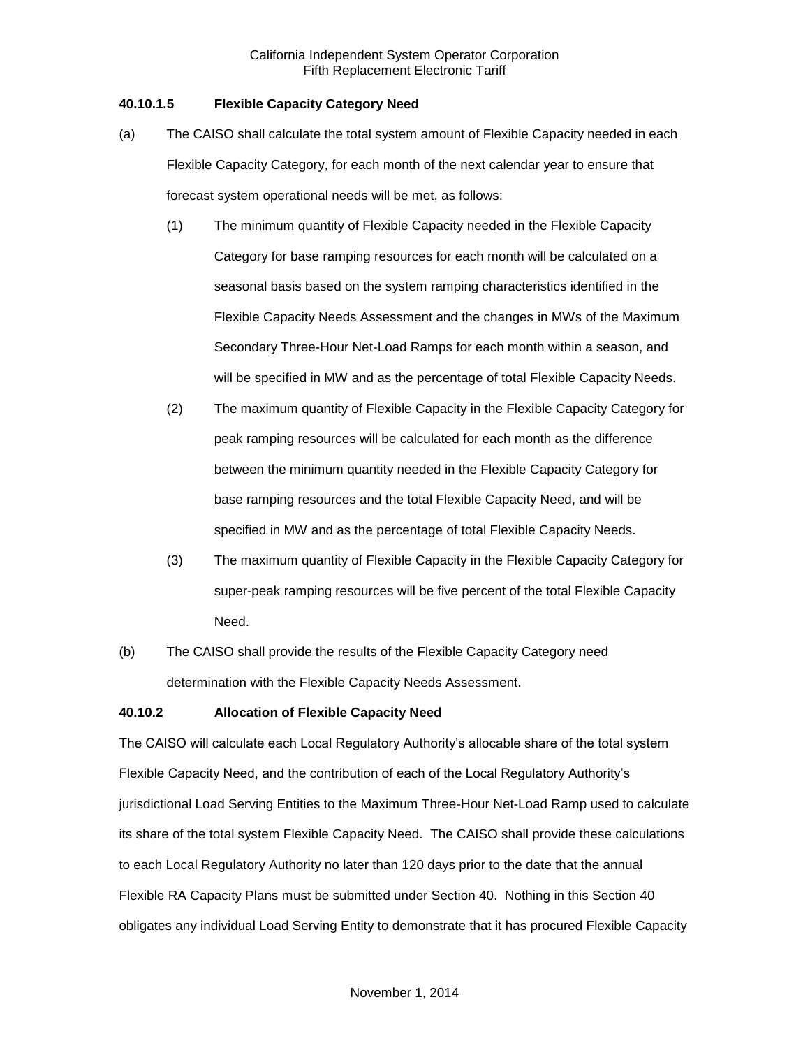## **40.10.1.5 Flexible Capacity Category Need**

- (a) The CAISO shall calculate the total system amount of Flexible Capacity needed in each Flexible Capacity Category, for each month of the next calendar year to ensure that forecast system operational needs will be met, as follows:
	- (1) The minimum quantity of Flexible Capacity needed in the Flexible Capacity Category for base ramping resources for each month will be calculated on a seasonal basis based on the system ramping characteristics identified in the Flexible Capacity Needs Assessment and the changes in MWs of the Maximum Secondary Three-Hour Net-Load Ramps for each month within a season, and will be specified in MW and as the percentage of total Flexible Capacity Needs.
	- (2) The maximum quantity of Flexible Capacity in the Flexible Capacity Category for peak ramping resources will be calculated for each month as the difference between the minimum quantity needed in the Flexible Capacity Category for base ramping resources and the total Flexible Capacity Need, and will be specified in MW and as the percentage of total Flexible Capacity Needs.
	- (3) The maximum quantity of Flexible Capacity in the Flexible Capacity Category for super-peak ramping resources will be five percent of the total Flexible Capacity Need.
- (b) The CAISO shall provide the results of the Flexible Capacity Category need determination with the Flexible Capacity Needs Assessment.

## **40.10.2 Allocation of Flexible Capacity Need**

The CAISO will calculate each Local Regulatory Authority's allocable share of the total system Flexible Capacity Need, and the contribution of each of the Local Regulatory Authority's jurisdictional Load Serving Entities to the Maximum Three-Hour Net-Load Ramp used to calculate its share of the total system Flexible Capacity Need. The CAISO shall provide these calculations to each Local Regulatory Authority no later than 120 days prior to the date that the annual Flexible RA Capacity Plans must be submitted under Section 40. Nothing in this Section 40 obligates any individual Load Serving Entity to demonstrate that it has procured Flexible Capacity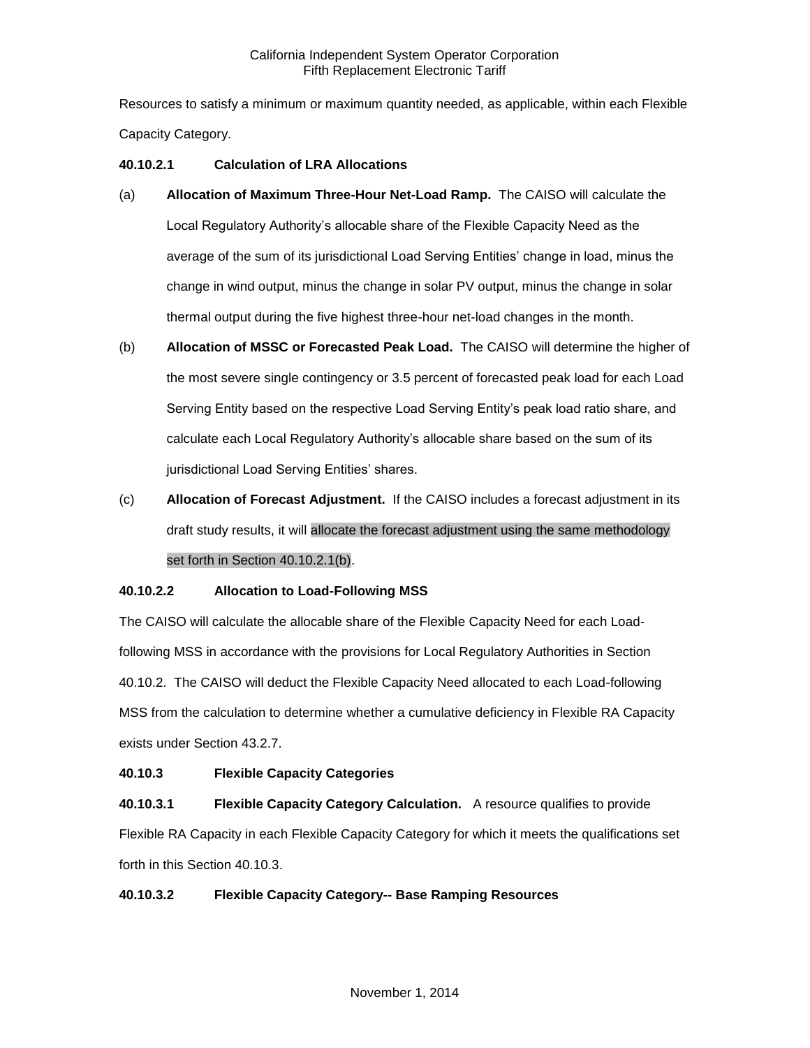Resources to satisfy a minimum or maximum quantity needed, as applicable, within each Flexible Capacity Category.

## **40.10.2.1 Calculation of LRA Allocations**

- (a) **Allocation of Maximum Three-Hour Net-Load Ramp.** The CAISO will calculate the Local Regulatory Authority's allocable share of the Flexible Capacity Need as the average of the sum of its jurisdictional Load Serving Entities' change in load, minus the change in wind output, minus the change in solar PV output, minus the change in solar thermal output during the five highest three-hour net-load changes in the month.
- (b) **Allocation of MSSC or Forecasted Peak Load.** The CAISO will determine the higher of the most severe single contingency or 3.5 percent of forecasted peak load for each Load Serving Entity based on the respective Load Serving Entity's peak load ratio share, and calculate each Local Regulatory Authority's allocable share based on the sum of its jurisdictional Load Serving Entities' shares.
- (c) **Allocation of Forecast Adjustment.** If the CAISO includes a forecast adjustment in its draft study results, it will allocate the forecast adjustment using the same methodology set forth in Section 40.10.2.1(b).

#### **40.10.2.2 Allocation to Load-Following MSS**

The CAISO will calculate the allocable share of the Flexible Capacity Need for each Loadfollowing MSS in accordance with the provisions for Local Regulatory Authorities in Section 40.10.2. The CAISO will deduct the Flexible Capacity Need allocated to each Load-following MSS from the calculation to determine whether a cumulative deficiency in Flexible RA Capacity exists under Section 43.2.7.

#### **40.10.3 Flexible Capacity Categories**

**40.10.3.1 Flexible Capacity Category Calculation.** A resource qualifies to provide Flexible RA Capacity in each Flexible Capacity Category for which it meets the qualifications set forth in this Section 40.10.3.

#### **40.10.3.2 Flexible Capacity Category-- Base Ramping Resources**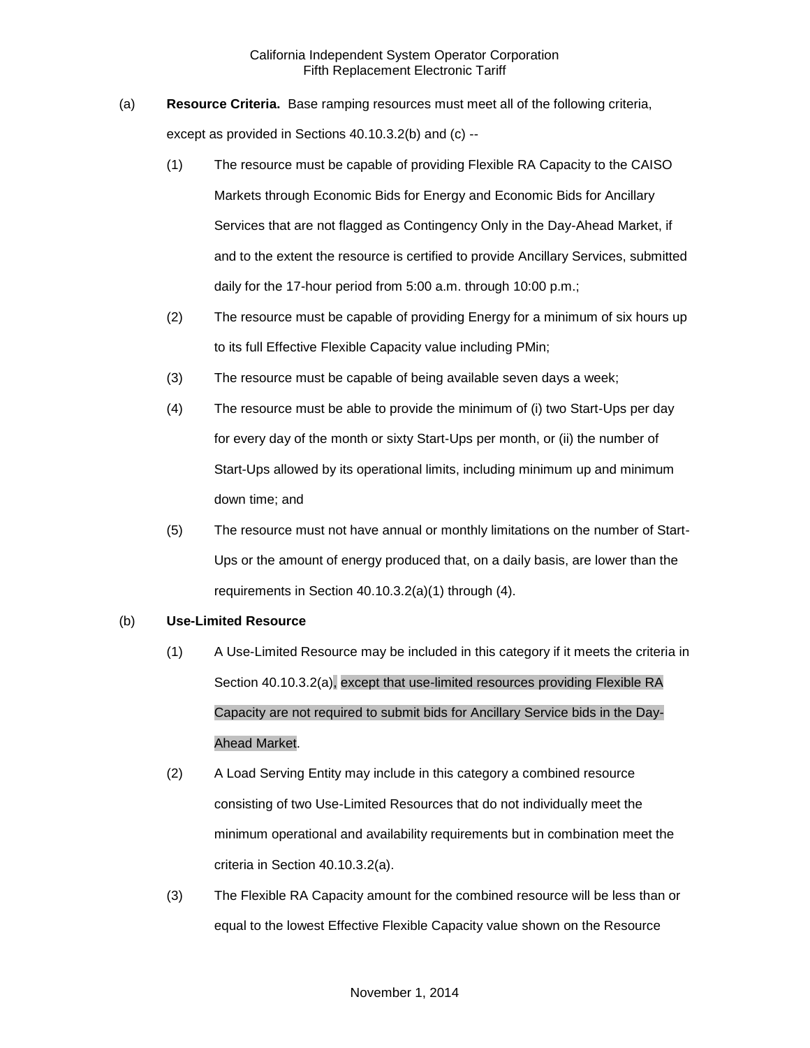- (a) **Resource Criteria.** Base ramping resources must meet all of the following criteria, except as provided in Sections 40.10.3.2(b) and (c) --
	- (1) The resource must be capable of providing Flexible RA Capacity to the CAISO Markets through Economic Bids for Energy and Economic Bids for Ancillary Services that are not flagged as Contingency Only in the Day-Ahead Market, if and to the extent the resource is certified to provide Ancillary Services, submitted daily for the 17-hour period from 5:00 a.m. through 10:00 p.m.;
	- (2) The resource must be capable of providing Energy for a minimum of six hours up to its full Effective Flexible Capacity value including PMin;
	- (3) The resource must be capable of being available seven days a week;
	- (4) The resource must be able to provide the minimum of (i) two Start-Ups per day for every day of the month or sixty Start-Ups per month, or (ii) the number of Start-Ups allowed by its operational limits, including minimum up and minimum down time; and
	- (5) The resource must not have annual or monthly limitations on the number of Start-Ups or the amount of energy produced that, on a daily basis, are lower than the requirements in Section 40.10.3.2(a)(1) through (4).

#### (b) **Use-Limited Resource**

- (1) A Use-Limited Resource may be included in this category if it meets the criteria in Section 40.10.3.2(a), except that use-limited resources providing Flexible RA Capacity are not required to submit bids for Ancillary Service bids in the Day-Ahead Market.
- (2) A Load Serving Entity may include in this category a combined resource consisting of two Use-Limited Resources that do not individually meet the minimum operational and availability requirements but in combination meet the criteria in Section 40.10.3.2(a).
- (3) The Flexible RA Capacity amount for the combined resource will be less than or equal to the lowest Effective Flexible Capacity value shown on the Resource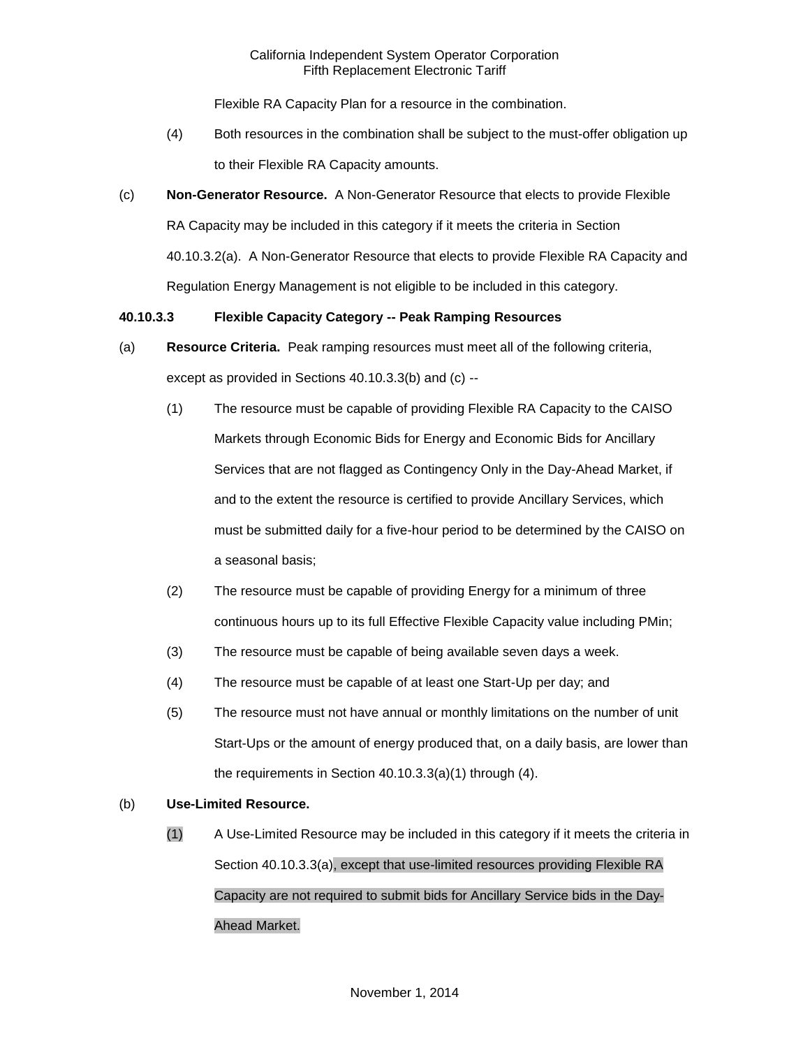Flexible RA Capacity Plan for a resource in the combination.

- (4) Both resources in the combination shall be subject to the must-offer obligation up to their Flexible RA Capacity amounts.
- (c) **Non-Generator Resource.** A Non-Generator Resource that elects to provide Flexible RA Capacity may be included in this category if it meets the criteria in Section 40.10.3.2(a). A Non-Generator Resource that elects to provide Flexible RA Capacity and Regulation Energy Management is not eligible to be included in this category.

## **40.10.3.3 Flexible Capacity Category -- Peak Ramping Resources**

- (a) **Resource Criteria.** Peak ramping resources must meet all of the following criteria, except as provided in Sections 40.10.3.3(b) and (c) --
	- (1) The resource must be capable of providing Flexible RA Capacity to the CAISO Markets through Economic Bids for Energy and Economic Bids for Ancillary Services that are not flagged as Contingency Only in the Day-Ahead Market, if and to the extent the resource is certified to provide Ancillary Services, which must be submitted daily for a five-hour period to be determined by the CAISO on a seasonal basis;
	- (2) The resource must be capable of providing Energy for a minimum of three continuous hours up to its full Effective Flexible Capacity value including PMin;
	- (3) The resource must be capable of being available seven days a week.
	- (4) The resource must be capable of at least one Start-Up per day; and
	- (5) The resource must not have annual or monthly limitations on the number of unit Start-Ups or the amount of energy produced that, on a daily basis, are lower than the requirements in Section 40.10.3.3(a)(1) through (4).

## (b) **Use-Limited Resource.**

(1) A Use-Limited Resource may be included in this category if it meets the criteria in Section 40.10.3.3(a), except that use-limited resources providing Flexible RA Capacity are not required to submit bids for Ancillary Service bids in the Day-Ahead Market.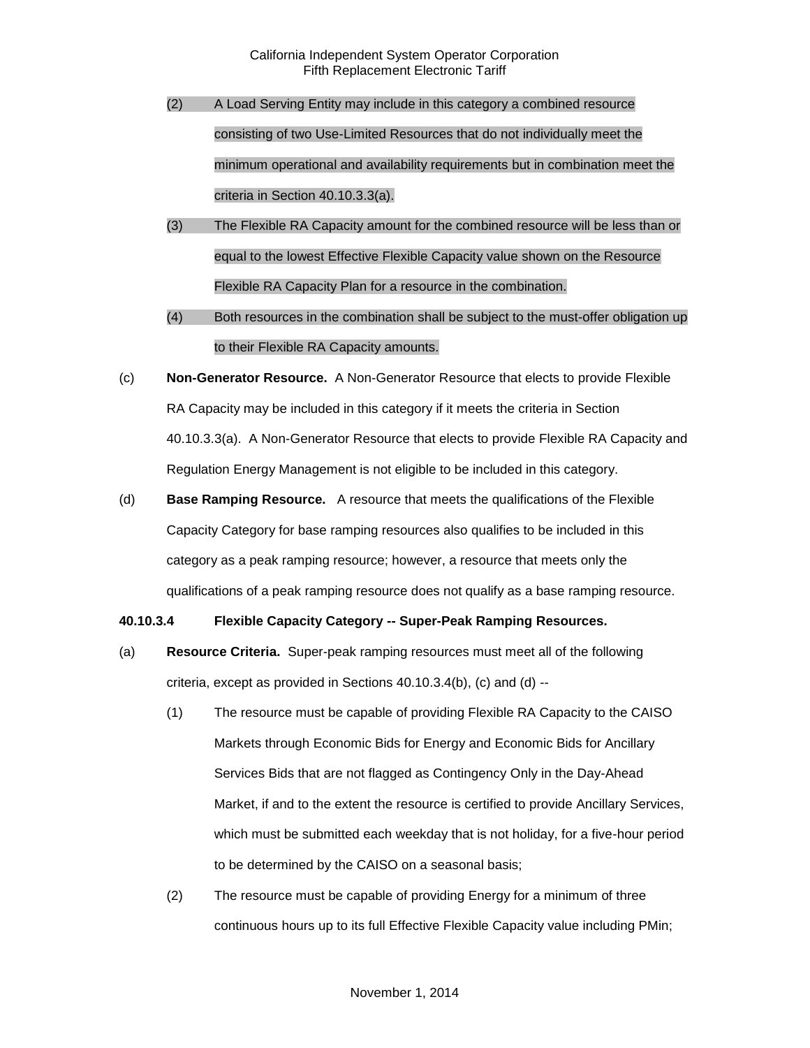- (2) A Load Serving Entity may include in this category a combined resource consisting of two Use-Limited Resources that do not individually meet the minimum operational and availability requirements but in combination meet the criteria in Section 40.10.3.3(a).
- (3) The Flexible RA Capacity amount for the combined resource will be less than or equal to the lowest Effective Flexible Capacity value shown on the Resource Flexible RA Capacity Plan for a resource in the combination.
- (4) Both resources in the combination shall be subject to the must-offer obligation up to their Flexible RA Capacity amounts.
- (c) **Non-Generator Resource.** A Non-Generator Resource that elects to provide Flexible RA Capacity may be included in this category if it meets the criteria in Section 40.10.3.3(a). A Non-Generator Resource that elects to provide Flexible RA Capacity and Regulation Energy Management is not eligible to be included in this category.
- (d) **Base Ramping Resource.** A resource that meets the qualifications of the Flexible Capacity Category for base ramping resources also qualifies to be included in this category as a peak ramping resource; however, a resource that meets only the qualifications of a peak ramping resource does not qualify as a base ramping resource.

#### **40.10.3.4 Flexible Capacity Category -- Super-Peak Ramping Resources.**

- (a) **Resource Criteria.** Super-peak ramping resources must meet all of the following criteria, except as provided in Sections 40.10.3.4(b), (c) and (d) --
	- (1) The resource must be capable of providing Flexible RA Capacity to the CAISO Markets through Economic Bids for Energy and Economic Bids for Ancillary Services Bids that are not flagged as Contingency Only in the Day-Ahead Market, if and to the extent the resource is certified to provide Ancillary Services, which must be submitted each weekday that is not holiday, for a five-hour period to be determined by the CAISO on a seasonal basis;
	- (2) The resource must be capable of providing Energy for a minimum of three continuous hours up to its full Effective Flexible Capacity value including PMin;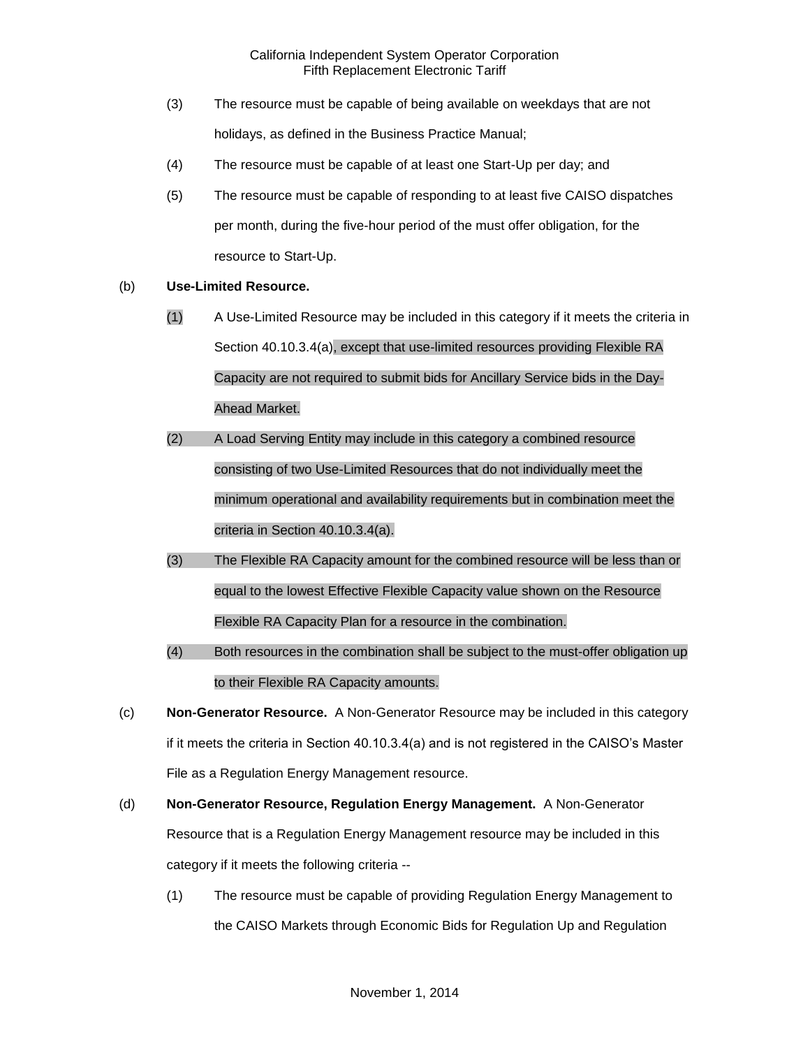- (3) The resource must be capable of being available on weekdays that are not holidays, as defined in the Business Practice Manual;
- (4) The resource must be capable of at least one Start-Up per day; and
- (5) The resource must be capable of responding to at least five CAISO dispatches per month, during the five-hour period of the must offer obligation, for the resource to Start-Up.

## (b) **Use-Limited Resource.**

- (1) A Use-Limited Resource may be included in this category if it meets the criteria in Section 40.10.3.4(a), except that use-limited resources providing Flexible RA Capacity are not required to submit bids for Ancillary Service bids in the Day-Ahead Market.
- (2) A Load Serving Entity may include in this category a combined resource consisting of two Use-Limited Resources that do not individually meet the minimum operational and availability requirements but in combination meet the criteria in Section 40.10.3.4(a).
- (3) The Flexible RA Capacity amount for the combined resource will be less than or equal to the lowest Effective Flexible Capacity value shown on the Resource Flexible RA Capacity Plan for a resource in the combination.
- (4) Both resources in the combination shall be subject to the must-offer obligation up to their Flexible RA Capacity amounts.
- (c) **Non-Generator Resource.** A Non-Generator Resource may be included in this category if it meets the criteria in Section 40.10.3.4(a) and is not registered in the CAISO's Master File as a Regulation Energy Management resource.
- (d) **Non-Generator Resource, Regulation Energy Management.** A Non-Generator Resource that is a Regulation Energy Management resource may be included in this category if it meets the following criteria --
	- (1) The resource must be capable of providing Regulation Energy Management to the CAISO Markets through Economic Bids for Regulation Up and Regulation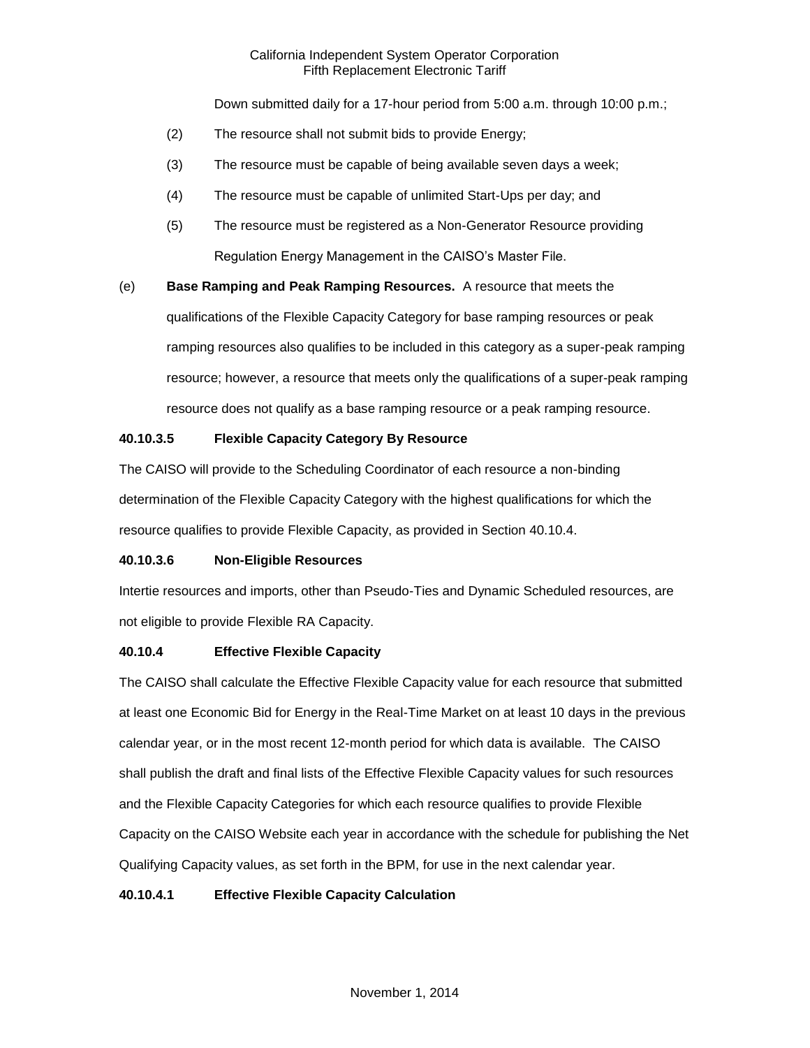Down submitted daily for a 17-hour period from 5:00 a.m. through 10:00 p.m.;

- (2) The resource shall not submit bids to provide Energy;
- (3) The resource must be capable of being available seven days a week;
- (4) The resource must be capable of unlimited Start-Ups per day; and
- (5) The resource must be registered as a Non-Generator Resource providing Regulation Energy Management in the CAISO's Master File.

(e) **Base Ramping and Peak Ramping Resources.** A resource that meets the qualifications of the Flexible Capacity Category for base ramping resources or peak ramping resources also qualifies to be included in this category as a super-peak ramping resource; however, a resource that meets only the qualifications of a super-peak ramping resource does not qualify as a base ramping resource or a peak ramping resource.

## **40.10.3.5 Flexible Capacity Category By Resource**

The CAISO will provide to the Scheduling Coordinator of each resource a non-binding determination of the Flexible Capacity Category with the highest qualifications for which the resource qualifies to provide Flexible Capacity, as provided in Section 40.10.4.

## **40.10.3.6 Non-Eligible Resources**

Intertie resources and imports, other than Pseudo-Ties and Dynamic Scheduled resources, are not eligible to provide Flexible RA Capacity.

#### **40.10.4 Effective Flexible Capacity**

The CAISO shall calculate the Effective Flexible Capacity value for each resource that submitted at least one Economic Bid for Energy in the Real-Time Market on at least 10 days in the previous calendar year, or in the most recent 12-month period for which data is available. The CAISO shall publish the draft and final lists of the Effective Flexible Capacity values for such resources and the Flexible Capacity Categories for which each resource qualifies to provide Flexible Capacity on the CAISO Website each year in accordance with the schedule for publishing the Net Qualifying Capacity values, as set forth in the BPM, for use in the next calendar year.

#### **40.10.4.1 Effective Flexible Capacity Calculation**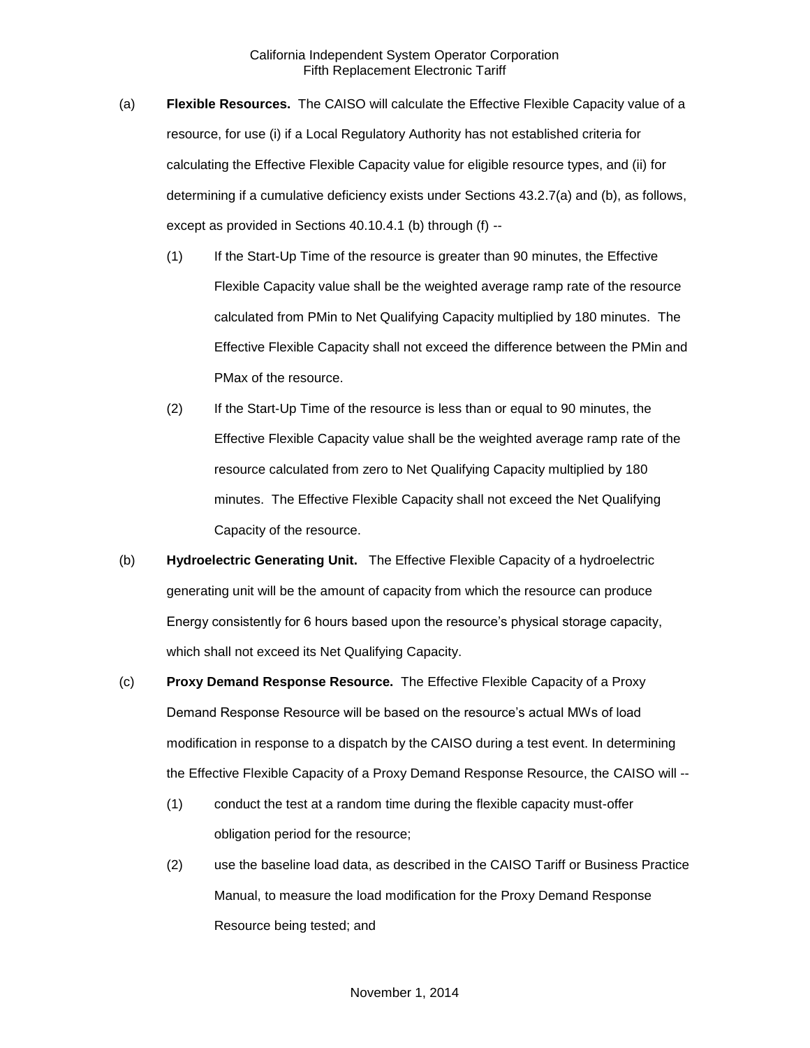- (a) **Flexible Resources.** The CAISO will calculate the Effective Flexible Capacity value of a resource, for use (i) if a Local Regulatory Authority has not established criteria for calculating the Effective Flexible Capacity value for eligible resource types, and (ii) for determining if a cumulative deficiency exists under Sections 43.2.7(a) and (b), as follows, except as provided in Sections 40.10.4.1 (b) through (f) --
	- (1) If the Start-Up Time of the resource is greater than 90 minutes, the Effective Flexible Capacity value shall be the weighted average ramp rate of the resource calculated from PMin to Net Qualifying Capacity multiplied by 180 minutes. The Effective Flexible Capacity shall not exceed the difference between the PMin and PMax of the resource.
	- (2) If the Start-Up Time of the resource is less than or equal to 90 minutes, the Effective Flexible Capacity value shall be the weighted average ramp rate of the resource calculated from zero to Net Qualifying Capacity multiplied by 180 minutes. The Effective Flexible Capacity shall not exceed the Net Qualifying Capacity of the resource.
- (b) **Hydroelectric Generating Unit.** The Effective Flexible Capacity of a hydroelectric generating unit will be the amount of capacity from which the resource can produce Energy consistently for 6 hours based upon the resource's physical storage capacity, which shall not exceed its Net Qualifying Capacity.
- (c) **Proxy Demand Response Resource.** The Effective Flexible Capacity of a Proxy Demand Response Resource will be based on the resource's actual MWs of load modification in response to a dispatch by the CAISO during a test event. In determining the Effective Flexible Capacity of a Proxy Demand Response Resource, the CAISO will --
	- (1) conduct the test at a random time during the flexible capacity must-offer obligation period for the resource;
	- (2) use the baseline load data, as described in the CAISO Tariff or Business Practice Manual, to measure the load modification for the Proxy Demand Response Resource being tested; and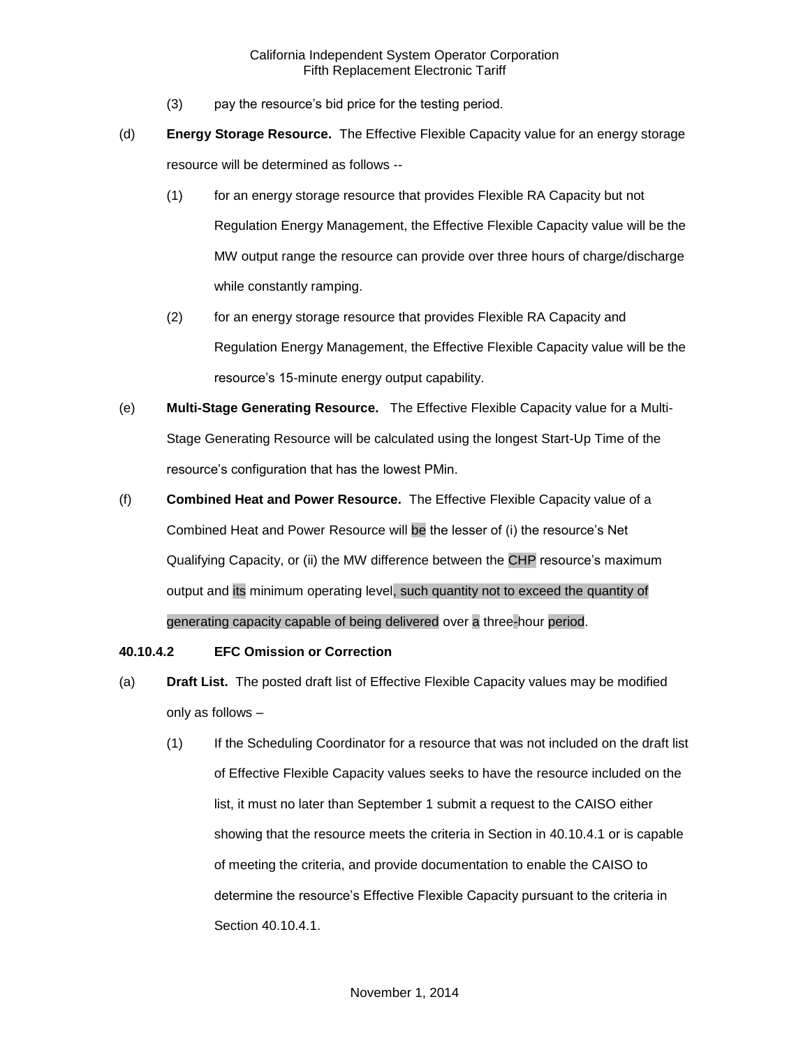- (3) pay the resource's bid price for the testing period.
- (d) **Energy Storage Resource.** The Effective Flexible Capacity value for an energy storage resource will be determined as follows --
	- (1) for an energy storage resource that provides Flexible RA Capacity but not Regulation Energy Management, the Effective Flexible Capacity value will be the MW output range the resource can provide over three hours of charge/discharge while constantly ramping.
	- (2) for an energy storage resource that provides Flexible RA Capacity and Regulation Energy Management, the Effective Flexible Capacity value will be the resource's 15-minute energy output capability.
- (e) **Multi-Stage Generating Resource.** The Effective Flexible Capacity value for a Multi-Stage Generating Resource will be calculated using the longest Start-Up Time of the resource's configuration that has the lowest PMin.
- (f) **Combined Heat and Power Resource.** The Effective Flexible Capacity value of a Combined Heat and Power Resource will be the lesser of (i) the resource's Net Qualifying Capacity, or (ii) the MW difference between the CHP resource's maximum output and its minimum operating level, such quantity not to exceed the quantity of generating capacity capable of being delivered over a three-hour period.

### **40.10.4.2 EFC Omission or Correction**

- (a) **Draft List.** The posted draft list of Effective Flexible Capacity values may be modified only as follows –
	- (1) If the Scheduling Coordinator for a resource that was not included on the draft list of Effective Flexible Capacity values seeks to have the resource included on the list, it must no later than September 1 submit a request to the CAISO either showing that the resource meets the criteria in Section in 40.10.4.1 or is capable of meeting the criteria, and provide documentation to enable the CAISO to determine the resource's Effective Flexible Capacity pursuant to the criteria in Section 40.10.4.1.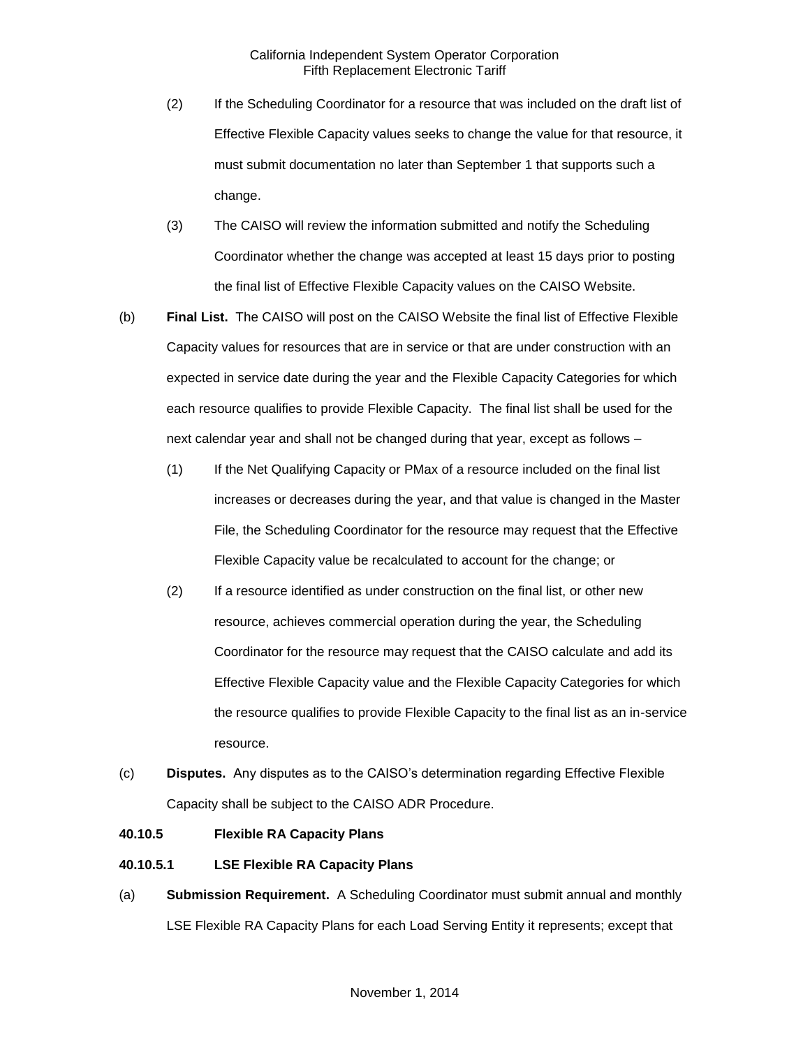- (2) If the Scheduling Coordinator for a resource that was included on the draft list of Effective Flexible Capacity values seeks to change the value for that resource, it must submit documentation no later than September 1 that supports such a change.
- (3) The CAISO will review the information submitted and notify the Scheduling Coordinator whether the change was accepted at least 15 days prior to posting the final list of Effective Flexible Capacity values on the CAISO Website.
- (b) **Final List.** The CAISO will post on the CAISO Website the final list of Effective Flexible Capacity values for resources that are in service or that are under construction with an expected in service date during the year and the Flexible Capacity Categories for which each resource qualifies to provide Flexible Capacity. The final list shall be used for the next calendar year and shall not be changed during that year, except as follows –
	- (1) If the Net Qualifying Capacity or PMax of a resource included on the final list increases or decreases during the year, and that value is changed in the Master File, the Scheduling Coordinator for the resource may request that the Effective Flexible Capacity value be recalculated to account for the change; or
	- (2) If a resource identified as under construction on the final list, or other new resource, achieves commercial operation during the year, the Scheduling Coordinator for the resource may request that the CAISO calculate and add its Effective Flexible Capacity value and the Flexible Capacity Categories for which the resource qualifies to provide Flexible Capacity to the final list as an in-service resource.
- (c) **Disputes.** Any disputes as to the CAISO's determination regarding Effective Flexible Capacity shall be subject to the CAISO ADR Procedure.

## **40.10.5 Flexible RA Capacity Plans**

## **40.10.5.1 LSE Flexible RA Capacity Plans**

(a) **Submission Requirement.** A Scheduling Coordinator must submit annual and monthly LSE Flexible RA Capacity Plans for each Load Serving Entity it represents; except that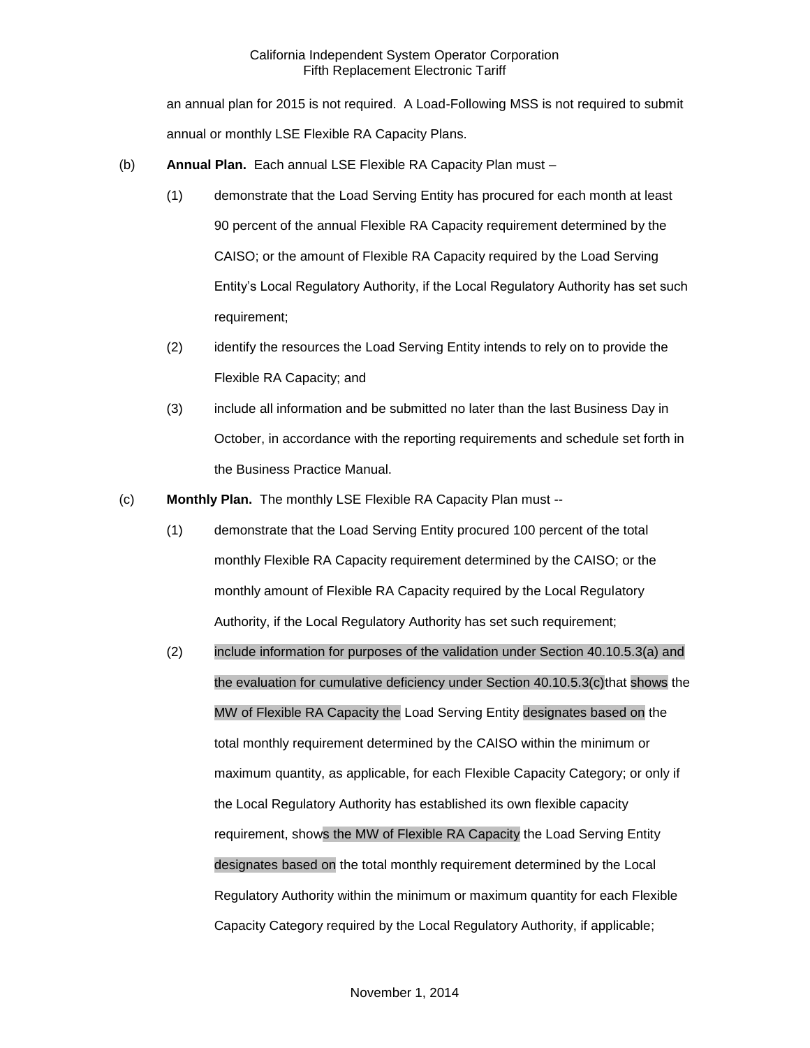an annual plan for 2015 is not required. A Load-Following MSS is not required to submit annual or monthly LSE Flexible RA Capacity Plans.

- (b) **Annual Plan.** Each annual LSE Flexible RA Capacity Plan must
	- (1) demonstrate that the Load Serving Entity has procured for each month at least 90 percent of the annual Flexible RA Capacity requirement determined by the CAISO; or the amount of Flexible RA Capacity required by the Load Serving Entity's Local Regulatory Authority, if the Local Regulatory Authority has set such requirement;
	- (2) identify the resources the Load Serving Entity intends to rely on to provide the Flexible RA Capacity; and
	- (3) include all information and be submitted no later than the last Business Day in October, in accordance with the reporting requirements and schedule set forth in the Business Practice Manual.
- (c) **Monthly Plan.** The monthly LSE Flexible RA Capacity Plan must --
	- (1) demonstrate that the Load Serving Entity procured 100 percent of the total monthly Flexible RA Capacity requirement determined by the CAISO; or the monthly amount of Flexible RA Capacity required by the Local Regulatory Authority, if the Local Regulatory Authority has set such requirement;
	- (2) include information for purposes of the validation under Section 40.10.5.3(a) and the evaluation for cumulative deficiency under Section 40.10.5.3(c)that shows the MW of Flexible RA Capacity the Load Serving Entity designates based on the total monthly requirement determined by the CAISO within the minimum or maximum quantity, as applicable, for each Flexible Capacity Category; or only if the Local Regulatory Authority has established its own flexible capacity requirement, shows the MW of Flexible RA Capacity the Load Serving Entity designates based on the total monthly requirement determined by the Local Regulatory Authority within the minimum or maximum quantity for each Flexible Capacity Category required by the Local Regulatory Authority, if applicable;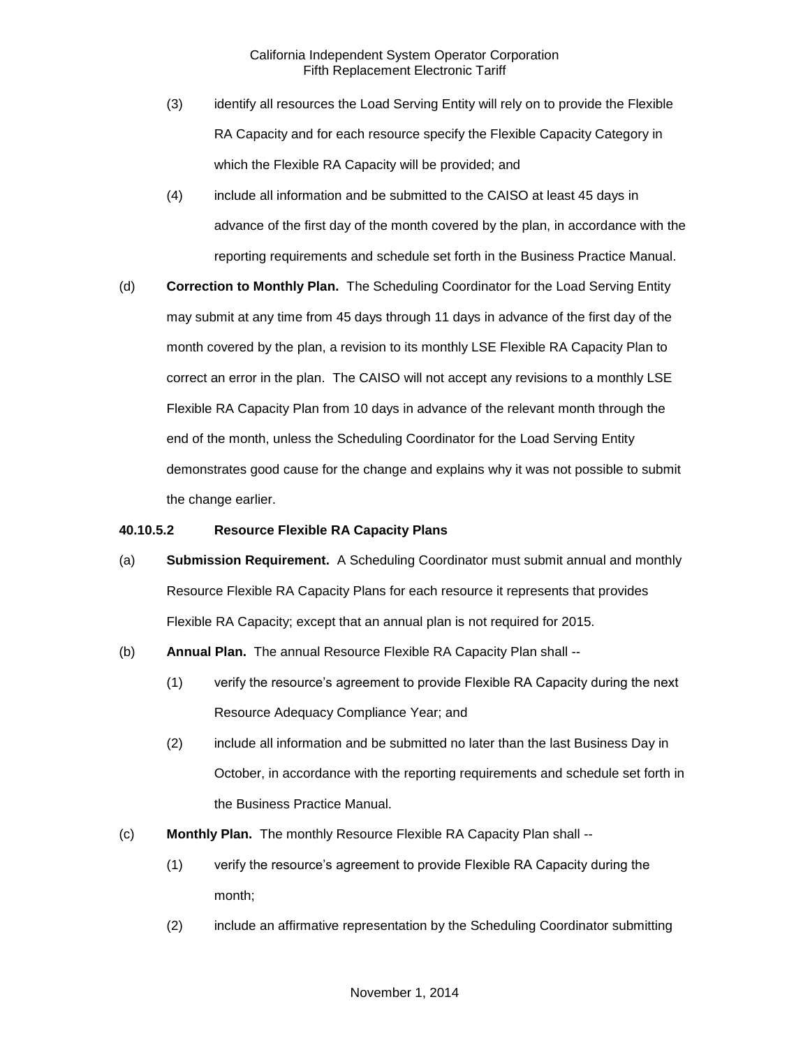- (3) identify all resources the Load Serving Entity will rely on to provide the Flexible RA Capacity and for each resource specify the Flexible Capacity Category in which the Flexible RA Capacity will be provided; and
- (4) include all information and be submitted to the CAISO at least 45 days in advance of the first day of the month covered by the plan, in accordance with the reporting requirements and schedule set forth in the Business Practice Manual.
- (d) **Correction to Monthly Plan.** The Scheduling Coordinator for the Load Serving Entity may submit at any time from 45 days through 11 days in advance of the first day of the month covered by the plan, a revision to its monthly LSE Flexible RA Capacity Plan to correct an error in the plan. The CAISO will not accept any revisions to a monthly LSE Flexible RA Capacity Plan from 10 days in advance of the relevant month through the end of the month, unless the Scheduling Coordinator for the Load Serving Entity demonstrates good cause for the change and explains why it was not possible to submit the change earlier.

#### **40.10.5.2 Resource Flexible RA Capacity Plans**

- (a) **Submission Requirement.** A Scheduling Coordinator must submit annual and monthly Resource Flexible RA Capacity Plans for each resource it represents that provides Flexible RA Capacity; except that an annual plan is not required for 2015.
- (b) **Annual Plan.** The annual Resource Flexible RA Capacity Plan shall --
	- (1) verify the resource's agreement to provide Flexible RA Capacity during the next Resource Adequacy Compliance Year; and
	- (2) include all information and be submitted no later than the last Business Day in October, in accordance with the reporting requirements and schedule set forth in the Business Practice Manual.
- (c) **Monthly Plan.** The monthly Resource Flexible RA Capacity Plan shall --
	- (1) verify the resource's agreement to provide Flexible RA Capacity during the month;
	- (2) include an affirmative representation by the Scheduling Coordinator submitting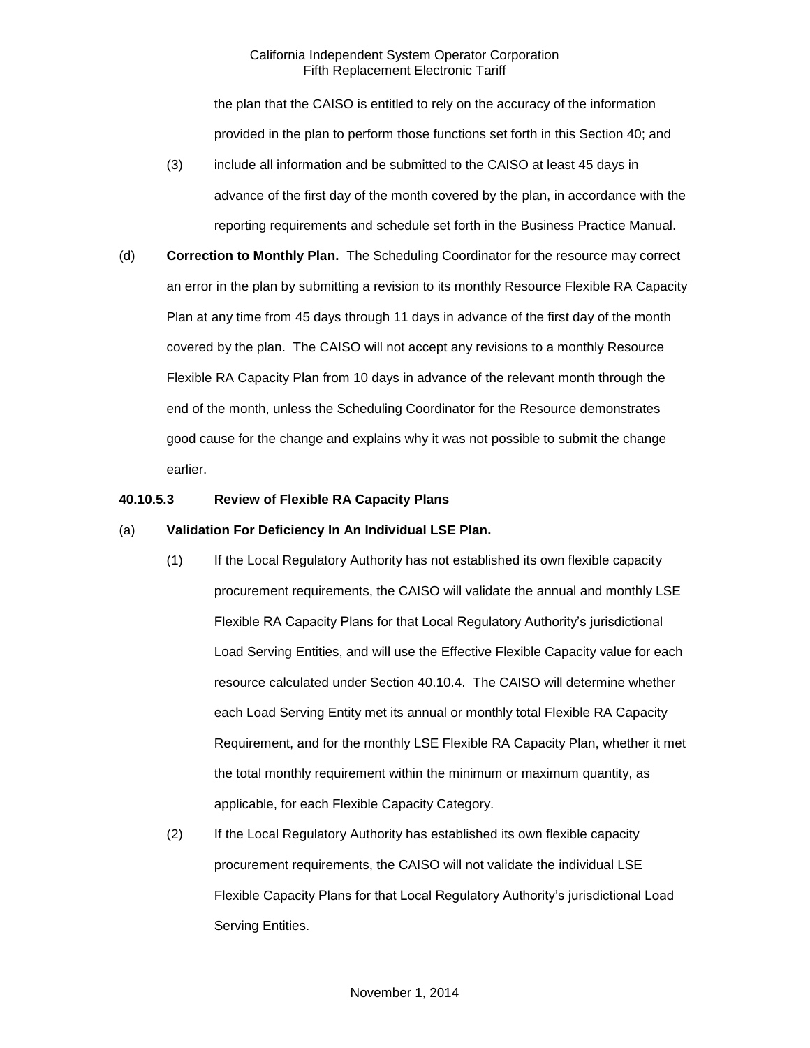the plan that the CAISO is entitled to rely on the accuracy of the information provided in the plan to perform those functions set forth in this Section 40; and

- (3) include all information and be submitted to the CAISO at least 45 days in advance of the first day of the month covered by the plan, in accordance with the reporting requirements and schedule set forth in the Business Practice Manual.
- (d) **Correction to Monthly Plan.** The Scheduling Coordinator for the resource may correct an error in the plan by submitting a revision to its monthly Resource Flexible RA Capacity Plan at any time from 45 days through 11 days in advance of the first day of the month covered by the plan. The CAISO will not accept any revisions to a monthly Resource Flexible RA Capacity Plan from 10 days in advance of the relevant month through the end of the month, unless the Scheduling Coordinator for the Resource demonstrates good cause for the change and explains why it was not possible to submit the change earlier.

## **40.10.5.3 Review of Flexible RA Capacity Plans**

#### (a) **Validation For Deficiency In An Individual LSE Plan.**

- (1) If the Local Regulatory Authority has not established its own flexible capacity procurement requirements, the CAISO will validate the annual and monthly LSE Flexible RA Capacity Plans for that Local Regulatory Authority's jurisdictional Load Serving Entities, and will use the Effective Flexible Capacity value for each resource calculated under Section 40.10.4. The CAISO will determine whether each Load Serving Entity met its annual or monthly total Flexible RA Capacity Requirement, and for the monthly LSE Flexible RA Capacity Plan, whether it met the total monthly requirement within the minimum or maximum quantity, as applicable, for each Flexible Capacity Category.
- (2) If the Local Regulatory Authority has established its own flexible capacity procurement requirements, the CAISO will not validate the individual LSE Flexible Capacity Plans for that Local Regulatory Authority's jurisdictional Load Serving Entities.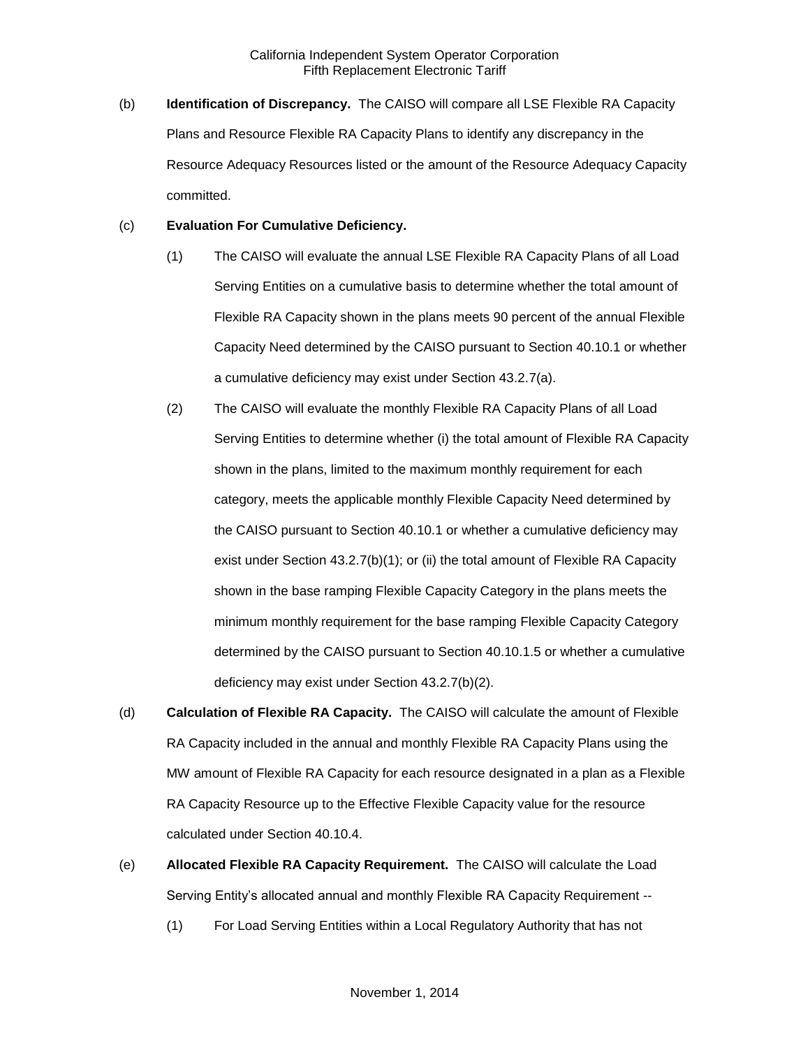(b) **Identification of Discrepancy.** The CAISO will compare all LSE Flexible RA Capacity Plans and Resource Flexible RA Capacity Plans to identify any discrepancy in the Resource Adequacy Resources listed or the amount of the Resource Adequacy Capacity committed.

#### (c) **Evaluation For Cumulative Deficiency.**

- (1) The CAISO will evaluate the annual LSE Flexible RA Capacity Plans of all Load Serving Entities on a cumulative basis to determine whether the total amount of Flexible RA Capacity shown in the plans meets 90 percent of the annual Flexible Capacity Need determined by the CAISO pursuant to Section 40.10.1 or whether a cumulative deficiency may exist under Section 43.2.7(a).
- (2) The CAISO will evaluate the monthly Flexible RA Capacity Plans of all Load Serving Entities to determine whether (i) the total amount of Flexible RA Capacity shown in the plans, limited to the maximum monthly requirement for each category, meets the applicable monthly Flexible Capacity Need determined by the CAISO pursuant to Section 40.10.1 or whether a cumulative deficiency may exist under Section 43.2.7(b)(1); or (ii) the total amount of Flexible RA Capacity shown in the base ramping Flexible Capacity Category in the plans meets the minimum monthly requirement for the base ramping Flexible Capacity Category determined by the CAISO pursuant to Section 40.10.1.5 or whether a cumulative deficiency may exist under Section 43.2.7(b)(2).
- (d) **Calculation of Flexible RA Capacity.** The CAISO will calculate the amount of Flexible RA Capacity included in the annual and monthly Flexible RA Capacity Plans using the MW amount of Flexible RA Capacity for each resource designated in a plan as a Flexible RA Capacity Resource up to the Effective Flexible Capacity value for the resource calculated under Section 40.10.4.
- (e) **Allocated Flexible RA Capacity Requirement.** The CAISO will calculate the Load Serving Entity's allocated annual and monthly Flexible RA Capacity Requirement --
	- (1) For Load Serving Entities within a Local Regulatory Authority that has not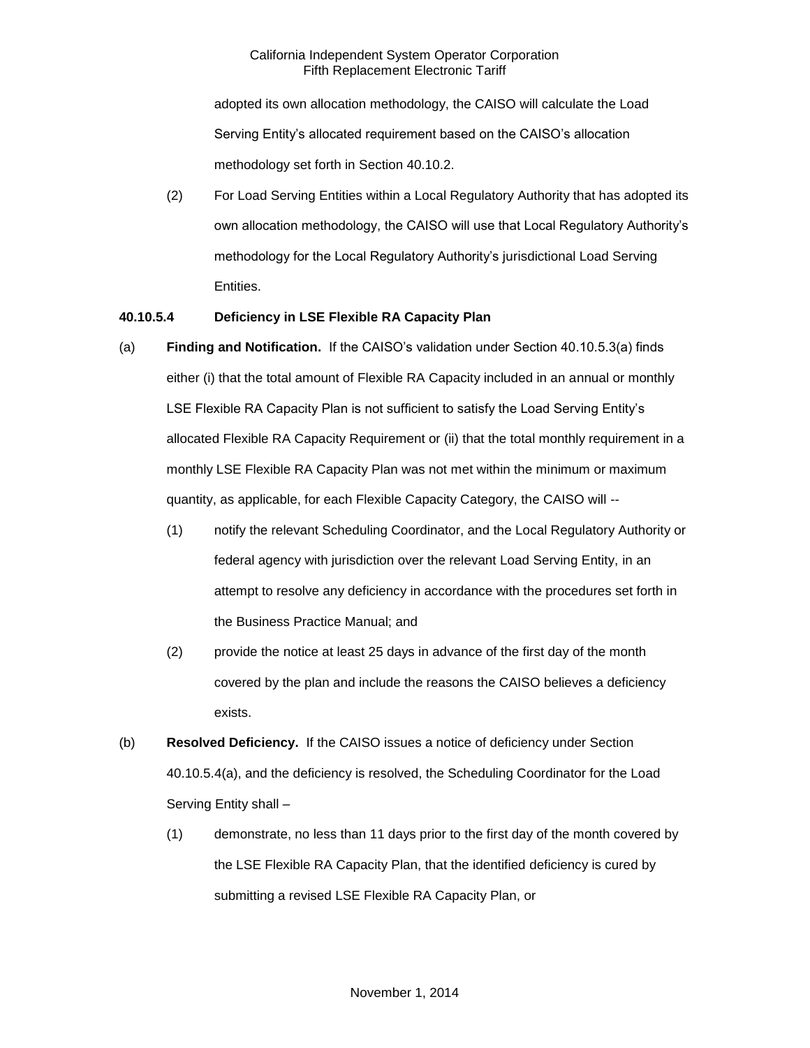adopted its own allocation methodology, the CAISO will calculate the Load Serving Entity's allocated requirement based on the CAISO's allocation methodology set forth in Section 40.10.2.

(2) For Load Serving Entities within a Local Regulatory Authority that has adopted its own allocation methodology, the CAISO will use that Local Regulatory Authority's methodology for the Local Regulatory Authority's jurisdictional Load Serving Entities.

## **40.10.5.4 Deficiency in LSE Flexible RA Capacity Plan**

- (a) **Finding and Notification.** If the CAISO's validation under Section 40.10.5.3(a) finds either (i) that the total amount of Flexible RA Capacity included in an annual or monthly LSE Flexible RA Capacity Plan is not sufficient to satisfy the Load Serving Entity's allocated Flexible RA Capacity Requirement or (ii) that the total monthly requirement in a monthly LSE Flexible RA Capacity Plan was not met within the minimum or maximum quantity, as applicable, for each Flexible Capacity Category, the CAISO will --
	- (1) notify the relevant Scheduling Coordinator, and the Local Regulatory Authority or federal agency with jurisdiction over the relevant Load Serving Entity, in an attempt to resolve any deficiency in accordance with the procedures set forth in the Business Practice Manual; and
	- (2) provide the notice at least 25 days in advance of the first day of the month covered by the plan and include the reasons the CAISO believes a deficiency exists.
- (b) **Resolved Deficiency.** If the CAISO issues a notice of deficiency under Section 40.10.5.4(a), and the deficiency is resolved, the Scheduling Coordinator for the Load Serving Entity shall –
	- (1) demonstrate, no less than 11 days prior to the first day of the month covered by the LSE Flexible RA Capacity Plan, that the identified deficiency is cured by submitting a revised LSE Flexible RA Capacity Plan, or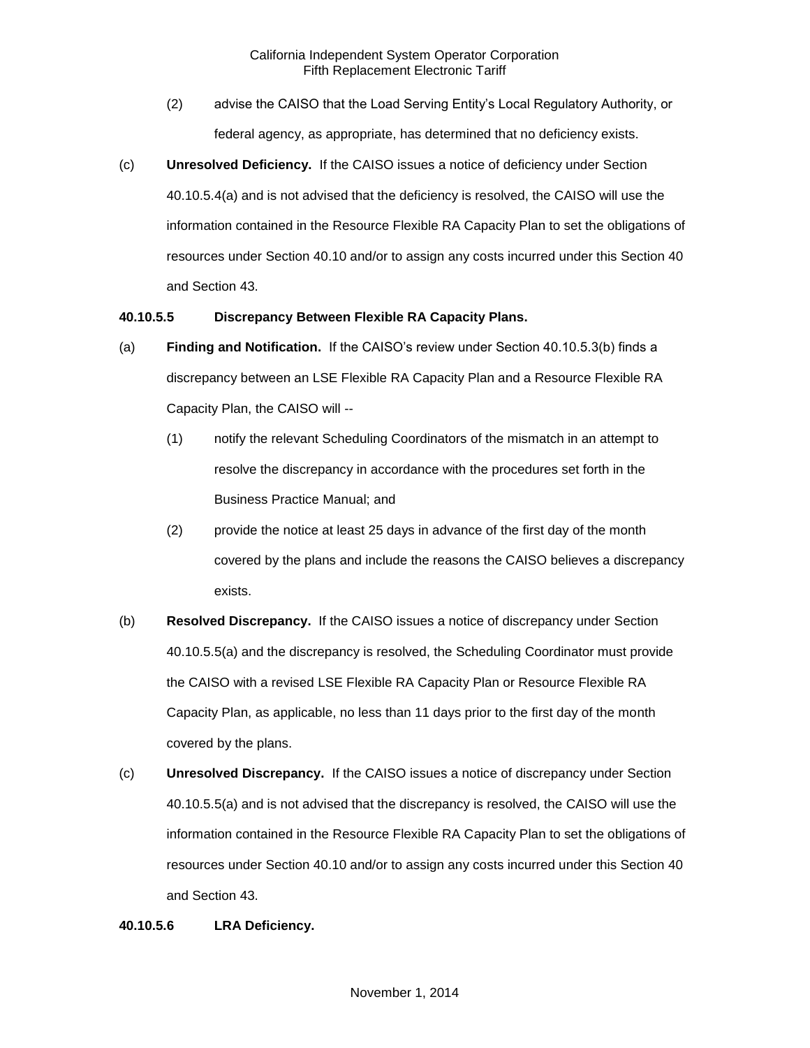- (2) advise the CAISO that the Load Serving Entity's Local Regulatory Authority, or federal agency, as appropriate, has determined that no deficiency exists.
- (c) **Unresolved Deficiency.** If the CAISO issues a notice of deficiency under Section 40.10.5.4(a) and is not advised that the deficiency is resolved, the CAISO will use the information contained in the Resource Flexible RA Capacity Plan to set the obligations of resources under Section 40.10 and/or to assign any costs incurred under this Section 40 and Section 43.

#### **40.10.5.5 Discrepancy Between Flexible RA Capacity Plans.**

- (a) **Finding and Notification.** If the CAISO's review under Section 40.10.5.3(b) finds a discrepancy between an LSE Flexible RA Capacity Plan and a Resource Flexible RA Capacity Plan, the CAISO will --
	- (1) notify the relevant Scheduling Coordinators of the mismatch in an attempt to resolve the discrepancy in accordance with the procedures set forth in the Business Practice Manual; and
	- (2) provide the notice at least 25 days in advance of the first day of the month covered by the plans and include the reasons the CAISO believes a discrepancy exists.
- (b) **Resolved Discrepancy.** If the CAISO issues a notice of discrepancy under Section 40.10.5.5(a) and the discrepancy is resolved, the Scheduling Coordinator must provide the CAISO with a revised LSE Flexible RA Capacity Plan or Resource Flexible RA Capacity Plan, as applicable, no less than 11 days prior to the first day of the month covered by the plans.
- (c) **Unresolved Discrepancy.** If the CAISO issues a notice of discrepancy under Section 40.10.5.5(a) and is not advised that the discrepancy is resolved, the CAISO will use the information contained in the Resource Flexible RA Capacity Plan to set the obligations of resources under Section 40.10 and/or to assign any costs incurred under this Section 40 and Section 43.

#### **40.10.5.6 LRA Deficiency.**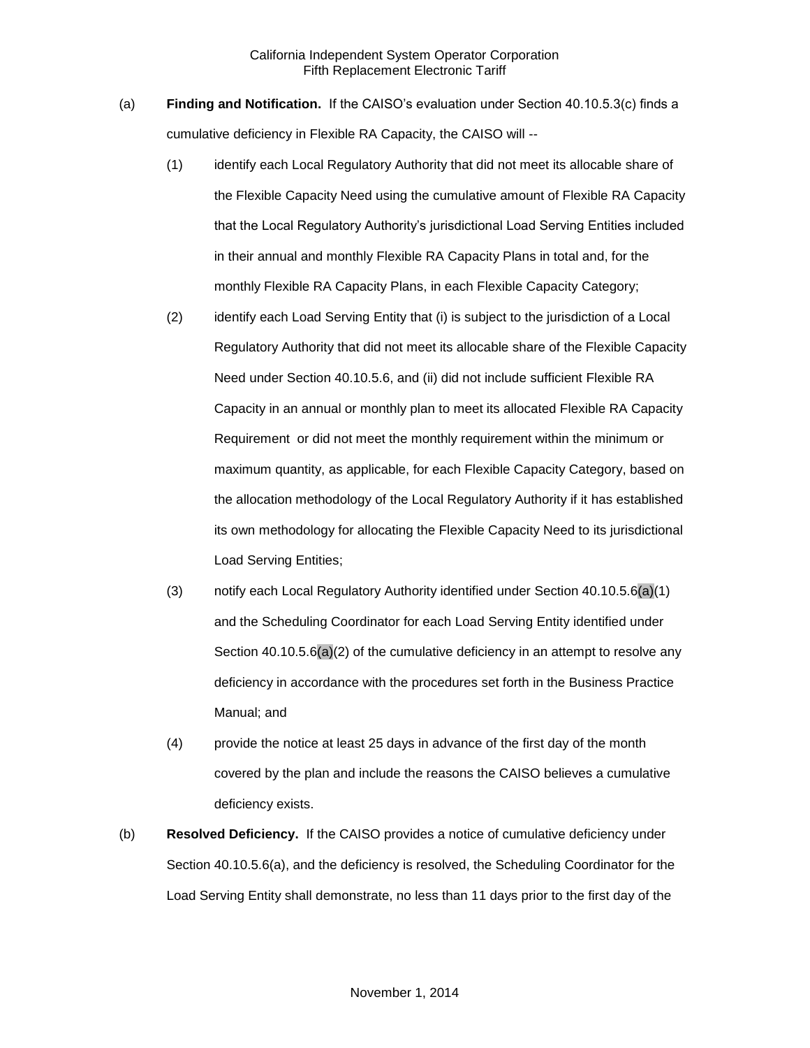- (a) **Finding and Notification.** If the CAISO's evaluation under Section 40.10.5.3(c) finds a cumulative deficiency in Flexible RA Capacity, the CAISO will --
	- (1) identify each Local Regulatory Authority that did not meet its allocable share of the Flexible Capacity Need using the cumulative amount of Flexible RA Capacity that the Local Regulatory Authority's jurisdictional Load Serving Entities included in their annual and monthly Flexible RA Capacity Plans in total and, for the monthly Flexible RA Capacity Plans, in each Flexible Capacity Category;
	- (2) identify each Load Serving Entity that (i) is subject to the jurisdiction of a Local Regulatory Authority that did not meet its allocable share of the Flexible Capacity Need under Section 40.10.5.6, and (ii) did not include sufficient Flexible RA Capacity in an annual or monthly plan to meet its allocated Flexible RA Capacity Requirement or did not meet the monthly requirement within the minimum or maximum quantity, as applicable, for each Flexible Capacity Category, based on the allocation methodology of the Local Regulatory Authority if it has established its own methodology for allocating the Flexible Capacity Need to its jurisdictional Load Serving Entities;
	- (3) notify each Local Regulatory Authority identified under Section 40.10.5.6(a)(1) and the Scheduling Coordinator for each Load Serving Entity identified under Section 40.10.5.6(a)(2) of the cumulative deficiency in an attempt to resolve any deficiency in accordance with the procedures set forth in the Business Practice Manual; and
	- (4) provide the notice at least 25 days in advance of the first day of the month covered by the plan and include the reasons the CAISO believes a cumulative deficiency exists.
- (b) **Resolved Deficiency.** If the CAISO provides a notice of cumulative deficiency under Section 40.10.5.6(a), and the deficiency is resolved, the Scheduling Coordinator for the Load Serving Entity shall demonstrate, no less than 11 days prior to the first day of the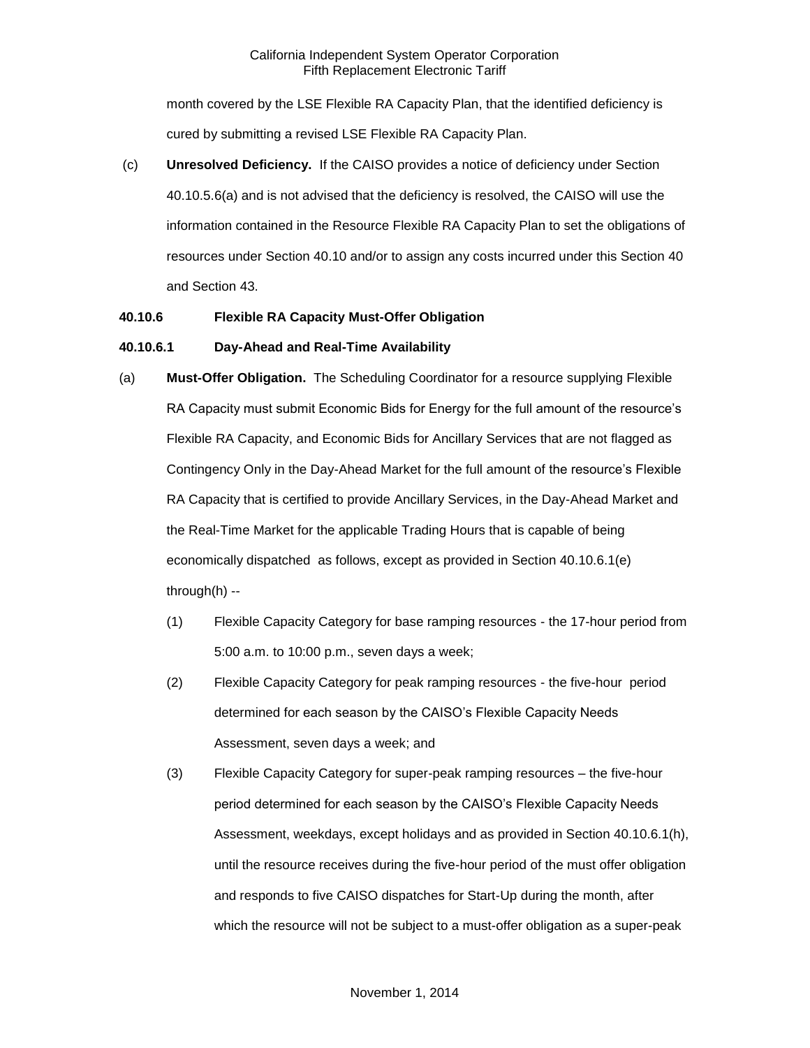## California Independent System Operator Corporation Fifth Replacement Electronic Tariff

month covered by the LSE Flexible RA Capacity Plan, that the identified deficiency is cured by submitting a revised LSE Flexible RA Capacity Plan.

(c) **Unresolved Deficiency.** If the CAISO provides a notice of deficiency under Section 40.10.5.6(a) and is not advised that the deficiency is resolved, the CAISO will use the information contained in the Resource Flexible RA Capacity Plan to set the obligations of resources under Section 40.10 and/or to assign any costs incurred under this Section 40 and Section 43.

## **40.10.6 Flexible RA Capacity Must-Offer Obligation**

#### **40.10.6.1 Day-Ahead and Real-Time Availability**

- (a) **Must-Offer Obligation.** The Scheduling Coordinator for a resource supplying Flexible RA Capacity must submit Economic Bids for Energy for the full amount of the resource's Flexible RA Capacity, and Economic Bids for Ancillary Services that are not flagged as Contingency Only in the Day-Ahead Market for the full amount of the resource's Flexible RA Capacity that is certified to provide Ancillary Services, in the Day-Ahead Market and the Real-Time Market for the applicable Trading Hours that is capable of being economically dispatched as follows, except as provided in Section 40.10.6.1(e) through(h) --
	- (1) Flexible Capacity Category for base ramping resources the 17-hour period from 5:00 a.m. to 10:00 p.m., seven days a week;
	- (2) Flexible Capacity Category for peak ramping resources the five-hour period determined for each season by the CAISO's Flexible Capacity Needs Assessment, seven days a week; and
	- (3) Flexible Capacity Category for super-peak ramping resources the five-hour period determined for each season by the CAISO's Flexible Capacity Needs Assessment, weekdays, except holidays and as provided in Section 40.10.6.1(h), until the resource receives during the five-hour period of the must offer obligation and responds to five CAISO dispatches for Start-Up during the month, after which the resource will not be subject to a must-offer obligation as a super-peak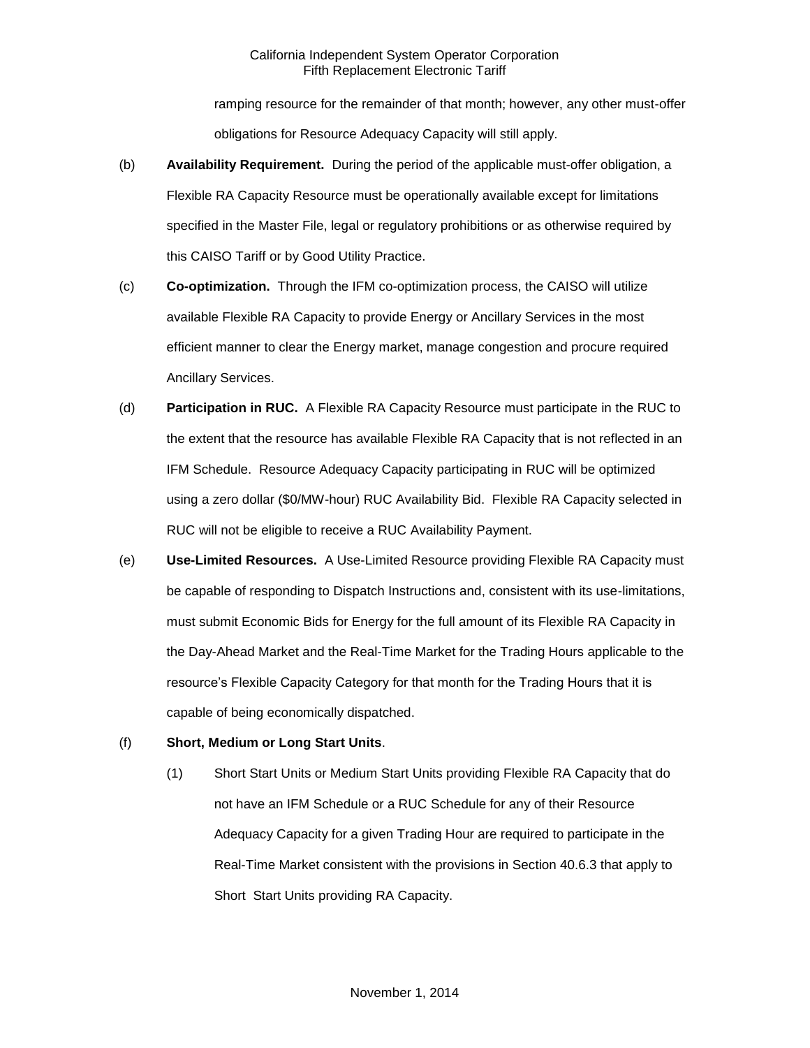# California Independent System Operator Corporation Fifth Replacement Electronic Tariff

ramping resource for the remainder of that month; however, any other must-offer obligations for Resource Adequacy Capacity will still apply.

- (b) **Availability Requirement.** During the period of the applicable must-offer obligation, a Flexible RA Capacity Resource must be operationally available except for limitations specified in the Master File, legal or regulatory prohibitions or as otherwise required by this CAISO Tariff or by Good Utility Practice.
- (c) **Co-optimization.** Through the IFM co-optimization process, the CAISO will utilize available Flexible RA Capacity to provide Energy or Ancillary Services in the most efficient manner to clear the Energy market, manage congestion and procure required Ancillary Services.
- (d) **Participation in RUC.** A Flexible RA Capacity Resource must participate in the RUC to the extent that the resource has available Flexible RA Capacity that is not reflected in an IFM Schedule. Resource Adequacy Capacity participating in RUC will be optimized using a zero dollar (\$0/MW-hour) RUC Availability Bid. Flexible RA Capacity selected in RUC will not be eligible to receive a RUC Availability Payment.
- (e) **Use-Limited Resources.** A Use-Limited Resource providing Flexible RA Capacity must be capable of responding to Dispatch Instructions and, consistent with its use-limitations, must submit Economic Bids for Energy for the full amount of its Flexible RA Capacity in the Day-Ahead Market and the Real-Time Market for the Trading Hours applicable to the resource's Flexible Capacity Category for that month for the Trading Hours that it is capable of being economically dispatched.
- (f) **Short, Medium or Long Start Units**.
	- (1) Short Start Units or Medium Start Units providing Flexible RA Capacity that do not have an IFM Schedule or a RUC Schedule for any of their Resource Adequacy Capacity for a given Trading Hour are required to participate in the Real-Time Market consistent with the provisions in Section 40.6.3 that apply to Short Start Units providing RA Capacity.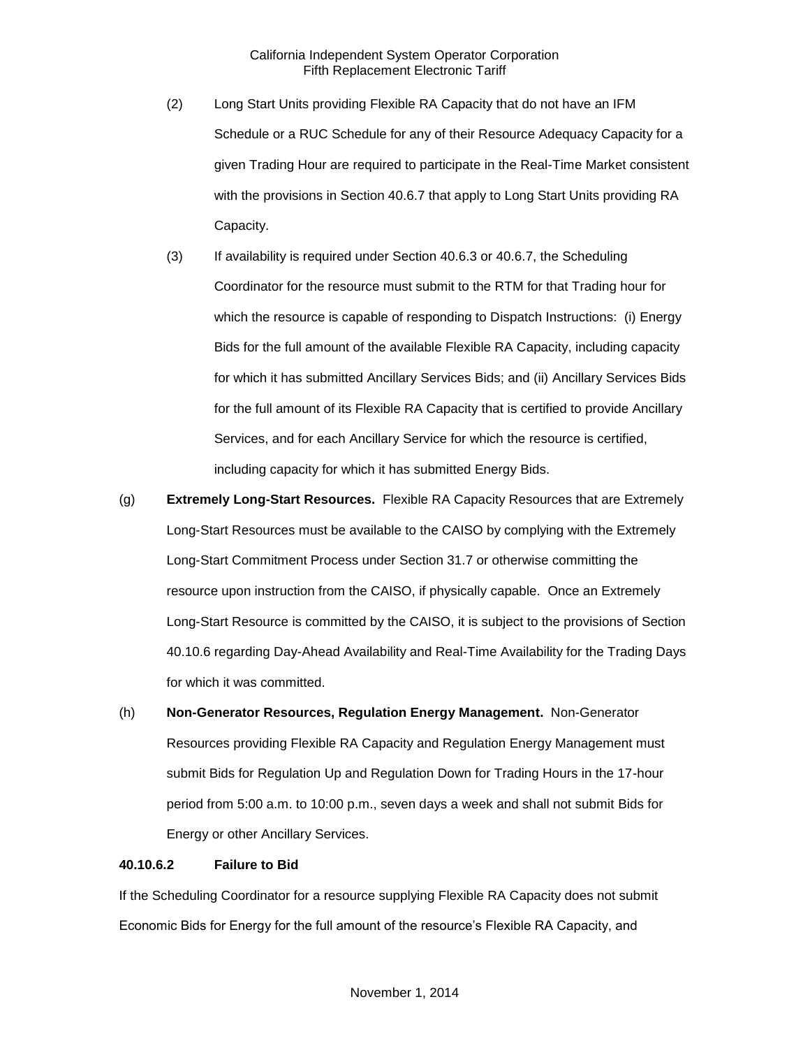- (2) Long Start Units providing Flexible RA Capacity that do not have an IFM Schedule or a RUC Schedule for any of their Resource Adequacy Capacity for a given Trading Hour are required to participate in the Real-Time Market consistent with the provisions in Section 40.6.7 that apply to Long Start Units providing RA Capacity.
- (3) If availability is required under Section 40.6.3 or 40.6.7, the Scheduling Coordinator for the resource must submit to the RTM for that Trading hour for which the resource is capable of responding to Dispatch Instructions: (i) Energy Bids for the full amount of the available Flexible RA Capacity, including capacity for which it has submitted Ancillary Services Bids; and (ii) Ancillary Services Bids for the full amount of its Flexible RA Capacity that is certified to provide Ancillary Services, and for each Ancillary Service for which the resource is certified, including capacity for which it has submitted Energy Bids.
- (g) **Extremely Long-Start Resources.** Flexible RA Capacity Resources that are Extremely Long-Start Resources must be available to the CAISO by complying with the Extremely Long-Start Commitment Process under Section 31.7 or otherwise committing the resource upon instruction from the CAISO, if physically capable. Once an Extremely Long-Start Resource is committed by the CAISO, it is subject to the provisions of Section 40.10.6 regarding Day-Ahead Availability and Real-Time Availability for the Trading Days for which it was committed.
- (h) **Non-Generator Resources, Regulation Energy Management.** Non-Generator Resources providing Flexible RA Capacity and Regulation Energy Management must submit Bids for Regulation Up and Regulation Down for Trading Hours in the 17-hour period from 5:00 a.m. to 10:00 p.m., seven days a week and shall not submit Bids for Energy or other Ancillary Services.

#### **40.10.6.2 Failure to Bid**

If the Scheduling Coordinator for a resource supplying Flexible RA Capacity does not submit Economic Bids for Energy for the full amount of the resource's Flexible RA Capacity, and